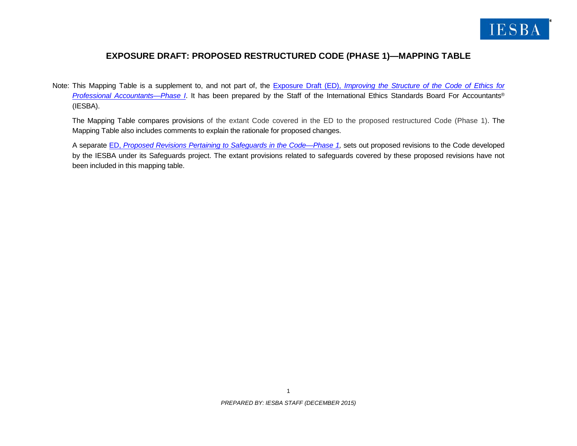Note: This Mapping Table is a supplement to, and not part of, the Exposure Draft (ED), *[Improving the Structure of the Code of Ethics for](https://www.ifac.org/publications-resources/exposure-draft-improving-structure-code-ethics-professional-accountants-phase)  [Professional Accountants—Phase I](https://www.ifac.org/publications-resources/exposure-draft-improving-structure-code-ethics-professional-accountants-phase)*. It has been prepared by the Staff of the International Ethics Standards Board For Accountants® (IESBA).

The Mapping Table compares provisions of the extant Code covered in the ED to the proposed restructured Code (Phase 1). The Mapping Table also includes comments to explain the rationale for proposed changes.

A separate ED, *[Proposed Revisions Pertaining to Safeguards in the Code—Phase 1,](https://www.ifac.org/publications-resources/proposed-revisions-pertaining-safeguards-code-phase-1)* sets out proposed revisions to the Code developed by the IESBA under its Safeguards project. The extant provisions related to safeguards covered by these proposed revisions have not been included in this mapping table.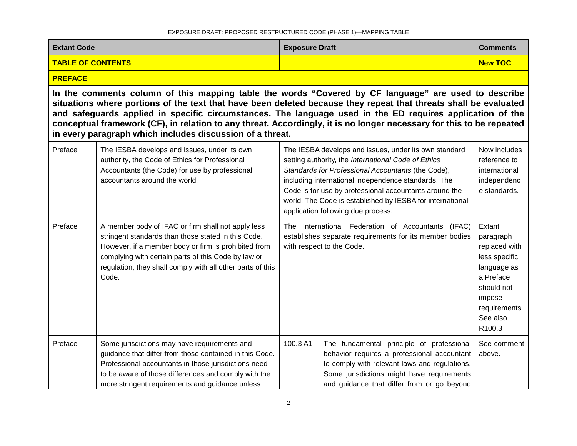| <b>Extant Code</b>                                                                                                                                                                                                                                                                                                                                                                                                                                                                                                         |                                                                                                                                                                                                                                                                                                 | <b>Exposure Draft</b>                                                                                                                                                                                                                                                                                                                                                                  | <b>Comments</b>                                                                                                                                  |  |
|----------------------------------------------------------------------------------------------------------------------------------------------------------------------------------------------------------------------------------------------------------------------------------------------------------------------------------------------------------------------------------------------------------------------------------------------------------------------------------------------------------------------------|-------------------------------------------------------------------------------------------------------------------------------------------------------------------------------------------------------------------------------------------------------------------------------------------------|----------------------------------------------------------------------------------------------------------------------------------------------------------------------------------------------------------------------------------------------------------------------------------------------------------------------------------------------------------------------------------------|--------------------------------------------------------------------------------------------------------------------------------------------------|--|
| <b>TABLE OF CONTENTS</b>                                                                                                                                                                                                                                                                                                                                                                                                                                                                                                   |                                                                                                                                                                                                                                                                                                 |                                                                                                                                                                                                                                                                                                                                                                                        | <b>New TOC</b>                                                                                                                                   |  |
| <b>PREFACE</b>                                                                                                                                                                                                                                                                                                                                                                                                                                                                                                             |                                                                                                                                                                                                                                                                                                 |                                                                                                                                                                                                                                                                                                                                                                                        |                                                                                                                                                  |  |
| In the comments column of this mapping table the words "Covered by CF language" are used to describe<br>situations where portions of the text that have been deleted because they repeat that threats shall be evaluated<br>and safeguards applied in specific circumstances. The language used in the ED requires application of the<br>conceptual framework (CF), in relation to any threat. Accordingly, it is no longer necessary for this to be repeated<br>in every paragraph which includes discussion of a threat. |                                                                                                                                                                                                                                                                                                 |                                                                                                                                                                                                                                                                                                                                                                                        |                                                                                                                                                  |  |
| Preface                                                                                                                                                                                                                                                                                                                                                                                                                                                                                                                    | The IESBA develops and issues, under its own<br>authority, the Code of Ethics for Professional<br>Accountants (the Code) for use by professional<br>accountants around the world.                                                                                                               | The IESBA develops and issues, under its own standard<br>setting authority, the International Code of Ethics<br>Standards for Professional Accountants (the Code),<br>including international independence standards. The<br>Code is for use by professional accountants around the<br>world. The Code is established by IESBA for international<br>application following due process. | Now includes<br>reference to<br>international<br>independenc<br>e standards.                                                                     |  |
| Preface                                                                                                                                                                                                                                                                                                                                                                                                                                                                                                                    | A member body of IFAC or firm shall not apply less<br>stringent standards than those stated in this Code.<br>However, if a member body or firm is prohibited from<br>complying with certain parts of this Code by law or<br>regulation, they shall comply with all other parts of this<br>Code. | The International Federation of Accountants (IFAC)<br>establishes separate requirements for its member bodies<br>with respect to the Code.                                                                                                                                                                                                                                             | Extant<br>paragraph<br>replaced with<br>less specific<br>language as<br>a Preface<br>should not<br>impose<br>requirements.<br>See also<br>R100.3 |  |
| Preface                                                                                                                                                                                                                                                                                                                                                                                                                                                                                                                    | Some jurisdictions may have requirements and<br>guidance that differ from those contained in this Code.<br>Professional accountants in those jurisdictions need<br>to be aware of those differences and comply with the<br>more stringent requirements and guidance unless                      | 100.3 A1<br>The fundamental principle of professional<br>behavior requires a professional accountant<br>to comply with relevant laws and regulations.<br>Some jurisdictions might have requirements<br>and guidance that differ from or go beyond                                                                                                                                      | See comment<br>above.                                                                                                                            |  |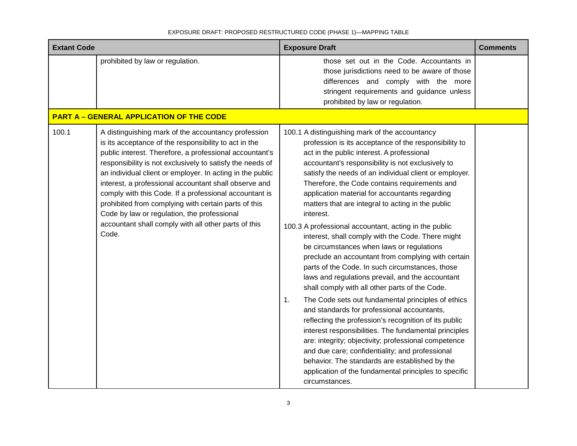| <b>Extant Code</b> |                                                                                                                                                                                                                                                                                                                                                                                                                                                                                                                                                                                              | <b>Exposure Draft</b>                                                                                                                                                                                                                                                                                                                                                                                                                                                                                                                                                                                                                                                                                                                                                                                                                                                                                                                                                                                                                                                                                                                                                                                                                                                                    | <b>Comments</b> |
|--------------------|----------------------------------------------------------------------------------------------------------------------------------------------------------------------------------------------------------------------------------------------------------------------------------------------------------------------------------------------------------------------------------------------------------------------------------------------------------------------------------------------------------------------------------------------------------------------------------------------|------------------------------------------------------------------------------------------------------------------------------------------------------------------------------------------------------------------------------------------------------------------------------------------------------------------------------------------------------------------------------------------------------------------------------------------------------------------------------------------------------------------------------------------------------------------------------------------------------------------------------------------------------------------------------------------------------------------------------------------------------------------------------------------------------------------------------------------------------------------------------------------------------------------------------------------------------------------------------------------------------------------------------------------------------------------------------------------------------------------------------------------------------------------------------------------------------------------------------------------------------------------------------------------|-----------------|
|                    | prohibited by law or regulation.                                                                                                                                                                                                                                                                                                                                                                                                                                                                                                                                                             | those set out in the Code. Accountants in<br>those jurisdictions need to be aware of those<br>differences and comply with the more<br>stringent requirements and guidance unless<br>prohibited by law or regulation.                                                                                                                                                                                                                                                                                                                                                                                                                                                                                                                                                                                                                                                                                                                                                                                                                                                                                                                                                                                                                                                                     |                 |
|                    | <b>PART A - GENERAL APPLICATION OF THE CODE</b>                                                                                                                                                                                                                                                                                                                                                                                                                                                                                                                                              |                                                                                                                                                                                                                                                                                                                                                                                                                                                                                                                                                                                                                                                                                                                                                                                                                                                                                                                                                                                                                                                                                                                                                                                                                                                                                          |                 |
| 100.1              | A distinguishing mark of the accountancy profession<br>is its acceptance of the responsibility to act in the<br>public interest. Therefore, a professional accountant's<br>responsibility is not exclusively to satisfy the needs of<br>an individual client or employer. In acting in the public<br>interest, a professional accountant shall observe and<br>comply with this Code. If a professional accountant is<br>prohibited from complying with certain parts of this<br>Code by law or regulation, the professional<br>accountant shall comply with all other parts of this<br>Code. | 100.1 A distinguishing mark of the accountancy<br>profession is its acceptance of the responsibility to<br>act in the public interest. A professional<br>accountant's responsibility is not exclusively to<br>satisfy the needs of an individual client or employer.<br>Therefore, the Code contains requirements and<br>application material for accountants regarding<br>matters that are integral to acting in the public<br>interest.<br>100.3 A professional accountant, acting in the public<br>interest, shall comply with the Code. There might<br>be circumstances when laws or regulations<br>preclude an accountant from complying with certain<br>parts of the Code. In such circumstances, those<br>laws and regulations prevail, and the accountant<br>shall comply with all other parts of the Code.<br>The Code sets out fundamental principles of ethics<br>1.<br>and standards for professional accountants,<br>reflecting the profession's recognition of its public<br>interest responsibilities. The fundamental principles<br>are: integrity; objectivity; professional competence<br>and due care; confidentiality; and professional<br>behavior. The standards are established by the<br>application of the fundamental principles to specific<br>circumstances. |                 |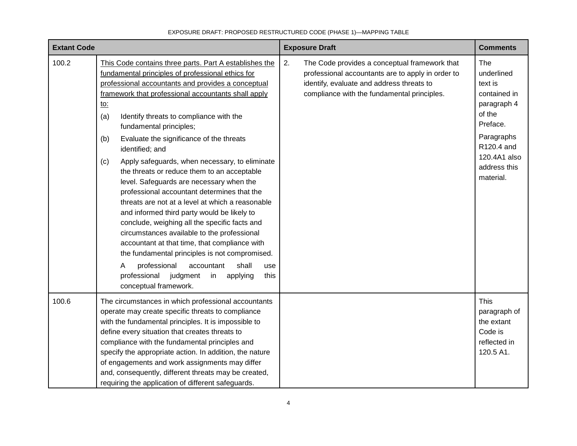| <b>Extant Code</b> |                                                                                                                                                                                                                                                                                                                                                                                                                                                                                                                                                                                                                                                                                                                                                                                                                                                                                                                                                                                                                                      | <b>Exposure Draft</b>                                                                                                                                                                                | <b>Comments</b>                                                                                                                                            |
|--------------------|--------------------------------------------------------------------------------------------------------------------------------------------------------------------------------------------------------------------------------------------------------------------------------------------------------------------------------------------------------------------------------------------------------------------------------------------------------------------------------------------------------------------------------------------------------------------------------------------------------------------------------------------------------------------------------------------------------------------------------------------------------------------------------------------------------------------------------------------------------------------------------------------------------------------------------------------------------------------------------------------------------------------------------------|------------------------------------------------------------------------------------------------------------------------------------------------------------------------------------------------------|------------------------------------------------------------------------------------------------------------------------------------------------------------|
| 100.2              | This Code contains three parts. Part A establishes the<br>fundamental principles of professional ethics for<br>professional accountants and provides a conceptual<br>framework that professional accountants shall apply<br><u>to:</u><br>(a)<br>Identify threats to compliance with the<br>fundamental principles;<br>Evaluate the significance of the threats<br>(b)<br>identified; and<br>Apply safeguards, when necessary, to eliminate<br>(c)<br>the threats or reduce them to an acceptable<br>level. Safeguards are necessary when the<br>professional accountant determines that the<br>threats are not at a level at which a reasonable<br>and informed third party would be likely to<br>conclude, weighing all the specific facts and<br>circumstances available to the professional<br>accountant at that time, that compliance with<br>the fundamental principles is not compromised.<br>professional<br>accountant<br>shall<br>A<br>use<br>professional<br>judgment<br>in<br>applying<br>this<br>conceptual framework. | 2.<br>The Code provides a conceptual framework that<br>professional accountants are to apply in order to<br>identify, evaluate and address threats to<br>compliance with the fundamental principles. | The<br>underlined<br>text is<br>contained in<br>paragraph 4<br>of the<br>Preface.<br>Paragraphs<br>R120.4 and<br>120.4A1 also<br>address this<br>material. |
| 100.6              | The circumstances in which professional accountants<br>operate may create specific threats to compliance<br>with the fundamental principles. It is impossible to<br>define every situation that creates threats to<br>compliance with the fundamental principles and<br>specify the appropriate action. In addition, the nature<br>of engagements and work assignments may differ<br>and, consequently, different threats may be created,<br>requiring the application of different safeguards.                                                                                                                                                                                                                                                                                                                                                                                                                                                                                                                                      |                                                                                                                                                                                                      | <b>This</b><br>paragraph of<br>the extant<br>Code is<br>reflected in<br>120.5 A1.                                                                          |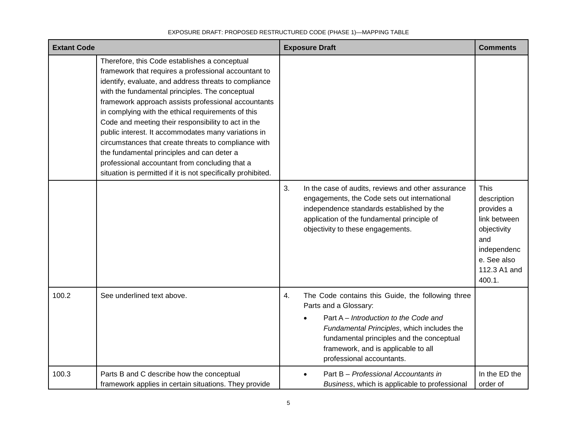| <b>Extant Code</b> |                                                                                                                                                                                                                                                                                                                                                                                                                                                                                                                                                                                                                                                                      | <b>Exposure Draft</b>                                                                                                                                                                                                                                                                    | <b>Comments</b>                                                                                                                 |
|--------------------|----------------------------------------------------------------------------------------------------------------------------------------------------------------------------------------------------------------------------------------------------------------------------------------------------------------------------------------------------------------------------------------------------------------------------------------------------------------------------------------------------------------------------------------------------------------------------------------------------------------------------------------------------------------------|------------------------------------------------------------------------------------------------------------------------------------------------------------------------------------------------------------------------------------------------------------------------------------------|---------------------------------------------------------------------------------------------------------------------------------|
|                    | Therefore, this Code establishes a conceptual<br>framework that requires a professional accountant to<br>identify, evaluate, and address threats to compliance<br>with the fundamental principles. The conceptual<br>framework approach assists professional accountants<br>in complying with the ethical requirements of this<br>Code and meeting their responsibility to act in the<br>public interest. It accommodates many variations in<br>circumstances that create threats to compliance with<br>the fundamental principles and can deter a<br>professional accountant from concluding that a<br>situation is permitted if it is not specifically prohibited. |                                                                                                                                                                                                                                                                                          |                                                                                                                                 |
|                    |                                                                                                                                                                                                                                                                                                                                                                                                                                                                                                                                                                                                                                                                      | 3.<br>In the case of audits, reviews and other assurance<br>engagements, the Code sets out international<br>independence standards established by the<br>application of the fundamental principle of<br>objectivity to these engagements.                                                | This<br>description<br>provides a<br>link between<br>objectivity<br>and<br>independenc<br>e. See also<br>112.3 A1 and<br>400.1. |
| 100.2              | See underlined text above.                                                                                                                                                                                                                                                                                                                                                                                                                                                                                                                                                                                                                                           | 4.<br>The Code contains this Guide, the following three<br>Parts and a Glossary:<br>Part A - Introduction to the Code and<br>Fundamental Principles, which includes the<br>fundamental principles and the conceptual<br>framework, and is applicable to all<br>professional accountants. |                                                                                                                                 |
| 100.3              | Parts B and C describe how the conceptual<br>framework applies in certain situations. They provide                                                                                                                                                                                                                                                                                                                                                                                                                                                                                                                                                                   | Part B - Professional Accountants in<br>Business, which is applicable to professional                                                                                                                                                                                                    | In the ED the<br>order of                                                                                                       |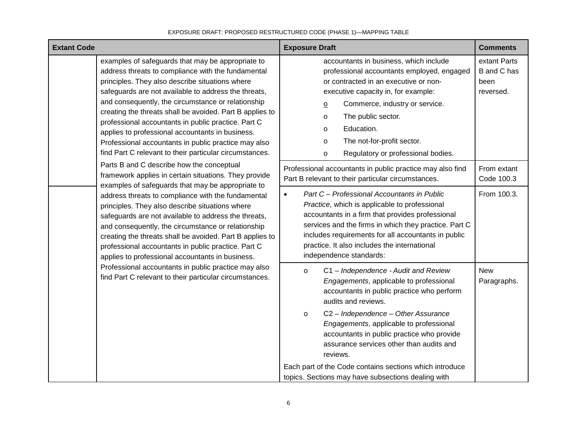| EXPOSURE DRAFT: PROPOSED RESTRUCTURED CODE (PHASE 1)—MAPPING TABLE |  |  |
|--------------------------------------------------------------------|--|--|
|--------------------------------------------------------------------|--|--|

| <b>Extant Code</b>                                                                                                                                                                                                                                                                                                                                                                                                                                                                                                                                                 | <b>Exposure Draft</b>                                                                                                                                                                                                                                                                                                                                    | <b>Comments</b>                                  |
|--------------------------------------------------------------------------------------------------------------------------------------------------------------------------------------------------------------------------------------------------------------------------------------------------------------------------------------------------------------------------------------------------------------------------------------------------------------------------------------------------------------------------------------------------------------------|----------------------------------------------------------------------------------------------------------------------------------------------------------------------------------------------------------------------------------------------------------------------------------------------------------------------------------------------------------|--------------------------------------------------|
| examples of safeguards that may be appropriate to<br>address threats to compliance with the fundamental<br>principles. They also describe situations where<br>safeguards are not available to address the threats,<br>and consequently, the circumstance or relationship<br>creating the threats shall be avoided. Part B applies to<br>professional accountants in public practice. Part C<br>applies to professional accountants in business.<br>Professional accountants in public practice may also<br>find Part C relevant to their particular circumstances. | accountants in business, which include<br>professional accountants employed, engaged<br>or contracted in an executive or non-<br>executive capacity in, for example:<br>Commerce, industry or service.<br>$\overline{o}$<br>The public sector.<br>O<br>Education.<br>o<br>The not-for-profit sector.<br>o<br>Regulatory or professional bodies.<br>o     | extant Parts<br>B and C has<br>been<br>reversed. |
| Parts B and C describe how the conceptual<br>framework applies in certain situations. They provide                                                                                                                                                                                                                                                                                                                                                                                                                                                                 | Professional accountants in public practice may also find<br>Part B relevant to their particular circumstances.                                                                                                                                                                                                                                          | From extant<br>Code 100.3                        |
| examples of safeguards that may be appropriate to<br>address threats to compliance with the fundamental<br>principles. They also describe situations where<br>safeguards are not available to address the threats,<br>and consequently, the circumstance or relationship<br>creating the threats shall be avoided. Part B applies to<br>professional accountants in public practice. Part C<br>applies to professional accountants in business.                                                                                                                    | Part C - Professional Accountants in Public<br>$\bullet$<br>Practice, which is applicable to professional<br>accountants in a firm that provides professional<br>services and the firms in which they practice. Part C<br>includes requirements for all accountants in public<br>practice. It also includes the international<br>independence standards: | From 100.3.                                      |
| Professional accountants in public practice may also<br>find Part C relevant to their particular circumstances.                                                                                                                                                                                                                                                                                                                                                                                                                                                    | C1 - Independence - Audit and Review<br>$\circ$<br>Engagements, applicable to professional<br>accountants in public practice who perform<br>audits and reviews.                                                                                                                                                                                          | <b>New</b><br>Paragraphs.                        |
|                                                                                                                                                                                                                                                                                                                                                                                                                                                                                                                                                                    | C2 - Independence - Other Assurance<br>$\circ$<br>Engagements, applicable to professional<br>accountants in public practice who provide<br>assurance services other than audits and<br>reviews.                                                                                                                                                          |                                                  |
|                                                                                                                                                                                                                                                                                                                                                                                                                                                                                                                                                                    | Each part of the Code contains sections which introduce<br>topics. Sections may have subsections dealing with                                                                                                                                                                                                                                            |                                                  |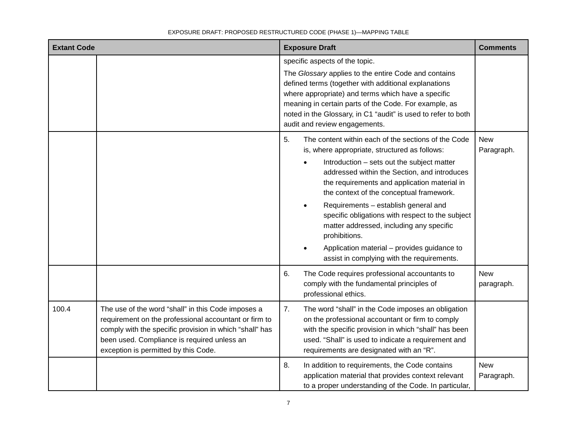| <b>Extant Code</b> |                                                                                                                                                                                                                                                               | <b>Exposure Draft</b>                                                                                                                                                                                                                                                                                                                                                                                                                                                                                                                                      | <b>Comments</b>          |
|--------------------|---------------------------------------------------------------------------------------------------------------------------------------------------------------------------------------------------------------------------------------------------------------|------------------------------------------------------------------------------------------------------------------------------------------------------------------------------------------------------------------------------------------------------------------------------------------------------------------------------------------------------------------------------------------------------------------------------------------------------------------------------------------------------------------------------------------------------------|--------------------------|
|                    |                                                                                                                                                                                                                                                               | specific aspects of the topic.<br>The Glossary applies to the entire Code and contains<br>defined terms (together with additional explanations<br>where appropriate) and terms which have a specific<br>meaning in certain parts of the Code. For example, as<br>noted in the Glossary, in C1 "audit" is used to refer to both<br>audit and review engagements.                                                                                                                                                                                            |                          |
|                    |                                                                                                                                                                                                                                                               | 5.<br>The content within each of the sections of the Code<br>is, where appropriate, structured as follows:<br>Introduction – sets out the subject matter<br>addressed within the Section, and introduces<br>the requirements and application material in<br>the context of the conceptual framework.<br>Requirements - establish general and<br>specific obligations with respect to the subject<br>matter addressed, including any specific<br>prohibitions.<br>Application material - provides guidance to<br>assist in complying with the requirements. | <b>New</b><br>Paragraph. |
|                    |                                                                                                                                                                                                                                                               | 6.<br>The Code requires professional accountants to<br>comply with the fundamental principles of<br>professional ethics.                                                                                                                                                                                                                                                                                                                                                                                                                                   | <b>New</b><br>paragraph. |
| 100.4              | The use of the word "shall" in this Code imposes a<br>requirement on the professional accountant or firm to<br>comply with the specific provision in which "shall" has<br>been used. Compliance is required unless an<br>exception is permitted by this Code. | 7.<br>The word "shall" in the Code imposes an obligation<br>on the professional accountant or firm to comply<br>with the specific provision in which "shall" has been<br>used. "Shall" is used to indicate a requirement and<br>requirements are designated with an "R".                                                                                                                                                                                                                                                                                   |                          |
|                    |                                                                                                                                                                                                                                                               | 8.<br>In addition to requirements, the Code contains<br>application material that provides context relevant<br>to a proper understanding of the Code. In particular,                                                                                                                                                                                                                                                                                                                                                                                       | <b>New</b><br>Paragraph. |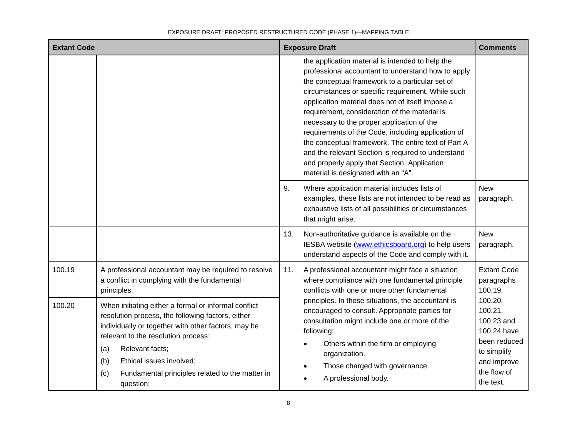| <b>Extant Code</b> |                                                                                                                                                                                                                                                                                                                                             |                                                                                                                                                                                                                                                                                       | <b>Exposure Draft</b>                                                                                                                                                                                                                                                                                                                                                                                                                                                                                                                                                                                                       | <b>Comments</b>                             |
|--------------------|---------------------------------------------------------------------------------------------------------------------------------------------------------------------------------------------------------------------------------------------------------------------------------------------------------------------------------------------|---------------------------------------------------------------------------------------------------------------------------------------------------------------------------------------------------------------------------------------------------------------------------------------|-----------------------------------------------------------------------------------------------------------------------------------------------------------------------------------------------------------------------------------------------------------------------------------------------------------------------------------------------------------------------------------------------------------------------------------------------------------------------------------------------------------------------------------------------------------------------------------------------------------------------------|---------------------------------------------|
|                    |                                                                                                                                                                                                                                                                                                                                             |                                                                                                                                                                                                                                                                                       | the application material is intended to help the<br>professional accountant to understand how to apply<br>the conceptual framework to a particular set of<br>circumstances or specific requirement. While such<br>application material does not of itself impose a<br>requirement, consideration of the material is<br>necessary to the proper application of the<br>requirements of the Code, including application of<br>the conceptual framework. The entire text of Part A<br>and the relevant Section is required to understand<br>and properly apply that Section. Application<br>material is designated with an "A". |                                             |
|                    |                                                                                                                                                                                                                                                                                                                                             | 9.                                                                                                                                                                                                                                                                                    | Where application material includes lists of<br>examples, these lists are not intended to be read as<br>exhaustive lists of all possibilities or circumstances<br>that might arise.                                                                                                                                                                                                                                                                                                                                                                                                                                         | <b>New</b><br>paragraph.                    |
|                    |                                                                                                                                                                                                                                                                                                                                             | 13.                                                                                                                                                                                                                                                                                   | Non-authoritative guidance is available on the<br>IESBA website (www.ethicsboard.org) to help users<br>understand aspects of the Code and comply with it.                                                                                                                                                                                                                                                                                                                                                                                                                                                                   | <b>New</b><br>paragraph.                    |
| 100.19             | A professional accountant may be required to resolve<br>a conflict in complying with the fundamental<br>principles.                                                                                                                                                                                                                         | 11.                                                                                                                                                                                                                                                                                   | A professional accountant might face a situation<br>where compliance with one fundamental principle<br>conflicts with one or more other fundamental                                                                                                                                                                                                                                                                                                                                                                                                                                                                         | <b>Extant Code</b><br>paragraphs<br>100.19, |
| 100.20             | When initiating either a formal or informal conflict<br>resolution process, the following factors, either<br>individually or together with other factors, may be<br>relevant to the resolution process:<br>Relevant facts;<br>(a)<br>Ethical issues involved;<br>(b)<br>(c)<br>Fundamental principles related to the matter in<br>question; | principles. In those situations, the accountant is<br>encouraged to consult. Appropriate parties for<br>consultation might include one or more of the<br>following:<br>Others within the firm or employing<br>organization.<br>Those charged with governance.<br>A professional body. | 100.20,<br>100.21,<br>100.23 and<br>100.24 have<br>been reduced<br>to simplify<br>and improve<br>the flow of<br>the text.                                                                                                                                                                                                                                                                                                                                                                                                                                                                                                   |                                             |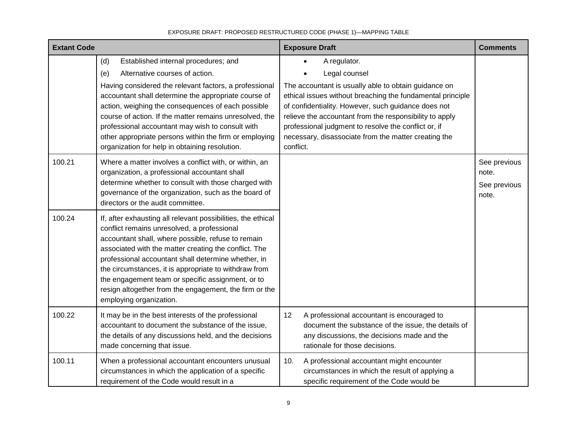| <b>Extant Code</b> |                                                                                                                                                                                                                                                                                                                                                                                                                                                                                         | <b>Exposure Draft</b>                                                                                                                                                                                                                                                                                                                                                                              | <b>Comments</b>                                |
|--------------------|-----------------------------------------------------------------------------------------------------------------------------------------------------------------------------------------------------------------------------------------------------------------------------------------------------------------------------------------------------------------------------------------------------------------------------------------------------------------------------------------|----------------------------------------------------------------------------------------------------------------------------------------------------------------------------------------------------------------------------------------------------------------------------------------------------------------------------------------------------------------------------------------------------|------------------------------------------------|
|                    | (d)<br>Established internal procedures; and<br>(e)<br>Alternative courses of action.<br>Having considered the relevant factors, a professional<br>accountant shall determine the appropriate course of<br>action, weighing the consequences of each possible<br>course of action. If the matter remains unresolved, the<br>professional accountant may wish to consult with<br>other appropriate persons within the firm or employing<br>organization for help in obtaining resolution. | A regulator.<br>Legal counsel<br>The accountant is usually able to obtain guidance on<br>ethical issues without breaching the fundamental principle<br>of confidentiality. However, such guidance does not<br>relieve the accountant from the responsibility to apply<br>professional judgment to resolve the conflict or, if<br>necessary, disassociate from the matter creating the<br>conflict. |                                                |
| 100.21             | Where a matter involves a conflict with, or within, an<br>organization, a professional accountant shall<br>determine whether to consult with those charged with<br>governance of the organization, such as the board of<br>directors or the audit committee.                                                                                                                                                                                                                            |                                                                                                                                                                                                                                                                                                                                                                                                    | See previous<br>note.<br>See previous<br>note. |
| 100.24             | If, after exhausting all relevant possibilities, the ethical<br>conflict remains unresolved, a professional<br>accountant shall, where possible, refuse to remain<br>associated with the matter creating the conflict. The<br>professional accountant shall determine whether, in<br>the circumstances, it is appropriate to withdraw from<br>the engagement team or specific assignment, or to<br>resign altogether from the engagement, the firm or the<br>employing organization.    |                                                                                                                                                                                                                                                                                                                                                                                                    |                                                |
| 100.22             | It may be in the best interests of the professional<br>accountant to document the substance of the issue,<br>the details of any discussions held, and the decisions<br>made concerning that issue.                                                                                                                                                                                                                                                                                      | A professional accountant is encouraged to<br>12<br>document the substance of the issue, the details of<br>any discussions, the decisions made and the<br>rationale for those decisions.                                                                                                                                                                                                           |                                                |
| 100.11             | When a professional accountant encounters unusual<br>circumstances in which the application of a specific<br>requirement of the Code would result in a                                                                                                                                                                                                                                                                                                                                  | A professional accountant might encounter<br>10.<br>circumstances in which the result of applying a<br>specific requirement of the Code would be                                                                                                                                                                                                                                                   |                                                |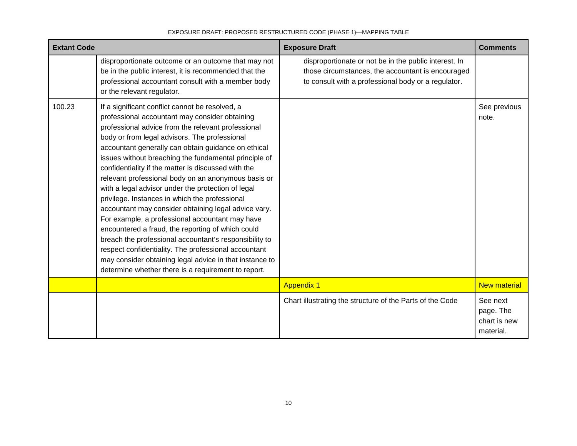| <b>Extant Code</b> |                                                                                                                                                                                                                                                                                                                                                                                                                                                                                                                                                                                                                                                                                                                                                                                                                                                                                                                                                    | <b>Exposure Draft</b>                                                                                                                                             | <b>Comments</b>                                    |
|--------------------|----------------------------------------------------------------------------------------------------------------------------------------------------------------------------------------------------------------------------------------------------------------------------------------------------------------------------------------------------------------------------------------------------------------------------------------------------------------------------------------------------------------------------------------------------------------------------------------------------------------------------------------------------------------------------------------------------------------------------------------------------------------------------------------------------------------------------------------------------------------------------------------------------------------------------------------------------|-------------------------------------------------------------------------------------------------------------------------------------------------------------------|----------------------------------------------------|
|                    | disproportionate outcome or an outcome that may not<br>be in the public interest, it is recommended that the<br>professional accountant consult with a member body<br>or the relevant regulator.                                                                                                                                                                                                                                                                                                                                                                                                                                                                                                                                                                                                                                                                                                                                                   | disproportionate or not be in the public interest. In<br>those circumstances, the accountant is encouraged<br>to consult with a professional body or a regulator. |                                                    |
| 100.23             | If a significant conflict cannot be resolved, a<br>professional accountant may consider obtaining<br>professional advice from the relevant professional<br>body or from legal advisors. The professional<br>accountant generally can obtain guidance on ethical<br>issues without breaching the fundamental principle of<br>confidentiality if the matter is discussed with the<br>relevant professional body on an anonymous basis or<br>with a legal advisor under the protection of legal<br>privilege. Instances in which the professional<br>accountant may consider obtaining legal advice vary.<br>For example, a professional accountant may have<br>encountered a fraud, the reporting of which could<br>breach the professional accountant's responsibility to<br>respect confidentiality. The professional accountant<br>may consider obtaining legal advice in that instance to<br>determine whether there is a requirement to report. |                                                                                                                                                                   | See previous<br>note.                              |
|                    |                                                                                                                                                                                                                                                                                                                                                                                                                                                                                                                                                                                                                                                                                                                                                                                                                                                                                                                                                    | <b>Appendix 1</b>                                                                                                                                                 | <b>New material</b>                                |
|                    |                                                                                                                                                                                                                                                                                                                                                                                                                                                                                                                                                                                                                                                                                                                                                                                                                                                                                                                                                    | Chart illustrating the structure of the Parts of the Code                                                                                                         | See next<br>page. The<br>chart is new<br>material. |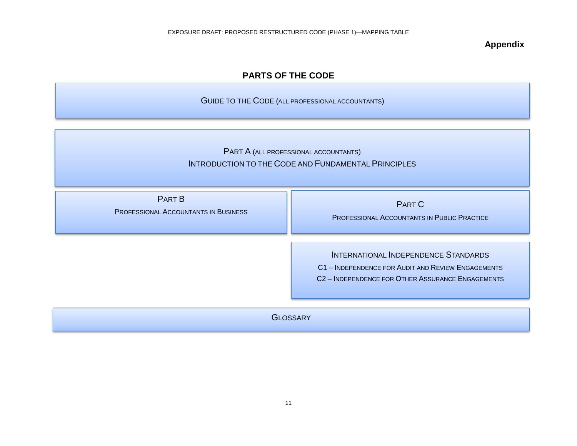**Appendix**

# **PARTS OF THE CODE**

GUIDE TO THE CODE (ALL PROFESSIONAL ACCOUNTANTS)

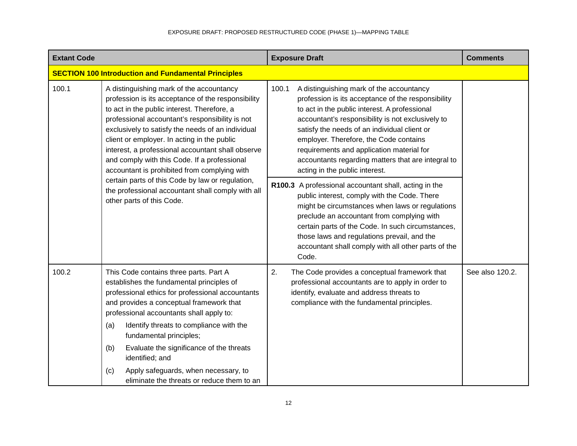| <b>Extant Code</b> |                                                                                                                                                                                                                                                                                                                                                                                                                                                                                                                                                                                                 | <b>Exposure Draft</b>                                                                                                                                                                                                                                                                                                                                                                                                                        | <b>Comments</b> |
|--------------------|-------------------------------------------------------------------------------------------------------------------------------------------------------------------------------------------------------------------------------------------------------------------------------------------------------------------------------------------------------------------------------------------------------------------------------------------------------------------------------------------------------------------------------------------------------------------------------------------------|----------------------------------------------------------------------------------------------------------------------------------------------------------------------------------------------------------------------------------------------------------------------------------------------------------------------------------------------------------------------------------------------------------------------------------------------|-----------------|
|                    | <b>SECTION 100 Introduction and Fundamental Principles</b>                                                                                                                                                                                                                                                                                                                                                                                                                                                                                                                                      |                                                                                                                                                                                                                                                                                                                                                                                                                                              |                 |
| 100.1              | A distinguishing mark of the accountancy<br>profession is its acceptance of the responsibility<br>to act in the public interest. Therefore, a<br>professional accountant's responsibility is not<br>exclusively to satisfy the needs of an individual<br>client or employer. In acting in the public<br>interest, a professional accountant shall observe<br>and comply with this Code. If a professional<br>accountant is prohibited from complying with<br>certain parts of this Code by law or regulation,<br>the professional accountant shall comply with all<br>other parts of this Code. | 100.1<br>A distinguishing mark of the accountancy<br>profession is its acceptance of the responsibility<br>to act in the public interest. A professional<br>accountant's responsibility is not exclusively to<br>satisfy the needs of an individual client or<br>employer. Therefore, the Code contains<br>requirements and application material for<br>accountants regarding matters that are integral to<br>acting in the public interest. |                 |
|                    |                                                                                                                                                                                                                                                                                                                                                                                                                                                                                                                                                                                                 | R100.3 A professional accountant shall, acting in the<br>public interest, comply with the Code. There<br>might be circumstances when laws or regulations<br>preclude an accountant from complying with<br>certain parts of the Code. In such circumstances,<br>those laws and regulations prevail, and the<br>accountant shall comply with all other parts of the<br>Code.                                                                   |                 |
| 100.2              | This Code contains three parts. Part A<br>establishes the fundamental principles of<br>professional ethics for professional accountants<br>and provides a conceptual framework that<br>professional accountants shall apply to:<br>Identify threats to compliance with the<br>(a)<br>fundamental principles;<br>Evaluate the significance of the threats<br>(b)<br>identified; and                                                                                                                                                                                                              | 2.<br>The Code provides a conceptual framework that<br>professional accountants are to apply in order to<br>identify, evaluate and address threats to<br>compliance with the fundamental principles.                                                                                                                                                                                                                                         | See also 120.2. |
|                    | Apply safeguards, when necessary, to<br>(c)<br>eliminate the threats or reduce them to an                                                                                                                                                                                                                                                                                                                                                                                                                                                                                                       |                                                                                                                                                                                                                                                                                                                                                                                                                                              |                 |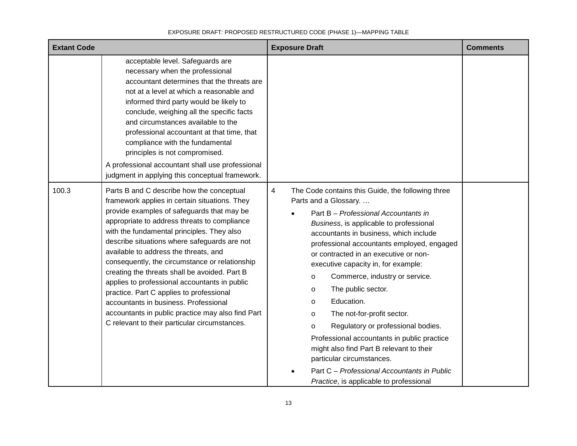| <b>Extant Code</b> |                                                                                                                                                                                                                                                                                                                                                                                                                                                                                                                                                                                                                                                                                | <b>Exposure Draft</b>                                                                                                                                                                                                                                                                                                                                                                                                                                                                                                                                                                                                                                                                                                                                                      | <b>Comments</b> |
|--------------------|--------------------------------------------------------------------------------------------------------------------------------------------------------------------------------------------------------------------------------------------------------------------------------------------------------------------------------------------------------------------------------------------------------------------------------------------------------------------------------------------------------------------------------------------------------------------------------------------------------------------------------------------------------------------------------|----------------------------------------------------------------------------------------------------------------------------------------------------------------------------------------------------------------------------------------------------------------------------------------------------------------------------------------------------------------------------------------------------------------------------------------------------------------------------------------------------------------------------------------------------------------------------------------------------------------------------------------------------------------------------------------------------------------------------------------------------------------------------|-----------------|
|                    | acceptable level. Safeguards are<br>necessary when the professional<br>accountant determines that the threats are<br>not at a level at which a reasonable and<br>informed third party would be likely to<br>conclude, weighing all the specific facts<br>and circumstances available to the<br>professional accountant at that time, that<br>compliance with the fundamental<br>principles is not compromised.<br>A professional accountant shall use professional<br>judgment in applying this conceptual framework.                                                                                                                                                          |                                                                                                                                                                                                                                                                                                                                                                                                                                                                                                                                                                                                                                                                                                                                                                            |                 |
| 100.3              | Parts B and C describe how the conceptual<br>framework applies in certain situations. They<br>provide examples of safeguards that may be<br>appropriate to address threats to compliance<br>with the fundamental principles. They also<br>describe situations where safeguards are not<br>available to address the threats, and<br>consequently, the circumstance or relationship<br>creating the threats shall be avoided. Part B<br>applies to professional accountants in public<br>practice. Part C applies to professional<br>accountants in business. Professional<br>accountants in public practice may also find Part<br>C relevant to their particular circumstances. | $\overline{4}$<br>The Code contains this Guide, the following three<br>Parts and a Glossary.<br>Part B - Professional Accountants in<br>Business, is applicable to professional<br>accountants in business, which include<br>professional accountants employed, engaged<br>or contracted in an executive or non-<br>executive capacity in, for example:<br>Commerce, industry or service.<br>$\circ$<br>The public sector.<br>$\circ$<br>Education.<br>$\circ$<br>The not-for-profit sector.<br>$\circ$<br>Regulatory or professional bodies.<br>$\circ$<br>Professional accountants in public practice<br>might also find Part B relevant to their<br>particular circumstances.<br>Part C - Professional Accountants in Public<br>Practice, is applicable to professional |                 |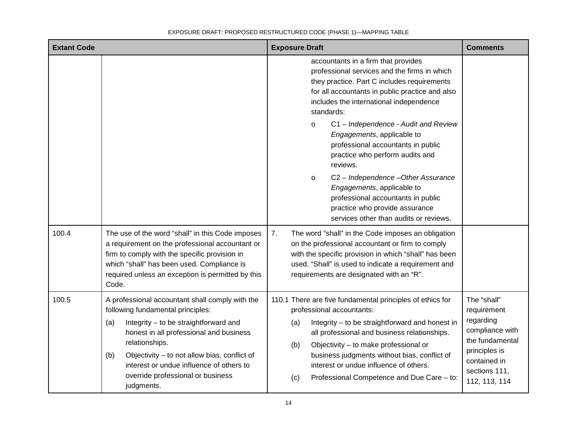| <b>Extant Code</b> |                                                                                                                                                                                                                                                                                                                                                         | <b>Exposure Draft</b>                                                                                                                                                                                                                                                                                                                                                                                                                                                                                                                                                                                                 | <b>Comments</b>                                                                                                                                  |
|--------------------|---------------------------------------------------------------------------------------------------------------------------------------------------------------------------------------------------------------------------------------------------------------------------------------------------------------------------------------------------------|-----------------------------------------------------------------------------------------------------------------------------------------------------------------------------------------------------------------------------------------------------------------------------------------------------------------------------------------------------------------------------------------------------------------------------------------------------------------------------------------------------------------------------------------------------------------------------------------------------------------------|--------------------------------------------------------------------------------------------------------------------------------------------------|
|                    |                                                                                                                                                                                                                                                                                                                                                         | accountants in a firm that provides<br>professional services and the firms in which<br>they practice. Part C includes requirements<br>for all accountants in public practice and also<br>includes the international independence<br>standards:<br>C1 - Independence - Audit and Review<br>$\circ$<br>Engagements, applicable to<br>professional accountants in public<br>practice who perform audits and<br>reviews.<br>C2 - Independence -Other Assurance<br>$\circ$<br>Engagements, applicable to<br>professional accountants in public<br>practice who provide assurance<br>services other than audits or reviews. |                                                                                                                                                  |
| 100.4              | The use of the word "shall" in this Code imposes<br>a requirement on the professional accountant or<br>firm to comply with the specific provision in<br>which "shall" has been used. Compliance is<br>required unless an exception is permitted by this<br>Code.                                                                                        | 7.<br>The word "shall" in the Code imposes an obligation<br>on the professional accountant or firm to comply<br>with the specific provision in which "shall" has been<br>used. "Shall" is used to indicate a requirement and<br>requirements are designated with an "R".                                                                                                                                                                                                                                                                                                                                              |                                                                                                                                                  |
| 100.5              | A professional accountant shall comply with the<br>following fundamental principles:<br>Integrity - to be straightforward and<br>(a)<br>honest in all professional and business<br>relationships.<br>Objectivity - to not allow bias, conflict of<br>(b)<br>interest or undue influence of others to<br>override professional or business<br>judgments. | 110.1 There are five fundamental principles of ethics for<br>professional accountants:<br>Integrity - to be straightforward and honest in<br>(a)<br>all professional and business relationships.<br>Objectivity - to make professional or<br>(b)<br>business judgments without bias, conflict of<br>interest or undue influence of others.<br>Professional Competence and Due Care - to:<br>(c)                                                                                                                                                                                                                       | The "shall"<br>requirement<br>regarding<br>compliance with<br>the fundamental<br>principles is<br>contained in<br>sections 111,<br>112, 113, 114 |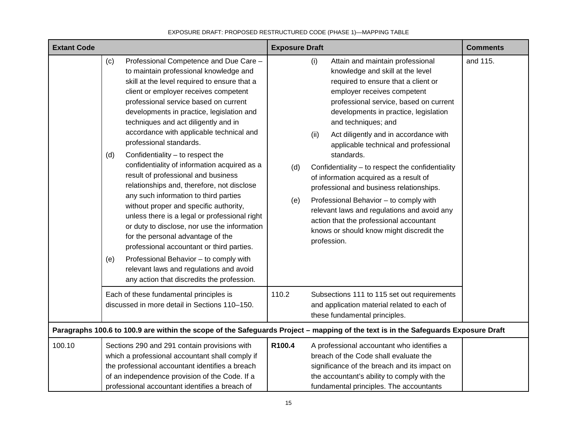| <b>Extant Code</b>                                                                                                                 |                                                                                                                                                                                                                                                                                                                                                                                                                                                                                                                                                                                                                                                                                                                                                                                                                                                                                                                                                                                       | <b>Exposure Draft</b>                                                                                                                                                                                                                                                                                                                                                                                                                                                                                                                                                                                                                                                                                                      | <b>Comments</b> |
|------------------------------------------------------------------------------------------------------------------------------------|---------------------------------------------------------------------------------------------------------------------------------------------------------------------------------------------------------------------------------------------------------------------------------------------------------------------------------------------------------------------------------------------------------------------------------------------------------------------------------------------------------------------------------------------------------------------------------------------------------------------------------------------------------------------------------------------------------------------------------------------------------------------------------------------------------------------------------------------------------------------------------------------------------------------------------------------------------------------------------------|----------------------------------------------------------------------------------------------------------------------------------------------------------------------------------------------------------------------------------------------------------------------------------------------------------------------------------------------------------------------------------------------------------------------------------------------------------------------------------------------------------------------------------------------------------------------------------------------------------------------------------------------------------------------------------------------------------------------------|-----------------|
|                                                                                                                                    | Professional Competence and Due Care -<br>(c)<br>to maintain professional knowledge and<br>skill at the level required to ensure that a<br>client or employer receives competent<br>professional service based on current<br>developments in practice, legislation and<br>techniques and act diligently and in<br>accordance with applicable technical and<br>professional standards.<br>Confidentiality - to respect the<br>(d)<br>confidentiality of information acquired as a<br>result of professional and business<br>relationships and, therefore, not disclose<br>any such information to third parties<br>without proper and specific authority,<br>unless there is a legal or professional right<br>or duty to disclose, nor use the information<br>for the personal advantage of the<br>professional accountant or third parties.<br>Professional Behavior - to comply with<br>(e)<br>relevant laws and regulations and avoid<br>any action that discredits the profession. | (i)<br>Attain and maintain professional<br>knowledge and skill at the level<br>required to ensure that a client or<br>employer receives competent<br>professional service, based on current<br>developments in practice, legislation<br>and techniques; and<br>Act diligently and in accordance with<br>(ii)<br>applicable technical and professional<br>standards.<br>Confidentiality - to respect the confidentiality<br>(d)<br>of information acquired as a result of<br>professional and business relationships.<br>Professional Behavior - to comply with<br>(e)<br>relevant laws and regulations and avoid any<br>action that the professional accountant<br>knows or should know might discredit the<br>profession. | and 115.        |
|                                                                                                                                    | Each of these fundamental principles is<br>discussed in more detail in Sections 110-150.                                                                                                                                                                                                                                                                                                                                                                                                                                                                                                                                                                                                                                                                                                                                                                                                                                                                                              | 110.2<br>Subsections 111 to 115 set out requirements<br>and application material related to each of<br>these fundamental principles.                                                                                                                                                                                                                                                                                                                                                                                                                                                                                                                                                                                       |                 |
| Paragraphs 100.6 to 100.9 are within the scope of the Safeguards Project - mapping of the text is in the Safeguards Exposure Draft |                                                                                                                                                                                                                                                                                                                                                                                                                                                                                                                                                                                                                                                                                                                                                                                                                                                                                                                                                                                       |                                                                                                                                                                                                                                                                                                                                                                                                                                                                                                                                                                                                                                                                                                                            |                 |
| 100.10                                                                                                                             | Sections 290 and 291 contain provisions with<br>which a professional accountant shall comply if<br>the professional accountant identifies a breach<br>of an independence provision of the Code. If a<br>professional accountant identifies a breach of                                                                                                                                                                                                                                                                                                                                                                                                                                                                                                                                                                                                                                                                                                                                | R100.4<br>A professional accountant who identifies a<br>breach of the Code shall evaluate the<br>significance of the breach and its impact on<br>the accountant's ability to comply with the<br>fundamental principles. The accountants                                                                                                                                                                                                                                                                                                                                                                                                                                                                                    |                 |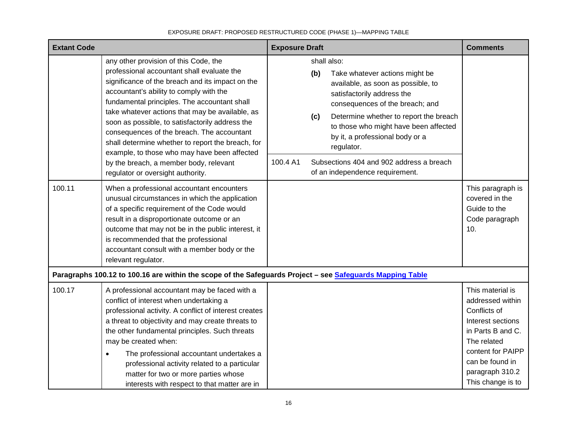| <b>Extant Code</b> |                                                                                                                                                                                                                                                                                                                                                                                                                                                                                             | <b>Exposure Draft</b> |            |                                                                                                                                                                                                                                                                                          | <b>Comments</b>                                                                                                                                                                               |
|--------------------|---------------------------------------------------------------------------------------------------------------------------------------------------------------------------------------------------------------------------------------------------------------------------------------------------------------------------------------------------------------------------------------------------------------------------------------------------------------------------------------------|-----------------------|------------|------------------------------------------------------------------------------------------------------------------------------------------------------------------------------------------------------------------------------------------------------------------------------------------|-----------------------------------------------------------------------------------------------------------------------------------------------------------------------------------------------|
|                    | any other provision of this Code, the<br>professional accountant shall evaluate the<br>significance of the breach and its impact on the<br>accountant's ability to comply with the<br>fundamental principles. The accountant shall<br>take whatever actions that may be available, as<br>soon as possible, to satisfactorily address the<br>consequences of the breach. The accountant<br>shall determine whether to report the breach, for<br>example, to those who may have been affected |                       | (b)<br>(c) | shall also:<br>Take whatever actions might be<br>available, as soon as possible, to<br>satisfactorily address the<br>consequences of the breach; and<br>Determine whether to report the breach<br>to those who might have been affected<br>by it, a professional body or a<br>regulator. |                                                                                                                                                                                               |
|                    | by the breach, a member body, relevant<br>regulator or oversight authority.                                                                                                                                                                                                                                                                                                                                                                                                                 | 100.4 A1              |            | Subsections 404 and 902 address a breach<br>of an independence requirement.                                                                                                                                                                                                              |                                                                                                                                                                                               |
| 100.11             | When a professional accountant encounters<br>unusual circumstances in which the application<br>of a specific requirement of the Code would<br>result in a disproportionate outcome or an<br>outcome that may not be in the public interest, it<br>is recommended that the professional<br>accountant consult with a member body or the<br>relevant regulator.                                                                                                                               |                       |            |                                                                                                                                                                                                                                                                                          | This paragraph is<br>covered in the<br>Guide to the<br>Code paragraph<br>10.                                                                                                                  |
|                    | Paragraphs 100.12 to 100.16 are within the scope of the Safeguards Project - see Safeguards Mapping Table                                                                                                                                                                                                                                                                                                                                                                                   |                       |            |                                                                                                                                                                                                                                                                                          |                                                                                                                                                                                               |
| 100.17             | A professional accountant may be faced with a<br>conflict of interest when undertaking a<br>professional activity. A conflict of interest creates<br>a threat to objectivity and may create threats to<br>the other fundamental principles. Such threats<br>may be created when:<br>The professional accountant undertakes a<br>$\bullet$<br>professional activity related to a particular<br>matter for two or more parties whose<br>interests with respect to that matter are in          |                       |            |                                                                                                                                                                                                                                                                                          | This material is<br>addressed within<br>Conflicts of<br>Interest sections<br>in Parts B and C.<br>The related<br>content for PAIPP<br>can be found in<br>paragraph 310.2<br>This change is to |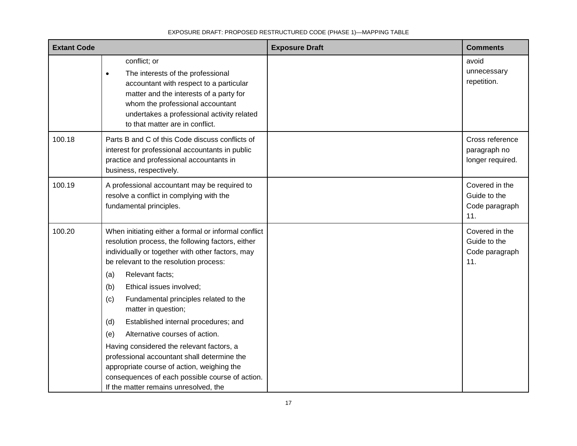| <b>Extant Code</b> |                                                                                                                                                                                                                                                                                                                                                                                                                                                                                                                                                                                                                                                                           | <b>Exposure Draft</b> | <b>Comments</b>                                         |
|--------------------|---------------------------------------------------------------------------------------------------------------------------------------------------------------------------------------------------------------------------------------------------------------------------------------------------------------------------------------------------------------------------------------------------------------------------------------------------------------------------------------------------------------------------------------------------------------------------------------------------------------------------------------------------------------------------|-----------------------|---------------------------------------------------------|
|                    | conflict; or<br>The interests of the professional<br>$\bullet$<br>accountant with respect to a particular<br>matter and the interests of a party for<br>whom the professional accountant<br>undertakes a professional activity related<br>to that matter are in conflict.                                                                                                                                                                                                                                                                                                                                                                                                 |                       | avoid<br>unnecessary<br>repetition.                     |
| 100.18             | Parts B and C of this Code discuss conflicts of<br>interest for professional accountants in public<br>practice and professional accountants in<br>business, respectively.                                                                                                                                                                                                                                                                                                                                                                                                                                                                                                 |                       | Cross reference<br>paragraph no<br>longer required.     |
| 100.19             | A professional accountant may be required to<br>resolve a conflict in complying with the<br>fundamental principles.                                                                                                                                                                                                                                                                                                                                                                                                                                                                                                                                                       |                       | Covered in the<br>Guide to the<br>Code paragraph<br>11. |
| 100.20             | When initiating either a formal or informal conflict<br>resolution process, the following factors, either<br>individually or together with other factors, may<br>be relevant to the resolution process:<br>Relevant facts;<br>(a)<br>Ethical issues involved;<br>(b)<br>Fundamental principles related to the<br>(c)<br>matter in question;<br>Established internal procedures; and<br>(d)<br>Alternative courses of action.<br>(e)<br>Having considered the relevant factors, a<br>professional accountant shall determine the<br>appropriate course of action, weighing the<br>consequences of each possible course of action.<br>If the matter remains unresolved, the |                       | Covered in the<br>Guide to the<br>Code paragraph<br>11. |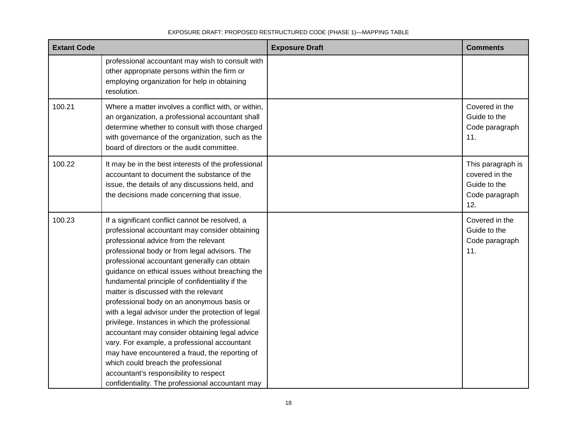| <b>Extant Code</b> |                                                                                                                                                                                                                                                                                                                                                                                                                                                                                                                                                                                                                                                                                                                                                                                                                                            | <b>Exposure Draft</b> | <b>Comments</b>                                                              |
|--------------------|--------------------------------------------------------------------------------------------------------------------------------------------------------------------------------------------------------------------------------------------------------------------------------------------------------------------------------------------------------------------------------------------------------------------------------------------------------------------------------------------------------------------------------------------------------------------------------------------------------------------------------------------------------------------------------------------------------------------------------------------------------------------------------------------------------------------------------------------|-----------------------|------------------------------------------------------------------------------|
|                    | professional accountant may wish to consult with<br>other appropriate persons within the firm or<br>employing organization for help in obtaining<br>resolution.                                                                                                                                                                                                                                                                                                                                                                                                                                                                                                                                                                                                                                                                            |                       |                                                                              |
| 100.21             | Where a matter involves a conflict with, or within,<br>an organization, a professional accountant shall<br>determine whether to consult with those charged<br>with governance of the organization, such as the<br>board of directors or the audit committee.                                                                                                                                                                                                                                                                                                                                                                                                                                                                                                                                                                               |                       | Covered in the<br>Guide to the<br>Code paragraph<br>11.                      |
| 100.22             | It may be in the best interests of the professional<br>accountant to document the substance of the<br>issue, the details of any discussions held, and<br>the decisions made concerning that issue.                                                                                                                                                                                                                                                                                                                                                                                                                                                                                                                                                                                                                                         |                       | This paragraph is<br>covered in the<br>Guide to the<br>Code paragraph<br>12. |
| 100.23             | If a significant conflict cannot be resolved, a<br>professional accountant may consider obtaining<br>professional advice from the relevant<br>professional body or from legal advisors. The<br>professional accountant generally can obtain<br>guidance on ethical issues without breaching the<br>fundamental principle of confidentiality if the<br>matter is discussed with the relevant<br>professional body on an anonymous basis or<br>with a legal advisor under the protection of legal<br>privilege. Instances in which the professional<br>accountant may consider obtaining legal advice<br>vary. For example, a professional accountant<br>may have encountered a fraud, the reporting of<br>which could breach the professional<br>accountant's responsibility to respect<br>confidentiality. The professional accountant may |                       | Covered in the<br>Guide to the<br>Code paragraph<br>11.                      |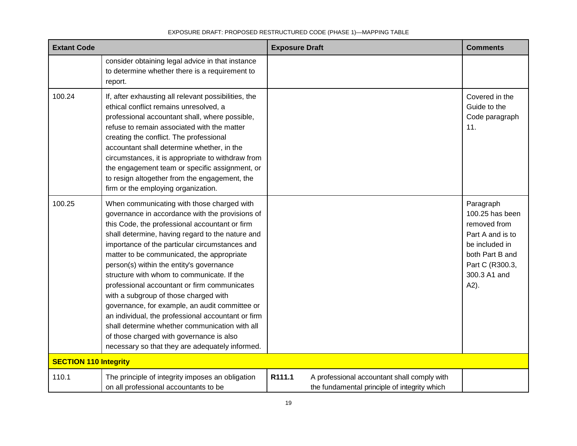| <b>Extant Code</b>           |                                                                                                                                                                                                                                                                                                                                                                                                                                                                                                                                                                                                                                                                                                                                                 | <b>Exposure Draft</b> | <b>Comments</b>                                                                             |                                                                                                                                                     |
|------------------------------|-------------------------------------------------------------------------------------------------------------------------------------------------------------------------------------------------------------------------------------------------------------------------------------------------------------------------------------------------------------------------------------------------------------------------------------------------------------------------------------------------------------------------------------------------------------------------------------------------------------------------------------------------------------------------------------------------------------------------------------------------|-----------------------|---------------------------------------------------------------------------------------------|-----------------------------------------------------------------------------------------------------------------------------------------------------|
|                              | consider obtaining legal advice in that instance<br>to determine whether there is a requirement to<br>report.                                                                                                                                                                                                                                                                                                                                                                                                                                                                                                                                                                                                                                   |                       |                                                                                             |                                                                                                                                                     |
| 100.24                       | If, after exhausting all relevant possibilities, the<br>ethical conflict remains unresolved, a<br>professional accountant shall, where possible,<br>refuse to remain associated with the matter<br>creating the conflict. The professional<br>accountant shall determine whether, in the<br>circumstances, it is appropriate to withdraw from<br>the engagement team or specific assignment, or<br>to resign altogether from the engagement, the<br>firm or the employing organization.                                                                                                                                                                                                                                                         |                       |                                                                                             | Covered in the<br>Guide to the<br>Code paragraph<br>11.                                                                                             |
| 100.25                       | When communicating with those charged with<br>governance in accordance with the provisions of<br>this Code, the professional accountant or firm<br>shall determine, having regard to the nature and<br>importance of the particular circumstances and<br>matter to be communicated, the appropriate<br>person(s) within the entity's governance<br>structure with whom to communicate. If the<br>professional accountant or firm communicates<br>with a subgroup of those charged with<br>governance, for example, an audit committee or<br>an individual, the professional accountant or firm<br>shall determine whether communication with all<br>of those charged with governance is also<br>necessary so that they are adequately informed. |                       |                                                                                             | Paragraph<br>100.25 has been<br>removed from<br>Part A and is to<br>be included in<br>both Part B and<br>Part C (R300.3,<br>300.3 A1 and<br>$A2$ ). |
| <b>SECTION 110 Integrity</b> |                                                                                                                                                                                                                                                                                                                                                                                                                                                                                                                                                                                                                                                                                                                                                 |                       |                                                                                             |                                                                                                                                                     |
| 110.1                        | The principle of integrity imposes an obligation<br>on all professional accountants to be                                                                                                                                                                                                                                                                                                                                                                                                                                                                                                                                                                                                                                                       | R111.1                | A professional accountant shall comply with<br>the fundamental principle of integrity which |                                                                                                                                                     |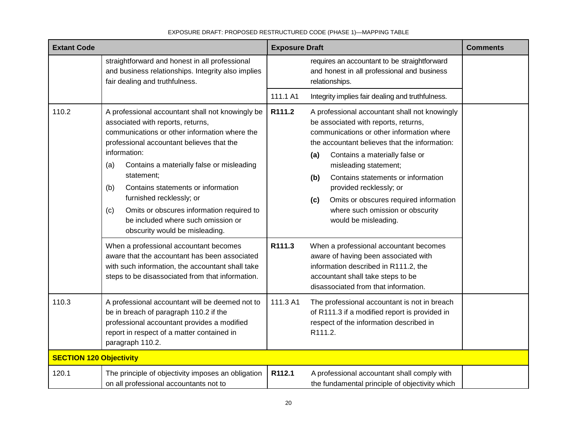| <b>Extant Code</b>             |                                                                                                                                                                                                                                                                                                                                                                                                    |                    | <b>Exposure Draft</b>                                                                                                                                                                                                                                                                                                                                                                                                                                                  |  |  |
|--------------------------------|----------------------------------------------------------------------------------------------------------------------------------------------------------------------------------------------------------------------------------------------------------------------------------------------------------------------------------------------------------------------------------------------------|--------------------|------------------------------------------------------------------------------------------------------------------------------------------------------------------------------------------------------------------------------------------------------------------------------------------------------------------------------------------------------------------------------------------------------------------------------------------------------------------------|--|--|
|                                | straightforward and honest in all professional<br>and business relationships. Integrity also implies<br>fair dealing and truthfulness.                                                                                                                                                                                                                                                             |                    | requires an accountant to be straightforward<br>and honest in all professional and business<br>relationships.                                                                                                                                                                                                                                                                                                                                                          |  |  |
| 110.2                          | A professional accountant shall not knowingly be<br>associated with reports, returns,<br>communications or other information where the<br>professional accountant believes that the<br>information:<br>Contains a materially false or misleading<br>(a)<br>statement;<br>Contains statements or information<br>(b)<br>furnished recklessly; or<br>Omits or obscures information required to<br>(c) | 111.1 A1<br>R111.2 | Integrity implies fair dealing and truthfulness.<br>A professional accountant shall not knowingly<br>be associated with reports, returns,<br>communications or other information where<br>the accountant believes that the information:<br>Contains a materially false or<br>(a)<br>misleading statement;<br>Contains statements or information<br>(b)<br>provided recklessly; or<br>Omits or obscures required information<br>(c)<br>where such omission or obscurity |  |  |
|                                | be included where such omission or<br>obscurity would be misleading.<br>When a professional accountant becomes<br>aware that the accountant has been associated<br>with such information, the accountant shall take<br>steps to be disassociated from that information.                                                                                                                            | R111.3             | would be misleading.<br>When a professional accountant becomes<br>aware of having been associated with<br>information described in R111.2, the<br>accountant shall take steps to be<br>disassociated from that information.                                                                                                                                                                                                                                            |  |  |
| 110.3                          | A professional accountant will be deemed not to<br>be in breach of paragraph 110.2 if the<br>professional accountant provides a modified<br>report in respect of a matter contained in<br>paragraph 110.2.                                                                                                                                                                                         | 111.3 A1           | The professional accountant is not in breach<br>of R111.3 if a modified report is provided in<br>respect of the information described in<br>R111.2.                                                                                                                                                                                                                                                                                                                    |  |  |
| <b>SECTION 120 Objectivity</b> |                                                                                                                                                                                                                                                                                                                                                                                                    |                    |                                                                                                                                                                                                                                                                                                                                                                                                                                                                        |  |  |
| 120.1                          | The principle of objectivity imposes an obligation<br>on all professional accountants not to                                                                                                                                                                                                                                                                                                       | R112.1             | A professional accountant shall comply with<br>the fundamental principle of objectivity which                                                                                                                                                                                                                                                                                                                                                                          |  |  |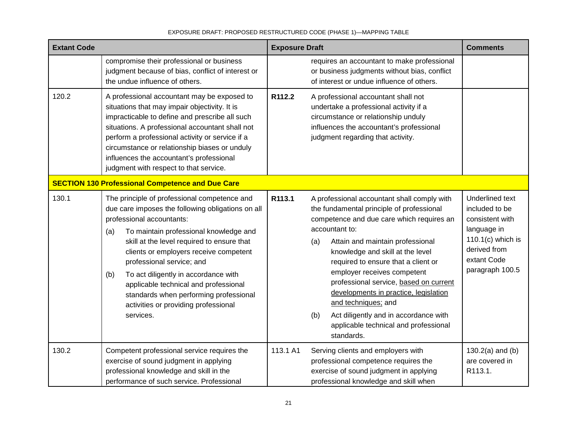| <b>Extant Code</b> |                                                                                                                                                                                                                                                                                                                                                                                                                                                                                             | <b>Exposure Draft</b>                                                                                                                                                                                                                                                                                                                                                                                                                                                                                                                   | <b>Comments</b>                                                                                                                                     |
|--------------------|---------------------------------------------------------------------------------------------------------------------------------------------------------------------------------------------------------------------------------------------------------------------------------------------------------------------------------------------------------------------------------------------------------------------------------------------------------------------------------------------|-----------------------------------------------------------------------------------------------------------------------------------------------------------------------------------------------------------------------------------------------------------------------------------------------------------------------------------------------------------------------------------------------------------------------------------------------------------------------------------------------------------------------------------------|-----------------------------------------------------------------------------------------------------------------------------------------------------|
|                    | compromise their professional or business<br>judgment because of bias, conflict of interest or<br>the undue influence of others.                                                                                                                                                                                                                                                                                                                                                            | requires an accountant to make professional<br>or business judgments without bias, conflict<br>of interest or undue influence of others.                                                                                                                                                                                                                                                                                                                                                                                                |                                                                                                                                                     |
| 120.2              | A professional accountant may be exposed to<br>situations that may impair objectivity. It is<br>impracticable to define and prescribe all such<br>situations. A professional accountant shall not<br>perform a professional activity or service if a<br>circumstance or relationship biases or unduly<br>influences the accountant's professional<br>judgment with respect to that service.                                                                                                 | R112.2<br>A professional accountant shall not<br>undertake a professional activity if a<br>circumstance or relationship unduly<br>influences the accountant's professional<br>judgment regarding that activity.                                                                                                                                                                                                                                                                                                                         |                                                                                                                                                     |
|                    | <b>SECTION 130 Professional Competence and Due Care</b>                                                                                                                                                                                                                                                                                                                                                                                                                                     |                                                                                                                                                                                                                                                                                                                                                                                                                                                                                                                                         |                                                                                                                                                     |
| 130.1              | The principle of professional competence and<br>due care imposes the following obligations on all<br>professional accountants:<br>To maintain professional knowledge and<br>(a)<br>skill at the level required to ensure that<br>clients or employers receive competent<br>professional service; and<br>To act diligently in accordance with<br>(b)<br>applicable technical and professional<br>standards when performing professional<br>activities or providing professional<br>services. | R113.1<br>A professional accountant shall comply with<br>the fundamental principle of professional<br>competence and due care which requires an<br>accountant to:<br>Attain and maintain professional<br>(a)<br>knowledge and skill at the level<br>required to ensure that a client or<br>employer receives competent<br>professional service, based on current<br>developments in practice, legislation<br>and techniques; and<br>Act diligently and in accordance with<br>(b)<br>applicable technical and professional<br>standards. | <b>Underlined text</b><br>included to be<br>consistent with<br>language in<br>$110.1(c)$ which is<br>derived from<br>extant Code<br>paragraph 100.5 |
| 130.2              | Competent professional service requires the<br>exercise of sound judgment in applying<br>professional knowledge and skill in the<br>performance of such service. Professional                                                                                                                                                                                                                                                                                                               | 113.1 A1<br>Serving clients and employers with<br>professional competence requires the<br>exercise of sound judgment in applying<br>professional knowledge and skill when                                                                                                                                                                                                                                                                                                                                                               | $130.2(a)$ and (b)<br>are covered in<br>R113.1.                                                                                                     |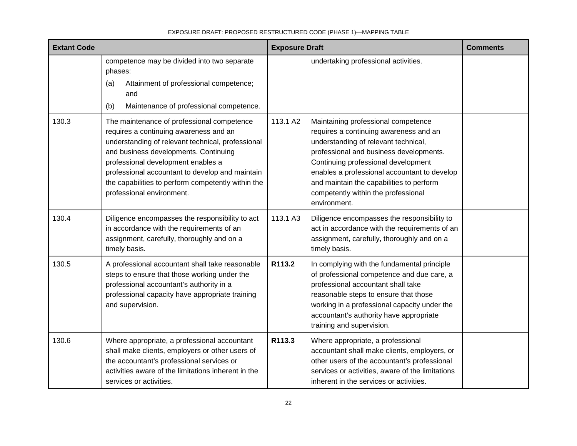| <b>Extant Code</b> |                                                                                                                                                                                                                                                                                                                                                                | <b>Exposure Draft</b> | <b>Comments</b>                                                                                                                                                                                                                                                                                                                                            |  |
|--------------------|----------------------------------------------------------------------------------------------------------------------------------------------------------------------------------------------------------------------------------------------------------------------------------------------------------------------------------------------------------------|-----------------------|------------------------------------------------------------------------------------------------------------------------------------------------------------------------------------------------------------------------------------------------------------------------------------------------------------------------------------------------------------|--|
|                    | competence may be divided into two separate<br>phases:<br>Attainment of professional competence;<br>(a)<br>and<br>Maintenance of professional competence.<br>(b)                                                                                                                                                                                               |                       | undertaking professional activities.                                                                                                                                                                                                                                                                                                                       |  |
| 130.3              | The maintenance of professional competence<br>requires a continuing awareness and an<br>understanding of relevant technical, professional<br>and business developments. Continuing<br>professional development enables a<br>professional accountant to develop and maintain<br>the capabilities to perform competently within the<br>professional environment. | 113.1 A2              | Maintaining professional competence<br>requires a continuing awareness and an<br>understanding of relevant technical,<br>professional and business developments.<br>Continuing professional development<br>enables a professional accountant to develop<br>and maintain the capabilities to perform<br>competently within the professional<br>environment. |  |
| 130.4              | Diligence encompasses the responsibility to act<br>in accordance with the requirements of an<br>assignment, carefully, thoroughly and on a<br>timely basis.                                                                                                                                                                                                    | 113.1 A3              | Diligence encompasses the responsibility to<br>act in accordance with the requirements of an<br>assignment, carefully, thoroughly and on a<br>timely basis.                                                                                                                                                                                                |  |
| 130.5              | A professional accountant shall take reasonable<br>steps to ensure that those working under the<br>professional accountant's authority in a<br>professional capacity have appropriate training<br>and supervision.                                                                                                                                             | R113.2                | In complying with the fundamental principle<br>of professional competence and due care, a<br>professional accountant shall take<br>reasonable steps to ensure that those<br>working in a professional capacity under the<br>accountant's authority have appropriate<br>training and supervision.                                                           |  |
| 130.6              | Where appropriate, a professional accountant<br>shall make clients, employers or other users of<br>the accountant's professional services or<br>activities aware of the limitations inherent in the<br>services or activities.                                                                                                                                 | R113.3                | Where appropriate, a professional<br>accountant shall make clients, employers, or<br>other users of the accountant's professional<br>services or activities, aware of the limitations<br>inherent in the services or activities.                                                                                                                           |  |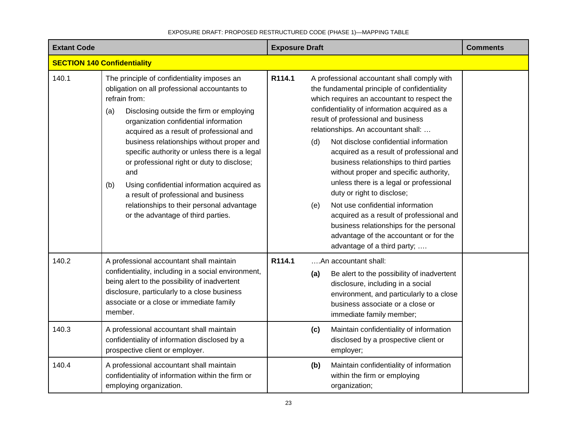| <b>Extant Code</b>                 |                                                                                                                                                                                                                                                                                                                                                                                                                                                                                                                                                                                           | <b>Exposure Draft</b>                                                                                                                                                                                                                                                                                                                                                                                                                                                                                                                                                                                                                                                                                                                                   | <b>Comments</b> |
|------------------------------------|-------------------------------------------------------------------------------------------------------------------------------------------------------------------------------------------------------------------------------------------------------------------------------------------------------------------------------------------------------------------------------------------------------------------------------------------------------------------------------------------------------------------------------------------------------------------------------------------|---------------------------------------------------------------------------------------------------------------------------------------------------------------------------------------------------------------------------------------------------------------------------------------------------------------------------------------------------------------------------------------------------------------------------------------------------------------------------------------------------------------------------------------------------------------------------------------------------------------------------------------------------------------------------------------------------------------------------------------------------------|-----------------|
| <b>SECTION 140 Confidentiality</b> |                                                                                                                                                                                                                                                                                                                                                                                                                                                                                                                                                                                           |                                                                                                                                                                                                                                                                                                                                                                                                                                                                                                                                                                                                                                                                                                                                                         |                 |
| 140.1                              | The principle of confidentiality imposes an<br>obligation on all professional accountants to<br>refrain from:<br>Disclosing outside the firm or employing<br>(a)<br>organization confidential information<br>acquired as a result of professional and<br>business relationships without proper and<br>specific authority or unless there is a legal<br>or professional right or duty to disclose;<br>and<br>Using confidential information acquired as<br>(b)<br>a result of professional and business<br>relationships to their personal advantage<br>or the advantage of third parties. | R114.1<br>A professional accountant shall comply with<br>the fundamental principle of confidentiality<br>which requires an accountant to respect the<br>confidentiality of information acquired as a<br>result of professional and business<br>relationships. An accountant shall:<br>Not disclose confidential information<br>(d)<br>acquired as a result of professional and<br>business relationships to third parties<br>without proper and specific authority,<br>unless there is a legal or professional<br>duty or right to disclose;<br>Not use confidential information<br>(e)<br>acquired as a result of professional and<br>business relationships for the personal<br>advantage of the accountant or for the<br>advantage of a third party; |                 |
| 140.2<br>140.3                     | A professional accountant shall maintain<br>confidentiality, including in a social environment,<br>being alert to the possibility of inadvertent<br>disclosure, particularly to a close business<br>associate or a close or immediate family<br>member.<br>A professional accountant shall maintain                                                                                                                                                                                                                                                                                       | R114.1<br>An accountant shall:<br>Be alert to the possibility of inadvertent<br>(a)<br>disclosure, including in a social<br>environment, and particularly to a close<br>business associate or a close or<br>immediate family member;<br>Maintain confidentiality of information<br>(c)                                                                                                                                                                                                                                                                                                                                                                                                                                                                  |                 |
|                                    | confidentiality of information disclosed by a<br>prospective client or employer.                                                                                                                                                                                                                                                                                                                                                                                                                                                                                                          | disclosed by a prospective client or<br>employer;                                                                                                                                                                                                                                                                                                                                                                                                                                                                                                                                                                                                                                                                                                       |                 |
| 140.4                              | A professional accountant shall maintain<br>confidentiality of information within the firm or<br>employing organization.                                                                                                                                                                                                                                                                                                                                                                                                                                                                  | Maintain confidentiality of information<br>(b)<br>within the firm or employing<br>organization;                                                                                                                                                                                                                                                                                                                                                                                                                                                                                                                                                                                                                                                         |                 |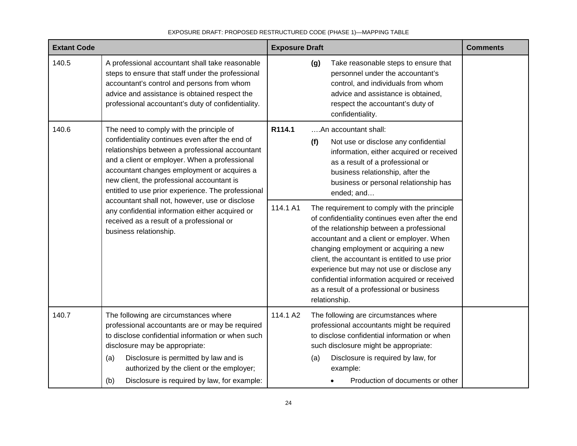| <b>Extant Code</b> |                                                                                                                                                                                                                                                                                                                                                                                                                                                                                                                                | <b>Exposure Draft</b>                                                                                                                                                                                                                                                                                                                                                                                                                                                                                                                                                                                                                                                                                                        | <b>Comments</b> |
|--------------------|--------------------------------------------------------------------------------------------------------------------------------------------------------------------------------------------------------------------------------------------------------------------------------------------------------------------------------------------------------------------------------------------------------------------------------------------------------------------------------------------------------------------------------|------------------------------------------------------------------------------------------------------------------------------------------------------------------------------------------------------------------------------------------------------------------------------------------------------------------------------------------------------------------------------------------------------------------------------------------------------------------------------------------------------------------------------------------------------------------------------------------------------------------------------------------------------------------------------------------------------------------------------|-----------------|
| 140.5              | A professional accountant shall take reasonable<br>steps to ensure that staff under the professional<br>accountant's control and persons from whom<br>advice and assistance is obtained respect the<br>professional accountant's duty of confidentiality.                                                                                                                                                                                                                                                                      | Take reasonable steps to ensure that<br>(g)<br>personnel under the accountant's<br>control, and individuals from whom<br>advice and assistance is obtained,<br>respect the accountant's duty of<br>confidentiality.                                                                                                                                                                                                                                                                                                                                                                                                                                                                                                          |                 |
| 140.6              | The need to comply with the principle of<br>confidentiality continues even after the end of<br>relationships between a professional accountant<br>and a client or employer. When a professional<br>accountant changes employment or acquires a<br>new client, the professional accountant is<br>entitled to use prior experience. The professional<br>accountant shall not, however, use or disclose<br>any confidential information either acquired or<br>received as a result of a professional or<br>business relationship. | R114.1<br>An accountant shall:<br>(f)<br>Not use or disclose any confidential<br>information, either acquired or received<br>as a result of a professional or<br>business relationship, after the<br>business or personal relationship has<br>ended; and<br>114.1 A1<br>The requirement to comply with the principle<br>of confidentiality continues even after the end<br>of the relationship between a professional<br>accountant and a client or employer. When<br>changing employment or acquiring a new<br>client, the accountant is entitled to use prior<br>experience but may not use or disclose any<br>confidential information acquired or received<br>as a result of a professional or business<br>relationship. |                 |
| 140.7              | The following are circumstances where<br>professional accountants are or may be required<br>to disclose confidential information or when such<br>disclosure may be appropriate:<br>Disclosure is permitted by law and is<br>(a)<br>authorized by the client or the employer;<br>Disclosure is required by law, for example:<br>(b)                                                                                                                                                                                             | 114.1 A2<br>The following are circumstances where<br>professional accountants might be required<br>to disclose confidential information or when<br>such disclosure might be appropriate:<br>Disclosure is required by law, for<br>(a)<br>example:<br>Production of documents or other                                                                                                                                                                                                                                                                                                                                                                                                                                        |                 |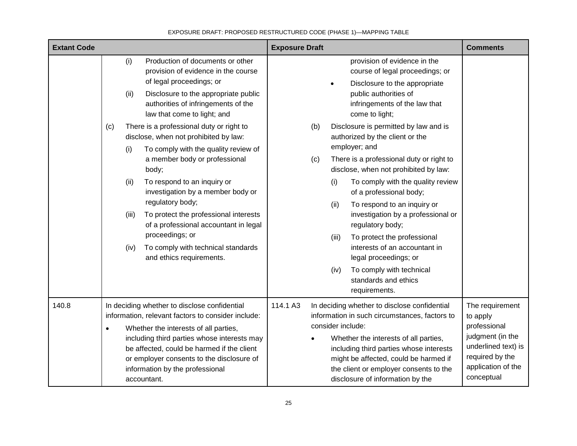| <b>Extant Code</b> |                                                    |                                                                                                                                                                                                                                                                                                                                                                                                                                                                                                                                                                                                                                                         | <b>Exposure Draft</b> |                              |                                                                                                                                                                                                                                                                                                                                                                                                                                                                                                                                                                                                                                                                                       | <b>Comments</b>                                                                                                                               |
|--------------------|----------------------------------------------------|---------------------------------------------------------------------------------------------------------------------------------------------------------------------------------------------------------------------------------------------------------------------------------------------------------------------------------------------------------------------------------------------------------------------------------------------------------------------------------------------------------------------------------------------------------------------------------------------------------------------------------------------------------|-----------------------|------------------------------|---------------------------------------------------------------------------------------------------------------------------------------------------------------------------------------------------------------------------------------------------------------------------------------------------------------------------------------------------------------------------------------------------------------------------------------------------------------------------------------------------------------------------------------------------------------------------------------------------------------------------------------------------------------------------------------|-----------------------------------------------------------------------------------------------------------------------------------------------|
|                    | (i)<br>(ii)<br>(c)<br>(i)<br>(ii)<br>(iii)<br>(iv) | Production of documents or other<br>provision of evidence in the course<br>of legal proceedings; or<br>Disclosure to the appropriate public<br>authorities of infringements of the<br>law that come to light; and<br>There is a professional duty or right to<br>disclose, when not prohibited by law:<br>To comply with the quality review of<br>a member body or professional<br>body;<br>To respond to an inquiry or<br>investigation by a member body or<br>regulatory body;<br>To protect the professional interests<br>of a professional accountant in legal<br>proceedings; or<br>To comply with technical standards<br>and ethics requirements. | (b)<br>(c)            | (i)<br>(ii)<br>(iii)<br>(iv) | provision of evidence in the<br>course of legal proceedings; or<br>Disclosure to the appropriate<br>public authorities of<br>infringements of the law that<br>come to light;<br>Disclosure is permitted by law and is<br>authorized by the client or the<br>employer; and<br>There is a professional duty or right to<br>disclose, when not prohibited by law:<br>To comply with the quality review<br>of a professional body;<br>To respond to an inquiry or<br>investigation by a professional or<br>regulatory body;<br>To protect the professional<br>interests of an accountant in<br>legal proceedings; or<br>To comply with technical<br>standards and ethics<br>requirements. |                                                                                                                                               |
| 140.8              | $\bullet$                                          | In deciding whether to disclose confidential<br>information, relevant factors to consider include:<br>Whether the interests of all parties,<br>including third parties whose interests may<br>be affected, could be harmed if the client<br>or employer consents to the disclosure of<br>information by the professional<br>accountant.                                                                                                                                                                                                                                                                                                                 | 114.1 A3              | consider include:            | In deciding whether to disclose confidential<br>information in such circumstances, factors to<br>Whether the interests of all parties,<br>including third parties whose interests<br>might be affected, could be harmed if<br>the client or employer consents to the<br>disclosure of information by the                                                                                                                                                                                                                                                                                                                                                                              | The requirement<br>to apply<br>professional<br>judgment (in the<br>underlined text) is<br>required by the<br>application of the<br>conceptual |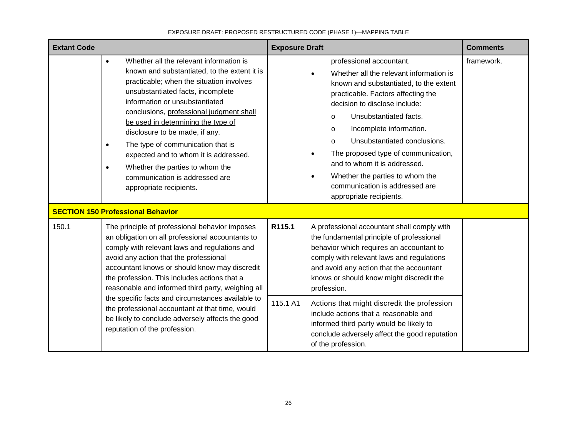| EXPOSURE DRAFT: PROPOSED RESTRUCTURED CODE (PHASE 1)—MAPPING TABLE |  |  |  |  |
|--------------------------------------------------------------------|--|--|--|--|
|--------------------------------------------------------------------|--|--|--|--|

| <b>Extant Code</b> |                                                                                                                                                                                                                                                                                                                                                                                                                                                                                                                                                  | <b>Exposure Draft</b>                                                                                                                                                                                                                                                                                                                                                                                                                                                                                                    | <b>Comments</b> |
|--------------------|--------------------------------------------------------------------------------------------------------------------------------------------------------------------------------------------------------------------------------------------------------------------------------------------------------------------------------------------------------------------------------------------------------------------------------------------------------------------------------------------------------------------------------------------------|--------------------------------------------------------------------------------------------------------------------------------------------------------------------------------------------------------------------------------------------------------------------------------------------------------------------------------------------------------------------------------------------------------------------------------------------------------------------------------------------------------------------------|-----------------|
|                    | Whether all the relevant information is<br>$\bullet$<br>known and substantiated, to the extent it is<br>practicable; when the situation involves<br>unsubstantiated facts, incomplete<br>information or unsubstantiated<br>conclusions, professional judgment shall<br>be used in determining the type of<br>disclosure to be made, if any.<br>The type of communication that is<br>٠<br>expected and to whom it is addressed.<br>Whether the parties to whom the<br>$\bullet$<br>communication is addressed are<br>appropriate recipients.      | professional accountant.<br>Whether all the relevant information is<br>known and substantiated, to the extent<br>practicable. Factors affecting the<br>decision to disclose include:<br>Unsubstantiated facts.<br>$\circ$<br>Incomplete information.<br>$\circ$<br>Unsubstantiated conclusions.<br>$\circ$<br>The proposed type of communication,<br>$\bullet$<br>and to whom it is addressed.<br>Whether the parties to whom the<br>$\bullet$<br>communication is addressed are<br>appropriate recipients.              | framework.      |
|                    | <b>SECTION 150 Professional Behavior</b>                                                                                                                                                                                                                                                                                                                                                                                                                                                                                                         |                                                                                                                                                                                                                                                                                                                                                                                                                                                                                                                          |                 |
| 150.1              | The principle of professional behavior imposes<br>an obligation on all professional accountants to<br>comply with relevant laws and regulations and<br>avoid any action that the professional<br>accountant knows or should know may discredit<br>the profession. This includes actions that a<br>reasonable and informed third party, weighing all<br>the specific facts and circumstances available to<br>the professional accountant at that time, would<br>be likely to conclude adversely affects the good<br>reputation of the profession. | R115.1<br>A professional accountant shall comply with<br>the fundamental principle of professional<br>behavior which requires an accountant to<br>comply with relevant laws and regulations<br>and avoid any action that the accountant<br>knows or should know might discredit the<br>profession.<br>115.1 A1<br>Actions that might discredit the profession<br>include actions that a reasonable and<br>informed third party would be likely to<br>conclude adversely affect the good reputation<br>of the profession. |                 |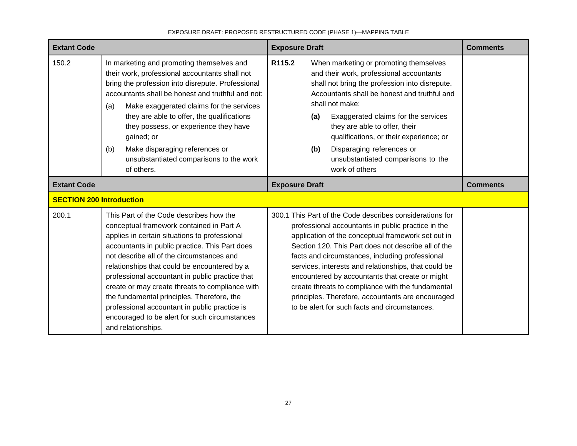| EXPOSURE DRAFT: PROPOSED RESTRUCTURED CODE (PHASE 1)—MAPPING TABLE |  |  |  |
|--------------------------------------------------------------------|--|--|--|
|--------------------------------------------------------------------|--|--|--|

| <b>Extant Code</b>              |                                                                                                                                                                                                                                                                                                                                                                                                                                                                 | <b>Exposure Draft</b>                                                                                                                                                                                                                                                                                                                                                                                                                          | <b>Comments</b> |
|---------------------------------|-----------------------------------------------------------------------------------------------------------------------------------------------------------------------------------------------------------------------------------------------------------------------------------------------------------------------------------------------------------------------------------------------------------------------------------------------------------------|------------------------------------------------------------------------------------------------------------------------------------------------------------------------------------------------------------------------------------------------------------------------------------------------------------------------------------------------------------------------------------------------------------------------------------------------|-----------------|
| 150.2                           | In marketing and promoting themselves and<br>their work, professional accountants shall not<br>bring the profession into disrepute. Professional<br>accountants shall be honest and truthful and not:<br>Make exaggerated claims for the services<br>(a)<br>they are able to offer, the qualifications<br>they possess, or experience they have<br>gained; or<br>Make disparaging references or<br>(b)<br>unsubstantiated comparisons to the work<br>of others. | R115.2<br>When marketing or promoting themselves<br>and their work, professional accountants<br>shall not bring the profession into disrepute.<br>Accountants shall be honest and truthful and<br>shall not make:<br>Exaggerated claims for the services<br>(a)<br>they are able to offer, their<br>qualifications, or their experience; or<br>Disparaging references or<br>(b)<br>unsubstantiated comparisons to the<br>work of others        |                 |
| <b>Extant Code</b>              |                                                                                                                                                                                                                                                                                                                                                                                                                                                                 | <b>Exposure Draft</b>                                                                                                                                                                                                                                                                                                                                                                                                                          | <b>Comments</b> |
| <b>SECTION 200 Introduction</b> |                                                                                                                                                                                                                                                                                                                                                                                                                                                                 |                                                                                                                                                                                                                                                                                                                                                                                                                                                |                 |
| 200.1                           | This Part of the Code describes how the<br>conceptual framework contained in Part A<br>applies in certain situations to professional<br>accountants in public practice. This Part does<br>not describe all of the circumstances and<br>relationships that could be encountered by a<br>professional accountant in public practice that<br>create or may create threats to compliance with                                                                       | 300.1 This Part of the Code describes considerations for<br>professional accountants in public practice in the<br>application of the conceptual framework set out in<br>Section 120. This Part does not describe all of the<br>facts and circumstances, including professional<br>services, interests and relationships, that could be<br>encountered by accountants that create or might<br>create threats to compliance with the fundamental |                 |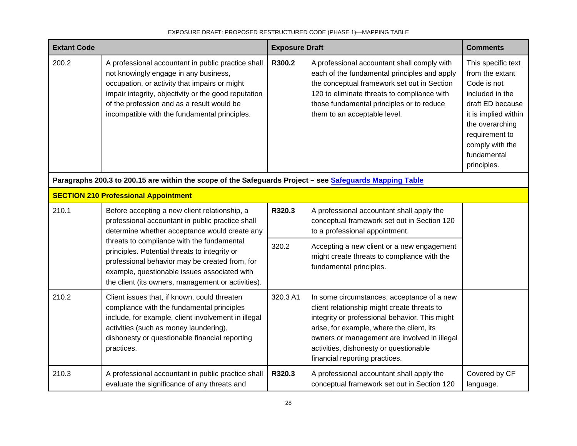| <b>Extant Code</b> |                                                                                                                                                                                                                                                                                                     | <b>Exposure Draft</b> |                                                                                                                                                                                                                                                                                                                      | <b>Comments</b>                                                                                                                                                                                           |
|--------------------|-----------------------------------------------------------------------------------------------------------------------------------------------------------------------------------------------------------------------------------------------------------------------------------------------------|-----------------------|----------------------------------------------------------------------------------------------------------------------------------------------------------------------------------------------------------------------------------------------------------------------------------------------------------------------|-----------------------------------------------------------------------------------------------------------------------------------------------------------------------------------------------------------|
| 200.2              | A professional accountant in public practice shall<br>not knowingly engage in any business,<br>occupation, or activity that impairs or might<br>impair integrity, objectivity or the good reputation<br>of the profession and as a result would be<br>incompatible with the fundamental principles. | R300.2                | A professional accountant shall comply with<br>each of the fundamental principles and apply<br>the conceptual framework set out in Section<br>120 to eliminate threats to compliance with<br>those fundamental principles or to reduce<br>them to an acceptable level.                                               | This specific text<br>from the extant<br>Code is not<br>included in the<br>draft ED because<br>it is implied within<br>the overarching<br>requirement to<br>comply with the<br>fundamental<br>principles. |
|                    | Paragraphs 200.3 to 200.15 are within the scope of the Safeguards Project - see Safeguards Mapping Table                                                                                                                                                                                            |                       |                                                                                                                                                                                                                                                                                                                      |                                                                                                                                                                                                           |
|                    | <b>SECTION 210 Professional Appointment</b>                                                                                                                                                                                                                                                         |                       |                                                                                                                                                                                                                                                                                                                      |                                                                                                                                                                                                           |
| 210.1              | Before accepting a new client relationship, a<br>professional accountant in public practice shall<br>determine whether acceptance would create any                                                                                                                                                  | R320.3                | A professional accountant shall apply the<br>conceptual framework set out in Section 120<br>to a professional appointment.                                                                                                                                                                                           |                                                                                                                                                                                                           |
|                    | threats to compliance with the fundamental<br>principles. Potential threats to integrity or<br>professional behavior may be created from, for<br>example, questionable issues associated with<br>the client (its owners, management or activities).                                                 | 320.2                 | Accepting a new client or a new engagement<br>might create threats to compliance with the<br>fundamental principles.                                                                                                                                                                                                 |                                                                                                                                                                                                           |
| 210.2              | Client issues that, if known, could threaten<br>compliance with the fundamental principles<br>include, for example, client involvement in illegal<br>activities (such as money laundering),<br>dishonesty or questionable financial reporting<br>practices.                                         | 320.3 A1              | In some circumstances, acceptance of a new<br>client relationship might create threats to<br>integrity or professional behavior. This might<br>arise, for example, where the client, its<br>owners or management are involved in illegal<br>activities, dishonesty or questionable<br>financial reporting practices. |                                                                                                                                                                                                           |
| 210.3              | A professional accountant in public practice shall<br>evaluate the significance of any threats and                                                                                                                                                                                                  | R320.3                | A professional accountant shall apply the<br>conceptual framework set out in Section 120                                                                                                                                                                                                                             | Covered by CF<br>language.                                                                                                                                                                                |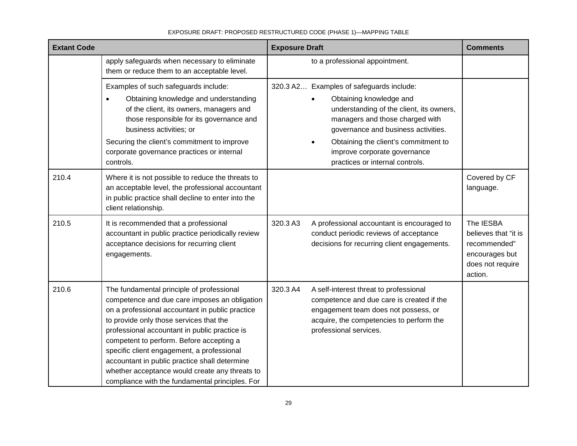| <b>Extant Code</b> |                                                                                                                                                                                                                                                                                                                                                                                                                                                                                           | <b>Exposure Draft</b>                                                                                                                                                                                                                                                                                | <b>Comments</b>                                                                                    |
|--------------------|-------------------------------------------------------------------------------------------------------------------------------------------------------------------------------------------------------------------------------------------------------------------------------------------------------------------------------------------------------------------------------------------------------------------------------------------------------------------------------------------|------------------------------------------------------------------------------------------------------------------------------------------------------------------------------------------------------------------------------------------------------------------------------------------------------|----------------------------------------------------------------------------------------------------|
|                    | apply safeguards when necessary to eliminate<br>them or reduce them to an acceptable level.                                                                                                                                                                                                                                                                                                                                                                                               | to a professional appointment.                                                                                                                                                                                                                                                                       |                                                                                                    |
|                    | Examples of such safeguards include:<br>Obtaining knowledge and understanding<br>$\bullet$<br>of the client, its owners, managers and<br>those responsible for its governance and<br>business activities; or<br>Securing the client's commitment to improve<br>corporate governance practices or internal<br>controls.                                                                                                                                                                    | 320.3 A2 Examples of safeguards include:<br>Obtaining knowledge and<br>understanding of the client, its owners,<br>managers and those charged with<br>governance and business activities.<br>Obtaining the client's commitment to<br>improve corporate governance<br>practices or internal controls. |                                                                                                    |
| 210.4              | Where it is not possible to reduce the threats to<br>an acceptable level, the professional accountant<br>in public practice shall decline to enter into the<br>client relationship.                                                                                                                                                                                                                                                                                                       |                                                                                                                                                                                                                                                                                                      | Covered by CF<br>language.                                                                         |
| 210.5              | It is recommended that a professional<br>accountant in public practice periodically review<br>acceptance decisions for recurring client<br>engagements.                                                                                                                                                                                                                                                                                                                                   | 320.3 A3<br>A professional accountant is encouraged to<br>conduct periodic reviews of acceptance<br>decisions for recurring client engagements.                                                                                                                                                      | The IESBA<br>believes that "it is<br>recommended"<br>encourages but<br>does not require<br>action. |
| 210.6              | The fundamental principle of professional<br>competence and due care imposes an obligation<br>on a professional accountant in public practice<br>to provide only those services that the<br>professional accountant in public practice is<br>competent to perform. Before accepting a<br>specific client engagement, a professional<br>accountant in public practice shall determine<br>whether acceptance would create any threats to<br>compliance with the fundamental principles. For | 320.3 A4<br>A self-interest threat to professional<br>competence and due care is created if the<br>engagement team does not possess, or<br>acquire, the competencies to perform the<br>professional services.                                                                                        |                                                                                                    |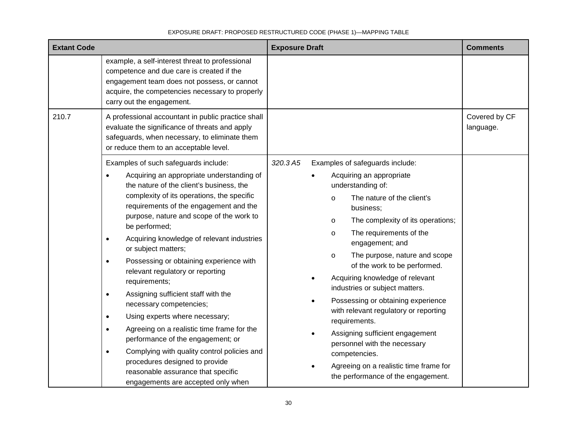| <b>Extant Code</b> |                                                                                                                                                                                                                                                                                                                                                                                                                                                                                                                                                                                                                                                                                                                                                                                                                                                                                           | <b>Exposure Draft</b>                                                                                                                                                                                                                                                                                                                                                                                                                                                                                                                                                                                                                                                | <b>Comments</b>            |
|--------------------|-------------------------------------------------------------------------------------------------------------------------------------------------------------------------------------------------------------------------------------------------------------------------------------------------------------------------------------------------------------------------------------------------------------------------------------------------------------------------------------------------------------------------------------------------------------------------------------------------------------------------------------------------------------------------------------------------------------------------------------------------------------------------------------------------------------------------------------------------------------------------------------------|----------------------------------------------------------------------------------------------------------------------------------------------------------------------------------------------------------------------------------------------------------------------------------------------------------------------------------------------------------------------------------------------------------------------------------------------------------------------------------------------------------------------------------------------------------------------------------------------------------------------------------------------------------------------|----------------------------|
|                    | example, a self-interest threat to professional<br>competence and due care is created if the<br>engagement team does not possess, or cannot<br>acquire, the competencies necessary to properly<br>carry out the engagement.                                                                                                                                                                                                                                                                                                                                                                                                                                                                                                                                                                                                                                                               |                                                                                                                                                                                                                                                                                                                                                                                                                                                                                                                                                                                                                                                                      |                            |
| 210.7              | A professional accountant in public practice shall<br>evaluate the significance of threats and apply<br>safeguards, when necessary, to eliminate them<br>or reduce them to an acceptable level.                                                                                                                                                                                                                                                                                                                                                                                                                                                                                                                                                                                                                                                                                           |                                                                                                                                                                                                                                                                                                                                                                                                                                                                                                                                                                                                                                                                      | Covered by CF<br>language. |
|                    | Examples of such safeguards include:<br>Acquiring an appropriate understanding of<br>the nature of the client's business, the<br>complexity of its operations, the specific<br>requirements of the engagement and the<br>purpose, nature and scope of the work to<br>be performed;<br>Acquiring knowledge of relevant industries<br>$\bullet$<br>or subject matters;<br>Possessing or obtaining experience with<br>$\bullet$<br>relevant regulatory or reporting<br>requirements;<br>Assigning sufficient staff with the<br>$\bullet$<br>necessary competencies;<br>Using experts where necessary;<br>$\bullet$<br>Agreeing on a realistic time frame for the<br>$\bullet$<br>performance of the engagement; or<br>Complying with quality control policies and<br>$\bullet$<br>procedures designed to provide<br>reasonable assurance that specific<br>engagements are accepted only when | 320.3A5<br>Examples of safeguards include:<br>Acquiring an appropriate<br>understanding of:<br>The nature of the client's<br>$\Omega$<br>business;<br>The complexity of its operations;<br>$\circ$<br>The requirements of the<br>o<br>engagement; and<br>The purpose, nature and scope<br>0<br>of the work to be performed.<br>Acquiring knowledge of relevant<br>industries or subject matters.<br>Possessing or obtaining experience<br>with relevant regulatory or reporting<br>requirements.<br>Assigning sufficient engagement<br>personnel with the necessary<br>competencies.<br>Agreeing on a realistic time frame for<br>the performance of the engagement. |                            |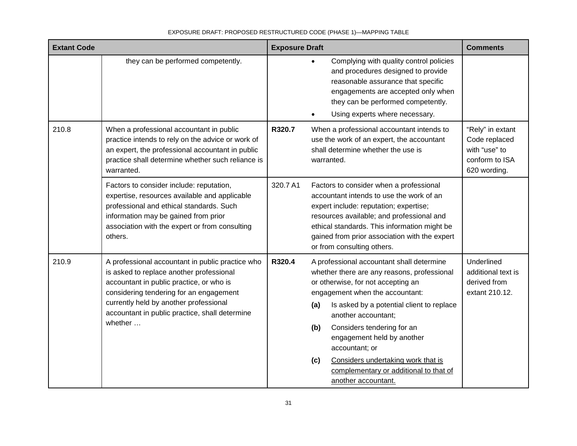| <b>Extant Code</b> |                                                                                                                                                                                                                                                                                            | <b>Exposure Draft</b> |                                                                                                                                                                                                                                                                                                                                                                                                                                                 | <b>Comments</b>                                                                      |
|--------------------|--------------------------------------------------------------------------------------------------------------------------------------------------------------------------------------------------------------------------------------------------------------------------------------------|-----------------------|-------------------------------------------------------------------------------------------------------------------------------------------------------------------------------------------------------------------------------------------------------------------------------------------------------------------------------------------------------------------------------------------------------------------------------------------------|--------------------------------------------------------------------------------------|
|                    | they can be performed competently.                                                                                                                                                                                                                                                         |                       | Complying with quality control policies<br>$\bullet$<br>and procedures designed to provide<br>reasonable assurance that specific<br>engagements are accepted only when<br>they can be performed competently.<br>Using experts where necessary.                                                                                                                                                                                                  |                                                                                      |
| 210.8              | When a professional accountant in public<br>practice intends to rely on the advice or work of<br>an expert, the professional accountant in public<br>practice shall determine whether such reliance is<br>warranted.                                                                       | R320.7                | When a professional accountant intends to<br>use the work of an expert, the accountant<br>shall determine whether the use is<br>warranted.                                                                                                                                                                                                                                                                                                      | "Rely" in extant<br>Code replaced<br>with "use" to<br>conform to ISA<br>620 wording. |
|                    | Factors to consider include: reputation,<br>expertise, resources available and applicable<br>professional and ethical standards. Such<br>information may be gained from prior<br>association with the expert or from consulting<br>others.                                                 | 320.7 A1              | Factors to consider when a professional<br>accountant intends to use the work of an<br>expert include: reputation; expertise;<br>resources available; and professional and<br>ethical standards. This information might be<br>gained from prior association with the expert<br>or from consulting others.                                                                                                                                       |                                                                                      |
| 210.9              | A professional accountant in public practice who<br>is asked to replace another professional<br>accountant in public practice, or who is<br>considering tendering for an engagement<br>currently held by another professional<br>accountant in public practice, shall determine<br>whether | R320.4                | A professional accountant shall determine<br>whether there are any reasons, professional<br>or otherwise, for not accepting an<br>engagement when the accountant:<br>Is asked by a potential client to replace<br>(a)<br>another accountant:<br>(b)<br>Considers tendering for an<br>engagement held by another<br>accountant; or<br>Considers undertaking work that is<br>(c)<br>complementary or additional to that of<br>another accountant. | Underlined<br>additional text is<br>derived from<br>extant 210.12.                   |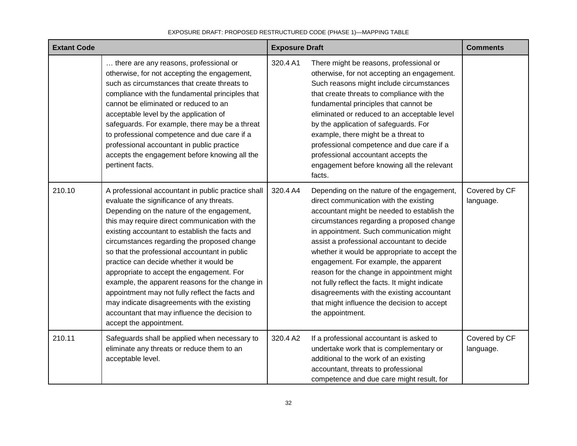| <b>Extant Code</b> |                                                                                                                                                                                                                                                                                                                                                                                                                                                                                                                                                                                                                                                                             | <b>Exposure Draft</b> |                                                                                                                                                                                                                                                                                                                                                                                                                                                                                                                                                                                       | <b>Comments</b>            |
|--------------------|-----------------------------------------------------------------------------------------------------------------------------------------------------------------------------------------------------------------------------------------------------------------------------------------------------------------------------------------------------------------------------------------------------------------------------------------------------------------------------------------------------------------------------------------------------------------------------------------------------------------------------------------------------------------------------|-----------------------|---------------------------------------------------------------------------------------------------------------------------------------------------------------------------------------------------------------------------------------------------------------------------------------------------------------------------------------------------------------------------------------------------------------------------------------------------------------------------------------------------------------------------------------------------------------------------------------|----------------------------|
|                    | there are any reasons, professional or<br>otherwise, for not accepting the engagement,<br>such as circumstances that create threats to<br>compliance with the fundamental principles that<br>cannot be eliminated or reduced to an<br>acceptable level by the application of<br>safeguards. For example, there may be a threat<br>to professional competence and due care if a<br>professional accountant in public practice<br>accepts the engagement before knowing all the<br>pertinent facts.                                                                                                                                                                           | 320.4 A1              | There might be reasons, professional or<br>otherwise, for not accepting an engagement.<br>Such reasons might include circumstances<br>that create threats to compliance with the<br>fundamental principles that cannot be<br>eliminated or reduced to an acceptable level<br>by the application of safeguards. For<br>example, there might be a threat to<br>professional competence and due care if a<br>professional accountant accepts the<br>engagement before knowing all the relevant<br>facts.                                                                                 |                            |
| 210.10             | A professional accountant in public practice shall<br>evaluate the significance of any threats.<br>Depending on the nature of the engagement,<br>this may require direct communication with the<br>existing accountant to establish the facts and<br>circumstances regarding the proposed change<br>so that the professional accountant in public<br>practice can decide whether it would be<br>appropriate to accept the engagement. For<br>example, the apparent reasons for the change in<br>appointment may not fully reflect the facts and<br>may indicate disagreements with the existing<br>accountant that may influence the decision to<br>accept the appointment. | 320.4 A4              | Depending on the nature of the engagement,<br>direct communication with the existing<br>accountant might be needed to establish the<br>circumstances regarding a proposed change<br>in appointment. Such communication might<br>assist a professional accountant to decide<br>whether it would be appropriate to accept the<br>engagement. For example, the apparent<br>reason for the change in appointment might<br>not fully reflect the facts. It might indicate<br>disagreements with the existing accountant<br>that might influence the decision to accept<br>the appointment. | Covered by CF<br>language. |
| 210.11             | Safeguards shall be applied when necessary to<br>eliminate any threats or reduce them to an<br>acceptable level.                                                                                                                                                                                                                                                                                                                                                                                                                                                                                                                                                            | 320.4 A2              | If a professional accountant is asked to<br>undertake work that is complementary or<br>additional to the work of an existing<br>accountant, threats to professional<br>competence and due care might result, for                                                                                                                                                                                                                                                                                                                                                                      | Covered by CF<br>language. |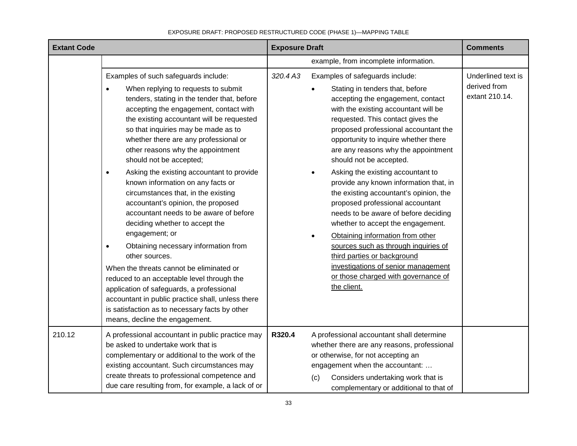| <b>Extant Code</b> |                                                                                                                                                                                                                                                                                                                                                                                                                                                                                                                                                                                                                                                                                                                                                                                                                                                                                                                                                                                                                 | <b>Exposure Draft</b> |                                                                                                                                                                                                                                                                                                                                                                                                                                                                                                                                                                                                                                                                                                                                                                                          | <b>Comments</b>                                      |
|--------------------|-----------------------------------------------------------------------------------------------------------------------------------------------------------------------------------------------------------------------------------------------------------------------------------------------------------------------------------------------------------------------------------------------------------------------------------------------------------------------------------------------------------------------------------------------------------------------------------------------------------------------------------------------------------------------------------------------------------------------------------------------------------------------------------------------------------------------------------------------------------------------------------------------------------------------------------------------------------------------------------------------------------------|-----------------------|------------------------------------------------------------------------------------------------------------------------------------------------------------------------------------------------------------------------------------------------------------------------------------------------------------------------------------------------------------------------------------------------------------------------------------------------------------------------------------------------------------------------------------------------------------------------------------------------------------------------------------------------------------------------------------------------------------------------------------------------------------------------------------------|------------------------------------------------------|
|                    |                                                                                                                                                                                                                                                                                                                                                                                                                                                                                                                                                                                                                                                                                                                                                                                                                                                                                                                                                                                                                 |                       | example, from incomplete information.                                                                                                                                                                                                                                                                                                                                                                                                                                                                                                                                                                                                                                                                                                                                                    |                                                      |
|                    | Examples of such safeguards include:<br>When replying to requests to submit<br>$\bullet$<br>tenders, stating in the tender that, before<br>accepting the engagement, contact with<br>the existing accountant will be requested<br>so that inquiries may be made as to<br>whether there are any professional or<br>other reasons why the appointment<br>should not be accepted;<br>Asking the existing accountant to provide<br>$\bullet$<br>known information on any facts or<br>circumstances that, in the existing<br>accountant's opinion, the proposed<br>accountant needs to be aware of before<br>deciding whether to accept the<br>engagement; or<br>Obtaining necessary information from<br>$\bullet$<br>other sources.<br>When the threats cannot be eliminated or<br>reduced to an acceptable level through the<br>application of safeguards, a professional<br>accountant in public practice shall, unless there<br>is satisfaction as to necessary facts by other<br>means, decline the engagement. | 320.4A3               | Examples of safeguards include:<br>Stating in tenders that, before<br>accepting the engagement, contact<br>with the existing accountant will be<br>requested. This contact gives the<br>proposed professional accountant the<br>opportunity to inquire whether there<br>are any reasons why the appointment<br>should not be accepted.<br>Asking the existing accountant to<br>provide any known information that, in<br>the existing accountant's opinion, the<br>proposed professional accountant<br>needs to be aware of before deciding<br>whether to accept the engagement.<br>Obtaining information from other<br>sources such as through inquiries of<br>third parties or background<br>investigations of senior management<br>or those charged with governance of<br>the client. | Underlined text is<br>derived from<br>extant 210.14. |
| 210.12             | A professional accountant in public practice may<br>be asked to undertake work that is<br>complementary or additional to the work of the<br>existing accountant. Such circumstances may<br>create threats to professional competence and<br>due care resulting from, for example, a lack of or                                                                                                                                                                                                                                                                                                                                                                                                                                                                                                                                                                                                                                                                                                                  | R320.4                | A professional accountant shall determine<br>whether there are any reasons, professional<br>or otherwise, for not accepting an<br>engagement when the accountant:<br>Considers undertaking work that is<br>(c)<br>complementary or additional to that of                                                                                                                                                                                                                                                                                                                                                                                                                                                                                                                                 |                                                      |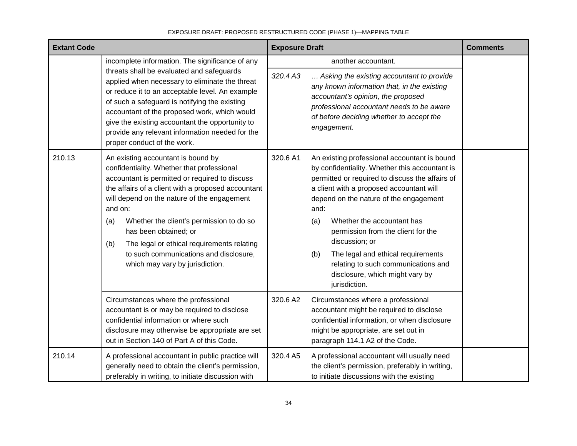| <b>Extant Code</b> |                                                                                                                                                                                                                                                                                                                                                                                                                                                                  | <b>Exposure Draft</b>                                                                                                                                                                                                                                                                                                                                                                                                                                                                            | <b>Comments</b> |
|--------------------|------------------------------------------------------------------------------------------------------------------------------------------------------------------------------------------------------------------------------------------------------------------------------------------------------------------------------------------------------------------------------------------------------------------------------------------------------------------|--------------------------------------------------------------------------------------------------------------------------------------------------------------------------------------------------------------------------------------------------------------------------------------------------------------------------------------------------------------------------------------------------------------------------------------------------------------------------------------------------|-----------------|
|                    | incomplete information. The significance of any                                                                                                                                                                                                                                                                                                                                                                                                                  | another accountant.                                                                                                                                                                                                                                                                                                                                                                                                                                                                              |                 |
|                    | threats shall be evaluated and safeguards<br>applied when necessary to eliminate the threat<br>or reduce it to an acceptable level. An example<br>of such a safeguard is notifying the existing<br>accountant of the proposed work, which would<br>give the existing accountant the opportunity to<br>provide any relevant information needed for the<br>proper conduct of the work.                                                                             | 320.4A3<br>Asking the existing accountant to provide<br>any known information that, in the existing<br>accountant's opinion, the proposed<br>professional accountant needs to be aware<br>of before deciding whether to accept the<br>engagement.                                                                                                                                                                                                                                                |                 |
| 210.13             | An existing accountant is bound by<br>confidentiality. Whether that professional<br>accountant is permitted or required to discuss<br>the affairs of a client with a proposed accountant<br>will depend on the nature of the engagement<br>and on:<br>Whether the client's permission to do so<br>(a)<br>has been obtained; or<br>The legal or ethical requirements relating<br>(b)<br>to such communications and disclosure,<br>which may vary by jurisdiction. | 320.6 A1<br>An existing professional accountant is bound<br>by confidentiality. Whether this accountant is<br>permitted or required to discuss the affairs of<br>a client with a proposed accountant will<br>depend on the nature of the engagement<br>and:<br>Whether the accountant has<br>(a)<br>permission from the client for the<br>discussion; or<br>The legal and ethical requirements<br>(b)<br>relating to such communications and<br>disclosure, which might vary by<br>jurisdiction. |                 |
|                    | Circumstances where the professional<br>accountant is or may be required to disclose<br>confidential information or where such<br>disclosure may otherwise be appropriate are set<br>out in Section 140 of Part A of this Code.                                                                                                                                                                                                                                  | 320.6 A2<br>Circumstances where a professional<br>accountant might be required to disclose<br>confidential information, or when disclosure<br>might be appropriate, are set out in<br>paragraph 114.1 A2 of the Code.                                                                                                                                                                                                                                                                            |                 |
| 210.14             | A professional accountant in public practice will<br>generally need to obtain the client's permission,<br>preferably in writing, to initiate discussion with                                                                                                                                                                                                                                                                                                     | 320.4 A5<br>A professional accountant will usually need<br>the client's permission, preferably in writing,<br>to initiate discussions with the existing                                                                                                                                                                                                                                                                                                                                          |                 |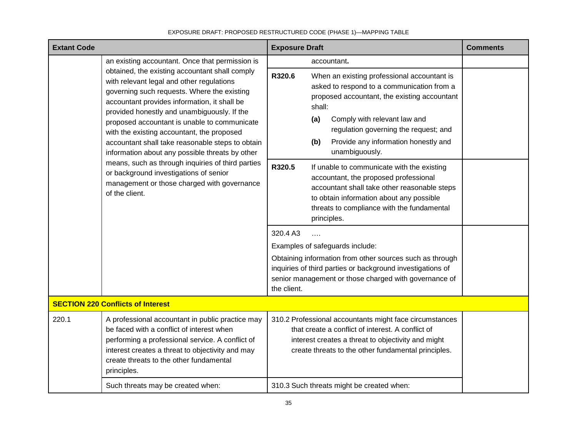| <b>Extant Code</b> |                                                                                                                                                                                                                                                                                                                                                                                                                                                                                                                                                                                                                                                                   | <b>Exposure Draft</b>                                                                                                                                                                                                     |                                                                                                                                                                                                                                                                                                                                                                                                                                                                                                                                                      | <b>Comments</b> |
|--------------------|-------------------------------------------------------------------------------------------------------------------------------------------------------------------------------------------------------------------------------------------------------------------------------------------------------------------------------------------------------------------------------------------------------------------------------------------------------------------------------------------------------------------------------------------------------------------------------------------------------------------------------------------------------------------|---------------------------------------------------------------------------------------------------------------------------------------------------------------------------------------------------------------------------|------------------------------------------------------------------------------------------------------------------------------------------------------------------------------------------------------------------------------------------------------------------------------------------------------------------------------------------------------------------------------------------------------------------------------------------------------------------------------------------------------------------------------------------------------|-----------------|
|                    | an existing accountant. Once that permission is<br>obtained, the existing accountant shall comply<br>with relevant legal and other regulations<br>governing such requests. Where the existing<br>accountant provides information, it shall be<br>provided honestly and unambiguously. If the<br>proposed accountant is unable to communicate<br>with the existing accountant, the proposed<br>accountant shall take reasonable steps to obtain<br>information about any possible threats by other<br>means, such as through inquiries of third parties<br>or background investigations of senior<br>management or those charged with governance<br>of the client. |                                                                                                                                                                                                                           | accountant.                                                                                                                                                                                                                                                                                                                                                                                                                                                                                                                                          |                 |
|                    |                                                                                                                                                                                                                                                                                                                                                                                                                                                                                                                                                                                                                                                                   | R320.6<br>R320.5                                                                                                                                                                                                          | When an existing professional accountant is<br>asked to respond to a communication from a<br>proposed accountant, the existing accountant<br>shall:<br>Comply with relevant law and<br>(a)<br>regulation governing the request; and<br>Provide any information honestly and<br>(b)<br>unambiguously.<br>If unable to communicate with the existing<br>accountant, the proposed professional<br>accountant shall take other reasonable steps<br>to obtain information about any possible<br>threats to compliance with the fundamental<br>principles. |                 |
|                    |                                                                                                                                                                                                                                                                                                                                                                                                                                                                                                                                                                                                                                                                   | 320.4 A3                                                                                                                                                                                                                  |                                                                                                                                                                                                                                                                                                                                                                                                                                                                                                                                                      |                 |
|                    |                                                                                                                                                                                                                                                                                                                                                                                                                                                                                                                                                                                                                                                                   |                                                                                                                                                                                                                           | Examples of safeguards include:                                                                                                                                                                                                                                                                                                                                                                                                                                                                                                                      |                 |
|                    |                                                                                                                                                                                                                                                                                                                                                                                                                                                                                                                                                                                                                                                                   | Obtaining information from other sources such as through<br>inquiries of third parties or background investigations of<br>senior management or those charged with governance of<br>the client.                            |                                                                                                                                                                                                                                                                                                                                                                                                                                                                                                                                                      |                 |
|                    | <b>SECTION 220 Conflicts of Interest</b>                                                                                                                                                                                                                                                                                                                                                                                                                                                                                                                                                                                                                          |                                                                                                                                                                                                                           |                                                                                                                                                                                                                                                                                                                                                                                                                                                                                                                                                      |                 |
| 220.1              | A professional accountant in public practice may<br>be faced with a conflict of interest when<br>performing a professional service. A conflict of<br>interest creates a threat to objectivity and may<br>create threats to the other fundamental<br>principles.                                                                                                                                                                                                                                                                                                                                                                                                   | 310.2 Professional accountants might face circumstances<br>that create a conflict of interest. A conflict of<br>interest creates a threat to objectivity and might<br>create threats to the other fundamental principles. |                                                                                                                                                                                                                                                                                                                                                                                                                                                                                                                                                      |                 |
|                    | Such threats may be created when:                                                                                                                                                                                                                                                                                                                                                                                                                                                                                                                                                                                                                                 |                                                                                                                                                                                                                           | 310.3 Such threats might be created when:                                                                                                                                                                                                                                                                                                                                                                                                                                                                                                            |                 |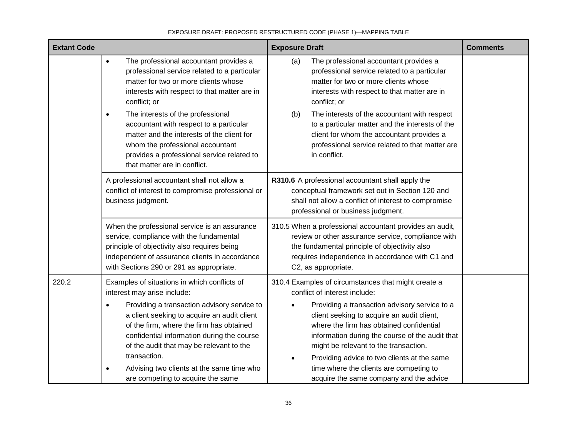| <b>Extant Code</b> |                                                                                                                                                                                                                                                                                                                                                                                                                                | <b>Exposure Draft</b>                                                                                                                                                                                                                                                                                                                                                                                                                                            | <b>Comments</b> |
|--------------------|--------------------------------------------------------------------------------------------------------------------------------------------------------------------------------------------------------------------------------------------------------------------------------------------------------------------------------------------------------------------------------------------------------------------------------|------------------------------------------------------------------------------------------------------------------------------------------------------------------------------------------------------------------------------------------------------------------------------------------------------------------------------------------------------------------------------------------------------------------------------------------------------------------|-----------------|
|                    | The professional accountant provides a<br>$\bullet$<br>professional service related to a particular<br>matter for two or more clients whose<br>interests with respect to that matter are in<br>conflict; or                                                                                                                                                                                                                    | (a)<br>The professional accountant provides a<br>professional service related to a particular<br>matter for two or more clients whose<br>interests with respect to that matter are in<br>conflict; or                                                                                                                                                                                                                                                            |                 |
|                    | The interests of the professional<br>$\bullet$<br>accountant with respect to a particular<br>matter and the interests of the client for<br>whom the professional accountant<br>provides a professional service related to<br>that matter are in conflict.                                                                                                                                                                      | The interests of the accountant with respect<br>(b)<br>to a particular matter and the interests of the<br>client for whom the accountant provides a<br>professional service related to that matter are<br>in conflict.                                                                                                                                                                                                                                           |                 |
|                    | A professional accountant shall not allow a<br>conflict of interest to compromise professional or<br>business judgment.                                                                                                                                                                                                                                                                                                        | R310.6 A professional accountant shall apply the<br>conceptual framework set out in Section 120 and<br>shall not allow a conflict of interest to compromise<br>professional or business judgment.                                                                                                                                                                                                                                                                |                 |
|                    | When the professional service is an assurance<br>service, compliance with the fundamental<br>principle of objectivity also requires being<br>independent of assurance clients in accordance<br>with Sections 290 or 291 as appropriate.                                                                                                                                                                                        | 310.5 When a professional accountant provides an audit,<br>review or other assurance service, compliance with<br>the fundamental principle of objectivity also<br>requires independence in accordance with C1 and<br>C2, as appropriate.                                                                                                                                                                                                                         |                 |
| 220.2              | Examples of situations in which conflicts of<br>interest may arise include:<br>Providing a transaction advisory service to<br>a client seeking to acquire an audit client<br>of the firm, where the firm has obtained<br>confidential information during the course<br>of the audit that may be relevant to the<br>transaction.<br>Advising two clients at the same time who<br>$\bullet$<br>are competing to acquire the same | 310.4 Examples of circumstances that might create a<br>conflict of interest include:<br>Providing a transaction advisory service to a<br>client seeking to acquire an audit client,<br>where the firm has obtained confidential<br>information during the course of the audit that<br>might be relevant to the transaction.<br>Providing advice to two clients at the same<br>time where the clients are competing to<br>acquire the same company and the advice |                 |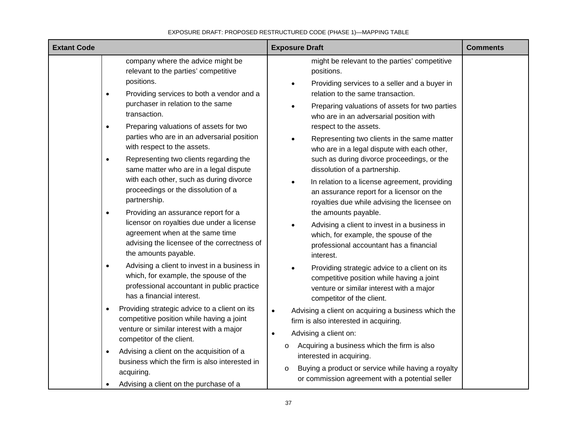| <b>Extant Code</b> |                                                                                                                                                                                                                                                                                                                                                                                                                                                                                         | <b>Exposure Draft</b>                                                                                                                                                                                                                                                                                                                                                                                                                                                                            | <b>Comments</b> |
|--------------------|-----------------------------------------------------------------------------------------------------------------------------------------------------------------------------------------------------------------------------------------------------------------------------------------------------------------------------------------------------------------------------------------------------------------------------------------------------------------------------------------|--------------------------------------------------------------------------------------------------------------------------------------------------------------------------------------------------------------------------------------------------------------------------------------------------------------------------------------------------------------------------------------------------------------------------------------------------------------------------------------------------|-----------------|
|                    | company where the advice might be<br>relevant to the parties' competitive<br>positions.<br>Providing services to both a vendor and a<br>$\bullet$<br>purchaser in relation to the same<br>transaction.<br>Preparing valuations of assets for two                                                                                                                                                                                                                                        | might be relevant to the parties' competitive<br>positions.<br>Providing services to a seller and a buyer in<br>$\bullet$<br>relation to the same transaction.<br>Preparing valuations of assets for two parties<br>who are in an adversarial position with<br>respect to the assets.                                                                                                                                                                                                            |                 |
|                    | parties who are in an adversarial position<br>with respect to the assets.<br>Representing two clients regarding the<br>$\bullet$<br>same matter who are in a legal dispute<br>with each other, such as during divorce<br>proceedings or the dissolution of a<br>partnership.<br>Providing an assurance report for a<br>$\bullet$<br>licensor on royalties due under a license<br>agreement when at the same time<br>advising the licensee of the correctness of<br>the amounts payable. | Representing two clients in the same matter<br>who are in a legal dispute with each other,<br>such as during divorce proceedings, or the<br>dissolution of a partnership.<br>In relation to a license agreement, providing<br>an assurance report for a licensor on the<br>royalties due while advising the licensee on<br>the amounts payable.<br>Advising a client to invest in a business in<br>which, for example, the spouse of the<br>professional accountant has a financial<br>interest. |                 |
|                    | Advising a client to invest in a business in<br>$\bullet$<br>which, for example, the spouse of the<br>professional accountant in public practice<br>has a financial interest.                                                                                                                                                                                                                                                                                                           | Providing strategic advice to a client on its<br>competitive position while having a joint<br>venture or similar interest with a major<br>competitor of the client.                                                                                                                                                                                                                                                                                                                              |                 |
|                    | Providing strategic advice to a client on its<br>competitive position while having a joint<br>venture or similar interest with a major<br>competitor of the client.                                                                                                                                                                                                                                                                                                                     | Advising a client on acquiring a business which the<br>$\bullet$<br>firm is also interested in acquiring.<br>Advising a client on:                                                                                                                                                                                                                                                                                                                                                               |                 |
|                    | Advising a client on the acquisition of a<br>$\bullet$<br>business which the firm is also interested in<br>acquiring.<br>Advising a client on the purchase of a                                                                                                                                                                                                                                                                                                                         | Acquiring a business which the firm is also<br>$\circ$<br>interested in acquiring.<br>Buying a product or service while having a royalty<br>$\circ$<br>or commission agreement with a potential seller                                                                                                                                                                                                                                                                                           |                 |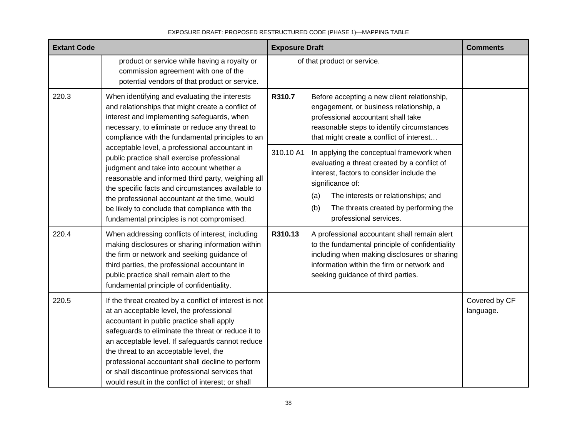| <b>Extant Code</b> |                                                                                                                                                                                                                                                                                                                                                                                                                                                                  | <b>Exposure Draft</b> |                                                                                                                                                                                                                                                                                    | <b>Comments</b>            |
|--------------------|------------------------------------------------------------------------------------------------------------------------------------------------------------------------------------------------------------------------------------------------------------------------------------------------------------------------------------------------------------------------------------------------------------------------------------------------------------------|-----------------------|------------------------------------------------------------------------------------------------------------------------------------------------------------------------------------------------------------------------------------------------------------------------------------|----------------------------|
|                    | product or service while having a royalty or<br>commission agreement with one of the<br>potential vendors of that product or service.                                                                                                                                                                                                                                                                                                                            |                       | of that product or service.                                                                                                                                                                                                                                                        |                            |
| 220.3              | When identifying and evaluating the interests<br>and relationships that might create a conflict of<br>interest and implementing safeguards, when<br>necessary, to eliminate or reduce any threat to<br>compliance with the fundamental principles to an                                                                                                                                                                                                          | R310.7                | Before accepting a new client relationship,<br>engagement, or business relationship, a<br>professional accountant shall take<br>reasonable steps to identify circumstances<br>that might create a conflict of interest                                                             |                            |
|                    | acceptable level, a professional accountant in<br>public practice shall exercise professional<br>judgment and take into account whether a<br>reasonable and informed third party, weighing all<br>the specific facts and circumstances available to<br>the professional accountant at the time, would<br>be likely to conclude that compliance with the<br>fundamental principles is not compromised.                                                            | 310.10 A1             | In applying the conceptual framework when<br>evaluating a threat created by a conflict of<br>interest, factors to consider include the<br>significance of:<br>The interests or relationships; and<br>(a)<br>The threats created by performing the<br>(b)<br>professional services. |                            |
| 220.4              | When addressing conflicts of interest, including<br>making disclosures or sharing information within<br>the firm or network and seeking guidance of<br>third parties, the professional accountant in<br>public practice shall remain alert to the<br>fundamental principle of confidentiality.                                                                                                                                                                   | R310.13               | A professional accountant shall remain alert<br>to the fundamental principle of confidentiality<br>including when making disclosures or sharing<br>information within the firm or network and<br>seeking guidance of third parties.                                                |                            |
| 220.5              | If the threat created by a conflict of interest is not<br>at an acceptable level, the professional<br>accountant in public practice shall apply<br>safeguards to eliminate the threat or reduce it to<br>an acceptable level. If safeguards cannot reduce<br>the threat to an acceptable level, the<br>professional accountant shall decline to perform<br>or shall discontinue professional services that<br>would result in the conflict of interest; or shall |                       |                                                                                                                                                                                                                                                                                    | Covered by CF<br>language. |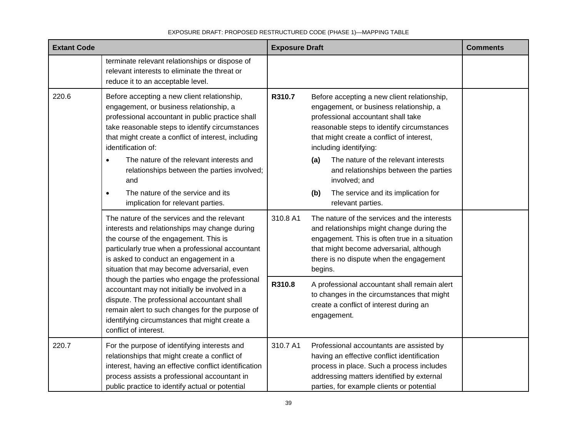| <b>Extant Code</b> |                                                                                                                                                                                                                                                                                                                        | <b>Exposure Draft</b> |                                                                                                                                                                                                                                                                                                  | <b>Comments</b> |
|--------------------|------------------------------------------------------------------------------------------------------------------------------------------------------------------------------------------------------------------------------------------------------------------------------------------------------------------------|-----------------------|--------------------------------------------------------------------------------------------------------------------------------------------------------------------------------------------------------------------------------------------------------------------------------------------------|-----------------|
|                    | terminate relevant relationships or dispose of<br>relevant interests to eliminate the threat or<br>reduce it to an acceptable level.                                                                                                                                                                                   |                       |                                                                                                                                                                                                                                                                                                  |                 |
| 220.6              | Before accepting a new client relationship,<br>engagement, or business relationship, a<br>professional accountant in public practice shall<br>take reasonable steps to identify circumstances<br>that might create a conflict of interest, including<br>identification of:<br>The nature of the relevant interests and | R310.7                | Before accepting a new client relationship,<br>engagement, or business relationship, a<br>professional accountant shall take<br>reasonable steps to identify circumstances<br>that might create a conflict of interest,<br>including identifying:<br>The nature of the relevant interests<br>(a) |                 |
|                    | relationships between the parties involved;<br>and                                                                                                                                                                                                                                                                     |                       | and relationships between the parties<br>involved; and                                                                                                                                                                                                                                           |                 |
|                    | The nature of the service and its<br>$\bullet$<br>implication for relevant parties.                                                                                                                                                                                                                                    |                       | The service and its implication for<br>(b)<br>relevant parties.                                                                                                                                                                                                                                  |                 |
|                    | The nature of the services and the relevant<br>interests and relationships may change during<br>the course of the engagement. This is<br>particularly true when a professional accountant<br>is asked to conduct an engagement in a<br>situation that may become adversarial, even                                     | 310.8 A1              | The nature of the services and the interests<br>and relationships might change during the<br>engagement. This is often true in a situation<br>that might become adversarial, although<br>there is no dispute when the engagement<br>begins.                                                      |                 |
|                    | though the parties who engage the professional<br>accountant may not initially be involved in a<br>dispute. The professional accountant shall<br>remain alert to such changes for the purpose of<br>identifying circumstances that might create a<br>conflict of interest.                                             | R310.8                | A professional accountant shall remain alert<br>to changes in the circumstances that might<br>create a conflict of interest during an<br>engagement.                                                                                                                                             |                 |
| 220.7              | For the purpose of identifying interests and<br>relationships that might create a conflict of<br>interest, having an effective conflict identification<br>process assists a professional accountant in<br>public practice to identify actual or potential                                                              | 310.7 A1              | Professional accountants are assisted by<br>having an effective conflict identification<br>process in place. Such a process includes<br>addressing matters identified by external<br>parties, for example clients or potential                                                                   |                 |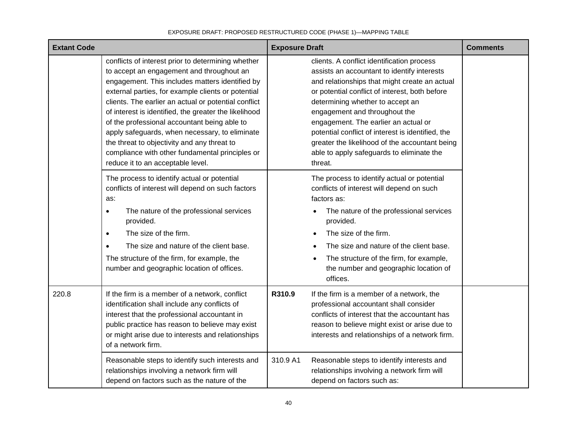| <b>Extant Code</b> |                                                                                                                                                                                                                                                                                                                                                                                                                                                                                                                                                                    | <b>Exposure Draft</b>                                                                                                                                                                                                                                                                                                                                                                                                                                                    | <b>Comments</b> |
|--------------------|--------------------------------------------------------------------------------------------------------------------------------------------------------------------------------------------------------------------------------------------------------------------------------------------------------------------------------------------------------------------------------------------------------------------------------------------------------------------------------------------------------------------------------------------------------------------|--------------------------------------------------------------------------------------------------------------------------------------------------------------------------------------------------------------------------------------------------------------------------------------------------------------------------------------------------------------------------------------------------------------------------------------------------------------------------|-----------------|
|                    | conflicts of interest prior to determining whether<br>to accept an engagement and throughout an<br>engagement. This includes matters identified by<br>external parties, for example clients or potential<br>clients. The earlier an actual or potential conflict<br>of interest is identified, the greater the likelihood<br>of the professional accountant being able to<br>apply safeguards, when necessary, to eliminate<br>the threat to objectivity and any threat to<br>compliance with other fundamental principles or<br>reduce it to an acceptable level. | clients. A conflict identification process<br>assists an accountant to identify interests<br>and relationships that might create an actual<br>or potential conflict of interest, both before<br>determining whether to accept an<br>engagement and throughout the<br>engagement. The earlier an actual or<br>potential conflict of interest is identified, the<br>greater the likelihood of the accountant being<br>able to apply safeguards to eliminate the<br>threat. |                 |
|                    | The process to identify actual or potential<br>conflicts of interest will depend on such factors<br>as:<br>The nature of the professional services<br>$\bullet$<br>provided.<br>The size of the firm.<br>$\bullet$<br>The size and nature of the client base.<br>The structure of the firm, for example, the<br>number and geographic location of offices.                                                                                                                                                                                                         | The process to identify actual or potential<br>conflicts of interest will depend on such<br>factors as:<br>The nature of the professional services<br>provided.<br>The size of the firm.<br>$\bullet$<br>The size and nature of the client base.<br>$\bullet$<br>The structure of the firm, for example,<br>$\bullet$<br>the number and geographic location of<br>offices.                                                                                               |                 |
| 220.8              | If the firm is a member of a network, conflict<br>identification shall include any conflicts of<br>interest that the professional accountant in<br>public practice has reason to believe may exist<br>or might arise due to interests and relationships<br>of a network firm.                                                                                                                                                                                                                                                                                      | R310.9<br>If the firm is a member of a network, the<br>professional accountant shall consider<br>conflicts of interest that the accountant has<br>reason to believe might exist or arise due to<br>interests and relationships of a network firm.                                                                                                                                                                                                                        |                 |
|                    | Reasonable steps to identify such interests and<br>relationships involving a network firm will<br>depend on factors such as the nature of the                                                                                                                                                                                                                                                                                                                                                                                                                      | 310.9 A1<br>Reasonable steps to identify interests and<br>relationships involving a network firm will<br>depend on factors such as:                                                                                                                                                                                                                                                                                                                                      |                 |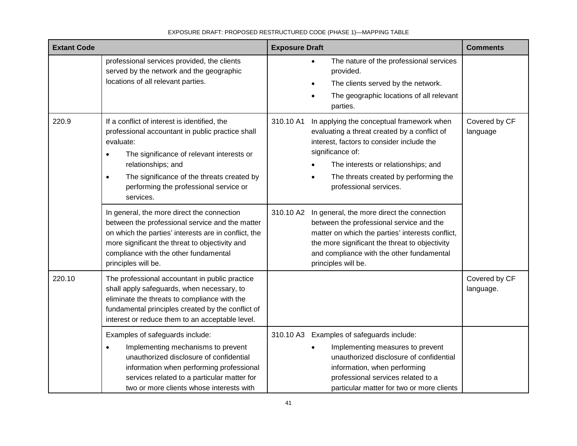| <b>Extant Code</b> |                                                                                                                                                                                                                                                                                                                 | <b>Exposure Draft</b>                                                                                                                                                                                                                                                             | <b>Comments</b>            |
|--------------------|-----------------------------------------------------------------------------------------------------------------------------------------------------------------------------------------------------------------------------------------------------------------------------------------------------------------|-----------------------------------------------------------------------------------------------------------------------------------------------------------------------------------------------------------------------------------------------------------------------------------|----------------------------|
|                    | professional services provided, the clients<br>served by the network and the geographic<br>locations of all relevant parties.                                                                                                                                                                                   | The nature of the professional services<br>$\bullet$<br>provided.<br>The clients served by the network.<br>$\bullet$<br>The geographic locations of all relevant<br>$\bullet$<br>parties.                                                                                         |                            |
| 220.9              | If a conflict of interest is identified, the<br>professional accountant in public practice shall<br>evaluate:<br>The significance of relevant interests or<br>$\bullet$<br>relationships; and<br>The significance of the threats created by<br>$\bullet$<br>performing the professional service or<br>services. | 310.10 A1<br>In applying the conceptual framework when<br>evaluating a threat created by a conflict of<br>interest, factors to consider include the<br>significance of:<br>The interests or relationships; and<br>The threats created by performing the<br>professional services. | Covered by CF<br>language  |
|                    | In general, the more direct the connection<br>between the professional service and the matter<br>on which the parties' interests are in conflict, the<br>more significant the threat to objectivity and<br>compliance with the other fundamental<br>principles will be.                                         | 310.10 A2<br>In general, the more direct the connection<br>between the professional service and the<br>matter on which the parties' interests conflict,<br>the more significant the threat to objectivity<br>and compliance with the other fundamental<br>principles will be.     |                            |
| 220.10             | The professional accountant in public practice<br>shall apply safeguards, when necessary, to<br>eliminate the threats to compliance with the<br>fundamental principles created by the conflict of<br>interest or reduce them to an acceptable level.                                                            |                                                                                                                                                                                                                                                                                   | Covered by CF<br>language. |
|                    | Examples of safeguards include:<br>Implementing mechanisms to prevent<br>unauthorized disclosure of confidential<br>information when performing professional<br>services related to a particular matter for<br>two or more clients whose interests with                                                         | Examples of safeguards include:<br>310.10 A3<br>Implementing measures to prevent<br>unauthorized disclosure of confidential<br>information, when performing<br>professional services related to a<br>particular matter for two or more clients                                    |                            |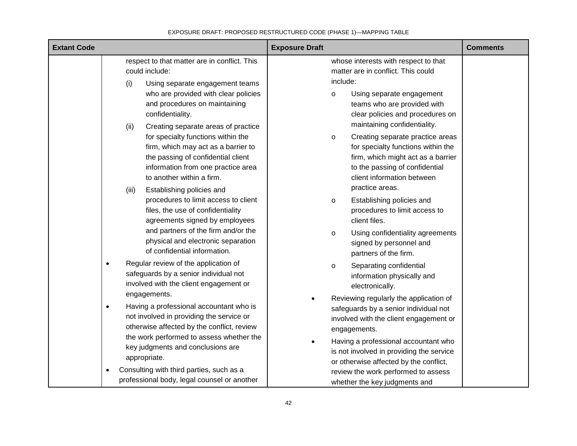| <b>Extant Code</b> |                                                                                                                                                                                                                                                                                                                                                                                                                                                                                  | <b>Exposure Draft</b>                                                                                                                                                                                                                                                                                                                                                                                                                           | <b>Comments</b> |
|--------------------|----------------------------------------------------------------------------------------------------------------------------------------------------------------------------------------------------------------------------------------------------------------------------------------------------------------------------------------------------------------------------------------------------------------------------------------------------------------------------------|-------------------------------------------------------------------------------------------------------------------------------------------------------------------------------------------------------------------------------------------------------------------------------------------------------------------------------------------------------------------------------------------------------------------------------------------------|-----------------|
|                    | respect to that matter are in conflict. This<br>could include:<br>(i)<br>Using separate engagement teams<br>who are provided with clear policies<br>and procedures on maintaining<br>confidentiality.<br>(ii)<br>Creating separate areas of practice<br>for specialty functions within the<br>firm, which may act as a barrier to<br>the passing of confidential client<br>information from one practice area<br>to another within a firm.<br>Establishing policies and<br>(iii) | whose interests with respect to that<br>matter are in conflict. This could<br>include:<br>Using separate engagement<br>$\circ$<br>teams who are provided with<br>clear policies and procedures on<br>maintaining confidentiality.<br>Creating separate practice areas<br>$\circ$<br>for specialty functions within the<br>firm, which might act as a barrier<br>to the passing of confidential<br>client information between<br>practice areas. |                 |
|                    | procedures to limit access to client<br>files, the use of confidentiality<br>agreements signed by employees<br>and partners of the firm and/or the<br>physical and electronic separation<br>of confidential information.                                                                                                                                                                                                                                                         | Establishing policies and<br>$\circ$<br>procedures to limit access to<br>client files.<br>Using confidentiality agreements<br>$\circ$<br>signed by personnel and<br>partners of the firm.                                                                                                                                                                                                                                                       |                 |
|                    | Regular review of the application of<br>$\bullet$<br>safeguards by a senior individual not<br>involved with the client engagement or<br>engagements.                                                                                                                                                                                                                                                                                                                             | Separating confidential<br>$\circ$<br>information physically and<br>electronically.<br>Reviewing regularly the application of                                                                                                                                                                                                                                                                                                                   |                 |
|                    | Having a professional accountant who is<br>$\bullet$<br>not involved in providing the service or<br>otherwise affected by the conflict, review<br>the work performed to assess whether the<br>key judgments and conclusions are<br>appropriate.<br>Consulting with third parties, such as a<br>professional body, legal counsel or another                                                                                                                                       | safeguards by a senior individual not<br>involved with the client engagement or<br>engagements.<br>Having a professional accountant who<br>$\bullet$<br>is not involved in providing the service<br>or otherwise affected by the conflict,<br>review the work performed to assess<br>whether the key judgments and                                                                                                                              |                 |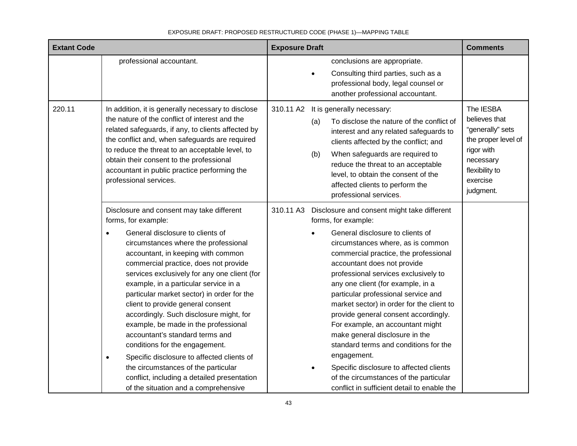| <b>Extant Code</b> |                                                                                                                                                                                                                                                                                                                                                                                                                                                                                                                                                                                                                                                                                                                                                                       | <b>Exposure Draft</b> |            |                                                                                                                                                                                                                                                                                                                                                                                                                                                                                                                                                                                                                                                                                                | <b>Comments</b>                                                                                                                             |
|--------------------|-----------------------------------------------------------------------------------------------------------------------------------------------------------------------------------------------------------------------------------------------------------------------------------------------------------------------------------------------------------------------------------------------------------------------------------------------------------------------------------------------------------------------------------------------------------------------------------------------------------------------------------------------------------------------------------------------------------------------------------------------------------------------|-----------------------|------------|------------------------------------------------------------------------------------------------------------------------------------------------------------------------------------------------------------------------------------------------------------------------------------------------------------------------------------------------------------------------------------------------------------------------------------------------------------------------------------------------------------------------------------------------------------------------------------------------------------------------------------------------------------------------------------------------|---------------------------------------------------------------------------------------------------------------------------------------------|
|                    | professional accountant.                                                                                                                                                                                                                                                                                                                                                                                                                                                                                                                                                                                                                                                                                                                                              |                       | $\bullet$  | conclusions are appropriate.<br>Consulting third parties, such as a<br>professional body, legal counsel or<br>another professional accountant.                                                                                                                                                                                                                                                                                                                                                                                                                                                                                                                                                 |                                                                                                                                             |
| 220.11             | In addition, it is generally necessary to disclose<br>the nature of the conflict of interest and the<br>related safeguards, if any, to clients affected by<br>the conflict and, when safeguards are required<br>to reduce the threat to an acceptable level, to<br>obtain their consent to the professional<br>accountant in public practice performing the<br>professional services.                                                                                                                                                                                                                                                                                                                                                                                 | 310.11 A2             | (a)<br>(b) | It is generally necessary:<br>To disclose the nature of the conflict of<br>interest and any related safeguards to<br>clients affected by the conflict; and<br>When safeguards are required to<br>reduce the threat to an acceptable<br>level, to obtain the consent of the<br>affected clients to perform the<br>professional services.                                                                                                                                                                                                                                                                                                                                                        | The IESBA<br>believes that<br>"generally" sets<br>the proper level of<br>rigor with<br>necessary<br>flexibility to<br>exercise<br>judgment. |
|                    | Disclosure and consent may take different<br>forms, for example:<br>General disclosure to clients of<br>$\bullet$<br>circumstances where the professional<br>accountant, in keeping with common<br>commercial practice, does not provide<br>services exclusively for any one client (for<br>example, in a particular service in a<br>particular market sector) in order for the<br>client to provide general consent<br>accordingly. Such disclosure might, for<br>example, be made in the professional<br>accountant's standard terms and<br>conditions for the engagement.<br>Specific disclosure to affected clients of<br>$\bullet$<br>the circumstances of the particular<br>conflict, including a detailed presentation<br>of the situation and a comprehensive | 310.11 A3             |            | Disclosure and consent might take different<br>forms, for example:<br>General disclosure to clients of<br>circumstances where, as is common<br>commercial practice, the professional<br>accountant does not provide<br>professional services exclusively to<br>any one client (for example, in a<br>particular professional service and<br>market sector) in order for the client to<br>provide general consent accordingly.<br>For example, an accountant might<br>make general disclosure in the<br>standard terms and conditions for the<br>engagement.<br>Specific disclosure to affected clients<br>of the circumstances of the particular<br>conflict in sufficient detail to enable the |                                                                                                                                             |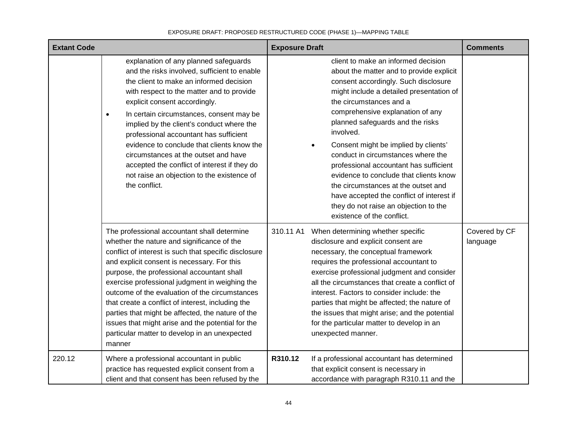| <b>Extant Code</b> |                                                                                                                                                                                                                                                                                                                                                                                                                                                                                                                                                                               | <b>Exposure Draft</b>                                                                                                                                                                                                                                                                                                                                                                                                                                                                                                                                                                                            | <b>Comments</b>           |
|--------------------|-------------------------------------------------------------------------------------------------------------------------------------------------------------------------------------------------------------------------------------------------------------------------------------------------------------------------------------------------------------------------------------------------------------------------------------------------------------------------------------------------------------------------------------------------------------------------------|------------------------------------------------------------------------------------------------------------------------------------------------------------------------------------------------------------------------------------------------------------------------------------------------------------------------------------------------------------------------------------------------------------------------------------------------------------------------------------------------------------------------------------------------------------------------------------------------------------------|---------------------------|
|                    | explanation of any planned safeguards<br>and the risks involved, sufficient to enable<br>the client to make an informed decision<br>with respect to the matter and to provide<br>explicit consent accordingly.<br>In certain circumstances, consent may be<br>implied by the client's conduct where the<br>professional accountant has sufficient<br>evidence to conclude that clients know the<br>circumstances at the outset and have<br>accepted the conflict of interest if they do<br>not raise an objection to the existence of<br>the conflict.                        | client to make an informed decision<br>about the matter and to provide explicit<br>consent accordingly. Such disclosure<br>might include a detailed presentation of<br>the circumstances and a<br>comprehensive explanation of any<br>planned safeguards and the risks<br>involved.<br>Consent might be implied by clients'<br>conduct in circumstances where the<br>professional accountant has sufficient<br>evidence to conclude that clients know<br>the circumstances at the outset and<br>have accepted the conflict of interest if<br>they do not raise an objection to the<br>existence of the conflict. |                           |
|                    | The professional accountant shall determine<br>whether the nature and significance of the<br>conflict of interest is such that specific disclosure<br>and explicit consent is necessary. For this<br>purpose, the professional accountant shall<br>exercise professional judgment in weighing the<br>outcome of the evaluation of the circumstances<br>that create a conflict of interest, including the<br>parties that might be affected, the nature of the<br>issues that might arise and the potential for the<br>particular matter to develop in an unexpected<br>manner | 310.11 A1<br>When determining whether specific<br>disclosure and explicit consent are<br>necessary, the conceptual framework<br>requires the professional accountant to<br>exercise professional judgment and consider<br>all the circumstances that create a conflict of<br>interest. Factors to consider include: the<br>parties that might be affected; the nature of<br>the issues that might arise; and the potential<br>for the particular matter to develop in an<br>unexpected manner.                                                                                                                   | Covered by CF<br>language |
| 220.12             | Where a professional accountant in public<br>practice has requested explicit consent from a<br>client and that consent has been refused by the                                                                                                                                                                                                                                                                                                                                                                                                                                | R310.12<br>If a professional accountant has determined<br>that explicit consent is necessary in<br>accordance with paragraph R310.11 and the                                                                                                                                                                                                                                                                                                                                                                                                                                                                     |                           |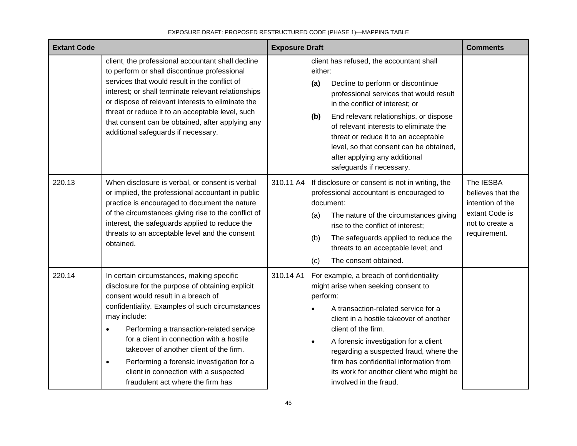| <b>Extant Code</b> |                                                                                                                                                                                                                                                                                                                                                                                                                                                                                                  | <b>Exposure Draft</b>                                                                                                                                                                                                                                                                                                                                                                                                             | <b>Comments</b>                                                                                         |
|--------------------|--------------------------------------------------------------------------------------------------------------------------------------------------------------------------------------------------------------------------------------------------------------------------------------------------------------------------------------------------------------------------------------------------------------------------------------------------------------------------------------------------|-----------------------------------------------------------------------------------------------------------------------------------------------------------------------------------------------------------------------------------------------------------------------------------------------------------------------------------------------------------------------------------------------------------------------------------|---------------------------------------------------------------------------------------------------------|
|                    | client, the professional accountant shall decline<br>to perform or shall discontinue professional<br>services that would result in the conflict of<br>interest; or shall terminate relevant relationships<br>or dispose of relevant interests to eliminate the<br>threat or reduce it to an acceptable level, such<br>that consent can be obtained, after applying any<br>additional safeguards if necessary.                                                                                    | client has refused, the accountant shall<br>either:<br>Decline to perform or discontinue<br>(a)<br>professional services that would result<br>in the conflict of interest; or<br>End relevant relationships, or dispose<br>(b)<br>of relevant interests to eliminate the<br>threat or reduce it to an acceptable<br>level, so that consent can be obtained,<br>after applying any additional<br>safeguards if necessary.          |                                                                                                         |
| 220.13             | When disclosure is verbal, or consent is verbal<br>or implied, the professional accountant in public<br>practice is encouraged to document the nature<br>of the circumstances giving rise to the conflict of<br>interest, the safeguards applied to reduce the<br>threats to an acceptable level and the consent<br>obtained.                                                                                                                                                                    | 310.11 A4<br>If disclosure or consent is not in writing, the<br>professional accountant is encouraged to<br>document:<br>The nature of the circumstances giving<br>(a)<br>rise to the conflict of interest;<br>(b)<br>The safeguards applied to reduce the<br>threats to an acceptable level; and<br>The consent obtained.<br>(c)                                                                                                 | The IESBA<br>believes that the<br>intention of the<br>extant Code is<br>not to create a<br>requirement. |
| 220.14             | In certain circumstances, making specific<br>disclosure for the purpose of obtaining explicit<br>consent would result in a breach of<br>confidentiality. Examples of such circumstances<br>may include:<br>Performing a transaction-related service<br>$\bullet$<br>for a client in connection with a hostile<br>takeover of another client of the firm.<br>Performing a forensic investigation for a<br>$\bullet$<br>client in connection with a suspected<br>fraudulent act where the firm has | 310.14 A1<br>For example, a breach of confidentiality<br>might arise when seeking consent to<br>perform:<br>A transaction-related service for a<br>client in a hostile takeover of another<br>client of the firm.<br>A forensic investigation for a client<br>$\bullet$<br>regarding a suspected fraud, where the<br>firm has confidential information from<br>its work for another client who might be<br>involved in the fraud. |                                                                                                         |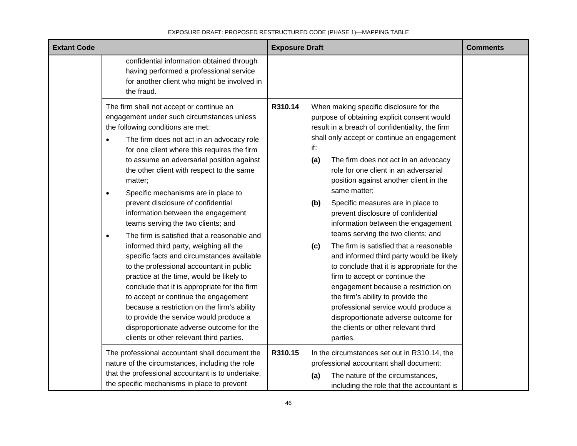| <b>Extant Code</b> |                                                                                                                                                                                                                                                                                                                                                                                                                                                                                                                                                                                                                                                                                                                                                                                                                                                                                                                                                                                                                                      | <b>Exposure Draft</b> |                                                                                                                                                                                                                                                                                                                                                                                                                                                                                                                                                                                                                                                                                                                                                                                                                                                                                                              | <b>Comments</b> |
|--------------------|--------------------------------------------------------------------------------------------------------------------------------------------------------------------------------------------------------------------------------------------------------------------------------------------------------------------------------------------------------------------------------------------------------------------------------------------------------------------------------------------------------------------------------------------------------------------------------------------------------------------------------------------------------------------------------------------------------------------------------------------------------------------------------------------------------------------------------------------------------------------------------------------------------------------------------------------------------------------------------------------------------------------------------------|-----------------------|--------------------------------------------------------------------------------------------------------------------------------------------------------------------------------------------------------------------------------------------------------------------------------------------------------------------------------------------------------------------------------------------------------------------------------------------------------------------------------------------------------------------------------------------------------------------------------------------------------------------------------------------------------------------------------------------------------------------------------------------------------------------------------------------------------------------------------------------------------------------------------------------------------------|-----------------|
|                    | confidential information obtained through<br>having performed a professional service<br>for another client who might be involved in<br>the fraud.                                                                                                                                                                                                                                                                                                                                                                                                                                                                                                                                                                                                                                                                                                                                                                                                                                                                                    |                       |                                                                                                                                                                                                                                                                                                                                                                                                                                                                                                                                                                                                                                                                                                                                                                                                                                                                                                              |                 |
|                    | The firm shall not accept or continue an<br>engagement under such circumstances unless<br>the following conditions are met:<br>The firm does not act in an advocacy role<br>$\bullet$<br>for one client where this requires the firm<br>to assume an adversarial position against<br>the other client with respect to the same<br>matter;<br>Specific mechanisms are in place to<br>$\bullet$<br>prevent disclosure of confidential<br>information between the engagement<br>teams serving the two clients; and<br>The firm is satisfied that a reasonable and<br>$\bullet$<br>informed third party, weighing all the<br>specific facts and circumstances available<br>to the professional accountant in public<br>practice at the time, would be likely to<br>conclude that it is appropriate for the firm<br>to accept or continue the engagement<br>because a restriction on the firm's ability<br>to provide the service would produce a<br>disproportionate adverse outcome for the<br>clients or other relevant third parties. | R310.14               | When making specific disclosure for the<br>purpose of obtaining explicit consent would<br>result in a breach of confidentiality, the firm<br>shall only accept or continue an engagement<br>if:<br>(a)<br>The firm does not act in an advocacy<br>role for one client in an adversarial<br>position against another client in the<br>same matter;<br>Specific measures are in place to<br>(b)<br>prevent disclosure of confidential<br>information between the engagement<br>teams serving the two clients; and<br>The firm is satisfied that a reasonable<br>(c)<br>and informed third party would be likely<br>to conclude that it is appropriate for the<br>firm to accept or continue the<br>engagement because a restriction on<br>the firm's ability to provide the<br>professional service would produce a<br>disproportionate adverse outcome for<br>the clients or other relevant third<br>parties. |                 |
|                    | The professional accountant shall document the<br>nature of the circumstances, including the role<br>that the professional accountant is to undertake,<br>the specific mechanisms in place to prevent                                                                                                                                                                                                                                                                                                                                                                                                                                                                                                                                                                                                                                                                                                                                                                                                                                | R310.15               | In the circumstances set out in R310.14, the<br>professional accountant shall document:<br>The nature of the circumstances,<br>(a)<br>including the role that the accountant is                                                                                                                                                                                                                                                                                                                                                                                                                                                                                                                                                                                                                                                                                                                              |                 |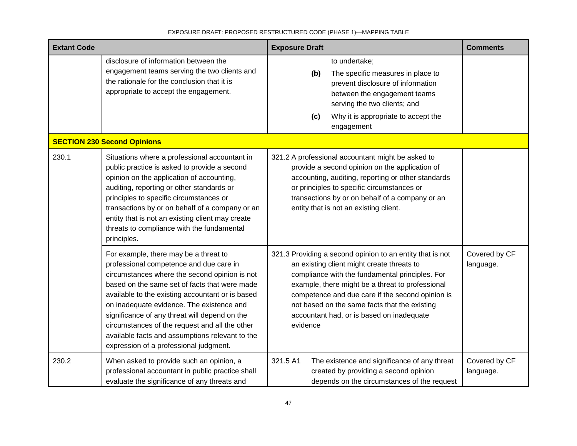| <b>Extant Code</b> |                                                                                                                                                                                                                                                                                                                                                                                                                                                                                     | <b>Exposure Draft</b> |                                                                                                                                                                                                                                                                                                                                                                  | <b>Comments</b>            |
|--------------------|-------------------------------------------------------------------------------------------------------------------------------------------------------------------------------------------------------------------------------------------------------------------------------------------------------------------------------------------------------------------------------------------------------------------------------------------------------------------------------------|-----------------------|------------------------------------------------------------------------------------------------------------------------------------------------------------------------------------------------------------------------------------------------------------------------------------------------------------------------------------------------------------------|----------------------------|
|                    | disclosure of information between the<br>engagement teams serving the two clients and<br>the rationale for the conclusion that it is<br>appropriate to accept the engagement.                                                                                                                                                                                                                                                                                                       | (b)<br>(c)            | to undertake;<br>The specific measures in place to<br>prevent disclosure of information<br>between the engagement teams<br>serving the two clients; and<br>Why it is appropriate to accept the<br>engagement                                                                                                                                                     |                            |
|                    | <b>SECTION 230 Second Opinions</b>                                                                                                                                                                                                                                                                                                                                                                                                                                                  |                       |                                                                                                                                                                                                                                                                                                                                                                  |                            |
| 230.1              | Situations where a professional accountant in<br>public practice is asked to provide a second<br>opinion on the application of accounting,<br>auditing, reporting or other standards or<br>principles to specific circumstances or<br>transactions by or on behalf of a company or an<br>entity that is not an existing client may create<br>threats to compliance with the fundamental<br>principles.                                                                              |                       | 321.2 A professional accountant might be asked to<br>provide a second opinion on the application of<br>accounting, auditing, reporting or other standards<br>or principles to specific circumstances or<br>transactions by or on behalf of a company or an<br>entity that is not an existing client.                                                             |                            |
|                    | For example, there may be a threat to<br>professional competence and due care in<br>circumstances where the second opinion is not<br>based on the same set of facts that were made<br>available to the existing accountant or is based<br>on inadequate evidence. The existence and<br>significance of any threat will depend on the<br>circumstances of the request and all the other<br>available facts and assumptions relevant to the<br>expression of a professional judgment. | evidence              | 321.3 Providing a second opinion to an entity that is not<br>an existing client might create threats to<br>compliance with the fundamental principles. For<br>example, there might be a threat to professional<br>competence and due care if the second opinion is<br>not based on the same facts that the existing<br>accountant had, or is based on inadequate | Covered by CF<br>language. |
| 230.2              | When asked to provide such an opinion, a<br>professional accountant in public practice shall<br>evaluate the significance of any threats and                                                                                                                                                                                                                                                                                                                                        | 321.5 A1              | The existence and significance of any threat<br>created by providing a second opinion<br>depends on the circumstances of the request                                                                                                                                                                                                                             | Covered by CF<br>language. |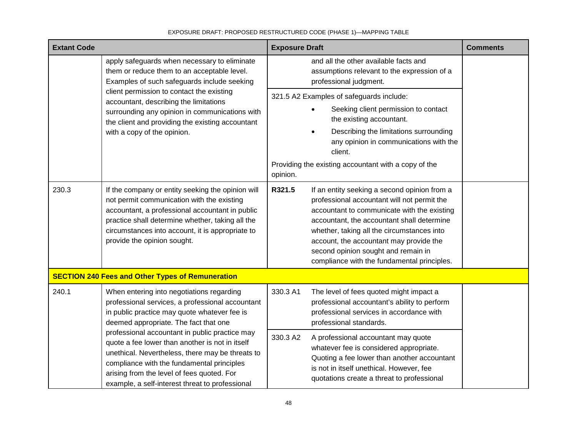| <b>Extant Code</b>                                                                                                                                                                                                                                                                                   |                                                                                                                                                                                                                                                                                           | <b>Exposure Draft</b>                                                                                                                                                                                                   |                                                                                                                                                                                                                                                                                                                                                                         | <b>Comments</b> |
|------------------------------------------------------------------------------------------------------------------------------------------------------------------------------------------------------------------------------------------------------------------------------------------------------|-------------------------------------------------------------------------------------------------------------------------------------------------------------------------------------------------------------------------------------------------------------------------------------------|-------------------------------------------------------------------------------------------------------------------------------------------------------------------------------------------------------------------------|-------------------------------------------------------------------------------------------------------------------------------------------------------------------------------------------------------------------------------------------------------------------------------------------------------------------------------------------------------------------------|-----------------|
|                                                                                                                                                                                                                                                                                                      | apply safeguards when necessary to eliminate<br>them or reduce them to an acceptable level.<br>Examples of such safeguards include seeking                                                                                                                                                | and all the other available facts and<br>assumptions relevant to the expression of a<br>professional judgment.                                                                                                          |                                                                                                                                                                                                                                                                                                                                                                         |                 |
|                                                                                                                                                                                                                                                                                                      | client permission to contact the existing<br>accountant, describing the limitations<br>surrounding any opinion in communications with<br>the client and providing the existing accountant<br>with a copy of the opinion.                                                                  | opinion.                                                                                                                                                                                                                | 321.5 A2 Examples of safeguards include:<br>Seeking client permission to contact<br>the existing accountant.<br>Describing the limitations surrounding<br>$\bullet$<br>any opinion in communications with the<br>client.<br>Providing the existing accountant with a copy of the                                                                                        |                 |
| 230.3                                                                                                                                                                                                                                                                                                | If the company or entity seeking the opinion will<br>not permit communication with the existing<br>accountant, a professional accountant in public<br>practice shall determine whether, taking all the<br>circumstances into account, it is appropriate to<br>provide the opinion sought. | R321.5                                                                                                                                                                                                                  | If an entity seeking a second opinion from a<br>professional accountant will not permit the<br>accountant to communicate with the existing<br>accountant, the accountant shall determine<br>whether, taking all the circumstances into<br>account, the accountant may provide the<br>second opinion sought and remain in<br>compliance with the fundamental principles. |                 |
|                                                                                                                                                                                                                                                                                                      | <b>SECTION 240 Fees and Other Types of Remuneration</b>                                                                                                                                                                                                                                   |                                                                                                                                                                                                                         |                                                                                                                                                                                                                                                                                                                                                                         |                 |
| 240.1                                                                                                                                                                                                                                                                                                | When entering into negotiations regarding<br>professional services, a professional accountant<br>in public practice may quote whatever fee is<br>deemed appropriate. The fact that one                                                                                                    | 330.3 A1                                                                                                                                                                                                                | The level of fees quoted might impact a<br>professional accountant's ability to perform<br>professional services in accordance with<br>professional standards.                                                                                                                                                                                                          |                 |
| professional accountant in public practice may<br>quote a fee lower than another is not in itself<br>unethical. Nevertheless, there may be threats to<br>compliance with the fundamental principles<br>arising from the level of fees quoted. For<br>example, a self-interest threat to professional | 330.3 A2                                                                                                                                                                                                                                                                                  | A professional accountant may quote<br>whatever fee is considered appropriate.<br>Quoting a fee lower than another accountant<br>is not in itself unethical. However, fee<br>quotations create a threat to professional |                                                                                                                                                                                                                                                                                                                                                                         |                 |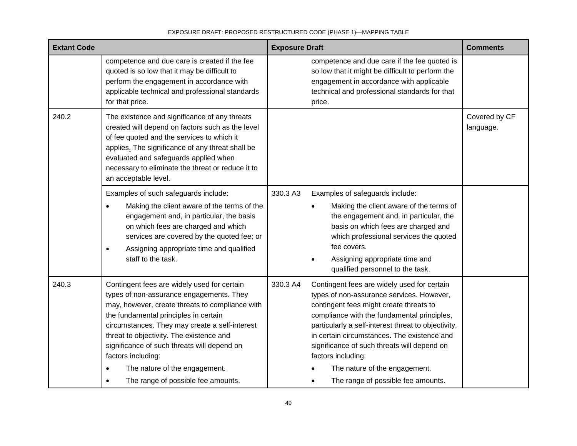| <b>Extant Code</b> |                                                                                                                                                                                                                                                                                                                                                                                                                                                         | <b>Exposure Draft</b>                                                                                                                                                                                                                                                                                                                                                                                                                            | <b>Comments</b>            |
|--------------------|---------------------------------------------------------------------------------------------------------------------------------------------------------------------------------------------------------------------------------------------------------------------------------------------------------------------------------------------------------------------------------------------------------------------------------------------------------|--------------------------------------------------------------------------------------------------------------------------------------------------------------------------------------------------------------------------------------------------------------------------------------------------------------------------------------------------------------------------------------------------------------------------------------------------|----------------------------|
|                    | competence and due care is created if the fee<br>quoted is so low that it may be difficult to<br>perform the engagement in accordance with<br>applicable technical and professional standards<br>for that price.                                                                                                                                                                                                                                        | competence and due care if the fee quoted is<br>so low that it might be difficult to perform the<br>engagement in accordance with applicable<br>technical and professional standards for that<br>price.                                                                                                                                                                                                                                          |                            |
| 240.2              | The existence and significance of any threats<br>created will depend on factors such as the level<br>of fee quoted and the services to which it<br>applies. The significance of any threat shall be<br>evaluated and safeguards applied when<br>necessary to eliminate the threat or reduce it to<br>an acceptable level.                                                                                                                               |                                                                                                                                                                                                                                                                                                                                                                                                                                                  | Covered by CF<br>language. |
|                    | Examples of such safeguards include:<br>Making the client aware of the terms of the<br>$\bullet$<br>engagement and, in particular, the basis<br>on which fees are charged and which<br>services are covered by the quoted fee; or<br>Assigning appropriate time and qualified<br>$\bullet$<br>staff to the task.                                                                                                                                        | 330.3 A3<br>Examples of safeguards include:<br>Making the client aware of the terms of<br>the engagement and, in particular, the<br>basis on which fees are charged and<br>which professional services the quoted<br>fee covers.<br>Assigning appropriate time and<br>qualified personnel to the task.                                                                                                                                           |                            |
| 240.3              | Contingent fees are widely used for certain<br>types of non-assurance engagements. They<br>may, however, create threats to compliance with<br>the fundamental principles in certain<br>circumstances. They may create a self-interest<br>threat to objectivity. The existence and<br>significance of such threats will depend on<br>factors including:<br>The nature of the engagement.<br>$\bullet$<br>The range of possible fee amounts.<br>$\bullet$ | 330.3 A4<br>Contingent fees are widely used for certain<br>types of non-assurance services. However,<br>contingent fees might create threats to<br>compliance with the fundamental principles,<br>particularly a self-interest threat to objectivity,<br>in certain circumstances. The existence and<br>significance of such threats will depend on<br>factors including:<br>The nature of the engagement.<br>The range of possible fee amounts. |                            |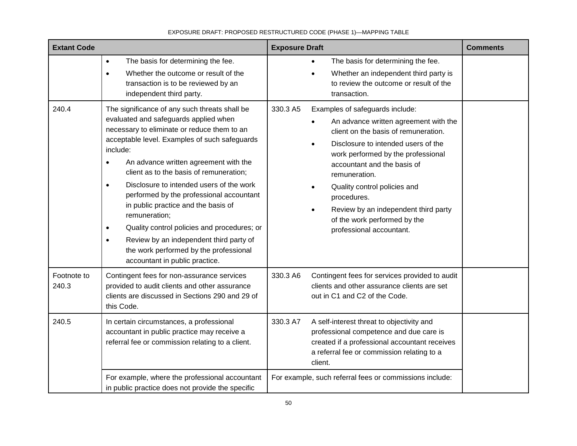| <b>Extant Code</b>   |                                                                                                                                                                                                                                                                                                                                                                                                                                                                                                                                                                                                                                             | <b>Exposure Draft</b>                                                                                                                                                                                                                                                                                                                                                                                                     | <b>Comments</b> |
|----------------------|---------------------------------------------------------------------------------------------------------------------------------------------------------------------------------------------------------------------------------------------------------------------------------------------------------------------------------------------------------------------------------------------------------------------------------------------------------------------------------------------------------------------------------------------------------------------------------------------------------------------------------------------|---------------------------------------------------------------------------------------------------------------------------------------------------------------------------------------------------------------------------------------------------------------------------------------------------------------------------------------------------------------------------------------------------------------------------|-----------------|
|                      | The basis for determining the fee.<br>$\bullet$<br>Whether the outcome or result of the<br>$\bullet$<br>transaction is to be reviewed by an<br>independent third party.                                                                                                                                                                                                                                                                                                                                                                                                                                                                     | The basis for determining the fee.<br>$\bullet$<br>Whether an independent third party is<br>$\bullet$<br>to review the outcome or result of the<br>transaction.                                                                                                                                                                                                                                                           |                 |
| 240.4                | The significance of any such threats shall be<br>evaluated and safeguards applied when<br>necessary to eliminate or reduce them to an<br>acceptable level. Examples of such safeguards<br>include:<br>An advance written agreement with the<br>client as to the basis of remuneration;<br>Disclosure to intended users of the work<br>$\bullet$<br>performed by the professional accountant<br>in public practice and the basis of<br>remuneration;<br>Quality control policies and procedures; or<br>٠<br>Review by an independent third party of<br>$\bullet$<br>the work performed by the professional<br>accountant in public practice. | 330.3 A5<br>Examples of safeguards include:<br>An advance written agreement with the<br>client on the basis of remuneration.<br>Disclosure to intended users of the<br>$\bullet$<br>work performed by the professional<br>accountant and the basis of<br>remuneration.<br>Quality control policies and<br>procedures.<br>Review by an independent third party<br>of the work performed by the<br>professional accountant. |                 |
| Footnote to<br>240.3 | Contingent fees for non-assurance services<br>provided to audit clients and other assurance<br>clients are discussed in Sections 290 and 29 of<br>this Code.                                                                                                                                                                                                                                                                                                                                                                                                                                                                                | 330.3 A6<br>Contingent fees for services provided to audit<br>clients and other assurance clients are set<br>out in C1 and C2 of the Code.                                                                                                                                                                                                                                                                                |                 |
| 240.5                | In certain circumstances, a professional<br>accountant in public practice may receive a<br>referral fee or commission relating to a client.                                                                                                                                                                                                                                                                                                                                                                                                                                                                                                 | 330.3 A7<br>A self-interest threat to objectivity and<br>professional competence and due care is<br>created if a professional accountant receives<br>a referral fee or commission relating to a<br>client.                                                                                                                                                                                                                |                 |
|                      | For example, where the professional accountant<br>in public practice does not provide the specific                                                                                                                                                                                                                                                                                                                                                                                                                                                                                                                                          | For example, such referral fees or commissions include:                                                                                                                                                                                                                                                                                                                                                                   |                 |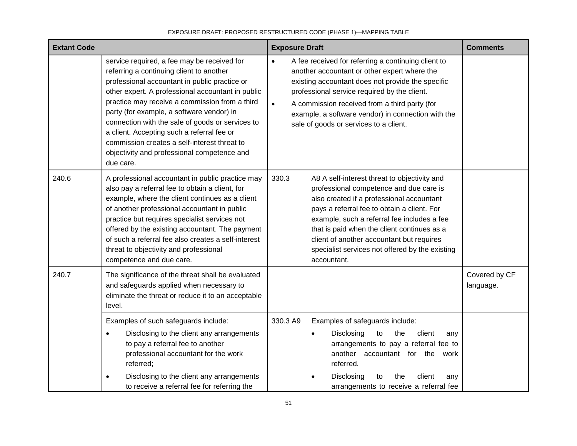| <b>Extant Code</b> |                                                                                                                                                                                                                                                                                                                                                                                                                                                                                                            | <b>Exposure Draft</b>                                                                                                                                                                                                                                                                                                                                                                                     | <b>Comments</b>            |
|--------------------|------------------------------------------------------------------------------------------------------------------------------------------------------------------------------------------------------------------------------------------------------------------------------------------------------------------------------------------------------------------------------------------------------------------------------------------------------------------------------------------------------------|-----------------------------------------------------------------------------------------------------------------------------------------------------------------------------------------------------------------------------------------------------------------------------------------------------------------------------------------------------------------------------------------------------------|----------------------------|
|                    | service required, a fee may be received for<br>referring a continuing client to another<br>professional accountant in public practice or<br>other expert. A professional accountant in public<br>practice may receive a commission from a third<br>party (for example, a software vendor) in<br>connection with the sale of goods or services to<br>a client. Accepting such a referral fee or<br>commission creates a self-interest threat to<br>objectivity and professional competence and<br>due care. | A fee received for referring a continuing client to<br>$\bullet$<br>another accountant or other expert where the<br>existing accountant does not provide the specific<br>professional service required by the client.<br>A commission received from a third party (for<br>$\bullet$<br>example, a software vendor) in connection with the<br>sale of goods or services to a client.                       |                            |
| 240.6              | A professional accountant in public practice may<br>also pay a referral fee to obtain a client, for<br>example, where the client continues as a client<br>of another professional accountant in public<br>practice but requires specialist services not<br>offered by the existing accountant. The payment<br>of such a referral fee also creates a self-interest<br>threat to objectivity and professional<br>competence and due care.                                                                    | 330.3<br>A8 A self-interest threat to objectivity and<br>professional competence and due care is<br>also created if a professional accountant<br>pays a referral fee to obtain a client. For<br>example, such a referral fee includes a fee<br>that is paid when the client continues as a<br>client of another accountant but requires<br>specialist services not offered by the existing<br>accountant. |                            |
| 240.7              | The significance of the threat shall be evaluated<br>and safeguards applied when necessary to<br>eliminate the threat or reduce it to an acceptable<br>level.                                                                                                                                                                                                                                                                                                                                              |                                                                                                                                                                                                                                                                                                                                                                                                           | Covered by CF<br>language. |
|                    | Examples of such safeguards include:<br>Disclosing to the client any arrangements<br>to pay a referral fee to another<br>professional accountant for the work<br>referred;<br>Disclosing to the client any arrangements<br>to receive a referral fee for referring the                                                                                                                                                                                                                                     | 330.3 A9<br>Examples of safeguards include:<br>Disclosing<br>the<br>client<br>to<br>any<br>arrangements to pay a referral fee to<br>another accountant for the<br>work<br>referred.<br>Disclosing<br>to<br>the<br>client<br>any<br>arrangements to receive a referral fee                                                                                                                                 |                            |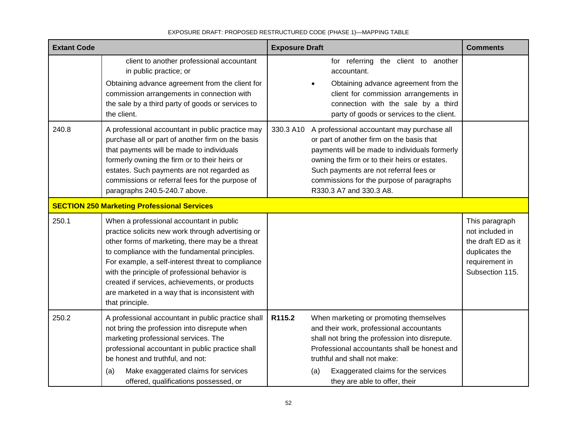| <b>Extant Code</b> |                                                                                                                                                                                                                                                                                                                                                                                                                                   | <b>Exposure Draft</b>                                                                                                                                                                                                                                                                                                    | <b>Comments</b>                                                                                                |
|--------------------|-----------------------------------------------------------------------------------------------------------------------------------------------------------------------------------------------------------------------------------------------------------------------------------------------------------------------------------------------------------------------------------------------------------------------------------|--------------------------------------------------------------------------------------------------------------------------------------------------------------------------------------------------------------------------------------------------------------------------------------------------------------------------|----------------------------------------------------------------------------------------------------------------|
|                    | client to another professional accountant<br>in public practice; or<br>Obtaining advance agreement from the client for<br>commission arrangements in connection with<br>the sale by a third party of goods or services to<br>the client.                                                                                                                                                                                          | for referring the client to another<br>accountant.<br>Obtaining advance agreement from the<br>$\bullet$<br>client for commission arrangements in<br>connection with the sale by a third<br>party of goods or services to the client.                                                                                     |                                                                                                                |
| 240.8              | A professional accountant in public practice may<br>purchase all or part of another firm on the basis<br>that payments will be made to individuals<br>formerly owning the firm or to their heirs or<br>estates. Such payments are not regarded as<br>commissions or referral fees for the purpose of<br>paragraphs 240.5-240.7 above.                                                                                             | 330.3 A10<br>A professional accountant may purchase all<br>or part of another firm on the basis that<br>payments will be made to individuals formerly<br>owning the firm or to their heirs or estates.<br>Such payments are not referral fees or<br>commissions for the purpose of paragraphs<br>R330.3 A7 and 330.3 A8. |                                                                                                                |
|                    | <b>SECTION 250 Marketing Professional Services</b>                                                                                                                                                                                                                                                                                                                                                                                |                                                                                                                                                                                                                                                                                                                          |                                                                                                                |
| 250.1              | When a professional accountant in public<br>practice solicits new work through advertising or<br>other forms of marketing, there may be a threat<br>to compliance with the fundamental principles.<br>For example, a self-interest threat to compliance<br>with the principle of professional behavior is<br>created if services, achievements, or products<br>are marketed in a way that is inconsistent with<br>that principle. |                                                                                                                                                                                                                                                                                                                          | This paragraph<br>not included in<br>the draft ED as it<br>duplicates the<br>requirement in<br>Subsection 115. |
| 250.2              | A professional accountant in public practice shall<br>not bring the profession into disrepute when<br>marketing professional services. The<br>professional accountant in public practice shall<br>be honest and truthful, and not:<br>Make exaggerated claims for services<br>(a)<br>offered, qualifications possessed, or                                                                                                        | R115.2<br>When marketing or promoting themselves<br>and their work, professional accountants<br>shall not bring the profession into disrepute.<br>Professional accountants shall be honest and<br>truthful and shall not make:<br>Exaggerated claims for the services<br>(a)<br>they are able to offer, their            |                                                                                                                |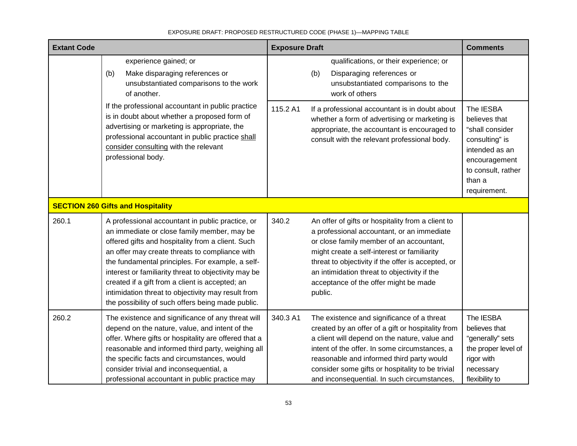| <b>Extant Code</b>                                                                                                                                                                                                                                                   |                                                                                                                                                                                                                                                                                                                                                                                                                                                                                  | <b>Exposure Draft</b>                                                                                                                                                                                                                                                                                                                                         | <b>Comments</b>                                                                                                    |
|----------------------------------------------------------------------------------------------------------------------------------------------------------------------------------------------------------------------------------------------------------------------|----------------------------------------------------------------------------------------------------------------------------------------------------------------------------------------------------------------------------------------------------------------------------------------------------------------------------------------------------------------------------------------------------------------------------------------------------------------------------------|---------------------------------------------------------------------------------------------------------------------------------------------------------------------------------------------------------------------------------------------------------------------------------------------------------------------------------------------------------------|--------------------------------------------------------------------------------------------------------------------|
|                                                                                                                                                                                                                                                                      | experience gained; or<br>Make disparaging references or<br>(b)<br>unsubstantiated comparisons to the work<br>of another.                                                                                                                                                                                                                                                                                                                                                         | qualifications, or their experience; or<br>Disparaging references or<br>(b)<br>unsubstantiated comparisons to the<br>work of others                                                                                                                                                                                                                           |                                                                                                                    |
| If the professional accountant in public practice<br>is in doubt about whether a proposed form of<br>advertising or marketing is appropriate, the<br>professional accountant in public practice shall<br>consider consulting with the relevant<br>professional body. | 115.2 A1<br>If a professional accountant is in doubt about<br>whether a form of advertising or marketing is<br>appropriate, the accountant is encouraged to<br>consult with the relevant professional body.                                                                                                                                                                                                                                                                      | The IESBA<br>believes that<br>"shall consider<br>consulting" is<br>intended as an<br>encouragement<br>to consult, rather<br>than a<br>requirement.                                                                                                                                                                                                            |                                                                                                                    |
| <b>SECTION 260 Gifts and Hospitality</b>                                                                                                                                                                                                                             |                                                                                                                                                                                                                                                                                                                                                                                                                                                                                  |                                                                                                                                                                                                                                                                                                                                                               |                                                                                                                    |
| 260.1                                                                                                                                                                                                                                                                | A professional accountant in public practice, or<br>an immediate or close family member, may be<br>offered gifts and hospitality from a client. Such<br>an offer may create threats to compliance with<br>the fundamental principles. For example, a self-<br>interest or familiarity threat to objectivity may be<br>created if a gift from a client is accepted; an<br>intimidation threat to objectivity may result from<br>the possibility of such offers being made public. | 340.2<br>An offer of gifts or hospitality from a client to<br>a professional accountant, or an immediate<br>or close family member of an accountant,<br>might create a self-interest or familiarity<br>threat to objectivity if the offer is accepted, or<br>an intimidation threat to objectivity if the<br>acceptance of the offer might be made<br>public. |                                                                                                                    |
| 260.2                                                                                                                                                                                                                                                                | The existence and significance of any threat will<br>depend on the nature, value, and intent of the<br>offer. Where gifts or hospitality are offered that a<br>reasonable and informed third party, weighing all<br>the specific facts and circumstances, would<br>consider trivial and inconsequential, a<br>professional accountant in public practice may                                                                                                                     | 340.3 A1<br>The existence and significance of a threat<br>created by an offer of a gift or hospitality from<br>a client will depend on the nature, value and<br>intent of the offer. In some circumstances, a<br>reasonable and informed third party would<br>consider some gifts or hospitality to be trivial<br>and inconsequential. In such circumstances, | The IESBA<br>believes that<br>"generally" sets<br>the proper level of<br>rigor with<br>necessary<br>flexibility to |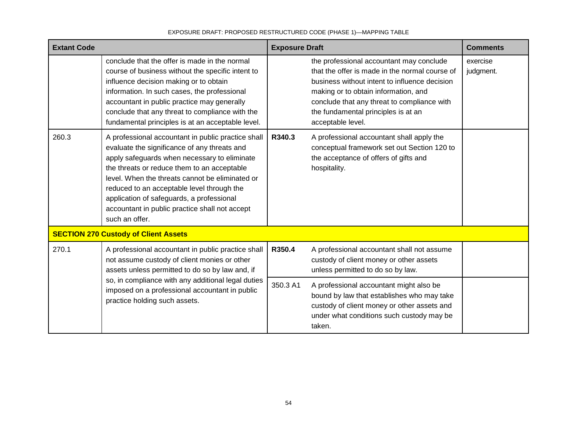| <b>Extant Code</b> |                                                                                                                                                                                                                                                                                                                                                                                                                     | <b>Exposure Draft</b> |                                                                                                                                                                                                                                                                                                | <b>Comments</b>       |
|--------------------|---------------------------------------------------------------------------------------------------------------------------------------------------------------------------------------------------------------------------------------------------------------------------------------------------------------------------------------------------------------------------------------------------------------------|-----------------------|------------------------------------------------------------------------------------------------------------------------------------------------------------------------------------------------------------------------------------------------------------------------------------------------|-----------------------|
|                    | conclude that the offer is made in the normal<br>course of business without the specific intent to<br>influence decision making or to obtain<br>information. In such cases, the professional<br>accountant in public practice may generally<br>conclude that any threat to compliance with the<br>fundamental principles is at an acceptable level.                                                                 |                       | the professional accountant may conclude<br>that the offer is made in the normal course of<br>business without intent to influence decision<br>making or to obtain information, and<br>conclude that any threat to compliance with<br>the fundamental principles is at an<br>acceptable level. | exercise<br>judgment. |
| 260.3              | A professional accountant in public practice shall<br>evaluate the significance of any threats and<br>apply safeguards when necessary to eliminate<br>the threats or reduce them to an acceptable<br>level. When the threats cannot be eliminated or<br>reduced to an acceptable level through the<br>application of safeguards, a professional<br>accountant in public practice shall not accept<br>such an offer. | R340.3                | A professional accountant shall apply the<br>conceptual framework set out Section 120 to<br>the acceptance of offers of gifts and<br>hospitality.                                                                                                                                              |                       |
|                    | <b>SECTION 270 Custody of Client Assets</b>                                                                                                                                                                                                                                                                                                                                                                         |                       |                                                                                                                                                                                                                                                                                                |                       |
| 270.1              | A professional accountant in public practice shall<br>not assume custody of client monies or other<br>assets unless permitted to do so by law and, if                                                                                                                                                                                                                                                               | R350.4                | A professional accountant shall not assume<br>custody of client money or other assets<br>unless permitted to do so by law.                                                                                                                                                                     |                       |
|                    | so, in compliance with any additional legal duties<br>imposed on a professional accountant in public<br>practice holding such assets.                                                                                                                                                                                                                                                                               | 350.3 A1              | A professional accountant might also be<br>bound by law that establishes who may take<br>custody of client money or other assets and<br>under what conditions such custody may be<br>taken.                                                                                                    |                       |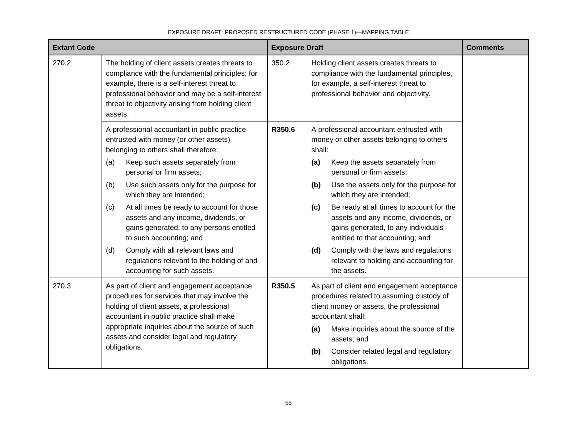| EXPOSURE DRAFT: PROPOSED RESTRUCTURED CODE (PHASE 1)—MAPPING TABLE |  |  |
|--------------------------------------------------------------------|--|--|
|--------------------------------------------------------------------|--|--|

| <b>Extant Code</b> |                                                                                                                                                                                                                                                                                                                                                                                                                                                                                                                                                                                   | <b>Exposure Draft</b>                                                                                                                                                                                                                                                                                                                                                                                                                                                                                                                       | <b>Comments</b> |
|--------------------|-----------------------------------------------------------------------------------------------------------------------------------------------------------------------------------------------------------------------------------------------------------------------------------------------------------------------------------------------------------------------------------------------------------------------------------------------------------------------------------------------------------------------------------------------------------------------------------|---------------------------------------------------------------------------------------------------------------------------------------------------------------------------------------------------------------------------------------------------------------------------------------------------------------------------------------------------------------------------------------------------------------------------------------------------------------------------------------------------------------------------------------------|-----------------|
| 270.2              | The holding of client assets creates threats to<br>compliance with the fundamental principles; for<br>example, there is a self-interest threat to<br>professional behavior and may be a self-interest<br>threat to objectivity arising from holding client<br>assets.                                                                                                                                                                                                                                                                                                             | 350.2<br>Holding client assets creates threats to<br>compliance with the fundamental principles,<br>for example, a self-interest threat to<br>professional behavior and objectivity.                                                                                                                                                                                                                                                                                                                                                        |                 |
|                    | A professional accountant in public practice<br>entrusted with money (or other assets)<br>belonging to others shall therefore:<br>Keep such assets separately from<br>(a)<br>personal or firm assets;<br>Use such assets only for the purpose for<br>(b)<br>which they are intended;<br>At all times be ready to account for those<br>(c)<br>assets and any income, dividends, or<br>gains generated, to any persons entitled<br>to such accounting; and<br>Comply with all relevant laws and<br>(d)<br>regulations relevant to the holding of and<br>accounting for such assets. | R350.6<br>A professional accountant entrusted with<br>money or other assets belonging to others<br>shall:<br>Keep the assets separately from<br>(a)<br>personal or firm assets;<br>Use the assets only for the purpose for<br>(b)<br>which they are intended;<br>Be ready at all times to account for the<br>(c)<br>assets and any income, dividends, or<br>gains generated, to any individuals<br>entitled to that accounting; and<br>Comply with the laws and regulations<br>(d)<br>relevant to holding and accounting for<br>the assets. |                 |
| 270.3              | As part of client and engagement acceptance<br>procedures for services that may involve the<br>holding of client assets, a professional<br>accountant in public practice shall make<br>appropriate inquiries about the source of such<br>assets and consider legal and regulatory<br>obligations.                                                                                                                                                                                                                                                                                 | R350.5<br>As part of client and engagement acceptance<br>procedures related to assuming custody of<br>client money or assets, the professional<br>accountant shall:<br>Make inquiries about the source of the<br>(a)<br>assets; and<br>Consider related legal and regulatory<br>(b)<br>obligations.                                                                                                                                                                                                                                         |                 |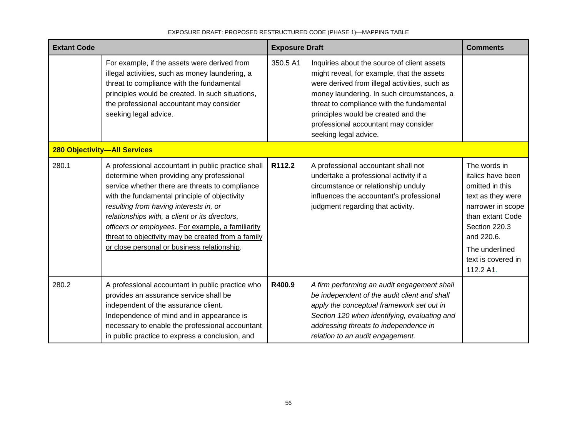| <b>Extant Code</b> |                                                                                                                                                                                                                                                                                                                                                                                                                                                           | <b>Exposure Draft</b> |                                                                                                                                                                                                                                                                                                                                               | <b>Comments</b>                                                                                                                                                                                        |
|--------------------|-----------------------------------------------------------------------------------------------------------------------------------------------------------------------------------------------------------------------------------------------------------------------------------------------------------------------------------------------------------------------------------------------------------------------------------------------------------|-----------------------|-----------------------------------------------------------------------------------------------------------------------------------------------------------------------------------------------------------------------------------------------------------------------------------------------------------------------------------------------|--------------------------------------------------------------------------------------------------------------------------------------------------------------------------------------------------------|
|                    | For example, if the assets were derived from<br>illegal activities, such as money laundering, a<br>threat to compliance with the fundamental<br>principles would be created. In such situations,<br>the professional accountant may consider<br>seeking legal advice.                                                                                                                                                                                     | 350.5 A1              | Inquiries about the source of client assets<br>might reveal, for example, that the assets<br>were derived from illegal activities, such as<br>money laundering. In such circumstances, a<br>threat to compliance with the fundamental<br>principles would be created and the<br>professional accountant may consider<br>seeking legal advice. |                                                                                                                                                                                                        |
|                    | <b>280 Objectivity-All Services</b>                                                                                                                                                                                                                                                                                                                                                                                                                       |                       |                                                                                                                                                                                                                                                                                                                                               |                                                                                                                                                                                                        |
| 280.1              | A professional accountant in public practice shall<br>determine when providing any professional<br>service whether there are threats to compliance<br>with the fundamental principle of objectivity<br>resulting from having interests in, or<br>relationships with, a client or its directors,<br>officers or employees. For example, a familiarity<br>threat to objectivity may be created from a family<br>or close personal or business relationship. | R112.2                | A professional accountant shall not<br>undertake a professional activity if a<br>circumstance or relationship unduly<br>influences the accountant's professional<br>judgment regarding that activity.                                                                                                                                         | The words in<br>italics have been<br>omitted in this<br>text as they were<br>narrower in scope<br>than extant Code<br>Section 220.3<br>and 220.6.<br>The underlined<br>text is covered in<br>112.2 A1. |
| 280.2              | A professional accountant in public practice who<br>provides an assurance service shall be<br>independent of the assurance client.<br>Independence of mind and in appearance is<br>necessary to enable the professional accountant<br>in public practice to express a conclusion, and                                                                                                                                                                     | R400.9                | A firm performing an audit engagement shall<br>be independent of the audit client and shall<br>apply the conceptual framework set out in<br>Section 120 when identifying, evaluating and<br>addressing threats to independence in<br>relation to an audit engagement.                                                                         |                                                                                                                                                                                                        |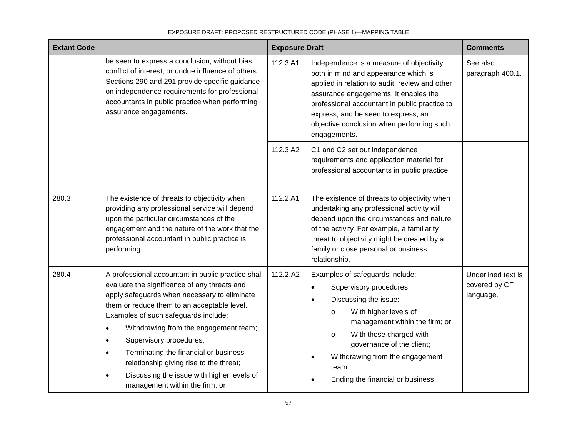| <b>Extant Code</b> |                                                                                                                                                                                                                                                                                                                                                                                                                                                                                                                                       | <b>Exposure Draft</b> |                                                                                                                                                                                                                                                                                                                                  | <b>Comments</b>                                  |
|--------------------|---------------------------------------------------------------------------------------------------------------------------------------------------------------------------------------------------------------------------------------------------------------------------------------------------------------------------------------------------------------------------------------------------------------------------------------------------------------------------------------------------------------------------------------|-----------------------|----------------------------------------------------------------------------------------------------------------------------------------------------------------------------------------------------------------------------------------------------------------------------------------------------------------------------------|--------------------------------------------------|
|                    | be seen to express a conclusion, without bias,<br>conflict of interest, or undue influence of others.<br>Sections 290 and 291 provide specific guidance<br>on independence requirements for professional<br>accountants in public practice when performing<br>assurance engagements.                                                                                                                                                                                                                                                  | 112.3 A1              | Independence is a measure of objectivity<br>both in mind and appearance which is<br>applied in relation to audit, review and other<br>assurance engagements. It enables the<br>professional accountant in public practice to<br>express, and be seen to express, an<br>objective conclusion when performing such<br>engagements. | See also<br>paragraph 400.1.                     |
|                    |                                                                                                                                                                                                                                                                                                                                                                                                                                                                                                                                       | 112.3 A2              | C1 and C2 set out independence<br>requirements and application material for<br>professional accountants in public practice.                                                                                                                                                                                                      |                                                  |
| 280.3              | The existence of threats to objectivity when<br>providing any professional service will depend<br>upon the particular circumstances of the<br>engagement and the nature of the work that the<br>professional accountant in public practice is<br>performing.                                                                                                                                                                                                                                                                          | 112.2 A1              | The existence of threats to objectivity when<br>undertaking any professional activity will<br>depend upon the circumstances and nature<br>of the activity. For example, a familiarity<br>threat to objectivity might be created by a<br>family or close personal or business<br>relationship.                                    |                                                  |
| 280.4              | A professional accountant in public practice shall<br>evaluate the significance of any threats and<br>apply safeguards when necessary to eliminate<br>them or reduce them to an acceptable level.<br>Examples of such safeguards include:<br>Withdrawing from the engagement team;<br>$\bullet$<br>Supervisory procedures;<br>$\bullet$<br>Terminating the financial or business<br>$\bullet$<br>relationship giving rise to the threat;<br>Discussing the issue with higher levels of<br>$\bullet$<br>management within the firm; or | 112.2.A2              | Examples of safeguards include:<br>Supervisory procedures.<br>Discussing the issue:<br>With higher levels of<br>$\circ$<br>management within the firm; or<br>With those charged with<br>$\circ$<br>governance of the client;<br>Withdrawing from the engagement<br>team.<br>Ending the financial or business                     | Underlined text is<br>covered by CF<br>language. |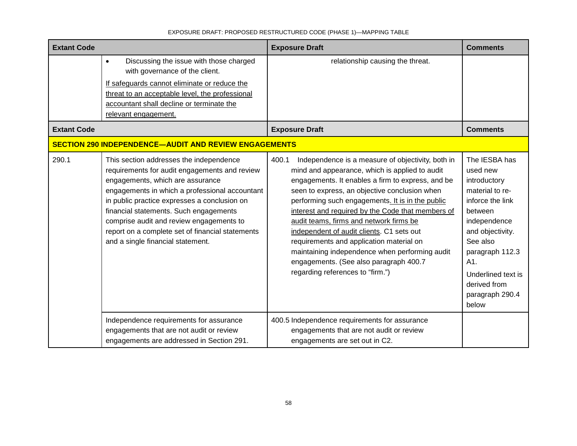| <b>Extant Code</b> |                                                                                                                                                                                                                                                                                                                                                                                                               | <b>Exposure Draft</b>                                                                                                                                                                                                                                                                                                                                                                                                                                                                                                                                                                           | <b>Comments</b>                                                                                                                                                                                                                         |
|--------------------|---------------------------------------------------------------------------------------------------------------------------------------------------------------------------------------------------------------------------------------------------------------------------------------------------------------------------------------------------------------------------------------------------------------|-------------------------------------------------------------------------------------------------------------------------------------------------------------------------------------------------------------------------------------------------------------------------------------------------------------------------------------------------------------------------------------------------------------------------------------------------------------------------------------------------------------------------------------------------------------------------------------------------|-----------------------------------------------------------------------------------------------------------------------------------------------------------------------------------------------------------------------------------------|
|                    | Discussing the issue with those charged<br>$\bullet$<br>with governance of the client.<br>If safeguards cannot eliminate or reduce the<br>threat to an acceptable level, the professional<br>accountant shall decline or terminate the<br>relevant engagement.                                                                                                                                                | relationship causing the threat.                                                                                                                                                                                                                                                                                                                                                                                                                                                                                                                                                                |                                                                                                                                                                                                                                         |
| <b>Extant Code</b> |                                                                                                                                                                                                                                                                                                                                                                                                               | <b>Exposure Draft</b>                                                                                                                                                                                                                                                                                                                                                                                                                                                                                                                                                                           | <b>Comments</b>                                                                                                                                                                                                                         |
|                    | <b>SECTION 290 INDEPENDENCE-AUDIT AND REVIEW ENGAGEMENTS</b>                                                                                                                                                                                                                                                                                                                                                  |                                                                                                                                                                                                                                                                                                                                                                                                                                                                                                                                                                                                 |                                                                                                                                                                                                                                         |
| 290.1              | This section addresses the independence<br>requirements for audit engagements and review<br>engagements, which are assurance<br>engagements in which a professional accountant<br>in public practice expresses a conclusion on<br>financial statements. Such engagements<br>comprise audit and review engagements to<br>report on a complete set of financial statements<br>and a single financial statement. | Independence is a measure of objectivity, both in<br>400.1<br>mind and appearance, which is applied to audit<br>engagements. It enables a firm to express, and be<br>seen to express, an objective conclusion when<br>performing such engagements. It is in the public<br>interest and required by the Code that members of<br>audit teams, firms and network firms be<br>independent of audit clients. C1 sets out<br>requirements and application material on<br>maintaining independence when performing audit<br>engagements. (See also paragraph 400.7<br>regarding references to "firm.") | The IESBA has<br>used new<br>introductory<br>material to re-<br>inforce the link<br>between<br>independence<br>and objectivity.<br>See also<br>paragraph 112.3<br>A1.<br>Underlined text is<br>derived from<br>paragraph 290.4<br>below |
|                    | Independence requirements for assurance<br>engagements that are not audit or review<br>engagements are addressed in Section 291.                                                                                                                                                                                                                                                                              | 400.5 Independence requirements for assurance<br>engagements that are not audit or review<br>engagements are set out in C2.                                                                                                                                                                                                                                                                                                                                                                                                                                                                     |                                                                                                                                                                                                                                         |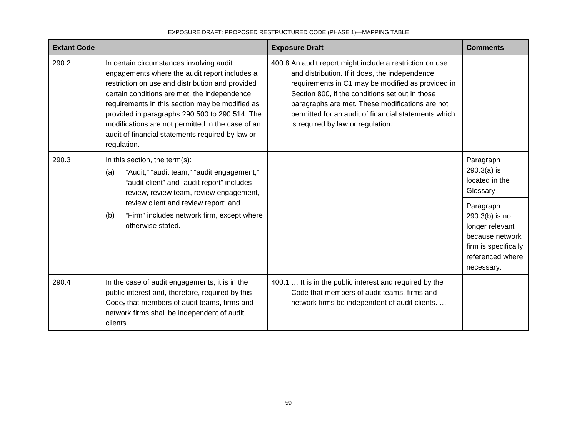| <b>Extant Code</b> |                                                                                                                                                                                                                                                                                                                                                                                                                            | <b>Exposure Draft</b>                                                                                                                                                                                                                                                                                                                                              | <b>Comments</b>                                                                                                                                                                         |
|--------------------|----------------------------------------------------------------------------------------------------------------------------------------------------------------------------------------------------------------------------------------------------------------------------------------------------------------------------------------------------------------------------------------------------------------------------|--------------------------------------------------------------------------------------------------------------------------------------------------------------------------------------------------------------------------------------------------------------------------------------------------------------------------------------------------------------------|-----------------------------------------------------------------------------------------------------------------------------------------------------------------------------------------|
| 290.2              | In certain circumstances involving audit<br>engagements where the audit report includes a<br>restriction on use and distribution and provided<br>certain conditions are met, the independence<br>requirements in this section may be modified as<br>provided in paragraphs 290.500 to 290.514. The<br>modifications are not permitted in the case of an<br>audit of financial statements required by law or<br>regulation. | 400.8 An audit report might include a restriction on use<br>and distribution. If it does, the independence<br>requirements in C1 may be modified as provided in<br>Section 800, if the conditions set out in those<br>paragraphs are met. These modifications are not<br>permitted for an audit of financial statements which<br>is required by law or regulation. |                                                                                                                                                                                         |
| 290.3              | In this section, the term(s):<br>"Audit," "audit team," "audit engagement,"<br>(a)<br>"audit client" and "audit report" includes<br>review, review team, review engagement,<br>review client and review report; and<br>"Firm" includes network firm, except where<br>(b)<br>otherwise stated.                                                                                                                              |                                                                                                                                                                                                                                                                                                                                                                    | Paragraph<br>$290.3(a)$ is<br>located in the<br>Glossary<br>Paragraph<br>290.3(b) is no<br>longer relevant<br>because network<br>firm is specifically<br>referenced where<br>necessary. |
| 290.4              | In the case of audit engagements, it is in the<br>public interest and, therefore, required by this<br>Code, that members of audit teams, firms and<br>network firms shall be independent of audit<br>clients.                                                                                                                                                                                                              | 400.1  It is in the public interest and required by the<br>Code that members of audit teams, firms and<br>network firms be independent of audit clients.                                                                                                                                                                                                           |                                                                                                                                                                                         |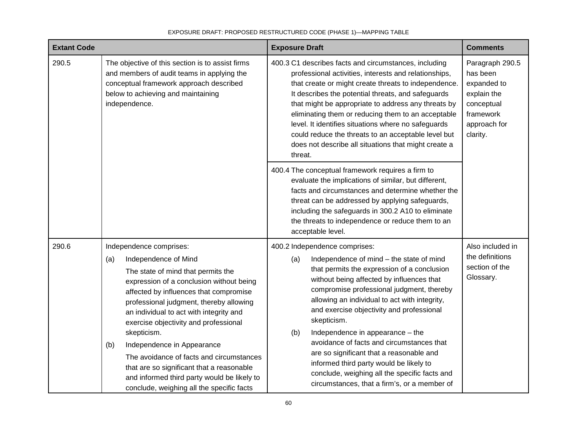| <b>Extant Code</b> |            |                                                                                                                                                                                                                                                                                                                                                                                                                                                                                                                                              | <b>Exposure Draft</b>                                                                                                                                                                                                                                                                                                                                                                                                                                                                                                      | <b>Comments</b>                                                                                                                                                                                                                                                                                                                                                                                                                                                                                                                                                                                          |                                                                                                                  |
|--------------------|------------|----------------------------------------------------------------------------------------------------------------------------------------------------------------------------------------------------------------------------------------------------------------------------------------------------------------------------------------------------------------------------------------------------------------------------------------------------------------------------------------------------------------------------------------------|----------------------------------------------------------------------------------------------------------------------------------------------------------------------------------------------------------------------------------------------------------------------------------------------------------------------------------------------------------------------------------------------------------------------------------------------------------------------------------------------------------------------------|----------------------------------------------------------------------------------------------------------------------------------------------------------------------------------------------------------------------------------------------------------------------------------------------------------------------------------------------------------------------------------------------------------------------------------------------------------------------------------------------------------------------------------------------------------------------------------------------------------|------------------------------------------------------------------------------------------------------------------|
| 290.5              |            | The objective of this section is to assist firms<br>and members of audit teams in applying the<br>conceptual framework approach described<br>below to achieving and maintaining<br>independence.                                                                                                                                                                                                                                                                                                                                             | 400.3 C1 describes facts and circumstances, including<br>professional activities, interests and relationships,<br>that create or might create threats to independence.<br>It describes the potential threats, and safeguards<br>that might be appropriate to address any threats by<br>eliminating them or reducing them to an acceptable<br>level. It identifies situations where no safeguards<br>could reduce the threats to an acceptable level but<br>does not describe all situations that might create a<br>threat. |                                                                                                                                                                                                                                                                                                                                                                                                                                                                                                                                                                                                          | Paragraph 290.5<br>has been<br>expanded to<br>explain the<br>conceptual<br>framework<br>approach for<br>clarity. |
|                    |            |                                                                                                                                                                                                                                                                                                                                                                                                                                                                                                                                              | 400.4 The conceptual framework requires a firm to<br>evaluate the implications of similar, but different,<br>facts and circumstances and determine whether the<br>threat can be addressed by applying safeguards,<br>including the safeguards in 300.2 A10 to eliminate<br>the threats to independence or reduce them to an<br>acceptable level.                                                                                                                                                                           |                                                                                                                                                                                                                                                                                                                                                                                                                                                                                                                                                                                                          |                                                                                                                  |
| 290.6              | (a)<br>(b) | Independence comprises:<br>Independence of Mind<br>The state of mind that permits the<br>expression of a conclusion without being<br>affected by influences that compromise<br>professional judgment, thereby allowing<br>an individual to act with integrity and<br>exercise objectivity and professional<br>skepticism.<br>Independence in Appearance<br>The avoidance of facts and circumstances<br>that are so significant that a reasonable<br>and informed third party would be likely to<br>conclude, weighing all the specific facts | (a)<br>(b)                                                                                                                                                                                                                                                                                                                                                                                                                                                                                                                 | 400.2 Independence comprises:<br>Independence of mind – the state of mind<br>that permits the expression of a conclusion<br>without being affected by influences that<br>compromise professional judgment, thereby<br>allowing an individual to act with integrity,<br>and exercise objectivity and professional<br>skepticism.<br>Independence in appearance - the<br>avoidance of facts and circumstances that<br>are so significant that a reasonable and<br>informed third party would be likely to<br>conclude, weighing all the specific facts and<br>circumstances, that a firm's, or a member of | Also included in<br>the definitions<br>section of the<br>Glossary.                                               |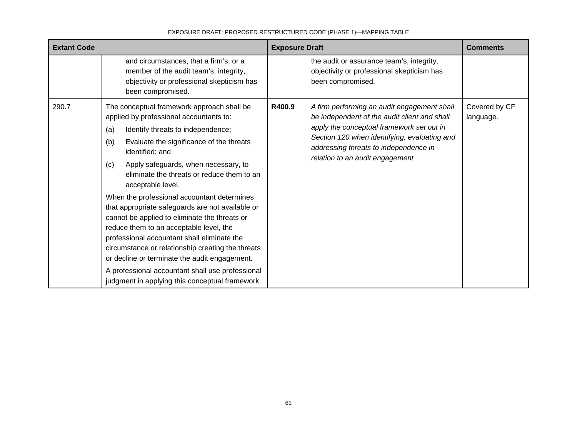| <b>Extant Code</b> |                                                                                                                                                                                                                                                                                                                                                                                                                                                                                                                                                                                                                                                                                                                                                                                      | <b>Exposure Draft</b>                                                                                                                                                                                                                                                          | <b>Comments</b>            |
|--------------------|--------------------------------------------------------------------------------------------------------------------------------------------------------------------------------------------------------------------------------------------------------------------------------------------------------------------------------------------------------------------------------------------------------------------------------------------------------------------------------------------------------------------------------------------------------------------------------------------------------------------------------------------------------------------------------------------------------------------------------------------------------------------------------------|--------------------------------------------------------------------------------------------------------------------------------------------------------------------------------------------------------------------------------------------------------------------------------|----------------------------|
|                    | and circumstances, that a firm's, or a<br>member of the audit team's, integrity,<br>objectivity or professional skepticism has<br>been compromised.                                                                                                                                                                                                                                                                                                                                                                                                                                                                                                                                                                                                                                  | the audit or assurance team's, integrity,<br>objectivity or professional skepticism has<br>been compromised.                                                                                                                                                                   |                            |
| 290.7              | The conceptual framework approach shall be<br>applied by professional accountants to:<br>Identify threats to independence;<br>(a)<br>(b)<br>Evaluate the significance of the threats<br>identified; and<br>Apply safeguards, when necessary, to<br>(c)<br>eliminate the threats or reduce them to an<br>acceptable level.<br>When the professional accountant determines<br>that appropriate safeguards are not available or<br>cannot be applied to eliminate the threats or<br>reduce them to an acceptable level, the<br>professional accountant shall eliminate the<br>circumstance or relationship creating the threats<br>or decline or terminate the audit engagement.<br>A professional accountant shall use professional<br>judgment in applying this conceptual framework. | R400.9<br>A firm performing an audit engagement shall<br>be independent of the audit client and shall<br>apply the conceptual framework set out in<br>Section 120 when identifying, evaluating and<br>addressing threats to independence in<br>relation to an audit engagement | Covered by CF<br>language. |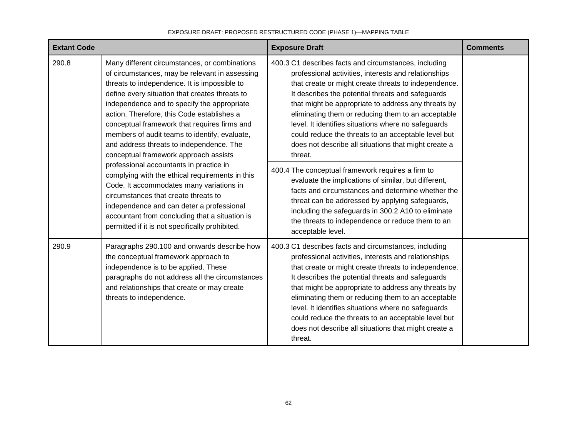| <b>Extant Code</b> |                                                                                                                                                                                                                                                                                                                                                                                                                                                                                                                                                                                                                                                                                                                     | <b>Exposure Draft</b>                                                                                                                                                                                                                                                                                                                                                                                                                                                                                                                                                                                                                                                                                                                         | <b>Comments</b> |
|--------------------|---------------------------------------------------------------------------------------------------------------------------------------------------------------------------------------------------------------------------------------------------------------------------------------------------------------------------------------------------------------------------------------------------------------------------------------------------------------------------------------------------------------------------------------------------------------------------------------------------------------------------------------------------------------------------------------------------------------------|-----------------------------------------------------------------------------------------------------------------------------------------------------------------------------------------------------------------------------------------------------------------------------------------------------------------------------------------------------------------------------------------------------------------------------------------------------------------------------------------------------------------------------------------------------------------------------------------------------------------------------------------------------------------------------------------------------------------------------------------------|-----------------|
| 290.8              | Many different circumstances, or combinations<br>of circumstances, may be relevant in assessing<br>threats to independence. It is impossible to<br>define every situation that creates threats to<br>independence and to specify the appropriate<br>action. Therefore, this Code establishes a<br>conceptual framework that requires firms and<br>members of audit teams to identify, evaluate,<br>and address threats to independence. The<br>conceptual framework approach assists<br>professional accountants in practice in<br>complying with the ethical requirements in this<br>Code. It accommodates many variations in<br>circumstances that create threats to<br>independence and can deter a professional | 400.3 C1 describes facts and circumstances, including<br>professional activities, interests and relationships<br>that create or might create threats to independence.<br>It describes the potential threats and safeguards<br>that might be appropriate to address any threats by<br>eliminating them or reducing them to an acceptable<br>level. It identifies situations where no safeguards<br>could reduce the threats to an acceptable level but<br>does not describe all situations that might create a<br>threat.<br>400.4 The conceptual framework requires a firm to<br>evaluate the implications of similar, but different,<br>facts and circumstances and determine whether the<br>threat can be addressed by applying safeguards, |                 |
|                    | accountant from concluding that a situation is<br>permitted if it is not specifically prohibited.                                                                                                                                                                                                                                                                                                                                                                                                                                                                                                                                                                                                                   | including the safeguards in 300.2 A10 to eliminate<br>the threats to independence or reduce them to an<br>acceptable level.                                                                                                                                                                                                                                                                                                                                                                                                                                                                                                                                                                                                                   |                 |
| 290.9              | Paragraphs 290.100 and onwards describe how<br>the conceptual framework approach to<br>independence is to be applied. These<br>paragraphs do not address all the circumstances<br>and relationships that create or may create<br>threats to independence.                                                                                                                                                                                                                                                                                                                                                                                                                                                           | 400.3 C1 describes facts and circumstances, including<br>professional activities, interests and relationships<br>that create or might create threats to independence.<br>It describes the potential threats and safeguards<br>that might be appropriate to address any threats by<br>eliminating them or reducing them to an acceptable<br>level. It identifies situations where no safeguards<br>could reduce the threats to an acceptable level but<br>does not describe all situations that might create a<br>threat.                                                                                                                                                                                                                      |                 |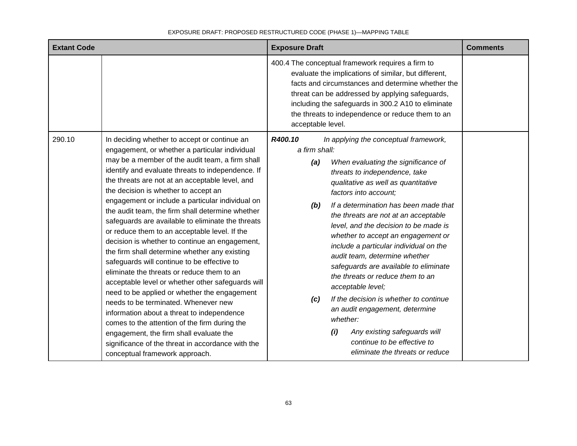| <b>Extant Code</b> |                                                                                                                                                                                                                                                                                                                                                                                                                                                                                                                                                                                                                                                                                                                                                                                                                                                                                                                                                                                                                                                                                               | <b>Exposure Draft</b>                                                                                                                                                                                                                                                                                                                            | <b>Comments</b>                                                                                                                                                                                                                                                                                                                                                                                                                                                                                                                                                                                                                                                                                                             |  |
|--------------------|-----------------------------------------------------------------------------------------------------------------------------------------------------------------------------------------------------------------------------------------------------------------------------------------------------------------------------------------------------------------------------------------------------------------------------------------------------------------------------------------------------------------------------------------------------------------------------------------------------------------------------------------------------------------------------------------------------------------------------------------------------------------------------------------------------------------------------------------------------------------------------------------------------------------------------------------------------------------------------------------------------------------------------------------------------------------------------------------------|--------------------------------------------------------------------------------------------------------------------------------------------------------------------------------------------------------------------------------------------------------------------------------------------------------------------------------------------------|-----------------------------------------------------------------------------------------------------------------------------------------------------------------------------------------------------------------------------------------------------------------------------------------------------------------------------------------------------------------------------------------------------------------------------------------------------------------------------------------------------------------------------------------------------------------------------------------------------------------------------------------------------------------------------------------------------------------------------|--|
|                    |                                                                                                                                                                                                                                                                                                                                                                                                                                                                                                                                                                                                                                                                                                                                                                                                                                                                                                                                                                                                                                                                                               | 400.4 The conceptual framework requires a firm to<br>evaluate the implications of similar, but different,<br>facts and circumstances and determine whether the<br>threat can be addressed by applying safeguards,<br>including the safeguards in 300.2 A10 to eliminate<br>the threats to independence or reduce them to an<br>acceptable level. |                                                                                                                                                                                                                                                                                                                                                                                                                                                                                                                                                                                                                                                                                                                             |  |
| 290.10             | In deciding whether to accept or continue an<br>engagement, or whether a particular individual<br>may be a member of the audit team, a firm shall<br>identify and evaluate threats to independence. If<br>the threats are not at an acceptable level, and<br>the decision is whether to accept an<br>engagement or include a particular individual on<br>the audit team, the firm shall determine whether<br>safeguards are available to eliminate the threats<br>or reduce them to an acceptable level. If the<br>decision is whether to continue an engagement,<br>the firm shall determine whether any existing<br>safeguards will continue to be effective to<br>eliminate the threats or reduce them to an<br>acceptable level or whether other safeguards will<br>need to be applied or whether the engagement<br>needs to be terminated. Whenever new<br>information about a threat to independence<br>comes to the attention of the firm during the<br>engagement, the firm shall evaluate the<br>significance of the threat in accordance with the<br>conceptual framework approach. | R400.10<br>a firm shall:<br>(a)<br>(b)<br>(c)                                                                                                                                                                                                                                                                                                    | In applying the conceptual framework,<br>When evaluating the significance of<br>threats to independence, take<br>qualitative as well as quantitative<br>factors into account;<br>If a determination has been made that<br>the threats are not at an acceptable<br>level, and the decision to be made is<br>whether to accept an engagement or<br>include a particular individual on the<br>audit team, determine whether<br>safeguards are available to eliminate<br>the threats or reduce them to an<br>acceptable level;<br>If the decision is whether to continue<br>an audit engagement, determine<br>whether:<br>Any existing safeguards will<br>(i)<br>continue to be effective to<br>eliminate the threats or reduce |  |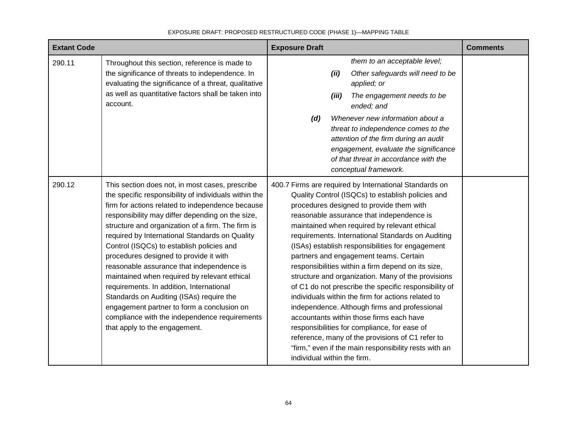| <b>Extant Code</b> |                                                                                                                                                                                                                                                                                                                                                                                                                                                                                                                                                                                                                                                                                                                                     | <b>Exposure Draft</b>       |       |                                                                                                                                                                                                                                                                                                                                                                                                                                                                                                                                                                                                                                                                                                                                                                                                                                                                                              | <b>Comments</b> |
|--------------------|-------------------------------------------------------------------------------------------------------------------------------------------------------------------------------------------------------------------------------------------------------------------------------------------------------------------------------------------------------------------------------------------------------------------------------------------------------------------------------------------------------------------------------------------------------------------------------------------------------------------------------------------------------------------------------------------------------------------------------------|-----------------------------|-------|----------------------------------------------------------------------------------------------------------------------------------------------------------------------------------------------------------------------------------------------------------------------------------------------------------------------------------------------------------------------------------------------------------------------------------------------------------------------------------------------------------------------------------------------------------------------------------------------------------------------------------------------------------------------------------------------------------------------------------------------------------------------------------------------------------------------------------------------------------------------------------------------|-----------------|
| 290.11             | Throughout this section, reference is made to<br>the significance of threats to independence. In<br>evaluating the significance of a threat, qualitative                                                                                                                                                                                                                                                                                                                                                                                                                                                                                                                                                                            |                             | (ii)  | them to an acceptable level;<br>Other safeguards will need to be<br>applied; or                                                                                                                                                                                                                                                                                                                                                                                                                                                                                                                                                                                                                                                                                                                                                                                                              |                 |
|                    | as well as quantitative factors shall be taken into<br>account.                                                                                                                                                                                                                                                                                                                                                                                                                                                                                                                                                                                                                                                                     |                             | (iii) | The engagement needs to be<br>ended; and                                                                                                                                                                                                                                                                                                                                                                                                                                                                                                                                                                                                                                                                                                                                                                                                                                                     |                 |
|                    |                                                                                                                                                                                                                                                                                                                                                                                                                                                                                                                                                                                                                                                                                                                                     | (d)                         |       | Whenever new information about a<br>threat to independence comes to the<br>attention of the firm during an audit<br>engagement, evaluate the significance<br>of that threat in accordance with the<br>conceptual framework.                                                                                                                                                                                                                                                                                                                                                                                                                                                                                                                                                                                                                                                                  |                 |
| 290.12             | This section does not, in most cases, prescribe<br>the specific responsibility of individuals within the<br>firm for actions related to independence because<br>responsibility may differ depending on the size,<br>structure and organization of a firm. The firm is<br>required by International Standards on Quality<br>Control (ISQCs) to establish policies and<br>procedures designed to provide it with<br>reasonable assurance that independence is<br>maintained when required by relevant ethical<br>requirements. In addition, International<br>Standards on Auditing (ISAs) require the<br>engagement partner to form a conclusion on<br>compliance with the independence requirements<br>that apply to the engagement. | individual within the firm. |       | 400.7 Firms are required by International Standards on<br>Quality Control (ISQCs) to establish policies and<br>procedures designed to provide them with<br>reasonable assurance that independence is<br>maintained when required by relevant ethical<br>requirements. International Standards on Auditing<br>(ISAs) establish responsibilities for engagement<br>partners and engagement teams. Certain<br>responsibilities within a firm depend on its size,<br>structure and organization. Many of the provisions<br>of C1 do not prescribe the specific responsibility of<br>individuals within the firm for actions related to<br>independence. Although firms and professional<br>accountants within those firms each have<br>responsibilities for compliance, for ease of<br>reference, many of the provisions of C1 refer to<br>"firm," even if the main responsibility rests with an |                 |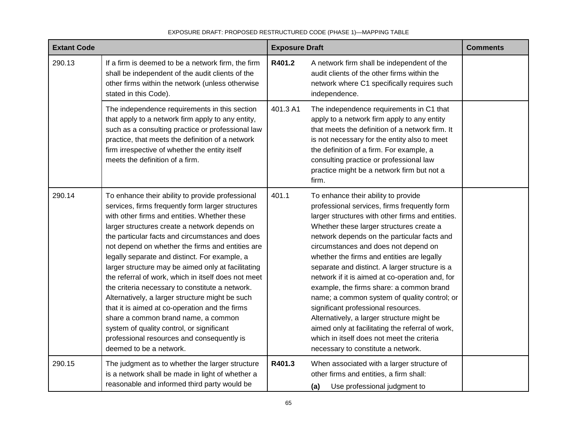| <b>Extant Code</b> |                                                                                                                                                                                                                                                                                                                                                                                                                                                                                                                                                                                                                                                                                                                                                                                                  | <b>Exposure Draft</b> |                                                                                                                                                                                                                                                                                                                                                                                                                                                                                                                                                                                                                                                                                                                                                        | <b>Comments</b> |
|--------------------|--------------------------------------------------------------------------------------------------------------------------------------------------------------------------------------------------------------------------------------------------------------------------------------------------------------------------------------------------------------------------------------------------------------------------------------------------------------------------------------------------------------------------------------------------------------------------------------------------------------------------------------------------------------------------------------------------------------------------------------------------------------------------------------------------|-----------------------|--------------------------------------------------------------------------------------------------------------------------------------------------------------------------------------------------------------------------------------------------------------------------------------------------------------------------------------------------------------------------------------------------------------------------------------------------------------------------------------------------------------------------------------------------------------------------------------------------------------------------------------------------------------------------------------------------------------------------------------------------------|-----------------|
| 290.13             | If a firm is deemed to be a network firm, the firm<br>shall be independent of the audit clients of the<br>other firms within the network (unless otherwise<br>stated in this Code).                                                                                                                                                                                                                                                                                                                                                                                                                                                                                                                                                                                                              | R401.2                | A network firm shall be independent of the<br>audit clients of the other firms within the<br>network where C1 specifically requires such<br>independence.                                                                                                                                                                                                                                                                                                                                                                                                                                                                                                                                                                                              |                 |
|                    | The independence requirements in this section<br>that apply to a network firm apply to any entity,<br>such as a consulting practice or professional law<br>practice, that meets the definition of a network<br>firm irrespective of whether the entity itself<br>meets the definition of a firm.                                                                                                                                                                                                                                                                                                                                                                                                                                                                                                 | 401.3 A1              | The independence requirements in C1 that<br>apply to a network firm apply to any entity<br>that meets the definition of a network firm. It<br>is not necessary for the entity also to meet<br>the definition of a firm. For example, a<br>consulting practice or professional law<br>practice might be a network firm but not a<br>firm.                                                                                                                                                                                                                                                                                                                                                                                                               |                 |
| 290.14             | To enhance their ability to provide professional<br>services, firms frequently form larger structures<br>with other firms and entities. Whether these<br>larger structures create a network depends on<br>the particular facts and circumstances and does<br>not depend on whether the firms and entities are<br>legally separate and distinct. For example, a<br>larger structure may be aimed only at facilitating<br>the referral of work, which in itself does not meet<br>the criteria necessary to constitute a network.<br>Alternatively, a larger structure might be such<br>that it is aimed at co-operation and the firms<br>share a common brand name, a common<br>system of quality control, or significant<br>professional resources and consequently is<br>deemed to be a network. | 401.1                 | To enhance their ability to provide<br>professional services, firms frequently form<br>larger structures with other firms and entities.<br>Whether these larger structures create a<br>network depends on the particular facts and<br>circumstances and does not depend on<br>whether the firms and entities are legally<br>separate and distinct. A larger structure is a<br>network if it is aimed at co-operation and, for<br>example, the firms share: a common brand<br>name; a common system of quality control; or<br>significant professional resources.<br>Alternatively, a larger structure might be<br>aimed only at facilitating the referral of work,<br>which in itself does not meet the criteria<br>necessary to constitute a network. |                 |
| 290.15             | The judgment as to whether the larger structure<br>is a network shall be made in light of whether a<br>reasonable and informed third party would be                                                                                                                                                                                                                                                                                                                                                                                                                                                                                                                                                                                                                                              | R401.3                | When associated with a larger structure of<br>other firms and entities, a firm shall:<br>Use professional judgment to<br>(a)                                                                                                                                                                                                                                                                                                                                                                                                                                                                                                                                                                                                                           |                 |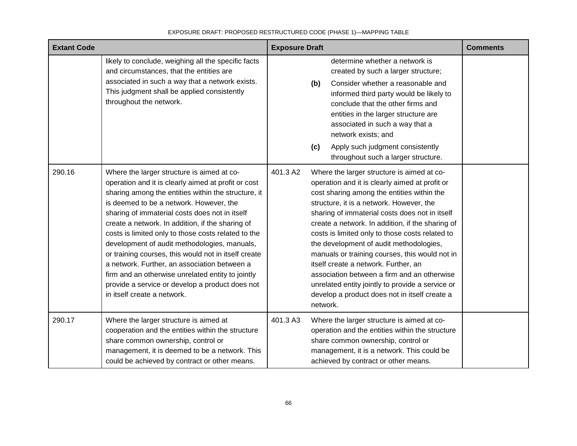| <b>Extant Code</b> |                                                                                                                                                                                                                                                                                                                                                                                                                                                                                                                                                                                                                                                                 | <b>Exposure Draft</b> |          | <b>Comments</b>                                                                                                                                                                                                                                                                                                                                                                                                                                                                                                                                                                                                                          |  |
|--------------------|-----------------------------------------------------------------------------------------------------------------------------------------------------------------------------------------------------------------------------------------------------------------------------------------------------------------------------------------------------------------------------------------------------------------------------------------------------------------------------------------------------------------------------------------------------------------------------------------------------------------------------------------------------------------|-----------------------|----------|------------------------------------------------------------------------------------------------------------------------------------------------------------------------------------------------------------------------------------------------------------------------------------------------------------------------------------------------------------------------------------------------------------------------------------------------------------------------------------------------------------------------------------------------------------------------------------------------------------------------------------------|--|
|                    | likely to conclude, weighing all the specific facts<br>and circumstances, that the entities are<br>associated in such a way that a network exists.                                                                                                                                                                                                                                                                                                                                                                                                                                                                                                              |                       |          | determine whether a network is<br>created by such a larger structure;                                                                                                                                                                                                                                                                                                                                                                                                                                                                                                                                                                    |  |
|                    | This judgment shall be applied consistently<br>throughout the network.                                                                                                                                                                                                                                                                                                                                                                                                                                                                                                                                                                                          |                       | (b)      | Consider whether a reasonable and<br>informed third party would be likely to<br>conclude that the other firms and<br>entities in the larger structure are<br>associated in such a way that a<br>network exists; and                                                                                                                                                                                                                                                                                                                                                                                                                      |  |
|                    |                                                                                                                                                                                                                                                                                                                                                                                                                                                                                                                                                                                                                                                                 |                       | (c)      | Apply such judgment consistently<br>throughout such a larger structure.                                                                                                                                                                                                                                                                                                                                                                                                                                                                                                                                                                  |  |
| 290.16             | Where the larger structure is aimed at co-<br>operation and it is clearly aimed at profit or cost<br>sharing among the entities within the structure, it<br>is deemed to be a network. However, the<br>sharing of immaterial costs does not in itself<br>create a network. In addition, if the sharing of<br>costs is limited only to those costs related to the<br>development of audit methodologies, manuals,<br>or training courses, this would not in itself create<br>a network. Further, an association between a<br>firm and an otherwise unrelated entity to jointly<br>provide a service or develop a product does not<br>in itself create a network. | 401.3 A2              | network. | Where the larger structure is aimed at co-<br>operation and it is clearly aimed at profit or<br>cost sharing among the entities within the<br>structure, it is a network. However, the<br>sharing of immaterial costs does not in itself<br>create a network. In addition, if the sharing of<br>costs is limited only to those costs related to<br>the development of audit methodologies,<br>manuals or training courses, this would not in<br>itself create a network. Further, an<br>association between a firm and an otherwise<br>unrelated entity jointly to provide a service or<br>develop a product does not in itself create a |  |
| 290.17             | Where the larger structure is aimed at<br>cooperation and the entities within the structure<br>share common ownership, control or<br>management, it is deemed to be a network. This<br>could be achieved by contract or other means.                                                                                                                                                                                                                                                                                                                                                                                                                            | 401.3 A3              |          | Where the larger structure is aimed at co-<br>operation and the entities within the structure<br>share common ownership, control or<br>management, it is a network. This could be<br>achieved by contract or other means.                                                                                                                                                                                                                                                                                                                                                                                                                |  |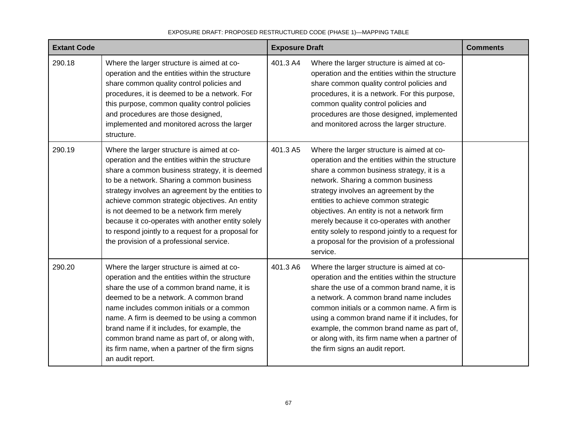| EXPOSURE DRAFT: PROPOSED RESTRUCTURED CODE (PHASE 1)—MAPPING TABLE |  |  |  |
|--------------------------------------------------------------------|--|--|--|
|--------------------------------------------------------------------|--|--|--|

| <b>Extant Code</b> |                                                                                                                                                                                                                                                                                                                                                                                                                                                                                                          | <b>Exposure Draft</b> |                                                                                                                                                                                                                                                                                                                                                                                                                                                                                   | <b>Comments</b> |
|--------------------|----------------------------------------------------------------------------------------------------------------------------------------------------------------------------------------------------------------------------------------------------------------------------------------------------------------------------------------------------------------------------------------------------------------------------------------------------------------------------------------------------------|-----------------------|-----------------------------------------------------------------------------------------------------------------------------------------------------------------------------------------------------------------------------------------------------------------------------------------------------------------------------------------------------------------------------------------------------------------------------------------------------------------------------------|-----------------|
| 290.18             | Where the larger structure is aimed at co-<br>operation and the entities within the structure<br>share common quality control policies and<br>procedures, it is deemed to be a network. For<br>this purpose, common quality control policies<br>and procedures are those designed,<br>implemented and monitored across the larger<br>structure.                                                                                                                                                          | 401.3 A4              | Where the larger structure is aimed at co-<br>operation and the entities within the structure<br>share common quality control policies and<br>procedures, it is a network. For this purpose,<br>common quality control policies and<br>procedures are those designed, implemented<br>and monitored across the larger structure.                                                                                                                                                   |                 |
| 290.19             | Where the larger structure is aimed at co-<br>operation and the entities within the structure<br>share a common business strategy, it is deemed<br>to be a network. Sharing a common business<br>strategy involves an agreement by the entities to<br>achieve common strategic objectives. An entity<br>is not deemed to be a network firm merely<br>because it co-operates with another entity solely<br>to respond jointly to a request for a proposal for<br>the provision of a professional service. | 401.3 A5              | Where the larger structure is aimed at co-<br>operation and the entities within the structure<br>share a common business strategy, it is a<br>network. Sharing a common business<br>strategy involves an agreement by the<br>entities to achieve common strategic<br>objectives. An entity is not a network firm<br>merely because it co-operates with another<br>entity solely to respond jointly to a request for<br>a proposal for the provision of a professional<br>service. |                 |
| 290.20             | Where the larger structure is aimed at co-<br>operation and the entities within the structure<br>share the use of a common brand name, it is<br>deemed to be a network. A common brand<br>name includes common initials or a common<br>name. A firm is deemed to be using a common<br>brand name if it includes, for example, the<br>common brand name as part of, or along with,<br>its firm name, when a partner of the firm signs<br>an audit report.                                                 | 401.3 A6              | Where the larger structure is aimed at co-<br>operation and the entities within the structure<br>share the use of a common brand name, it is<br>a network. A common brand name includes<br>common initials or a common name. A firm is<br>using a common brand name if it includes, for<br>example, the common brand name as part of,<br>or along with, its firm name when a partner of<br>the firm signs an audit report.                                                        |                 |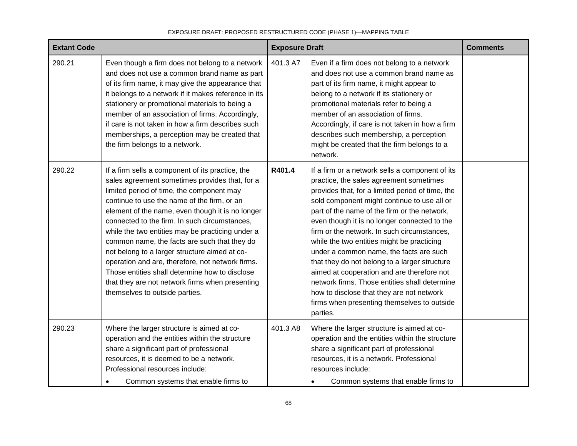| <b>Extant Code</b> |                                                                                                                                                                                                                                                                                                                                                                                                                                                                                                                                                                                                                                                     | <b>Exposure Draft</b> |                                                                                                                                                                                                                                                                                                                                                                                                                                                                                                                                                                                                                                                                                               | <b>Comments</b> |
|--------------------|-----------------------------------------------------------------------------------------------------------------------------------------------------------------------------------------------------------------------------------------------------------------------------------------------------------------------------------------------------------------------------------------------------------------------------------------------------------------------------------------------------------------------------------------------------------------------------------------------------------------------------------------------------|-----------------------|-----------------------------------------------------------------------------------------------------------------------------------------------------------------------------------------------------------------------------------------------------------------------------------------------------------------------------------------------------------------------------------------------------------------------------------------------------------------------------------------------------------------------------------------------------------------------------------------------------------------------------------------------------------------------------------------------|-----------------|
| 290.21             | Even though a firm does not belong to a network<br>and does not use a common brand name as part<br>of its firm name, it may give the appearance that<br>it belongs to a network if it makes reference in its<br>stationery or promotional materials to being a<br>member of an association of firms. Accordingly,<br>if care is not taken in how a firm describes such<br>memberships, a perception may be created that<br>the firm belongs to a network.                                                                                                                                                                                           | 401.3 A7              | Even if a firm does not belong to a network<br>and does not use a common brand name as<br>part of its firm name, it might appear to<br>belong to a network if its stationery or<br>promotional materials refer to being a<br>member of an association of firms.<br>Accordingly, if care is not taken in how a firm<br>describes such membership, a perception<br>might be created that the firm belongs to a<br>network.                                                                                                                                                                                                                                                                      |                 |
| 290.22             | If a firm sells a component of its practice, the<br>sales agreement sometimes provides that, for a<br>limited period of time, the component may<br>continue to use the name of the firm, or an<br>element of the name, even though it is no longer<br>connected to the firm. In such circumstances,<br>while the two entities may be practicing under a<br>common name, the facts are such that they do<br>not belong to a larger structure aimed at co-<br>operation and are, therefore, not network firms.<br>Those entities shall determine how to disclose<br>that they are not network firms when presenting<br>themselves to outside parties. | R401.4                | If a firm or a network sells a component of its<br>practice, the sales agreement sometimes<br>provides that, for a limited period of time, the<br>sold component might continue to use all or<br>part of the name of the firm or the network,<br>even though it is no longer connected to the<br>firm or the network. In such circumstances,<br>while the two entities might be practicing<br>under a common name, the facts are such<br>that they do not belong to a larger structure<br>aimed at cooperation and are therefore not<br>network firms. Those entities shall determine<br>how to disclose that they are not network<br>firms when presenting themselves to outside<br>parties. |                 |
| 290.23             | Where the larger structure is aimed at co-<br>operation and the entities within the structure<br>share a significant part of professional<br>resources, it is deemed to be a network.<br>Professional resources include:<br>Common systems that enable firms to                                                                                                                                                                                                                                                                                                                                                                                     | 401.3 A8              | Where the larger structure is aimed at co-<br>operation and the entities within the structure<br>share a significant part of professional<br>resources, it is a network. Professional<br>resources include:<br>Common systems that enable firms to<br>$\bullet$                                                                                                                                                                                                                                                                                                                                                                                                                               |                 |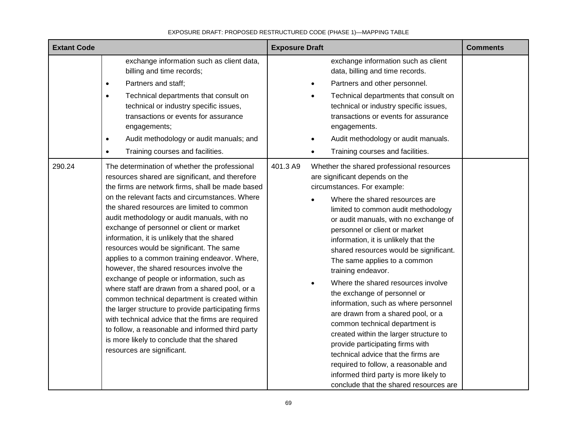| <b>Extant Code</b> |                                                                                                                                                                                                                                                                                                                                                                                                                                                                                                                                                                                                                                                                                                                                                                                                                                                                                                                                        | <b>Exposure Draft</b>                                                                                                                                                                                                                                                                                                                                                                                                                                                                                                                                                                                                                                                                                                                                                                                                                                                 | <b>Comments</b> |
|--------------------|----------------------------------------------------------------------------------------------------------------------------------------------------------------------------------------------------------------------------------------------------------------------------------------------------------------------------------------------------------------------------------------------------------------------------------------------------------------------------------------------------------------------------------------------------------------------------------------------------------------------------------------------------------------------------------------------------------------------------------------------------------------------------------------------------------------------------------------------------------------------------------------------------------------------------------------|-----------------------------------------------------------------------------------------------------------------------------------------------------------------------------------------------------------------------------------------------------------------------------------------------------------------------------------------------------------------------------------------------------------------------------------------------------------------------------------------------------------------------------------------------------------------------------------------------------------------------------------------------------------------------------------------------------------------------------------------------------------------------------------------------------------------------------------------------------------------------|-----------------|
|                    | exchange information such as client data,<br>billing and time records;<br>Partners and staff;<br>$\bullet$<br>Technical departments that consult on<br>$\bullet$<br>technical or industry specific issues,<br>transactions or events for assurance<br>engagements;<br>Audit methodology or audit manuals; and<br>$\bullet$<br>Training courses and facilities.<br>$\bullet$                                                                                                                                                                                                                                                                                                                                                                                                                                                                                                                                                            | exchange information such as client<br>data, billing and time records.<br>Partners and other personnel.<br>$\bullet$<br>Technical departments that consult on<br>$\bullet$<br>technical or industry specific issues,<br>transactions or events for assurance<br>engagements.<br>Audit methodology or audit manuals.<br>Training courses and facilities.                                                                                                                                                                                                                                                                                                                                                                                                                                                                                                               |                 |
| 290.24             | The determination of whether the professional<br>resources shared are significant, and therefore<br>the firms are network firms, shall be made based<br>on the relevant facts and circumstances. Where<br>the shared resources are limited to common<br>audit methodology or audit manuals, with no<br>exchange of personnel or client or market<br>information, it is unlikely that the shared<br>resources would be significant. The same<br>applies to a common training endeavor. Where,<br>however, the shared resources involve the<br>exchange of people or information, such as<br>where staff are drawn from a shared pool, or a<br>common technical department is created within<br>the larger structure to provide participating firms<br>with technical advice that the firms are required<br>to follow, a reasonable and informed third party<br>is more likely to conclude that the shared<br>resources are significant. | 401.3 A9<br>Whether the shared professional resources<br>are significant depends on the<br>circumstances. For example:<br>Where the shared resources are<br>limited to common audit methodology<br>or audit manuals, with no exchange of<br>personnel or client or market<br>information, it is unlikely that the<br>shared resources would be significant.<br>The same applies to a common<br>training endeavor.<br>Where the shared resources involve<br>$\bullet$<br>the exchange of personnel or<br>information, such as where personnel<br>are drawn from a shared pool, or a<br>common technical department is<br>created within the larger structure to<br>provide participating firms with<br>technical advice that the firms are<br>required to follow, a reasonable and<br>informed third party is more likely to<br>conclude that the shared resources are |                 |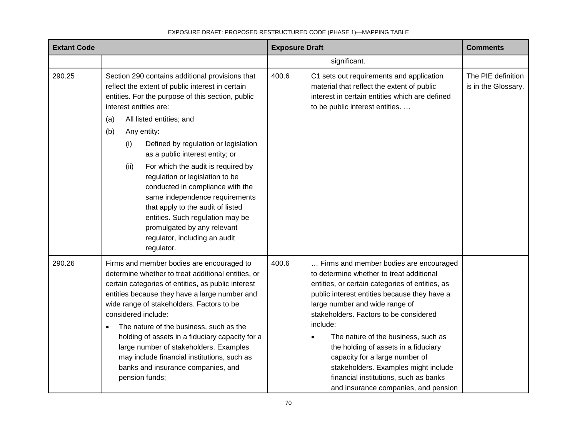| <b>Extant Code</b> |                                                                                                                                                                                                                                                                                                                                                                                                                                                                                                                                                                                                                                             | <b>Exposure Draft</b>                                                                                                                                                                                                                                                                                                                                                                                                                                                                                                            | <b>Comments</b>                           |
|--------------------|---------------------------------------------------------------------------------------------------------------------------------------------------------------------------------------------------------------------------------------------------------------------------------------------------------------------------------------------------------------------------------------------------------------------------------------------------------------------------------------------------------------------------------------------------------------------------------------------------------------------------------------------|----------------------------------------------------------------------------------------------------------------------------------------------------------------------------------------------------------------------------------------------------------------------------------------------------------------------------------------------------------------------------------------------------------------------------------------------------------------------------------------------------------------------------------|-------------------------------------------|
|                    |                                                                                                                                                                                                                                                                                                                                                                                                                                                                                                                                                                                                                                             | significant.                                                                                                                                                                                                                                                                                                                                                                                                                                                                                                                     |                                           |
| 290.25             | Section 290 contains additional provisions that<br>reflect the extent of public interest in certain<br>entities. For the purpose of this section, public<br>interest entities are:<br>All listed entities; and<br>(a)<br>Any entity:<br>(b)<br>Defined by regulation or legislation<br>(i)<br>as a public interest entity; or<br>For which the audit is required by<br>(ii)<br>regulation or legislation to be<br>conducted in compliance with the<br>same independence requirements<br>that apply to the audit of listed<br>entities. Such regulation may be<br>promulgated by any relevant<br>regulator, including an audit<br>regulator. | 400.6<br>C1 sets out requirements and application<br>material that reflect the extent of public<br>interest in certain entities which are defined<br>to be public interest entities.                                                                                                                                                                                                                                                                                                                                             | The PIE definition<br>is in the Glossary. |
| 290.26             | Firms and member bodies are encouraged to<br>determine whether to treat additional entities, or<br>certain categories of entities, as public interest<br>entities because they have a large number and<br>wide range of stakeholders. Factors to be<br>considered include:<br>The nature of the business, such as the<br>holding of assets in a fiduciary capacity for a<br>large number of stakeholders. Examples<br>may include financial institutions, such as<br>banks and insurance companies, and<br>pension funds;                                                                                                                   | 400.6<br>Firms and member bodies are encouraged<br>to determine whether to treat additional<br>entities, or certain categories of entities, as<br>public interest entities because they have a<br>large number and wide range of<br>stakeholders. Factors to be considered<br>include:<br>The nature of the business, such as<br>the holding of assets in a fiduciary<br>capacity for a large number of<br>stakeholders. Examples might include<br>financial institutions, such as banks<br>and insurance companies, and pension |                                           |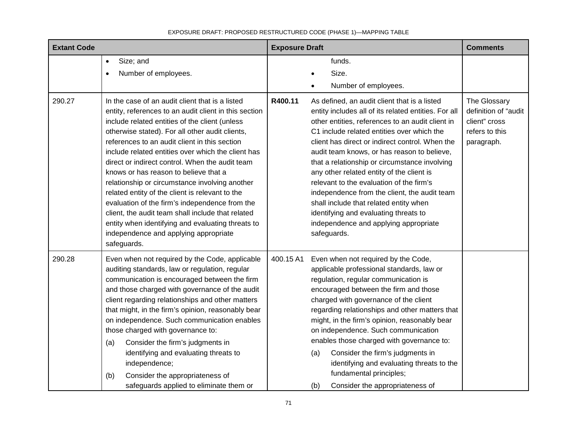| <b>Extant Code</b> |                                                                                                                                                                                                                                                                                                                                                                                                                                                                                                                                                                                                                                                                                                                                           | <b>Exposure Draft</b> |                                                                                                                                                                                                                                                                                                                                                                                                                                                                                                                                                                                                                                               | <b>Comments</b>                                                                       |
|--------------------|-------------------------------------------------------------------------------------------------------------------------------------------------------------------------------------------------------------------------------------------------------------------------------------------------------------------------------------------------------------------------------------------------------------------------------------------------------------------------------------------------------------------------------------------------------------------------------------------------------------------------------------------------------------------------------------------------------------------------------------------|-----------------------|-----------------------------------------------------------------------------------------------------------------------------------------------------------------------------------------------------------------------------------------------------------------------------------------------------------------------------------------------------------------------------------------------------------------------------------------------------------------------------------------------------------------------------------------------------------------------------------------------------------------------------------------------|---------------------------------------------------------------------------------------|
|                    | Size; and<br>$\bullet$<br>Number of employees.                                                                                                                                                                                                                                                                                                                                                                                                                                                                                                                                                                                                                                                                                            |                       | funds.<br>Size.<br>Number of employees.                                                                                                                                                                                                                                                                                                                                                                                                                                                                                                                                                                                                       |                                                                                       |
| 290.27             | In the case of an audit client that is a listed<br>entity, references to an audit client in this section<br>include related entities of the client (unless<br>otherwise stated). For all other audit clients,<br>references to an audit client in this section<br>include related entities over which the client has<br>direct or indirect control. When the audit team<br>knows or has reason to believe that a<br>relationship or circumstance involving another<br>related entity of the client is relevant to the<br>evaluation of the firm's independence from the<br>client, the audit team shall include that related<br>entity when identifying and evaluating threats to<br>independence and applying appropriate<br>safeguards. | R400.11               | As defined, an audit client that is a listed<br>entity includes all of its related entities. For all<br>other entities, references to an audit client in<br>C1 include related entities over which the<br>client has direct or indirect control. When the<br>audit team knows, or has reason to believe,<br>that a relationship or circumstance involving<br>any other related entity of the client is<br>relevant to the evaluation of the firm's<br>independence from the client, the audit team<br>shall include that related entity when<br>identifying and evaluating threats to<br>independence and applying appropriate<br>safeguards. | The Glossary<br>definition of "audit<br>client" cross<br>refers to this<br>paragraph. |
| 290.28             | Even when not required by the Code, applicable<br>auditing standards, law or regulation, regular<br>communication is encouraged between the firm<br>and those charged with governance of the audit<br>client regarding relationships and other matters<br>that might, in the firm's opinion, reasonably bear<br>on independence. Such communication enables<br>those charged with governance to:<br>Consider the firm's judgments in<br>(a)<br>identifying and evaluating threats to<br>independence;<br>Consider the appropriateness of<br>(b)<br>safeguards applied to eliminate them or                                                                                                                                                | 400.15 A1             | Even when not required by the Code,<br>applicable professional standards, law or<br>regulation, regular communication is<br>encouraged between the firm and those<br>charged with governance of the client<br>regarding relationships and other matters that<br>might, in the firm's opinion, reasonably bear<br>on independence. Such communication<br>enables those charged with governance to:<br>Consider the firm's judgments in<br>(a)<br>identifying and evaluating threats to the<br>fundamental principles;<br>Consider the appropriateness of<br>(b)                                                                                |                                                                                       |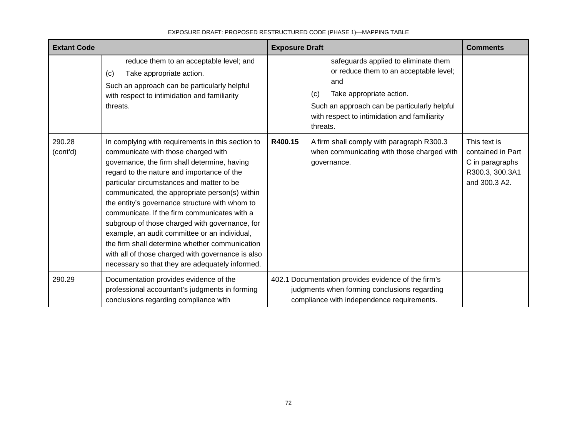| <b>Extant Code</b> |                                                                                                                                                                                                                                                                                                                                                                                                                                                                                                                                                                                                                                                      | <b>Exposure Draft</b>                                                                                                                                                                                                                | <b>Comments</b>                                                                          |
|--------------------|------------------------------------------------------------------------------------------------------------------------------------------------------------------------------------------------------------------------------------------------------------------------------------------------------------------------------------------------------------------------------------------------------------------------------------------------------------------------------------------------------------------------------------------------------------------------------------------------------------------------------------------------------|--------------------------------------------------------------------------------------------------------------------------------------------------------------------------------------------------------------------------------------|------------------------------------------------------------------------------------------|
|                    | reduce them to an acceptable level; and<br>Take appropriate action.<br>(c)<br>Such an approach can be particularly helpful<br>with respect to intimidation and familiarity<br>threats.                                                                                                                                                                                                                                                                                                                                                                                                                                                               | safeguards applied to eliminate them<br>or reduce them to an acceptable level;<br>and<br>Take appropriate action.<br>(c)<br>Such an approach can be particularly helpful<br>with respect to intimidation and familiarity<br>threats. |                                                                                          |
| 290.28<br>(cont'd) | In complying with requirements in this section to<br>communicate with those charged with<br>governance, the firm shall determine, having<br>regard to the nature and importance of the<br>particular circumstances and matter to be<br>communicated, the appropriate person(s) within<br>the entity's governance structure with whom to<br>communicate. If the firm communicates with a<br>subgroup of those charged with governance, for<br>example, an audit committee or an individual,<br>the firm shall determine whether communication<br>with all of those charged with governance is also<br>necessary so that they are adequately informed. | R400.15<br>A firm shall comply with paragraph R300.3<br>when communicating with those charged with<br>governance.                                                                                                                    | This text is<br>contained in Part<br>C in paragraphs<br>R300.3, 300.3A1<br>and 300.3 A2. |
| 290.29             | Documentation provides evidence of the<br>professional accountant's judgments in forming<br>conclusions regarding compliance with                                                                                                                                                                                                                                                                                                                                                                                                                                                                                                                    | 402.1 Documentation provides evidence of the firm's<br>judgments when forming conclusions regarding<br>compliance with independence requirements.                                                                                    |                                                                                          |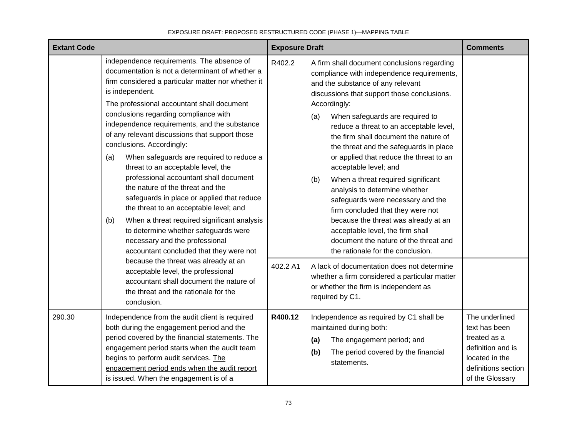| <b>Extant Code</b> |                                                                                                                                                                                                                                                                                                                                                                                                                                                                                                                                                                                                                                                                                                                                                                                                                                                                                                                                                                                                        | <b>Exposure Draft</b>                                                                                                                                                                                                                                                                                                                                                                                                                                                                                                                                                                                                                                                                                                                                                                                                                                                                                                                        | <b>Comments</b>                                                                                                                  |
|--------------------|--------------------------------------------------------------------------------------------------------------------------------------------------------------------------------------------------------------------------------------------------------------------------------------------------------------------------------------------------------------------------------------------------------------------------------------------------------------------------------------------------------------------------------------------------------------------------------------------------------------------------------------------------------------------------------------------------------------------------------------------------------------------------------------------------------------------------------------------------------------------------------------------------------------------------------------------------------------------------------------------------------|----------------------------------------------------------------------------------------------------------------------------------------------------------------------------------------------------------------------------------------------------------------------------------------------------------------------------------------------------------------------------------------------------------------------------------------------------------------------------------------------------------------------------------------------------------------------------------------------------------------------------------------------------------------------------------------------------------------------------------------------------------------------------------------------------------------------------------------------------------------------------------------------------------------------------------------------|----------------------------------------------------------------------------------------------------------------------------------|
|                    | independence requirements. The absence of<br>documentation is not a determinant of whether a<br>firm considered a particular matter nor whether it<br>is independent.<br>The professional accountant shall document<br>conclusions regarding compliance with<br>independence requirements, and the substance<br>of any relevant discussions that support those<br>conclusions. Accordingly:<br>When safeguards are required to reduce a<br>(a)<br>threat to an acceptable level, the<br>professional accountant shall document<br>the nature of the threat and the<br>safeguards in place or applied that reduce<br>the threat to an acceptable level; and<br>When a threat required significant analysis<br>(b)<br>to determine whether safeguards were<br>necessary and the professional<br>accountant concluded that they were not<br>because the threat was already at an<br>acceptable level, the professional<br>accountant shall document the nature of<br>the threat and the rationale for the | R402.2<br>A firm shall document conclusions regarding<br>compliance with independence requirements,<br>and the substance of any relevant<br>discussions that support those conclusions.<br>Accordingly:<br>When safeguards are required to<br>(a)<br>reduce a threat to an acceptable level,<br>the firm shall document the nature of<br>the threat and the safeguards in place<br>or applied that reduce the threat to an<br>acceptable level; and<br>When a threat required significant<br>(b)<br>analysis to determine whether<br>safeguards were necessary and the<br>firm concluded that they were not<br>because the threat was already at an<br>acceptable level, the firm shall<br>document the nature of the threat and<br>the rationale for the conclusion.<br>402.2 A1<br>A lack of documentation does not determine<br>whether a firm considered a particular matter<br>or whether the firm is independent as<br>required by C1. |                                                                                                                                  |
|                    | conclusion.                                                                                                                                                                                                                                                                                                                                                                                                                                                                                                                                                                                                                                                                                                                                                                                                                                                                                                                                                                                            |                                                                                                                                                                                                                                                                                                                                                                                                                                                                                                                                                                                                                                                                                                                                                                                                                                                                                                                                              |                                                                                                                                  |
| 290.30             | Independence from the audit client is required<br>both during the engagement period and the<br>period covered by the financial statements. The<br>engagement period starts when the audit team<br>begins to perform audit services. The<br>engagement period ends when the audit report<br>is issued. When the engagement is of a                                                                                                                                                                                                                                                                                                                                                                                                                                                                                                                                                                                                                                                                      | R400.12<br>Independence as required by C1 shall be<br>maintained during both:<br>The engagement period; and<br>(a)<br>The period covered by the financial<br>(b)<br>statements.                                                                                                                                                                                                                                                                                                                                                                                                                                                                                                                                                                                                                                                                                                                                                              | The underlined<br>text has been<br>treated as a<br>definition and is<br>located in the<br>definitions section<br>of the Glossary |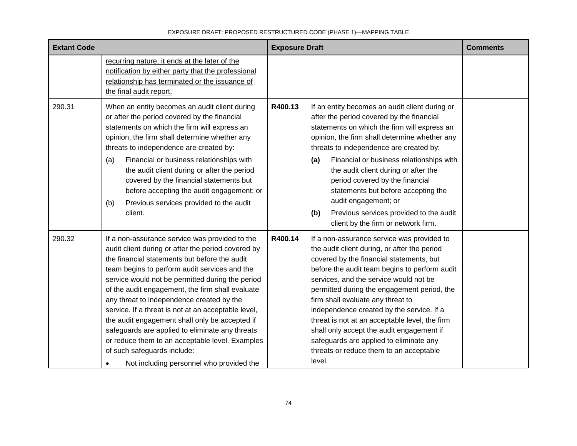| <b>Extant Code</b> |                                                                                                                                                                                                                                                                                                                                                                                                                                                                                                                                                                                                                                                       | <b>Exposure Draft</b>                                  |                                                                                                                                                                                                                                                                                                                                                                                                                                                                                                                    | <b>Comments</b> |
|--------------------|-------------------------------------------------------------------------------------------------------------------------------------------------------------------------------------------------------------------------------------------------------------------------------------------------------------------------------------------------------------------------------------------------------------------------------------------------------------------------------------------------------------------------------------------------------------------------------------------------------------------------------------------------------|--------------------------------------------------------|--------------------------------------------------------------------------------------------------------------------------------------------------------------------------------------------------------------------------------------------------------------------------------------------------------------------------------------------------------------------------------------------------------------------------------------------------------------------------------------------------------------------|-----------------|
|                    | recurring nature, it ends at the later of the<br>notification by either party that the professional<br>relationship has terminated or the issuance of<br>the final audit report.                                                                                                                                                                                                                                                                                                                                                                                                                                                                      |                                                        |                                                                                                                                                                                                                                                                                                                                                                                                                                                                                                                    |                 |
| 290.31             | When an entity becomes an audit client during<br>or after the period covered by the financial<br>statements on which the firm will express an<br>opinion, the firm shall determine whether any<br>threats to independence are created by:<br>Financial or business relationships with<br>(a)<br>the audit client during or after the period<br>covered by the financial statements but<br>before accepting the audit engagement; or<br>Previous services provided to the audit<br>(b)<br>client.                                                                                                                                                      | R400.13<br>(a)<br>audit engagement; or<br>(b)          | If an entity becomes an audit client during or<br>after the period covered by the financial<br>statements on which the firm will express an<br>opinion, the firm shall determine whether any<br>threats to independence are created by:<br>Financial or business relationships with<br>the audit client during or after the<br>period covered by the financial<br>statements but before accepting the<br>Previous services provided to the audit<br>client by the firm or network firm.                            |                 |
| 290.32             | If a non-assurance service was provided to the<br>audit client during or after the period covered by<br>the financial statements but before the audit<br>team begins to perform audit services and the<br>service would not be permitted during the period<br>of the audit engagement, the firm shall evaluate<br>any threat to independence created by the<br>service. If a threat is not at an acceptable level,<br>the audit engagement shall only be accepted if<br>safeguards are applied to eliminate any threats<br>or reduce them to an acceptable level. Examples<br>of such safeguards include:<br>Not including personnel who provided the | R400.14<br>firm shall evaluate any threat to<br>level. | If a non-assurance service was provided to<br>the audit client during, or after the period<br>covered by the financial statements, but<br>before the audit team begins to perform audit<br>services, and the service would not be<br>permitted during the engagement period, the<br>independence created by the service. If a<br>threat is not at an acceptable level, the firm<br>shall only accept the audit engagement if<br>safeguards are applied to eliminate any<br>threats or reduce them to an acceptable |                 |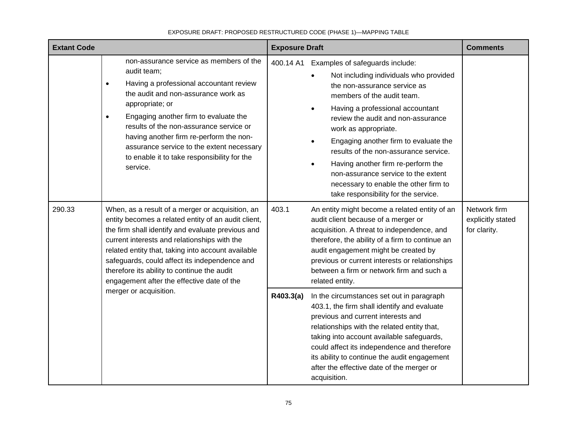| EXPOSURE DRAFT: PROPOSED RESTRUCTURED CODE (PHASE 1)—MAPPING TABLE |  |
|--------------------------------------------------------------------|--|
|--------------------------------------------------------------------|--|

| <b>Extant Code</b> |                                                                                                                                                                                                                                                                                                                                                                                                                                            | <b>Exposure Draft</b> |                                                                                                                                                                                                                                                                                                                                                                                                                                                                                                                     | <b>Comments</b>                                   |
|--------------------|--------------------------------------------------------------------------------------------------------------------------------------------------------------------------------------------------------------------------------------------------------------------------------------------------------------------------------------------------------------------------------------------------------------------------------------------|-----------------------|---------------------------------------------------------------------------------------------------------------------------------------------------------------------------------------------------------------------------------------------------------------------------------------------------------------------------------------------------------------------------------------------------------------------------------------------------------------------------------------------------------------------|---------------------------------------------------|
|                    | non-assurance service as members of the<br>audit team;<br>Having a professional accountant review<br>$\bullet$<br>the audit and non-assurance work as<br>appropriate; or<br>Engaging another firm to evaluate the<br>$\bullet$<br>results of the non-assurance service or<br>having another firm re-perform the non-<br>assurance service to the extent necessary<br>to enable it to take responsibility for the<br>service.               | 400.14 A1             | Examples of safeguards include:<br>Not including individuals who provided<br>the non-assurance service as<br>members of the audit team.<br>Having a professional accountant<br>$\bullet$<br>review the audit and non-assurance<br>work as appropriate.<br>Engaging another firm to evaluate the<br>results of the non-assurance service.<br>Having another firm re-perform the<br>$\bullet$<br>non-assurance service to the extent<br>necessary to enable the other firm to<br>take responsibility for the service. |                                                   |
| 290.33             | When, as a result of a merger or acquisition, an<br>entity becomes a related entity of an audit client,<br>the firm shall identify and evaluate previous and<br>current interests and relationships with the<br>related entity that, taking into account available<br>safeguards, could affect its independence and<br>therefore its ability to continue the audit<br>engagement after the effective date of the<br>merger or acquisition. | 403.1                 | An entity might become a related entity of an<br>audit client because of a merger or<br>acquisition. A threat to independence, and<br>therefore, the ability of a firm to continue an<br>audit engagement might be created by<br>previous or current interests or relationships<br>between a firm or network firm and such a<br>related entity.                                                                                                                                                                     | Network firm<br>explicitly stated<br>for clarity. |
|                    |                                                                                                                                                                                                                                                                                                                                                                                                                                            | R403.3(a)             | In the circumstances set out in paragraph<br>403.1, the firm shall identify and evaluate<br>previous and current interests and<br>relationships with the related entity that,<br>taking into account available safeguards,<br>could affect its independence and therefore<br>its ability to continue the audit engagement<br>after the effective date of the merger or<br>acquisition.                                                                                                                              |                                                   |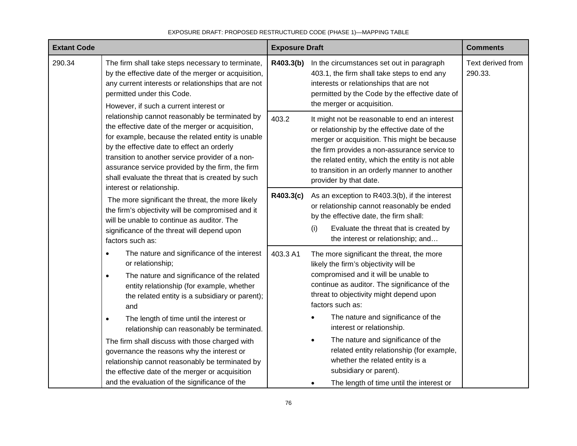| <b>Extant Code</b>                                                                                                                                                                                                                                                                                                                                                                                                                                                                                                                                                                                                                                                                                                                                                                                                                                                          |                                                                                                                                                                                                                                                                                                                                                            | <b>Exposure Draft</b>                                                                                                                                                                                                       |                                                                                                                                                                                                                                                                                                                              | <b>Comments</b>              |
|-----------------------------------------------------------------------------------------------------------------------------------------------------------------------------------------------------------------------------------------------------------------------------------------------------------------------------------------------------------------------------------------------------------------------------------------------------------------------------------------------------------------------------------------------------------------------------------------------------------------------------------------------------------------------------------------------------------------------------------------------------------------------------------------------------------------------------------------------------------------------------|------------------------------------------------------------------------------------------------------------------------------------------------------------------------------------------------------------------------------------------------------------------------------------------------------------------------------------------------------------|-----------------------------------------------------------------------------------------------------------------------------------------------------------------------------------------------------------------------------|------------------------------------------------------------------------------------------------------------------------------------------------------------------------------------------------------------------------------------------------------------------------------------------------------------------------------|------------------------------|
| 290.34                                                                                                                                                                                                                                                                                                                                                                                                                                                                                                                                                                                                                                                                                                                                                                                                                                                                      | The firm shall take steps necessary to terminate,<br>by the effective date of the merger or acquisition,<br>any current interests or relationships that are not<br>permitted under this Code.<br>However, if such a current interest or                                                                                                                    | R403.3(b)                                                                                                                                                                                                                   | In the circumstances set out in paragraph<br>403.1, the firm shall take steps to end any<br>interests or relationships that are not<br>permitted by the Code by the effective date of<br>the merger or acquisition.                                                                                                          | Text derived from<br>290.33. |
| relationship cannot reasonably be terminated by<br>the effective date of the merger or acquisition,<br>for example, because the related entity is unable<br>by the effective date to effect an orderly<br>transition to another service provider of a non-<br>assurance service provided by the firm, the firm<br>shall evaluate the threat that is created by such<br>interest or relationship.<br>The more significant the threat, the more likely<br>the firm's objectivity will be compromised and it<br>will be unable to continue as auditor. The<br>significance of the threat will depend upon<br>factors such as:<br>The nature and significance of the interest<br>$\bullet$<br>or relationship;<br>The nature and significance of the related<br>$\bullet$<br>entity relationship (for example, whether<br>the related entity is a subsidiary or parent);<br>and |                                                                                                                                                                                                                                                                                                                                                            | 403.2                                                                                                                                                                                                                       | It might not be reasonable to end an interest<br>or relationship by the effective date of the<br>merger or acquisition. This might be because<br>the firm provides a non-assurance service to<br>the related entity, which the entity is not able<br>to transition in an orderly manner to another<br>provider by that date. |                              |
|                                                                                                                                                                                                                                                                                                                                                                                                                                                                                                                                                                                                                                                                                                                                                                                                                                                                             | R403.3(c)                                                                                                                                                                                                                                                                                                                                                  | As an exception to R403.3(b), if the interest<br>or relationship cannot reasonably be ended<br>by the effective date, the firm shall:<br>Evaluate the threat that is created by<br>(i)<br>the interest or relationship; and |                                                                                                                                                                                                                                                                                                                              |                              |
|                                                                                                                                                                                                                                                                                                                                                                                                                                                                                                                                                                                                                                                                                                                                                                                                                                                                             |                                                                                                                                                                                                                                                                                                                                                            | 403.3 A1                                                                                                                                                                                                                    | The more significant the threat, the more<br>likely the firm's objectivity will be<br>compromised and it will be unable to<br>continue as auditor. The significance of the<br>threat to objectivity might depend upon<br>factors such as:                                                                                    |                              |
|                                                                                                                                                                                                                                                                                                                                                                                                                                                                                                                                                                                                                                                                                                                                                                                                                                                                             | The length of time until the interest or<br>$\bullet$<br>relationship can reasonably be terminated.<br>The firm shall discuss with those charged with<br>governance the reasons why the interest or<br>relationship cannot reasonably be terminated by<br>the effective date of the merger or acquisition<br>and the evaluation of the significance of the |                                                                                                                                                                                                                             | The nature and significance of the<br>interest or relationship.<br>The nature and significance of the<br>٠<br>related entity relationship (for example,<br>whether the related entity is a<br>subsidiary or parent).<br>The length of time until the interest or                                                             |                              |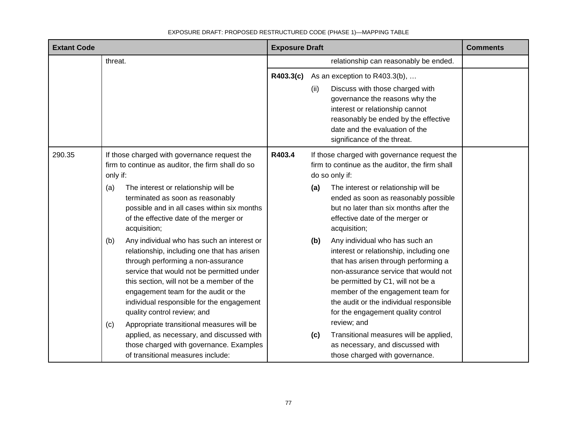| EXPOSURE DRAFT: PROPOSED RESTRUCTURED CODE (PHASE 1)—MAPPING TABLE |  |  |
|--------------------------------------------------------------------|--|--|
|--------------------------------------------------------------------|--|--|

| <b>Extant Code</b> |                               | <b>Exposure Draft</b>                                                                                                                                                                                                                                                                                                                                                                                                                                                                                                                                                                                                                                                                                                                                                                                             |           | <b>Comments</b>   |                                                                                                                                                                                                                                                                                                                                                                                                                                                                                                                                                                                                                                                                                                                                                       |  |
|--------------------|-------------------------------|-------------------------------------------------------------------------------------------------------------------------------------------------------------------------------------------------------------------------------------------------------------------------------------------------------------------------------------------------------------------------------------------------------------------------------------------------------------------------------------------------------------------------------------------------------------------------------------------------------------------------------------------------------------------------------------------------------------------------------------------------------------------------------------------------------------------|-----------|-------------------|-------------------------------------------------------------------------------------------------------------------------------------------------------------------------------------------------------------------------------------------------------------------------------------------------------------------------------------------------------------------------------------------------------------------------------------------------------------------------------------------------------------------------------------------------------------------------------------------------------------------------------------------------------------------------------------------------------------------------------------------------------|--|
|                    | threat.                       |                                                                                                                                                                                                                                                                                                                                                                                                                                                                                                                                                                                                                                                                                                                                                                                                                   |           |                   | relationship can reasonably be ended.                                                                                                                                                                                                                                                                                                                                                                                                                                                                                                                                                                                                                                                                                                                 |  |
|                    |                               |                                                                                                                                                                                                                                                                                                                                                                                                                                                                                                                                                                                                                                                                                                                                                                                                                   | R403.3(c) | (ii)              | As an exception to R403.3(b),<br>Discuss with those charged with<br>governance the reasons why the<br>interest or relationship cannot<br>reasonably be ended by the effective<br>date and the evaluation of the<br>significance of the threat.                                                                                                                                                                                                                                                                                                                                                                                                                                                                                                        |  |
| 290.35             | only if:<br>(a)<br>(b)<br>(c) | If those charged with governance request the<br>firm to continue as auditor, the firm shall do so<br>The interest or relationship will be<br>terminated as soon as reasonably<br>possible and in all cases within six months<br>of the effective date of the merger or<br>acquisition;<br>Any individual who has such an interest or<br>relationship, including one that has arisen<br>through performing a non-assurance<br>service that would not be permitted under<br>this section, will not be a member of the<br>engagement team for the audit or the<br>individual responsible for the engagement<br>quality control review; and<br>Appropriate transitional measures will be<br>applied, as necessary, and discussed with<br>those charged with governance. Examples<br>of transitional measures include: | R403.4    | (a)<br>(b)<br>(c) | If those charged with governance request the<br>firm to continue as the auditor, the firm shall<br>do so only if:<br>The interest or relationship will be<br>ended as soon as reasonably possible<br>but no later than six months after the<br>effective date of the merger or<br>acquisition;<br>Any individual who has such an<br>interest or relationship, including one<br>that has arisen through performing a<br>non-assurance service that would not<br>be permitted by C1, will not be a<br>member of the engagement team for<br>the audit or the individual responsible<br>for the engagement quality control<br>review; and<br>Transitional measures will be applied,<br>as necessary, and discussed with<br>those charged with governance. |  |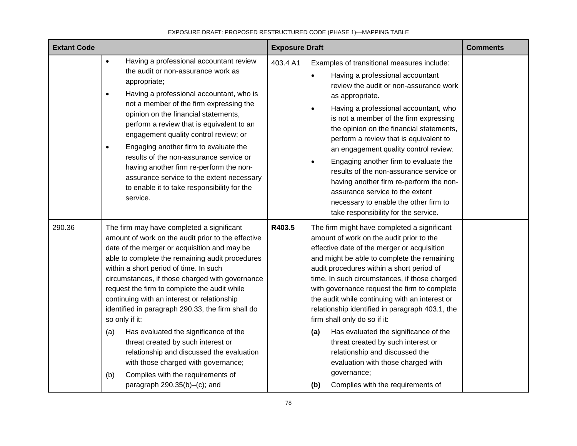| <b>Extant Code</b> |                                                                                                                                                                                                                                                                                                                                                                                                                                                                                                                                                                                                                                                                                                                             | <b>Exposure Draft</b>                                                                                                                                                                                                                                                                                                                                                                                                                                                                                                                                                                                                                                                                                       | <b>Comments</b> |
|--------------------|-----------------------------------------------------------------------------------------------------------------------------------------------------------------------------------------------------------------------------------------------------------------------------------------------------------------------------------------------------------------------------------------------------------------------------------------------------------------------------------------------------------------------------------------------------------------------------------------------------------------------------------------------------------------------------------------------------------------------------|-------------------------------------------------------------------------------------------------------------------------------------------------------------------------------------------------------------------------------------------------------------------------------------------------------------------------------------------------------------------------------------------------------------------------------------------------------------------------------------------------------------------------------------------------------------------------------------------------------------------------------------------------------------------------------------------------------------|-----------------|
|                    | Having a professional accountant review<br>$\bullet$<br>the audit or non-assurance work as<br>appropriate;<br>Having a professional accountant, who is<br>$\bullet$<br>not a member of the firm expressing the<br>opinion on the financial statements,<br>perform a review that is equivalent to an<br>engagement quality control review; or<br>Engaging another firm to evaluate the<br>$\bullet$<br>results of the non-assurance service or<br>having another firm re-perform the non-<br>assurance service to the extent necessary<br>to enable it to take responsibility for the<br>service.                                                                                                                            | 403.4 A1<br>Examples of transitional measures include:<br>Having a professional accountant<br>$\bullet$<br>review the audit or non-assurance work<br>as appropriate.<br>Having a professional accountant, who<br>٠<br>is not a member of the firm expressing<br>the opinion on the financial statements,<br>perform a review that is equivalent to<br>an engagement quality control review.<br>Engaging another firm to evaluate the<br>$\bullet$<br>results of the non-assurance service or<br>having another firm re-perform the non-<br>assurance service to the extent<br>necessary to enable the other firm to<br>take responsibility for the service.                                                 |                 |
| 290.36             | The firm may have completed a significant<br>amount of work on the audit prior to the effective<br>date of the merger or acquisition and may be<br>able to complete the remaining audit procedures<br>within a short period of time. In such<br>circumstances, if those charged with governance<br>request the firm to complete the audit while<br>continuing with an interest or relationship<br>identified in paragraph 290.33, the firm shall do<br>so only if it:<br>Has evaluated the significance of the<br>(a)<br>threat created by such interest or<br>relationship and discussed the evaluation<br>with those charged with governance;<br>Complies with the requirements of<br>(b)<br>paragraph 290.35(b)-(c); and | R403.5<br>The firm might have completed a significant<br>amount of work on the audit prior to the<br>effective date of the merger or acquisition<br>and might be able to complete the remaining<br>audit procedures within a short period of<br>time. In such circumstances, if those charged<br>with governance request the firm to complete<br>the audit while continuing with an interest or<br>relationship identified in paragraph 403.1, the<br>firm shall only do so if it:<br>Has evaluated the significance of the<br>(a)<br>threat created by such interest or<br>relationship and discussed the<br>evaluation with those charged with<br>governance;<br>Complies with the requirements of<br>(b) |                 |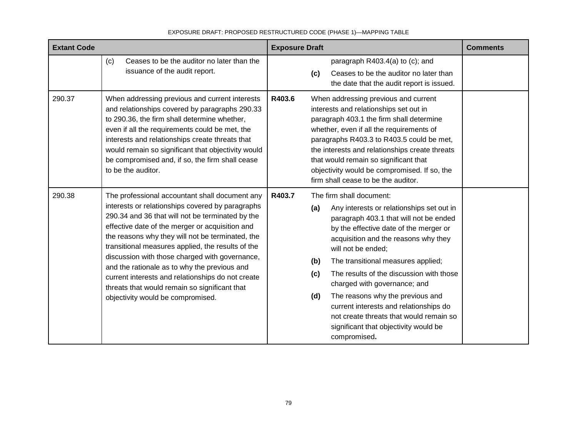| <b>Extant Code</b> |                                                                                                                                                                                                                                                                                                                                                                                                                                                                                                                                                                 | <b>Exposure Draft</b>                                                                                                                                                                                                                                                                                                                                                                                                                                                                                                                                             | <b>Comments</b> |
|--------------------|-----------------------------------------------------------------------------------------------------------------------------------------------------------------------------------------------------------------------------------------------------------------------------------------------------------------------------------------------------------------------------------------------------------------------------------------------------------------------------------------------------------------------------------------------------------------|-------------------------------------------------------------------------------------------------------------------------------------------------------------------------------------------------------------------------------------------------------------------------------------------------------------------------------------------------------------------------------------------------------------------------------------------------------------------------------------------------------------------------------------------------------------------|-----------------|
|                    | Ceases to be the auditor no later than the<br>(c)<br>issuance of the audit report.                                                                                                                                                                                                                                                                                                                                                                                                                                                                              | paragraph R403.4(a) to (c); and<br>Ceases to be the auditor no later than<br>(c)<br>the date that the audit report is issued.                                                                                                                                                                                                                                                                                                                                                                                                                                     |                 |
| 290.37             | When addressing previous and current interests<br>and relationships covered by paragraphs 290.33<br>to 290.36, the firm shall determine whether,<br>even if all the requirements could be met, the<br>interests and relationships create threats that<br>would remain so significant that objectivity would<br>be compromised and, if so, the firm shall cease<br>to be the auditor.                                                                                                                                                                            | R403.6<br>When addressing previous and current<br>interests and relationships set out in<br>paragraph 403.1 the firm shall determine<br>whether, even if all the requirements of<br>paragraphs R403.3 to R403.5 could be met,<br>the interests and relationships create threats<br>that would remain so significant that<br>objectivity would be compromised. If so, the<br>firm shall cease to be the auditor.                                                                                                                                                   |                 |
| 290.38             | The professional accountant shall document any<br>interests or relationships covered by paragraphs<br>290.34 and 36 that will not be terminated by the<br>effective date of the merger or acquisition and<br>the reasons why they will not be terminated, the<br>transitional measures applied, the results of the<br>discussion with those charged with governance,<br>and the rationale as to why the previous and<br>current interests and relationships do not create<br>threats that would remain so significant that<br>objectivity would be compromised. | R403.7<br>The firm shall document:<br>Any interests or relationships set out in<br>(a)<br>paragraph 403.1 that will not be ended<br>by the effective date of the merger or<br>acquisition and the reasons why they<br>will not be ended;<br>The transitional measures applied;<br>(b)<br>The results of the discussion with those<br>(c)<br>charged with governance; and<br>The reasons why the previous and<br>(d)<br>current interests and relationships do<br>not create threats that would remain so<br>significant that objectivity would be<br>compromised. |                 |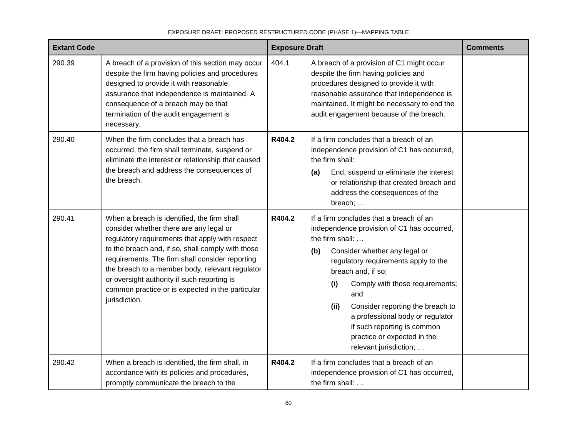| EXPOSURE DRAFT: PROPOSED RESTRUCTURED CODE (PHASE 1)—MAPPING TABLE |  |  |
|--------------------------------------------------------------------|--|--|
|--------------------------------------------------------------------|--|--|

| <b>Extant Code</b> |                                                                                                                                                                                                                                                                                                                                                                                                                          | <b>Exposure Draft</b> |                                                                                                                                                                                                                                                                                                                                                                                                                                         | <b>Comments</b> |
|--------------------|--------------------------------------------------------------------------------------------------------------------------------------------------------------------------------------------------------------------------------------------------------------------------------------------------------------------------------------------------------------------------------------------------------------------------|-----------------------|-----------------------------------------------------------------------------------------------------------------------------------------------------------------------------------------------------------------------------------------------------------------------------------------------------------------------------------------------------------------------------------------------------------------------------------------|-----------------|
| 290.39             | A breach of a provision of this section may occur<br>despite the firm having policies and procedures<br>designed to provide it with reasonable<br>assurance that independence is maintained. A<br>consequence of a breach may be that<br>termination of the audit engagement is<br>necessary.                                                                                                                            | 404.1                 | A breach of a provision of C1 might occur<br>despite the firm having policies and<br>procedures designed to provide it with<br>reasonable assurance that independence is<br>maintained. It might be necessary to end the<br>audit engagement because of the breach.                                                                                                                                                                     |                 |
| 290.40             | When the firm concludes that a breach has<br>occurred, the firm shall terminate, suspend or<br>eliminate the interest or relationship that caused<br>the breach and address the consequences of<br>the breach.                                                                                                                                                                                                           | R404.2                | If a firm concludes that a breach of an<br>independence provision of C1 has occurred,<br>the firm shall:<br>End, suspend or eliminate the interest<br>(a)<br>or relationship that created breach and<br>address the consequences of the<br>breach;                                                                                                                                                                                      |                 |
| 290.41             | When a breach is identified, the firm shall<br>consider whether there are any legal or<br>regulatory requirements that apply with respect<br>to the breach and, if so, shall comply with those<br>requirements. The firm shall consider reporting<br>the breach to a member body, relevant regulator<br>or oversight authority if such reporting is<br>common practice or is expected in the particular<br>jurisdiction. | R404.2                | If a firm concludes that a breach of an<br>independence provision of C1 has occurred,<br>the firm shall:<br>Consider whether any legal or<br>(b)<br>regulatory requirements apply to the<br>breach and, if so;<br>(i)<br>Comply with those requirements;<br>and<br>Consider reporting the breach to<br>(ii)<br>a professional body or regulator<br>if such reporting is common<br>practice or expected in the<br>relevant jurisdiction; |                 |
| 290.42             | When a breach is identified, the firm shall, in<br>accordance with its policies and procedures,<br>promptly communicate the breach to the                                                                                                                                                                                                                                                                                | R404.2                | If a firm concludes that a breach of an<br>independence provision of C1 has occurred,<br>the firm shall:                                                                                                                                                                                                                                                                                                                                |                 |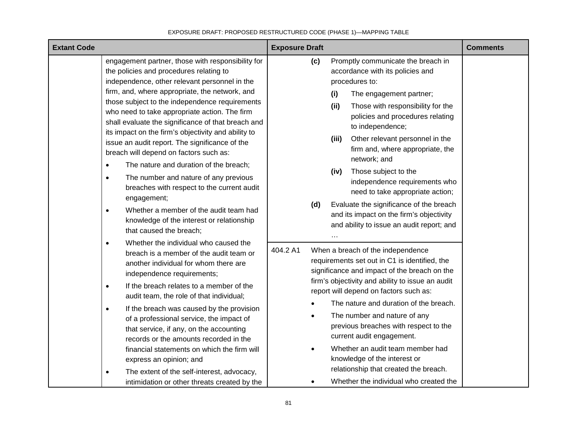| <b>Extant Code</b> |                                                                                                                                                                                                                                                                                                                                                                                                                                                                                                                                                                                                                                                                                                                                                                                                                      | <b>Exposure Draft</b>                                                                                                                                                                                                                                                                                                                                                                                                                                                                                                                                                                  | <b>Comments</b> |
|--------------------|----------------------------------------------------------------------------------------------------------------------------------------------------------------------------------------------------------------------------------------------------------------------------------------------------------------------------------------------------------------------------------------------------------------------------------------------------------------------------------------------------------------------------------------------------------------------------------------------------------------------------------------------------------------------------------------------------------------------------------------------------------------------------------------------------------------------|----------------------------------------------------------------------------------------------------------------------------------------------------------------------------------------------------------------------------------------------------------------------------------------------------------------------------------------------------------------------------------------------------------------------------------------------------------------------------------------------------------------------------------------------------------------------------------------|-----------------|
|                    | engagement partner, those with responsibility for<br>the policies and procedures relating to<br>independence, other relevant personnel in the<br>firm, and, where appropriate, the network, and<br>those subject to the independence requirements<br>who need to take appropriate action. The firm<br>shall evaluate the significance of that breach and<br>its impact on the firm's objectivity and ability to<br>issue an audit report. The significance of the<br>breach will depend on factors such as:<br>The nature and duration of the breach;<br>$\bullet$<br>The number and nature of any previous<br>$\bullet$<br>breaches with respect to the current audit<br>engagement;<br>Whether a member of the audit team had<br>$\bullet$<br>knowledge of the interest or relationship<br>that caused the breach; | Promptly communicate the breach in<br>(c)<br>accordance with its policies and<br>procedures to:<br>The engagement partner;<br>(i)<br>Those with responsibility for the<br>(ii)<br>policies and procedures relating<br>to independence;<br>Other relevant personnel in the<br>(iii)<br>firm and, where appropriate, the<br>network; and<br>(iv)<br>Those subject to the<br>independence requirements who<br>need to take appropriate action;<br>Evaluate the significance of the breach<br>(d)<br>and its impact on the firm's objectivity<br>and ability to issue an audit report; and |                 |
|                    | Whether the individual who caused the<br>$\bullet$<br>breach is a member of the audit team or<br>another individual for whom there are<br>independence requirements;<br>If the breach relates to a member of the<br>$\bullet$<br>audit team, the role of that individual;<br>If the breach was caused by the provision<br>$\bullet$<br>of a professional service, the impact of<br>that service, if any, on the accounting<br>records or the amounts recorded in the<br>financial statements on which the firm will<br>express an opinion; and<br>The extent of the self-interest, advocacy,<br>intimidation or other threats created by the                                                                                                                                                                         | 404.2 A1<br>When a breach of the independence<br>requirements set out in C1 is identified, the<br>significance and impact of the breach on the<br>firm's objectivity and ability to issue an audit<br>report will depend on factors such as:<br>The nature and duration of the breach.<br>The number and nature of any<br>$\bullet$<br>previous breaches with respect to the<br>current audit engagement.<br>Whether an audit team member had<br>$\bullet$<br>knowledge of the interest or<br>relationship that created the breach.<br>Whether the individual who created the          |                 |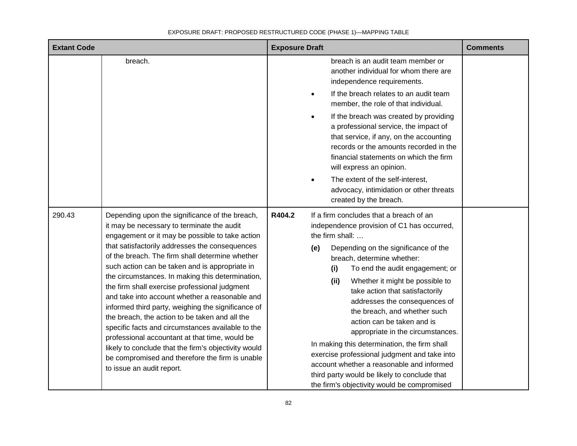| <b>Extant Code</b> |                                                                                                                                                                                                                                                                                                                                                                                                                                                                                                                                                                                                                                                                                                                                                                                                                      | <b>Exposure Draft</b>                                                                                                                                                                                                                                                                                                                                                                                                                                                                                                                                                                                                                                                                                           | <b>Comments</b> |
|--------------------|----------------------------------------------------------------------------------------------------------------------------------------------------------------------------------------------------------------------------------------------------------------------------------------------------------------------------------------------------------------------------------------------------------------------------------------------------------------------------------------------------------------------------------------------------------------------------------------------------------------------------------------------------------------------------------------------------------------------------------------------------------------------------------------------------------------------|-----------------------------------------------------------------------------------------------------------------------------------------------------------------------------------------------------------------------------------------------------------------------------------------------------------------------------------------------------------------------------------------------------------------------------------------------------------------------------------------------------------------------------------------------------------------------------------------------------------------------------------------------------------------------------------------------------------------|-----------------|
|                    | breach.                                                                                                                                                                                                                                                                                                                                                                                                                                                                                                                                                                                                                                                                                                                                                                                                              | breach is an audit team member or<br>another individual for whom there are<br>independence requirements.<br>If the breach relates to an audit team<br>$\bullet$<br>member, the role of that individual.<br>If the breach was created by providing<br>$\bullet$<br>a professional service, the impact of<br>that service, if any, on the accounting<br>records or the amounts recorded in the<br>financial statements on which the firm<br>will express an opinion.<br>The extent of the self-interest,<br>$\bullet$<br>advocacy, intimidation or other threats<br>created by the breach.                                                                                                                        |                 |
| 290.43             | Depending upon the significance of the breach,<br>it may be necessary to terminate the audit<br>engagement or it may be possible to take action<br>that satisfactorily addresses the consequences<br>of the breach. The firm shall determine whether<br>such action can be taken and is appropriate in<br>the circumstances. In making this determination,<br>the firm shall exercise professional judgment<br>and take into account whether a reasonable and<br>informed third party, weighing the significance of<br>the breach, the action to be taken and all the<br>specific facts and circumstances available to the<br>professional accountant at that time, would be<br>likely to conclude that the firm's objectivity would<br>be compromised and therefore the firm is unable<br>to issue an audit report. | R404.2<br>If a firm concludes that a breach of an<br>independence provision of C1 has occurred,<br>the firm shall: $\dots$<br>Depending on the significance of the<br>(e)<br>breach, determine whether:<br>To end the audit engagement; or<br>(i)<br>(ii)<br>Whether it might be possible to<br>take action that satisfactorily<br>addresses the consequences of<br>the breach, and whether such<br>action can be taken and is<br>appropriate in the circumstances.<br>In making this determination, the firm shall<br>exercise professional judgment and take into<br>account whether a reasonable and informed<br>third party would be likely to conclude that<br>the firm's objectivity would be compromised |                 |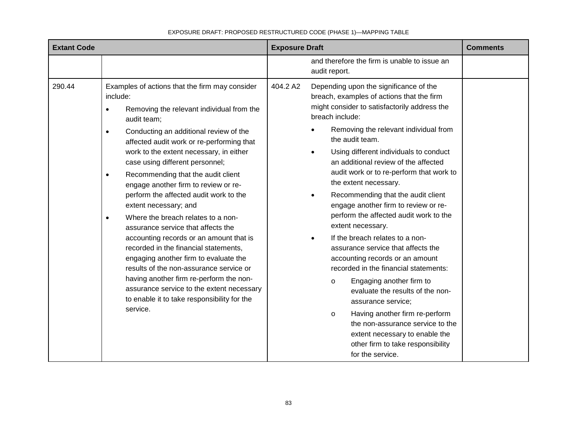| <b>Extant Code</b> |                                                                                                                                                                                                                                                                                                                                                                                                                                                                                                                                                                                                                                                                                                                                                                                                                                                                                                         | <b>Exposure Draft</b>                                                                                                                                                                                                                                                                                                                                                                                                                                                                                                                                                                                                                                                                                                                                                                                                                                                                                                                                                                                       | <b>Comments</b> |
|--------------------|---------------------------------------------------------------------------------------------------------------------------------------------------------------------------------------------------------------------------------------------------------------------------------------------------------------------------------------------------------------------------------------------------------------------------------------------------------------------------------------------------------------------------------------------------------------------------------------------------------------------------------------------------------------------------------------------------------------------------------------------------------------------------------------------------------------------------------------------------------------------------------------------------------|-------------------------------------------------------------------------------------------------------------------------------------------------------------------------------------------------------------------------------------------------------------------------------------------------------------------------------------------------------------------------------------------------------------------------------------------------------------------------------------------------------------------------------------------------------------------------------------------------------------------------------------------------------------------------------------------------------------------------------------------------------------------------------------------------------------------------------------------------------------------------------------------------------------------------------------------------------------------------------------------------------------|-----------------|
|                    |                                                                                                                                                                                                                                                                                                                                                                                                                                                                                                                                                                                                                                                                                                                                                                                                                                                                                                         | and therefore the firm is unable to issue an<br>audit report.                                                                                                                                                                                                                                                                                                                                                                                                                                                                                                                                                                                                                                                                                                                                                                                                                                                                                                                                               |                 |
| 290.44             | Examples of actions that the firm may consider<br>include:<br>Removing the relevant individual from the<br>$\bullet$<br>audit team;<br>Conducting an additional review of the<br>$\bullet$<br>affected audit work or re-performing that<br>work to the extent necessary, in either<br>case using different personnel;<br>Recommending that the audit client<br>$\bullet$<br>engage another firm to review or re-<br>perform the affected audit work to the<br>extent necessary; and<br>Where the breach relates to a non-<br>$\bullet$<br>assurance service that affects the<br>accounting records or an amount that is<br>recorded in the financial statements,<br>engaging another firm to evaluate the<br>results of the non-assurance service or<br>having another firm re-perform the non-<br>assurance service to the extent necessary<br>to enable it to take responsibility for the<br>service. | 404.2 A2<br>Depending upon the significance of the<br>breach, examples of actions that the firm<br>might consider to satisfactorily address the<br>breach include:<br>Removing the relevant individual from<br>the audit team.<br>Using different individuals to conduct<br>$\bullet$<br>an additional review of the affected<br>audit work or to re-perform that work to<br>the extent necessary.<br>Recommending that the audit client<br>$\bullet$<br>engage another firm to review or re-<br>perform the affected audit work to the<br>extent necessary.<br>If the breach relates to a non-<br>$\bullet$<br>assurance service that affects the<br>accounting records or an amount<br>recorded in the financial statements:<br>Engaging another firm to<br>$\circ$<br>evaluate the results of the non-<br>assurance service;<br>Having another firm re-perform<br>$\circ$<br>the non-assurance service to the<br>extent necessary to enable the<br>other firm to take responsibility<br>for the service. |                 |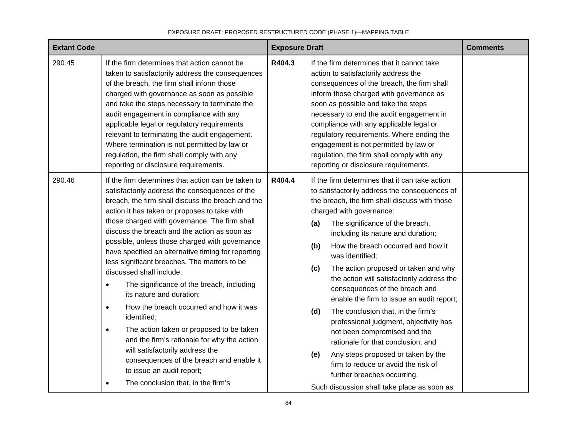| <b>Extant Code</b>                                                                                                                                                                                                                                                                                                                                                                                                                                                                                                                                                                                                                                                                                                                                                                                                                                                                                                             | <b>Exposure Draft</b> |                                                                                                                                                                                                                                                                                                                                                                                                                                                                                                                                                                                                                                                                                                                                                                                                                                         | <b>Comments</b> |
|--------------------------------------------------------------------------------------------------------------------------------------------------------------------------------------------------------------------------------------------------------------------------------------------------------------------------------------------------------------------------------------------------------------------------------------------------------------------------------------------------------------------------------------------------------------------------------------------------------------------------------------------------------------------------------------------------------------------------------------------------------------------------------------------------------------------------------------------------------------------------------------------------------------------------------|-----------------------|-----------------------------------------------------------------------------------------------------------------------------------------------------------------------------------------------------------------------------------------------------------------------------------------------------------------------------------------------------------------------------------------------------------------------------------------------------------------------------------------------------------------------------------------------------------------------------------------------------------------------------------------------------------------------------------------------------------------------------------------------------------------------------------------------------------------------------------------|-----------------|
| 290.45<br>If the firm determines that action cannot be<br>taken to satisfactorily address the consequences<br>of the breach, the firm shall inform those<br>charged with governance as soon as possible<br>and take the steps necessary to terminate the<br>audit engagement in compliance with any<br>applicable legal or regulatory requirements<br>relevant to terminating the audit engagement.<br>Where termination is not permitted by law or<br>regulation, the firm shall comply with any<br>reporting or disclosure requirements.                                                                                                                                                                                                                                                                                                                                                                                     | R404.3                | If the firm determines that it cannot take<br>action to satisfactorily address the<br>consequences of the breach, the firm shall<br>inform those charged with governance as<br>soon as possible and take the steps<br>necessary to end the audit engagement in<br>compliance with any applicable legal or<br>regulatory requirements. Where ending the<br>engagement is not permitted by law or<br>regulation, the firm shall comply with any<br>reporting or disclosure requirements.                                                                                                                                                                                                                                                                                                                                                  |                 |
| 290.46<br>If the firm determines that action can be taken to<br>satisfactorily address the consequences of the<br>breach, the firm shall discuss the breach and the<br>action it has taken or proposes to take with<br>those charged with governance. The firm shall<br>discuss the breach and the action as soon as<br>possible, unless those charged with governance<br>have specified an alternative timing for reporting<br>less significant breaches. The matters to be<br>discussed shall include:<br>The significance of the breach, including<br>$\bullet$<br>its nature and duration;<br>How the breach occurred and how it was<br>$\bullet$<br>identified;<br>The action taken or proposed to be taken<br>$\bullet$<br>and the firm's rationale for why the action<br>will satisfactorily address the<br>consequences of the breach and enable it<br>to issue an audit report;<br>The conclusion that, in the firm's | R404.4                | If the firm determines that it can take action<br>to satisfactorily address the consequences of<br>the breach, the firm shall discuss with those<br>charged with governance:<br>The significance of the breach,<br>(a)<br>including its nature and duration;<br>How the breach occurred and how it<br>(b)<br>was identified;<br>The action proposed or taken and why<br>(c)<br>the action will satisfactorily address the<br>consequences of the breach and<br>enable the firm to issue an audit report;<br>(d)<br>The conclusion that, in the firm's<br>professional judgment, objectivity has<br>not been compromised and the<br>rationale for that conclusion; and<br>Any steps proposed or taken by the<br>(e)<br>firm to reduce or avoid the risk of<br>further breaches occurring.<br>Such discussion shall take place as soon as |                 |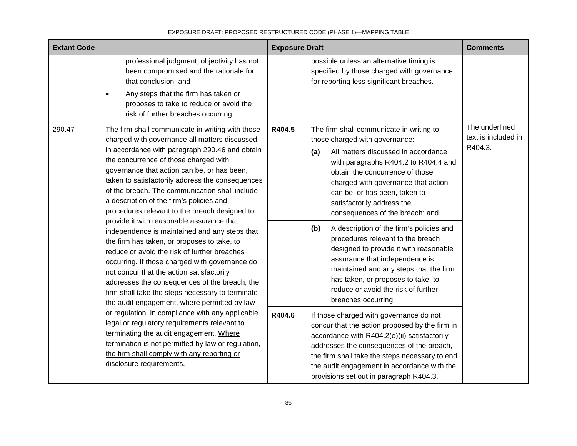| <b>Extant Code</b> |                                                                                                                                                                                                                                                                                                                                                                                                                                                                                                                                                                                                                                                                                                                                                                                                                                                                                                 | <b>Exposure Draft</b> |                                                                                                                                                                                                                                                                                                                                                                                                                                                                                                                                                                                                                                                  | <b>Comments</b>                                  |
|--------------------|-------------------------------------------------------------------------------------------------------------------------------------------------------------------------------------------------------------------------------------------------------------------------------------------------------------------------------------------------------------------------------------------------------------------------------------------------------------------------------------------------------------------------------------------------------------------------------------------------------------------------------------------------------------------------------------------------------------------------------------------------------------------------------------------------------------------------------------------------------------------------------------------------|-----------------------|--------------------------------------------------------------------------------------------------------------------------------------------------------------------------------------------------------------------------------------------------------------------------------------------------------------------------------------------------------------------------------------------------------------------------------------------------------------------------------------------------------------------------------------------------------------------------------------------------------------------------------------------------|--------------------------------------------------|
|                    | professional judgment, objectivity has not<br>been compromised and the rationale for<br>that conclusion; and<br>Any steps that the firm has taken or<br>٠<br>proposes to take to reduce or avoid the<br>risk of further breaches occurring.                                                                                                                                                                                                                                                                                                                                                                                                                                                                                                                                                                                                                                                     |                       | possible unless an alternative timing is<br>specified by those charged with governance<br>for reporting less significant breaches.                                                                                                                                                                                                                                                                                                                                                                                                                                                                                                               |                                                  |
| 290.47             | The firm shall communicate in writing with those<br>charged with governance all matters discussed<br>in accordance with paragraph 290.46 and obtain<br>the concurrence of those charged with<br>governance that action can be, or has been,<br>taken to satisfactorily address the consequences<br>of the breach. The communication shall include<br>a description of the firm's policies and<br>procedures relevant to the breach designed to<br>provide it with reasonable assurance that<br>independence is maintained and any steps that<br>the firm has taken, or proposes to take, to<br>reduce or avoid the risk of further breaches<br>occurring. If those charged with governance do<br>not concur that the action satisfactorily<br>addresses the consequences of the breach, the<br>firm shall take the steps necessary to terminate<br>the audit engagement, where permitted by law | R404.5<br>(a)<br>(b)  | The firm shall communicate in writing to<br>those charged with governance:<br>All matters discussed in accordance<br>with paragraphs R404.2 to R404.4 and<br>obtain the concurrence of those<br>charged with governance that action<br>can be, or has been, taken to<br>satisfactorily address the<br>consequences of the breach; and<br>A description of the firm's policies and<br>procedures relevant to the breach<br>designed to provide it with reasonable<br>assurance that independence is<br>maintained and any steps that the firm<br>has taken, or proposes to take, to<br>reduce or avoid the risk of further<br>breaches occurring. | The underlined<br>text is included in<br>R404.3. |
|                    | or regulation, in compliance with any applicable<br>legal or regulatory requirements relevant to<br>terminating the audit engagement. Where<br>termination is not permitted by law or regulation,<br>the firm shall comply with any reporting or<br>disclosure requirements.                                                                                                                                                                                                                                                                                                                                                                                                                                                                                                                                                                                                                    | R404.6                | If those charged with governance do not<br>concur that the action proposed by the firm in<br>accordance with R404.2(e)(ii) satisfactorily<br>addresses the consequences of the breach,<br>the firm shall take the steps necessary to end<br>the audit engagement in accordance with the<br>provisions set out in paragraph R404.3.                                                                                                                                                                                                                                                                                                               |                                                  |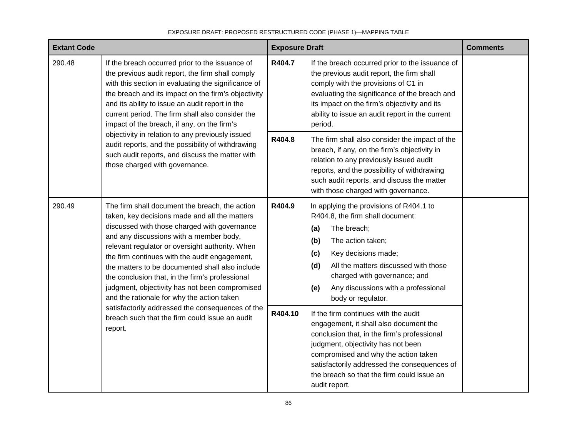| <b>Extant Code</b>                                                                                                                                                                                                                                                                                                                                                                                                                                                                                                                                                              |                                                                                                                                                                                                                                                                                                                                                                                                                                                                                                                                                                                                                       | <b>Exposure Draft</b>                                                                                                                                                                                                                                                                              |                                                                                                                                                                                                                                                                                                                                                                                                                                                                                                                                                                                                                                              | <b>Comments</b> |
|---------------------------------------------------------------------------------------------------------------------------------------------------------------------------------------------------------------------------------------------------------------------------------------------------------------------------------------------------------------------------------------------------------------------------------------------------------------------------------------------------------------------------------------------------------------------------------|-----------------------------------------------------------------------------------------------------------------------------------------------------------------------------------------------------------------------------------------------------------------------------------------------------------------------------------------------------------------------------------------------------------------------------------------------------------------------------------------------------------------------------------------------------------------------------------------------------------------------|----------------------------------------------------------------------------------------------------------------------------------------------------------------------------------------------------------------------------------------------------------------------------------------------------|----------------------------------------------------------------------------------------------------------------------------------------------------------------------------------------------------------------------------------------------------------------------------------------------------------------------------------------------------------------------------------------------------------------------------------------------------------------------------------------------------------------------------------------------------------------------------------------------------------------------------------------------|-----------------|
| 290.48<br>If the breach occurred prior to the issuance of<br>the previous audit report, the firm shall comply<br>with this section in evaluating the significance of<br>the breach and its impact on the firm's objectivity<br>and its ability to issue an audit report in the<br>current period. The firm shall also consider the<br>impact of the breach, if any, on the firm's<br>objectivity in relation to any previously issued<br>audit reports, and the possibility of withdrawing<br>such audit reports, and discuss the matter with<br>those charged with governance. | R404.7                                                                                                                                                                                                                                                                                                                                                                                                                                                                                                                                                                                                                | If the breach occurred prior to the issuance of<br>the previous audit report, the firm shall<br>comply with the provisions of C1 in<br>evaluating the significance of the breach and<br>its impact on the firm's objectivity and its<br>ability to issue an audit report in the current<br>period. |                                                                                                                                                                                                                                                                                                                                                                                                                                                                                                                                                                                                                                              |                 |
|                                                                                                                                                                                                                                                                                                                                                                                                                                                                                                                                                                                 |                                                                                                                                                                                                                                                                                                                                                                                                                                                                                                                                                                                                                       | R404.8                                                                                                                                                                                                                                                                                             | The firm shall also consider the impact of the<br>breach, if any, on the firm's objectivity in<br>relation to any previously issued audit<br>reports, and the possibility of withdrawing<br>such audit reports, and discuss the matter<br>with those charged with governance.                                                                                                                                                                                                                                                                                                                                                                |                 |
| 290.49                                                                                                                                                                                                                                                                                                                                                                                                                                                                                                                                                                          | The firm shall document the breach, the action<br>taken, key decisions made and all the matters<br>discussed with those charged with governance<br>and any discussions with a member body,<br>relevant regulator or oversight authority. When<br>the firm continues with the audit engagement,<br>the matters to be documented shall also include<br>the conclusion that, in the firm's professional<br>judgment, objectivity has not been compromised<br>and the rationale for why the action taken<br>satisfactorily addressed the consequences of the<br>breach such that the firm could issue an audit<br>report. | R404.9<br>R404.10                                                                                                                                                                                                                                                                                  | In applying the provisions of R404.1 to<br>R404.8, the firm shall document:<br>The breach;<br>(a)<br>The action taken;<br>(b)<br>Key decisions made;<br>(c)<br>All the matters discussed with those<br>(d)<br>charged with governance; and<br>Any discussions with a professional<br>(e)<br>body or regulator.<br>If the firm continues with the audit<br>engagement, it shall also document the<br>conclusion that, in the firm's professional<br>judgment, objectivity has not been<br>compromised and why the action taken<br>satisfactorily addressed the consequences of<br>the breach so that the firm could issue an<br>audit report. |                 |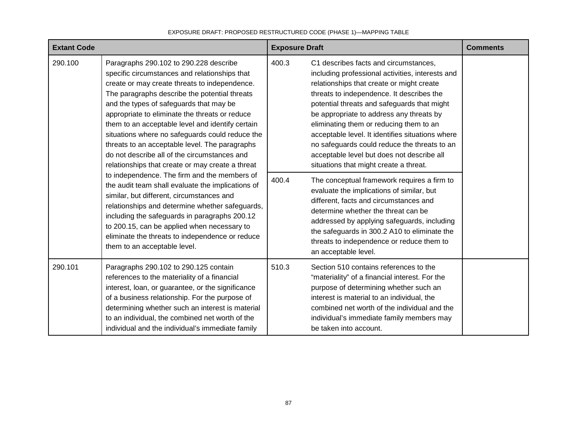| <b>Extant Code</b> |                                                                                                                                                                                                                                                                                                                                                                                                                                                                                                                                                                                                                                                                                                                                                                                                                                                                                                                                             | <b>Exposure Draft</b> |                                                                                                                                                                                                                                                                                                                                                                                                                                                                                                                       | <b>Comments</b> |
|--------------------|---------------------------------------------------------------------------------------------------------------------------------------------------------------------------------------------------------------------------------------------------------------------------------------------------------------------------------------------------------------------------------------------------------------------------------------------------------------------------------------------------------------------------------------------------------------------------------------------------------------------------------------------------------------------------------------------------------------------------------------------------------------------------------------------------------------------------------------------------------------------------------------------------------------------------------------------|-----------------------|-----------------------------------------------------------------------------------------------------------------------------------------------------------------------------------------------------------------------------------------------------------------------------------------------------------------------------------------------------------------------------------------------------------------------------------------------------------------------------------------------------------------------|-----------------|
| 290.100            | Paragraphs 290.102 to 290.228 describe<br>specific circumstances and relationships that<br>create or may create threats to independence.<br>The paragraphs describe the potential threats<br>and the types of safeguards that may be<br>appropriate to eliminate the threats or reduce<br>them to an acceptable level and identify certain<br>situations where no safeguards could reduce the<br>threats to an acceptable level. The paragraphs<br>do not describe all of the circumstances and<br>relationships that create or may create a threat<br>to independence. The firm and the members of<br>the audit team shall evaluate the implications of<br>similar, but different, circumstances and<br>relationships and determine whether safeguards,<br>including the safeguards in paragraphs 200.12<br>to 200.15, can be applied when necessary to<br>eliminate the threats to independence or reduce<br>them to an acceptable level. | 400.3                 | C1 describes facts and circumstances,<br>including professional activities, interests and<br>relationships that create or might create<br>threats to independence. It describes the<br>potential threats and safeguards that might<br>be appropriate to address any threats by<br>eliminating them or reducing them to an<br>acceptable level. It identifies situations where<br>no safeguards could reduce the threats to an<br>acceptable level but does not describe all<br>situations that might create a threat. |                 |
|                    |                                                                                                                                                                                                                                                                                                                                                                                                                                                                                                                                                                                                                                                                                                                                                                                                                                                                                                                                             | 400.4                 | The conceptual framework requires a firm to<br>evaluate the implications of similar, but<br>different, facts and circumstances and<br>determine whether the threat can be<br>addressed by applying safeguards, including<br>the safeguards in 300.2 A10 to eliminate the<br>threats to independence or reduce them to<br>an acceptable level.                                                                                                                                                                         |                 |
| 290.101            | Paragraphs 290.102 to 290.125 contain<br>references to the materiality of a financial<br>interest, loan, or guarantee, or the significance<br>of a business relationship. For the purpose of<br>determining whether such an interest is material<br>to an individual, the combined net worth of the<br>individual and the individual's immediate family                                                                                                                                                                                                                                                                                                                                                                                                                                                                                                                                                                                     | 510.3                 | Section 510 contains references to the<br>"materiality" of a financial interest. For the<br>purpose of determining whether such an<br>interest is material to an individual, the<br>combined net worth of the individual and the<br>individual's immediate family members may<br>be taken into account.                                                                                                                                                                                                               |                 |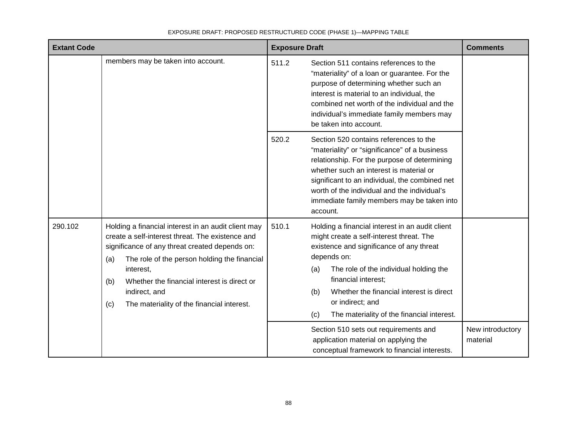| <b>Extant Code</b> |                                                                                                                                                                                                                                                                                                                                                           | <b>Exposure Draft</b>                                                                                                                                                                                                                                                                                                                                               | <b>Comments</b>              |
|--------------------|-----------------------------------------------------------------------------------------------------------------------------------------------------------------------------------------------------------------------------------------------------------------------------------------------------------------------------------------------------------|---------------------------------------------------------------------------------------------------------------------------------------------------------------------------------------------------------------------------------------------------------------------------------------------------------------------------------------------------------------------|------------------------------|
|                    | members may be taken into account.                                                                                                                                                                                                                                                                                                                        | 511.2<br>Section 511 contains references to the<br>"materiality" of a loan or guarantee. For the<br>purpose of determining whether such an<br>interest is material to an individual, the<br>combined net worth of the individual and the<br>individual's immediate family members may<br>be taken into account.                                                     |                              |
|                    |                                                                                                                                                                                                                                                                                                                                                           | 520.2<br>Section 520 contains references to the<br>"materiality" or "significance" of a business<br>relationship. For the purpose of determining<br>whether such an interest is material or<br>significant to an individual, the combined net<br>worth of the individual and the individual's<br>immediate family members may be taken into<br>account.             |                              |
| 290.102            | Holding a financial interest in an audit client may<br>create a self-interest threat. The existence and<br>significance of any threat created depends on:<br>The role of the person holding the financial<br>(a)<br>interest,<br>Whether the financial interest is direct or<br>(b)<br>indirect, and<br>The materiality of the financial interest.<br>(c) | 510.1<br>Holding a financial interest in an audit client<br>might create a self-interest threat. The<br>existence and significance of any threat<br>depends on:<br>The role of the individual holding the<br>(a)<br>financial interest:<br>Whether the financial interest is direct<br>(b)<br>or indirect; and<br>The materiality of the financial interest.<br>(c) |                              |
|                    |                                                                                                                                                                                                                                                                                                                                                           | Section 510 sets out requirements and<br>application material on applying the<br>conceptual framework to financial interests.                                                                                                                                                                                                                                       | New introductory<br>material |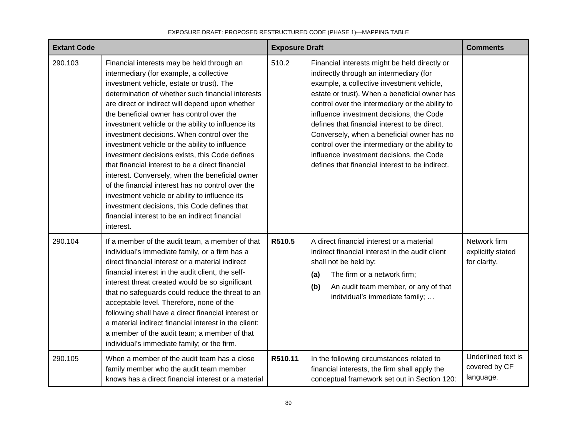| <b>Extant Code</b> |                                                                                                                                                                                                                                                                                                                                                                                                                                                                                                                                                                                                                                                                                                                                                                                                                               | <b>Exposure Draft</b> |                                                                                                                                                                                                                                                                                                                                                                                                                                                                                                                                        | <b>Comments</b>                                   |
|--------------------|-------------------------------------------------------------------------------------------------------------------------------------------------------------------------------------------------------------------------------------------------------------------------------------------------------------------------------------------------------------------------------------------------------------------------------------------------------------------------------------------------------------------------------------------------------------------------------------------------------------------------------------------------------------------------------------------------------------------------------------------------------------------------------------------------------------------------------|-----------------------|----------------------------------------------------------------------------------------------------------------------------------------------------------------------------------------------------------------------------------------------------------------------------------------------------------------------------------------------------------------------------------------------------------------------------------------------------------------------------------------------------------------------------------------|---------------------------------------------------|
| 290.103            | Financial interests may be held through an<br>intermediary (for example, a collective<br>investment vehicle, estate or trust). The<br>determination of whether such financial interests<br>are direct or indirect will depend upon whether<br>the beneficial owner has control over the<br>investment vehicle or the ability to influence its<br>investment decisions. When control over the<br>investment vehicle or the ability to influence<br>investment decisions exists, this Code defines<br>that financial interest to be a direct financial<br>interest. Conversely, when the beneficial owner<br>of the financial interest has no control over the<br>investment vehicle or ability to influence its<br>investment decisions, this Code defines that<br>financial interest to be an indirect financial<br>interest. | 510.2                 | Financial interests might be held directly or<br>indirectly through an intermediary (for<br>example, a collective investment vehicle,<br>estate or trust). When a beneficial owner has<br>control over the intermediary or the ability to<br>influence investment decisions, the Code<br>defines that financial interest to be direct.<br>Conversely, when a beneficial owner has no<br>control over the intermediary or the ability to<br>influence investment decisions, the Code<br>defines that financial interest to be indirect. |                                                   |
| 290.104            | If a member of the audit team, a member of that<br>individual's immediate family, or a firm has a<br>direct financial interest or a material indirect<br>financial interest in the audit client, the self-<br>interest threat created would be so significant<br>that no safeguards could reduce the threat to an<br>acceptable level. Therefore, none of the<br>following shall have a direct financial interest or<br>a material indirect financial interest in the client:<br>a member of the audit team; a member of that<br>individual's immediate family; or the firm.                                                                                                                                                                                                                                                  | R510.5                | A direct financial interest or a material<br>indirect financial interest in the audit client<br>shall not be held by:<br>The firm or a network firm;<br>(a)<br>An audit team member, or any of that<br>(b)<br>individual's immediate family;                                                                                                                                                                                                                                                                                           | Network firm<br>explicitly stated<br>for clarity. |
| 290.105            | When a member of the audit team has a close<br>family member who the audit team member<br>knows has a direct financial interest or a material                                                                                                                                                                                                                                                                                                                                                                                                                                                                                                                                                                                                                                                                                 | R510.11               | In the following circumstances related to<br>financial interests, the firm shall apply the<br>conceptual framework set out in Section 120:                                                                                                                                                                                                                                                                                                                                                                                             | Underlined text is<br>covered by CF<br>language.  |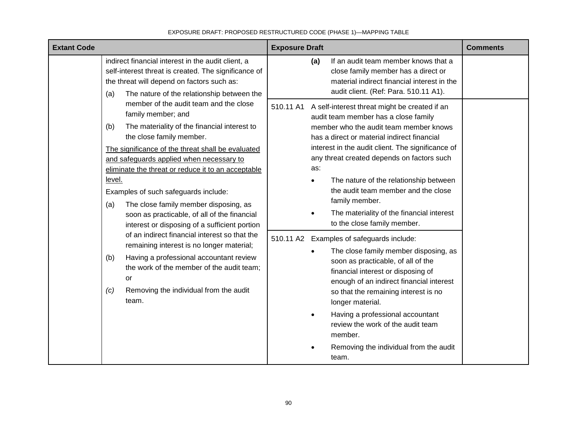| <b>Extant Code</b> |                                                                                                                                                                                                                                                                                                                                                                                                                                                                                                                                                                                                                                                                                                                                                                                                                                                                                                                                                                                         | <b>Exposure Draft</b>                                                                                                                                                                                                                                                                                                                                                                                                                                                                                                                                                                                                                                                                                                                                                                                                                                                                                                                              | <b>Comments</b> |
|--------------------|-----------------------------------------------------------------------------------------------------------------------------------------------------------------------------------------------------------------------------------------------------------------------------------------------------------------------------------------------------------------------------------------------------------------------------------------------------------------------------------------------------------------------------------------------------------------------------------------------------------------------------------------------------------------------------------------------------------------------------------------------------------------------------------------------------------------------------------------------------------------------------------------------------------------------------------------------------------------------------------------|----------------------------------------------------------------------------------------------------------------------------------------------------------------------------------------------------------------------------------------------------------------------------------------------------------------------------------------------------------------------------------------------------------------------------------------------------------------------------------------------------------------------------------------------------------------------------------------------------------------------------------------------------------------------------------------------------------------------------------------------------------------------------------------------------------------------------------------------------------------------------------------------------------------------------------------------------|-----------------|
|                    | indirect financial interest in the audit client, a<br>self-interest threat is created. The significance of<br>the threat will depend on factors such as:<br>The nature of the relationship between the<br>(a)<br>member of the audit team and the close<br>family member; and<br>The materiality of the financial interest to<br>(b)<br>the close family member.<br>The significance of the threat shall be evaluated<br>and safeguards applied when necessary to<br>eliminate the threat or reduce it to an acceptable<br>level.<br>Examples of such safeguards include:<br>The close family member disposing, as<br>(a)<br>soon as practicable, of all of the financial<br>interest or disposing of a sufficient portion<br>of an indirect financial interest so that the<br>remaining interest is no longer material;<br>Having a professional accountant review<br>(b)<br>the work of the member of the audit team;<br>or<br>Removing the individual from the audit<br>(c)<br>team. | If an audit team member knows that a<br>(a)<br>close family member has a direct or<br>material indirect financial interest in the<br>audit client. (Ref: Para. 510.11 A1).<br>510.11 A1<br>A self-interest threat might be created if an<br>audit team member has a close family<br>member who the audit team member knows<br>has a direct or material indirect financial<br>interest in the audit client. The significance of<br>any threat created depends on factors such<br>as:<br>The nature of the relationship between<br>$\bullet$<br>the audit team member and the close<br>family member.<br>The materiality of the financial interest<br>$\bullet$<br>to the close family member.<br>510.11 A2 Examples of safeguards include:<br>The close family member disposing, as<br>soon as practicable, of all of the<br>financial interest or disposing of<br>enough of an indirect financial interest<br>so that the remaining interest is no |                 |
|                    |                                                                                                                                                                                                                                                                                                                                                                                                                                                                                                                                                                                                                                                                                                                                                                                                                                                                                                                                                                                         | longer material.<br>Having a professional accountant<br>٠<br>review the work of the audit team<br>member.<br>Removing the individual from the audit<br>team.                                                                                                                                                                                                                                                                                                                                                                                                                                                                                                                                                                                                                                                                                                                                                                                       |                 |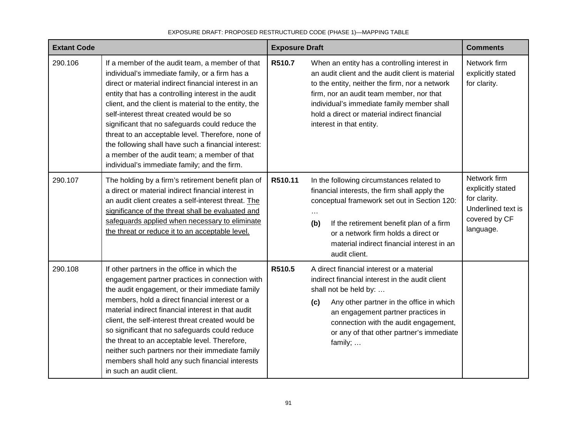| <b>Extant Code</b> |                                                                                                                                                                                                                                                                                                                                                                                                                                                                                                                                                                                      | <b>Exposure Draft</b> |                                                                                                                                                                                                                                                                                                                          | <b>Comments</b>                                                                                       |
|--------------------|--------------------------------------------------------------------------------------------------------------------------------------------------------------------------------------------------------------------------------------------------------------------------------------------------------------------------------------------------------------------------------------------------------------------------------------------------------------------------------------------------------------------------------------------------------------------------------------|-----------------------|--------------------------------------------------------------------------------------------------------------------------------------------------------------------------------------------------------------------------------------------------------------------------------------------------------------------------|-------------------------------------------------------------------------------------------------------|
| 290.106            | If a member of the audit team, a member of that<br>individual's immediate family, or a firm has a<br>direct or material indirect financial interest in an<br>entity that has a controlling interest in the audit<br>client, and the client is material to the entity, the<br>self-interest threat created would be so<br>significant that no safeguards could reduce the<br>threat to an acceptable level. Therefore, none of<br>the following shall have such a financial interest:<br>a member of the audit team; a member of that<br>individual's immediate family; and the firm. | R510.7                | When an entity has a controlling interest in<br>an audit client and the audit client is material<br>to the entity, neither the firm, nor a network<br>firm, nor an audit team member, nor that<br>individual's immediate family member shall<br>hold a direct or material indirect financial<br>interest in that entity. | Network firm<br>explicitly stated<br>for clarity.                                                     |
| 290.107            | The holding by a firm's retirement benefit plan of<br>a direct or material indirect financial interest in<br>an audit client creates a self-interest threat. The<br>significance of the threat shall be evaluated and<br>safeguards applied when necessary to eliminate<br>the threat or reduce it to an acceptable level.                                                                                                                                                                                                                                                           | R510.11               | In the following circumstances related to<br>financial interests, the firm shall apply the<br>conceptual framework set out in Section 120:<br>$\cdots$<br>If the retirement benefit plan of a firm<br>(b)<br>or a network firm holds a direct or<br>material indirect financial interest in an<br>audit client.          | Network firm<br>explicitly stated<br>for clarity.<br>Underlined text is<br>covered by CF<br>language. |
| 290.108            | If other partners in the office in which the<br>engagement partner practices in connection with<br>the audit engagement, or their immediate family<br>members, hold a direct financial interest or a<br>material indirect financial interest in that audit<br>client, the self-interest threat created would be<br>so significant that no safeguards could reduce<br>the threat to an acceptable level. Therefore,<br>neither such partners nor their immediate family<br>members shall hold any such financial interests<br>in such an audit client.                                | R510.5                | A direct financial interest or a material<br>indirect financial interest in the audit client<br>shall not be held by:<br>Any other partner in the office in which<br>(c)<br>an engagement partner practices in<br>connection with the audit engagement,<br>or any of that other partner's immediate<br>family;           |                                                                                                       |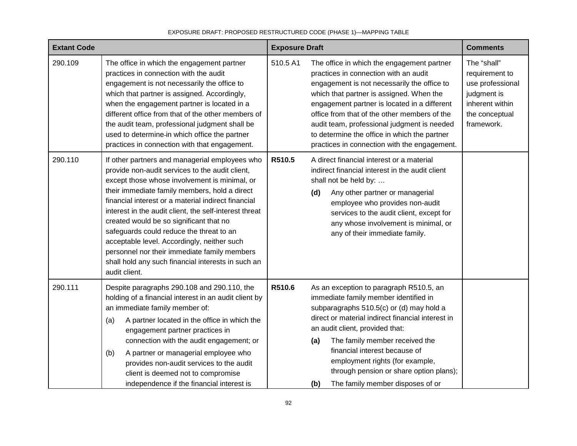| <b>Extant Code</b> |                                                                                                                                                                                                                                                                                                                                                                                                                                                                                                                                                                                   |          | <b>Exposure Draft</b>                                                                                                                                                                                                                                                                                                                                                                                                         |                                                                                                                     |
|--------------------|-----------------------------------------------------------------------------------------------------------------------------------------------------------------------------------------------------------------------------------------------------------------------------------------------------------------------------------------------------------------------------------------------------------------------------------------------------------------------------------------------------------------------------------------------------------------------------------|----------|-------------------------------------------------------------------------------------------------------------------------------------------------------------------------------------------------------------------------------------------------------------------------------------------------------------------------------------------------------------------------------------------------------------------------------|---------------------------------------------------------------------------------------------------------------------|
| 290.109            | The office in which the engagement partner<br>practices in connection with the audit<br>engagement is not necessarily the office to<br>which that partner is assigned. Accordingly,<br>when the engagement partner is located in a<br>different office from that of the other members of<br>the audit team, professional judgment shall be<br>used to determine-in which office the partner<br>practices in connection with that engagement.                                                                                                                                      | 510.5 A1 | The office in which the engagement partner<br>practices in connection with an audit<br>engagement is not necessarily the office to<br>which that partner is assigned. When the<br>engagement partner is located in a different<br>office from that of the other members of the<br>audit team, professional judgment is needed<br>to determine the office in which the partner<br>practices in connection with the engagement. | The "shall"<br>requirement to<br>use professional<br>judgment is<br>inherent within<br>the conceptual<br>framework. |
| 290.110            | If other partners and managerial employees who<br>provide non-audit services to the audit client,<br>except those whose involvement is minimal, or<br>their immediate family members, hold a direct<br>financial interest or a material indirect financial<br>interest in the audit client, the self-interest threat<br>created would be so significant that no<br>safeguards could reduce the threat to an<br>acceptable level. Accordingly, neither such<br>personnel nor their immediate family members<br>shall hold any such financial interests in such an<br>audit client. | R510.5   | A direct financial interest or a material<br>indirect financial interest in the audit client<br>shall not be held by:<br>Any other partner or managerial<br>(d)<br>employee who provides non-audit<br>services to the audit client, except for<br>any whose involvement is minimal, or<br>any of their immediate family.                                                                                                      |                                                                                                                     |
| 290.111            | Despite paragraphs 290.108 and 290.110, the<br>holding of a financial interest in an audit client by<br>an immediate family member of:<br>A partner located in the office in which the<br>(a)<br>engagement partner practices in<br>connection with the audit engagement; or<br>A partner or managerial employee who<br>(b)<br>provides non-audit services to the audit<br>client is deemed not to compromise<br>independence if the financial interest is                                                                                                                        | R510.6   | As an exception to paragraph R510.5, an<br>immediate family member identified in<br>subparagraphs 510.5(c) or (d) may hold a<br>direct or material indirect financial interest in<br>an audit client, provided that:<br>The family member received the<br>(a)<br>financial interest because of<br>employment rights (for example,<br>through pension or share option plans);<br>The family member disposes of or<br>(b)       |                                                                                                                     |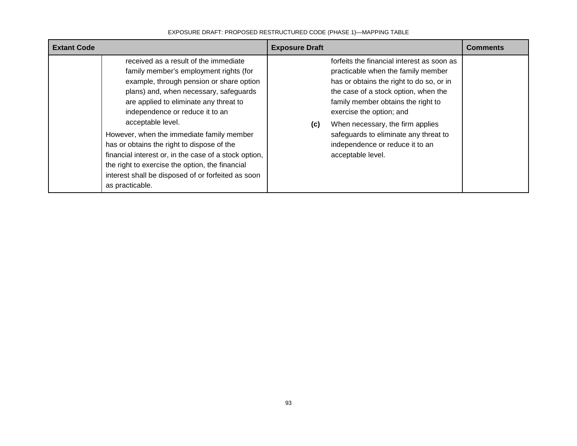| <b>Extant Code</b> |                                                                                                                                                                                                                                                                                                                                                                                                                                                           | <b>Exposure Draft</b> |                                                                                                                                                                                                                                                                                                                                                                             |  |
|--------------------|-----------------------------------------------------------------------------------------------------------------------------------------------------------------------------------------------------------------------------------------------------------------------------------------------------------------------------------------------------------------------------------------------------------------------------------------------------------|-----------------------|-----------------------------------------------------------------------------------------------------------------------------------------------------------------------------------------------------------------------------------------------------------------------------------------------------------------------------------------------------------------------------|--|
| acceptable level.  | received as a result of the immediate<br>family member's employment rights (for<br>example, through pension or share option<br>plans) and, when necessary, safeguards<br>are applied to eliminate any threat to<br>independence or reduce it to an<br>However, when the immediate family member<br>has or obtains the right to dispose of the<br>financial interest or, in the case of a stock option,<br>the right to exercise the option, the financial | (c)                   | forfeits the financial interest as soon as<br>practicable when the family member<br>has or obtains the right to do so, or in<br>the case of a stock option, when the<br>family member obtains the right to<br>exercise the option; and<br>When necessary, the firm applies<br>safeguards to eliminate any threat to<br>independence or reduce it to an<br>acceptable level. |  |
| as practicable.    | interest shall be disposed of or forfeited as soon                                                                                                                                                                                                                                                                                                                                                                                                        |                       |                                                                                                                                                                                                                                                                                                                                                                             |  |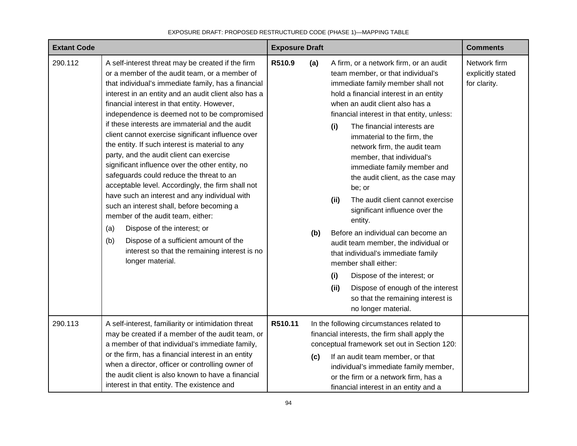| <b>Extant Code</b> |                                                                                                                                                                                                                                                                                                                                                                                                                                                                                                                                                                                                                                                                                                                                                                                                                                                                                                                                                                           | <b>Exposure Draft</b> |            |                            |                                                                                                                                                                                                                                                                                                                                                                                                                                                                                                                                                                                                                                                                                                                                                                                                                   | <b>Comments</b>                                   |
|--------------------|---------------------------------------------------------------------------------------------------------------------------------------------------------------------------------------------------------------------------------------------------------------------------------------------------------------------------------------------------------------------------------------------------------------------------------------------------------------------------------------------------------------------------------------------------------------------------------------------------------------------------------------------------------------------------------------------------------------------------------------------------------------------------------------------------------------------------------------------------------------------------------------------------------------------------------------------------------------------------|-----------------------|------------|----------------------------|-------------------------------------------------------------------------------------------------------------------------------------------------------------------------------------------------------------------------------------------------------------------------------------------------------------------------------------------------------------------------------------------------------------------------------------------------------------------------------------------------------------------------------------------------------------------------------------------------------------------------------------------------------------------------------------------------------------------------------------------------------------------------------------------------------------------|---------------------------------------------------|
| 290.112            | A self-interest threat may be created if the firm<br>or a member of the audit team, or a member of<br>that individual's immediate family, has a financial<br>interest in an entity and an audit client also has a<br>financial interest in that entity. However,<br>independence is deemed not to be compromised<br>if these interests are immaterial and the audit<br>client cannot exercise significant influence over<br>the entity. If such interest is material to any<br>party, and the audit client can exercise<br>significant influence over the other entity, no<br>safeguards could reduce the threat to an<br>acceptable level. Accordingly, the firm shall not<br>have such an interest and any individual with<br>such an interest shall, before becoming a<br>member of the audit team, either:<br>Dispose of the interest; or<br>(a)<br>Dispose of a sufficient amount of the<br>(b)<br>interest so that the remaining interest is no<br>longer material. | R510.9                | (a)<br>(b) | (i)<br>(ii)<br>(i)<br>(ii) | A firm, or a network firm, or an audit<br>team member, or that individual's<br>immediate family member shall not<br>hold a financial interest in an entity<br>when an audit client also has a<br>financial interest in that entity, unless:<br>The financial interests are<br>immaterial to the firm, the<br>network firm, the audit team<br>member, that individual's<br>immediate family member and<br>the audit client, as the case may<br>be; or<br>The audit client cannot exercise<br>significant influence over the<br>entity.<br>Before an individual can become an<br>audit team member, the individual or<br>that individual's immediate family<br>member shall either:<br>Dispose of the interest; or<br>Dispose of enough of the interest<br>so that the remaining interest is<br>no longer material. | Network firm<br>explicitly stated<br>for clarity. |
| 290.113            | A self-interest, familiarity or intimidation threat<br>may be created if a member of the audit team, or<br>a member of that individual's immediate family,<br>or the firm, has a financial interest in an entity<br>when a director, officer or controlling owner of<br>the audit client is also known to have a financial<br>interest in that entity. The existence and                                                                                                                                                                                                                                                                                                                                                                                                                                                                                                                                                                                                  | R510.11               | (c)        |                            | In the following circumstances related to<br>financial interests, the firm shall apply the<br>conceptual framework set out in Section 120:<br>If an audit team member, or that<br>individual's immediate family member,<br>or the firm or a network firm, has a<br>financial interest in an entity and a                                                                                                                                                                                                                                                                                                                                                                                                                                                                                                          |                                                   |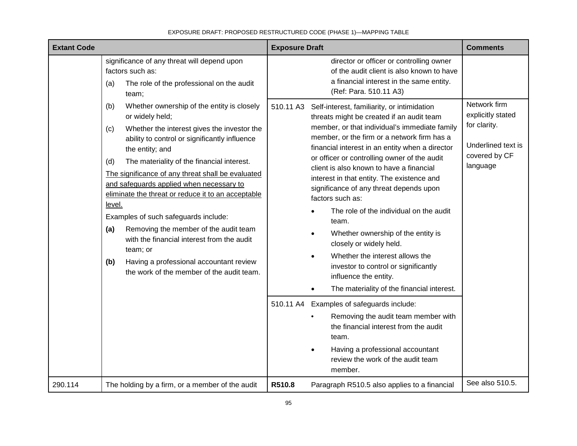| <b>Extant Code</b> |                                                  | <b>Exposure Draft</b>                                                                                                                                                                                                                                                                                                                                                                                                                                                                                                                                                                                                                                                                                                                             |                        | <b>Comments</b>                                                                                                                                                                                                                                                                                                                                                                                                                                                                                                                                                                                                                                                                                                                                                                                                                                                                                                                                                                                |                                                                                                      |
|--------------------|--------------------------------------------------|---------------------------------------------------------------------------------------------------------------------------------------------------------------------------------------------------------------------------------------------------------------------------------------------------------------------------------------------------------------------------------------------------------------------------------------------------------------------------------------------------------------------------------------------------------------------------------------------------------------------------------------------------------------------------------------------------------------------------------------------------|------------------------|------------------------------------------------------------------------------------------------------------------------------------------------------------------------------------------------------------------------------------------------------------------------------------------------------------------------------------------------------------------------------------------------------------------------------------------------------------------------------------------------------------------------------------------------------------------------------------------------------------------------------------------------------------------------------------------------------------------------------------------------------------------------------------------------------------------------------------------------------------------------------------------------------------------------------------------------------------------------------------------------|------------------------------------------------------------------------------------------------------|
|                    | (a)<br>(b)<br>(c)<br>(d)<br>level.<br>(a)<br>(b) | significance of any threat will depend upon<br>factors such as:<br>The role of the professional on the audit<br>team;<br>Whether ownership of the entity is closely<br>or widely held;<br>Whether the interest gives the investor the<br>ability to control or significantly influence<br>the entity; and<br>The materiality of the financial interest.<br>The significance of any threat shall be evaluated<br>and safeguards applied when necessary to<br>eliminate the threat or reduce it to an acceptable<br>Examples of such safeguards include:<br>Removing the member of the audit team<br>with the financial interest from the audit<br>team; or<br>Having a professional accountant review<br>the work of the member of the audit team. | 510.11 A3<br>510.11 A4 | director or officer or controlling owner<br>of the audit client is also known to have<br>a financial interest in the same entity.<br>(Ref: Para. 510.11 A3)<br>Self-interest, familiarity, or intimidation<br>threats might be created if an audit team<br>member, or that individual's immediate family<br>member, or the firm or a network firm has a<br>financial interest in an entity when a director<br>or officer or controlling owner of the audit<br>client is also known to have a financial<br>interest in that entity. The existence and<br>significance of any threat depends upon<br>factors such as:<br>The role of the individual on the audit<br>team.<br>Whether ownership of the entity is<br>$\bullet$<br>closely or widely held.<br>Whether the interest allows the<br>$\bullet$<br>investor to control or significantly<br>influence the entity.<br>The materiality of the financial interest.<br>Examples of safeguards include:<br>Removing the audit team member with | Network firm<br>explicitly stated<br>for clarity.<br>Underlined text is<br>covered by CF<br>language |
|                    |                                                  |                                                                                                                                                                                                                                                                                                                                                                                                                                                                                                                                                                                                                                                                                                                                                   |                        | the financial interest from the audit<br>team.<br>Having a professional accountant<br>$\bullet$<br>review the work of the audit team<br>member.                                                                                                                                                                                                                                                                                                                                                                                                                                                                                                                                                                                                                                                                                                                                                                                                                                                |                                                                                                      |
| 290.114            |                                                  | The holding by a firm, or a member of the audit                                                                                                                                                                                                                                                                                                                                                                                                                                                                                                                                                                                                                                                                                                   | R510.8                 | Paragraph R510.5 also applies to a financial                                                                                                                                                                                                                                                                                                                                                                                                                                                                                                                                                                                                                                                                                                                                                                                                                                                                                                                                                   | See also 510.5.                                                                                      |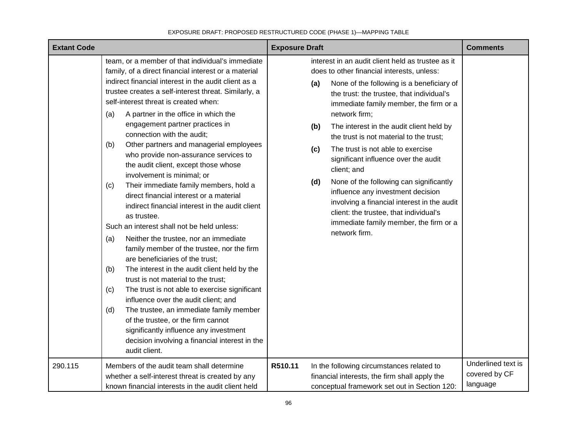| <b>Extant Code</b> |                                                                                                                                                                                                                                                                                                                                                                                                                                                                                                                                                                                                                                                                                                                                                                                                                                                                                                                                                                                                                                                                                                                                                                                                                                                                                                    | <b>Exposure Draft</b>                                                                                                                                                                                                                                                                                                                                                                                                                                                                                                                                                                                                                                                                                   | <b>Comments</b>           |
|--------------------|----------------------------------------------------------------------------------------------------------------------------------------------------------------------------------------------------------------------------------------------------------------------------------------------------------------------------------------------------------------------------------------------------------------------------------------------------------------------------------------------------------------------------------------------------------------------------------------------------------------------------------------------------------------------------------------------------------------------------------------------------------------------------------------------------------------------------------------------------------------------------------------------------------------------------------------------------------------------------------------------------------------------------------------------------------------------------------------------------------------------------------------------------------------------------------------------------------------------------------------------------------------------------------------------------|---------------------------------------------------------------------------------------------------------------------------------------------------------------------------------------------------------------------------------------------------------------------------------------------------------------------------------------------------------------------------------------------------------------------------------------------------------------------------------------------------------------------------------------------------------------------------------------------------------------------------------------------------------------------------------------------------------|---------------------------|
|                    | team, or a member of that individual's immediate<br>family, of a direct financial interest or a material<br>indirect financial interest in the audit client as a<br>trustee creates a self-interest threat. Similarly, a<br>self-interest threat is created when:<br>A partner in the office in which the<br>(a)<br>engagement partner practices in<br>connection with the audit;<br>Other partners and managerial employees<br>(b)<br>who provide non-assurance services to<br>the audit client, except those whose<br>involvement is minimal; or<br>Their immediate family members, hold a<br>(c)<br>direct financial interest or a material<br>indirect financial interest in the audit client<br>as trustee.<br>Such an interest shall not be held unless:<br>Neither the trustee, nor an immediate<br>(a)<br>family member of the trustee, nor the firm<br>are beneficiaries of the trust;<br>The interest in the audit client held by the<br>(b)<br>trust is not material to the trust;<br>The trust is not able to exercise significant<br>(c)<br>influence over the audit client; and<br>The trustee, an immediate family member<br>(d)<br>of the trustee, or the firm cannot<br>significantly influence any investment<br>decision involving a financial interest in the<br>audit client. | interest in an audit client held as trustee as it<br>does to other financial interests, unless:<br>None of the following is a beneficiary of<br>(a)<br>the trust: the trustee, that individual's<br>immediate family member, the firm or a<br>network firm;<br>The interest in the audit client held by<br>(b)<br>the trust is not material to the trust;<br>The trust is not able to exercise<br>(c)<br>significant influence over the audit<br>client; and<br>(d)<br>None of the following can significantly<br>influence any investment decision<br>involving a financial interest in the audit<br>client: the trustee, that individual's<br>immediate family member, the firm or a<br>network firm. | Underlined text is        |
| 290.115            | Members of the audit team shall determine<br>whether a self-interest threat is created by any<br>known financial interests in the audit client held                                                                                                                                                                                                                                                                                                                                                                                                                                                                                                                                                                                                                                                                                                                                                                                                                                                                                                                                                                                                                                                                                                                                                | R510.11<br>In the following circumstances related to<br>financial interests, the firm shall apply the<br>conceptual framework set out in Section 120:                                                                                                                                                                                                                                                                                                                                                                                                                                                                                                                                                   | covered by CF<br>language |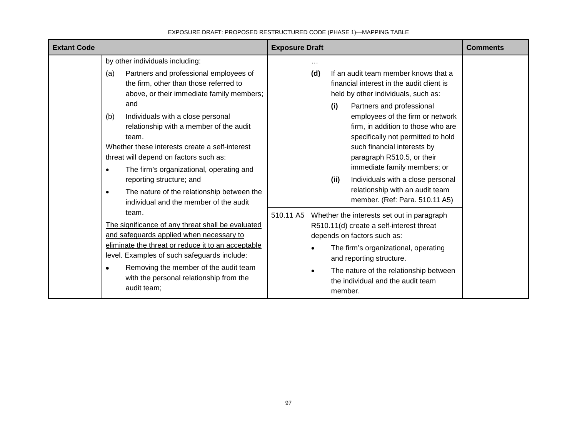| <b>Extant Code</b> |                                                                                                                                                                                                                                                                                                                                                                                           | <b>Exposure Draft</b>                                                                                                                                                                                                                                                                                                                                           | <b>Comments</b> |
|--------------------|-------------------------------------------------------------------------------------------------------------------------------------------------------------------------------------------------------------------------------------------------------------------------------------------------------------------------------------------------------------------------------------------|-----------------------------------------------------------------------------------------------------------------------------------------------------------------------------------------------------------------------------------------------------------------------------------------------------------------------------------------------------------------|-----------------|
|                    | by other individuals including:                                                                                                                                                                                                                                                                                                                                                           | $\cdots$                                                                                                                                                                                                                                                                                                                                                        |                 |
|                    | Partners and professional employees of<br>(a)<br>the firm, other than those referred to<br>above, or their immediate family members;                                                                                                                                                                                                                                                      | If an audit team member knows that a<br>(d)<br>financial interest in the audit client is<br>held by other individuals, such as:                                                                                                                                                                                                                                 |                 |
|                    | and<br>Individuals with a close personal<br>(b)<br>relationship with a member of the audit<br>team.<br>Whether these interests create a self-interest<br>threat will depend on factors such as:<br>The firm's organizational, operating and<br>$\bullet$<br>reporting structure; and<br>The nature of the relationship between the<br>$\bullet$<br>individual and the member of the audit | Partners and professional<br>(i)<br>employees of the firm or network<br>firm, in addition to those who are<br>specifically not permitted to hold<br>such financial interests by<br>paragraph R510.5, or their<br>immediate family members; or<br>Individuals with a close personal<br>(ii)<br>relationship with an audit team<br>member. (Ref: Para. 510.11 A5) |                 |
|                    | team.<br>The significance of any threat shall be evaluated<br>and safeguards applied when necessary to<br>eliminate the threat or reduce it to an acceptable<br>level. Examples of such safeguards include:<br>Removing the member of the audit team<br>٠<br>with the personal relationship from the<br>audit team;                                                                       | 510.11 A5<br>Whether the interests set out in paragraph<br>R510.11(d) create a self-interest threat<br>depends on factors such as:<br>The firm's organizational, operating<br>and reporting structure.<br>The nature of the relationship between<br>the individual and the audit team<br>member.                                                                |                 |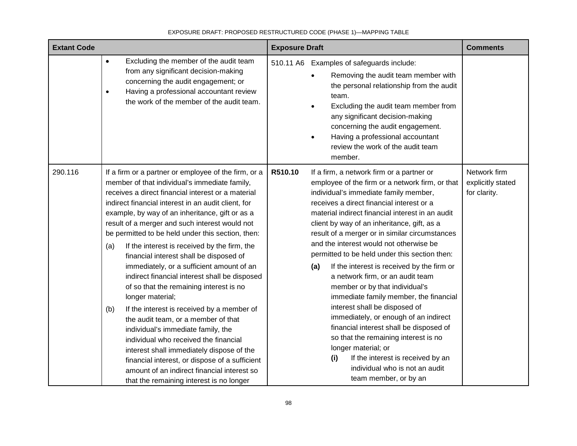| <b>Extant Code</b> |                                                                                                                                                                                                                                                                                                                                                                                                                                                                                                                                                                                                                                                                                                                                                                                                                                                                                                                                                                                                                  | <b>Exposure Draft</b>                                                                                                                                                                                                                                                                                                                                                                                                                                                                                                                                                                                                                                                                                                                                                                                                                                                                                          | <b>Comments</b>                                   |
|--------------------|------------------------------------------------------------------------------------------------------------------------------------------------------------------------------------------------------------------------------------------------------------------------------------------------------------------------------------------------------------------------------------------------------------------------------------------------------------------------------------------------------------------------------------------------------------------------------------------------------------------------------------------------------------------------------------------------------------------------------------------------------------------------------------------------------------------------------------------------------------------------------------------------------------------------------------------------------------------------------------------------------------------|----------------------------------------------------------------------------------------------------------------------------------------------------------------------------------------------------------------------------------------------------------------------------------------------------------------------------------------------------------------------------------------------------------------------------------------------------------------------------------------------------------------------------------------------------------------------------------------------------------------------------------------------------------------------------------------------------------------------------------------------------------------------------------------------------------------------------------------------------------------------------------------------------------------|---------------------------------------------------|
|                    | Excluding the member of the audit team<br>$\bullet$<br>from any significant decision-making<br>concerning the audit engagement; or<br>Having a professional accountant review<br>$\bullet$<br>the work of the member of the audit team.                                                                                                                                                                                                                                                                                                                                                                                                                                                                                                                                                                                                                                                                                                                                                                          | 510.11 A6 Examples of safeguards include:<br>Removing the audit team member with<br>the personal relationship from the audit<br>team.<br>Excluding the audit team member from<br>$\bullet$<br>any significant decision-making<br>concerning the audit engagement.<br>Having a professional accountant<br>$\bullet$<br>review the work of the audit team<br>member.                                                                                                                                                                                                                                                                                                                                                                                                                                                                                                                                             |                                                   |
| 290.116            | If a firm or a partner or employee of the firm, or a<br>member of that individual's immediate family,<br>receives a direct financial interest or a material<br>indirect financial interest in an audit client, for<br>example, by way of an inheritance, gift or as a<br>result of a merger and such interest would not<br>be permitted to be held under this section, then:<br>If the interest is received by the firm, the<br>(a)<br>financial interest shall be disposed of<br>immediately, or a sufficient amount of an<br>indirect financial interest shall be disposed<br>of so that the remaining interest is no<br>longer material;<br>If the interest is received by a member of<br>(b)<br>the audit team, or a member of that<br>individual's immediate family, the<br>individual who received the financial<br>interest shall immediately dispose of the<br>financial interest, or dispose of a sufficient<br>amount of an indirect financial interest so<br>that the remaining interest is no longer | R510.10<br>If a firm, a network firm or a partner or<br>employee of the firm or a network firm, or that<br>individual's immediate family member,<br>receives a direct financial interest or a<br>material indirect financial interest in an audit<br>client by way of an inheritance, gift, as a<br>result of a merger or in similar circumstances<br>and the interest would not otherwise be<br>permitted to be held under this section then:<br>If the interest is received by the firm or<br>(a)<br>a network firm, or an audit team<br>member or by that individual's<br>immediate family member, the financial<br>interest shall be disposed of<br>immediately, or enough of an indirect<br>financial interest shall be disposed of<br>so that the remaining interest is no<br>longer material; or<br>If the interest is received by an<br>(i)<br>individual who is not an audit<br>team member, or by an | Network firm<br>explicitly stated<br>for clarity. |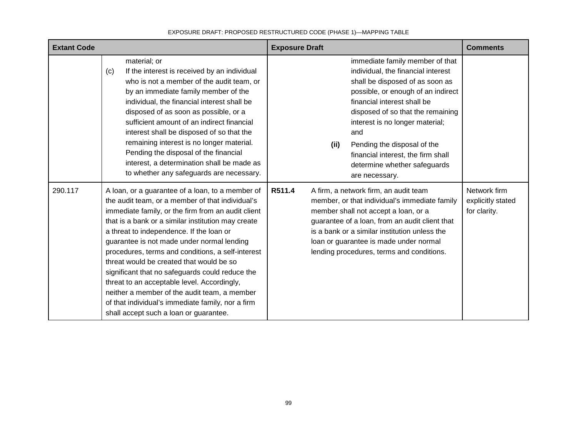| <b>Extant Code</b> |                                                                                                                                                                                                                                                                                                                                                                                                                                                                                                                                                                                                                                                              | <b>Exposure Draft</b>                                                                                                                                                                                                                                                                                                                                                                       | <b>Comments</b>                                   |
|--------------------|--------------------------------------------------------------------------------------------------------------------------------------------------------------------------------------------------------------------------------------------------------------------------------------------------------------------------------------------------------------------------------------------------------------------------------------------------------------------------------------------------------------------------------------------------------------------------------------------------------------------------------------------------------------|---------------------------------------------------------------------------------------------------------------------------------------------------------------------------------------------------------------------------------------------------------------------------------------------------------------------------------------------------------------------------------------------|---------------------------------------------------|
|                    | material; or<br>If the interest is received by an individual<br>(c)<br>who is not a member of the audit team, or<br>by an immediate family member of the<br>individual, the financial interest shall be<br>disposed of as soon as possible, or a<br>sufficient amount of an indirect financial<br>interest shall be disposed of so that the<br>remaining interest is no longer material.<br>Pending the disposal of the financial<br>interest, a determination shall be made as<br>to whether any safeguards are necessary.                                                                                                                                  | immediate family member of that<br>individual, the financial interest<br>shall be disposed of as soon as<br>possible, or enough of an indirect<br>financial interest shall be<br>disposed of so that the remaining<br>interest is no longer material;<br>and<br>(ii)<br>Pending the disposal of the<br>financial interest, the firm shall<br>determine whether safeguards<br>are necessary. |                                                   |
| 290.117            | A loan, or a guarantee of a loan, to a member of<br>the audit team, or a member of that individual's<br>immediate family, or the firm from an audit client<br>that is a bank or a similar institution may create<br>a threat to independence. If the loan or<br>guarantee is not made under normal lending<br>procedures, terms and conditions, a self-interest<br>threat would be created that would be so<br>significant that no safeguards could reduce the<br>threat to an acceptable level. Accordingly,<br>neither a member of the audit team, a member<br>of that individual's immediate family, nor a firm<br>shall accept such a loan or guarantee. | R511.4<br>A firm, a network firm, an audit team<br>member, or that individual's immediate family<br>member shall not accept a loan, or a<br>guarantee of a loan, from an audit client that<br>is a bank or a similar institution unless the<br>loan or guarantee is made under normal<br>lending procedures, terms and conditions.                                                          | Network firm<br>explicitly stated<br>for clarity. |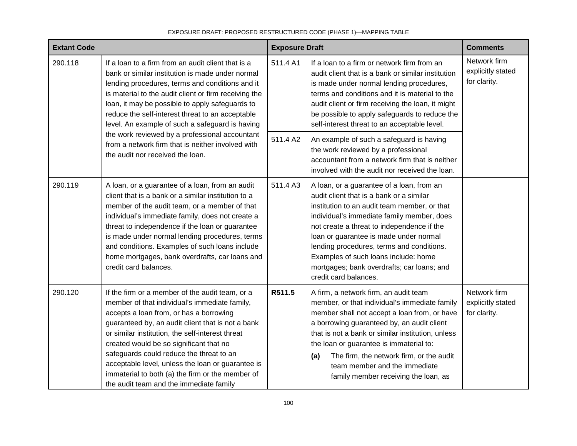| <b>Extant Code</b> |                                                                                                                                                                                                                                                                                                                                                                                                                                                      | <b>Exposure Draft</b> |                                                                                                                                                                                                                                                                                                                                                                                                                                         | <b>Comments</b>                                   |
|--------------------|------------------------------------------------------------------------------------------------------------------------------------------------------------------------------------------------------------------------------------------------------------------------------------------------------------------------------------------------------------------------------------------------------------------------------------------------------|-----------------------|-----------------------------------------------------------------------------------------------------------------------------------------------------------------------------------------------------------------------------------------------------------------------------------------------------------------------------------------------------------------------------------------------------------------------------------------|---------------------------------------------------|
| 290.118            | If a loan to a firm from an audit client that is a<br>bank or similar institution is made under normal<br>lending procedures, terms and conditions and it<br>is material to the audit client or firm receiving the<br>loan, it may be possible to apply safeguards to<br>reduce the self-interest threat to an acceptable<br>level. An example of such a safeguard is having                                                                         | 511.4 A1              | If a loan to a firm or network firm from an<br>audit client that is a bank or similar institution<br>is made under normal lending procedures,<br>terms and conditions and it is material to the<br>audit client or firm receiving the loan, it might<br>be possible to apply safeguards to reduce the<br>self-interest threat to an acceptable level.                                                                                   | Network firm<br>explicitly stated<br>for clarity. |
|                    | the work reviewed by a professional accountant<br>from a network firm that is neither involved with<br>the audit nor received the loan.                                                                                                                                                                                                                                                                                                              | 511.4 A2              | An example of such a safeguard is having<br>the work reviewed by a professional<br>accountant from a network firm that is neither<br>involved with the audit nor received the loan.                                                                                                                                                                                                                                                     |                                                   |
| 290.119            | A loan, or a guarantee of a loan, from an audit<br>client that is a bank or a similar institution to a<br>member of the audit team, or a member of that<br>individual's immediate family, does not create a<br>threat to independence if the loan or guarantee<br>is made under normal lending procedures, terms<br>and conditions. Examples of such loans include<br>home mortgages, bank overdrafts, car loans and<br>credit card balances.        | 511.4 A3              | A loan, or a guarantee of a loan, from an<br>audit client that is a bank or a similar<br>institution to an audit team member, or that<br>individual's immediate family member, does<br>not create a threat to independence if the<br>loan or guarantee is made under normal<br>lending procedures, terms and conditions.<br>Examples of such loans include: home<br>mortgages; bank overdrafts; car loans; and<br>credit card balances. |                                                   |
| 290.120            | If the firm or a member of the audit team, or a<br>member of that individual's immediate family,<br>accepts a loan from, or has a borrowing<br>guaranteed by, an audit client that is not a bank<br>or similar institution, the self-interest threat<br>created would be so significant that no<br>safeguards could reduce the threat to an<br>acceptable level, unless the loan or guarantee is<br>immaterial to both (a) the firm or the member of | R511.5                | A firm, a network firm, an audit team<br>member, or that individual's immediate family<br>member shall not accept a loan from, or have<br>a borrowing guaranteed by, an audit client<br>that is not a bank or similar institution, unless<br>the loan or guarantee is immaterial to:<br>The firm, the network firm, or the audit<br>(a)<br>team member and the immediate<br>family member receiving the loan as                         | Network firm<br>explicitly stated<br>for clarity. |

family member receiving the loan, as

the audit team and the immediate family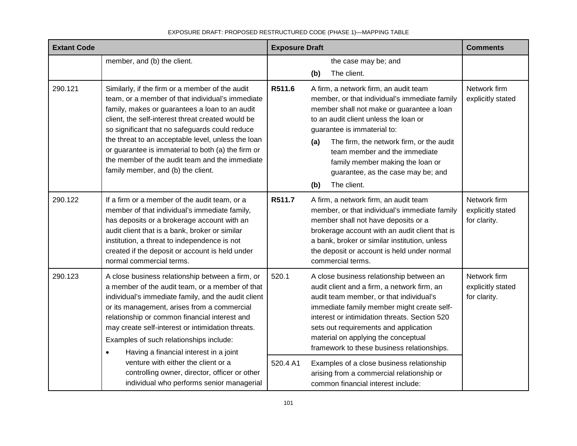| <b>Extant Code</b> |                                                                                                                                                                                                                                                                                                                                                                                                                                                                  | <b>Exposure Draft</b> |            | <b>Comments</b>                                                                                                                                                                                                                                                                                                                                                                                              |                                                   |
|--------------------|------------------------------------------------------------------------------------------------------------------------------------------------------------------------------------------------------------------------------------------------------------------------------------------------------------------------------------------------------------------------------------------------------------------------------------------------------------------|-----------------------|------------|--------------------------------------------------------------------------------------------------------------------------------------------------------------------------------------------------------------------------------------------------------------------------------------------------------------------------------------------------------------------------------------------------------------|---------------------------------------------------|
|                    | member, and (b) the client.                                                                                                                                                                                                                                                                                                                                                                                                                                      |                       | (b)        | the case may be; and<br>The client.                                                                                                                                                                                                                                                                                                                                                                          |                                                   |
| 290.121            | Similarly, if the firm or a member of the audit<br>team, or a member of that individual's immediate<br>family, makes or guarantees a loan to an audit<br>client, the self-interest threat created would be<br>so significant that no safeguards could reduce<br>the threat to an acceptable level, unless the loan<br>or guarantee is immaterial to both (a) the firm or<br>the member of the audit team and the immediate<br>family member, and (b) the client. | R511.6                | (a)<br>(b) | A firm, a network firm, an audit team<br>member, or that individual's immediate family<br>member shall not make or guarantee a loan<br>to an audit client unless the loan or<br>guarantee is immaterial to:<br>The firm, the network firm, or the audit<br>team member and the immediate<br>family member making the loan or<br>guarantee, as the case may be; and<br>The client.                            | Network firm<br>explicitly stated                 |
| 290.122            | If a firm or a member of the audit team, or a<br>member of that individual's immediate family,<br>has deposits or a brokerage account with an<br>audit client that is a bank, broker or similar<br>institution, a threat to independence is not<br>created if the deposit or account is held under<br>normal commercial terms.                                                                                                                                   | R511.7                |            | A firm, a network firm, an audit team<br>member, or that individual's immediate family<br>member shall not have deposits or a<br>brokerage account with an audit client that is<br>a bank, broker or similar institution, unless<br>the deposit or account is held under normal<br>commercial terms.                                                                                                         | Network firm<br>explicitly stated<br>for clarity. |
| 290.123            | A close business relationship between a firm, or<br>a member of the audit team, or a member of that<br>individual's immediate family, and the audit client<br>or its management, arises from a commercial<br>relationship or common financial interest and<br>may create self-interest or intimidation threats.<br>Examples of such relationships include:<br>Having a financial interest in a joint<br>$\bullet$<br>venture with either the client or a         | 520.1<br>520.4 A1     |            | A close business relationship between an<br>audit client and a firm, a network firm, an<br>audit team member, or that individual's<br>immediate family member might create self-<br>interest or intimidation threats. Section 520<br>sets out requirements and application<br>material on applying the conceptual<br>framework to these business relationships.<br>Examples of a close business relationship | Network firm<br>explicitly stated<br>for clarity. |
|                    | controlling owner, director, officer or other<br>individual who performs senior managerial                                                                                                                                                                                                                                                                                                                                                                       |                       |            | arising from a commercial relationship or<br>common financial interest include:                                                                                                                                                                                                                                                                                                                              |                                                   |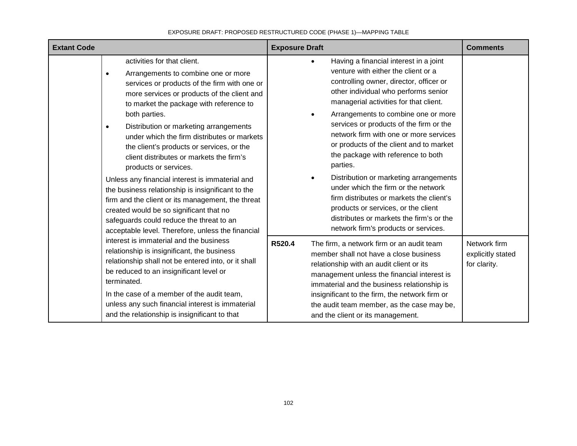| EXPOSURE DRAFT: PROPOSED RESTRUCTURED CODE (PHASE 1)—MAPPING TABLE |  |
|--------------------------------------------------------------------|--|
|--------------------------------------------------------------------|--|

| <b>Extant Code</b> |                                                                                                                                                                                                                                                                                                                                                                                                                                                                                                                                                                                                                                                                                                                                                                             | <b>Exposure Draft</b>                                                                                                                                                                                                                                                                                                                                                                                                                                                                                                                                                                                                                                                                                                 | <b>Comments</b>                                   |
|--------------------|-----------------------------------------------------------------------------------------------------------------------------------------------------------------------------------------------------------------------------------------------------------------------------------------------------------------------------------------------------------------------------------------------------------------------------------------------------------------------------------------------------------------------------------------------------------------------------------------------------------------------------------------------------------------------------------------------------------------------------------------------------------------------------|-----------------------------------------------------------------------------------------------------------------------------------------------------------------------------------------------------------------------------------------------------------------------------------------------------------------------------------------------------------------------------------------------------------------------------------------------------------------------------------------------------------------------------------------------------------------------------------------------------------------------------------------------------------------------------------------------------------------------|---------------------------------------------------|
|                    | activities for that client.<br>Arrangements to combine one or more<br>$\bullet$<br>services or products of the firm with one or<br>more services or products of the client and<br>to market the package with reference to<br>both parties.<br>Distribution or marketing arrangements<br>$\bullet$<br>under which the firm distributes or markets<br>the client's products or services, or the<br>client distributes or markets the firm's<br>products or services.<br>Unless any financial interest is immaterial and<br>the business relationship is insignificant to the<br>firm and the client or its management, the threat<br>created would be so significant that no<br>safeguards could reduce the threat to an<br>acceptable level. Therefore, unless the financial | Having a financial interest in a joint<br>$\bullet$<br>venture with either the client or a<br>controlling owner, director, officer or<br>other individual who performs senior<br>managerial activities for that client.<br>Arrangements to combine one or more<br>$\bullet$<br>services or products of the firm or the<br>network firm with one or more services<br>or products of the client and to market<br>the package with reference to both<br>parties.<br>Distribution or marketing arrangements<br>under which the firm or the network<br>firm distributes or markets the client's<br>products or services, or the client<br>distributes or markets the firm's or the<br>network firm's products or services. |                                                   |
|                    | interest is immaterial and the business<br>relationship is insignificant, the business<br>relationship shall not be entered into, or it shall<br>be reduced to an insignificant level or<br>terminated.<br>In the case of a member of the audit team,<br>unless any such financial interest is immaterial<br>and the relationship is insignificant to that                                                                                                                                                                                                                                                                                                                                                                                                                  | R520.4<br>The firm, a network firm or an audit team<br>member shall not have a close business<br>relationship with an audit client or its<br>management unless the financial interest is<br>immaterial and the business relationship is<br>insignificant to the firm, the network firm or<br>the audit team member, as the case may be,<br>and the client or its management.                                                                                                                                                                                                                                                                                                                                          | Network firm<br>explicitly stated<br>for clarity. |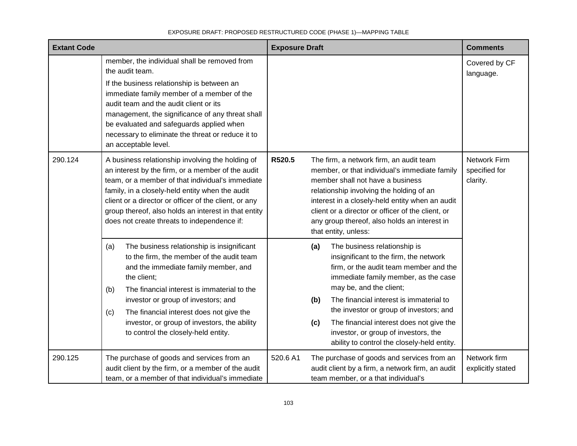| <b>Extant Code</b> |                                                                                                                                                                                                                                                                                                                                                                                              | <b>Exposure Draft</b>                                                                                                                                                                                                                                                                                                                                                                                                             | <b>Comments</b>                           |
|--------------------|----------------------------------------------------------------------------------------------------------------------------------------------------------------------------------------------------------------------------------------------------------------------------------------------------------------------------------------------------------------------------------------------|-----------------------------------------------------------------------------------------------------------------------------------------------------------------------------------------------------------------------------------------------------------------------------------------------------------------------------------------------------------------------------------------------------------------------------------|-------------------------------------------|
|                    | member, the individual shall be removed from<br>the audit team.<br>If the business relationship is between an<br>immediate family member of a member of the<br>audit team and the audit client or its<br>management, the significance of any threat shall<br>be evaluated and safeguards applied when<br>necessary to eliminate the threat or reduce it to<br>an acceptable level.           |                                                                                                                                                                                                                                                                                                                                                                                                                                   | Covered by CF<br>language.                |
| 290.124            | A business relationship involving the holding of<br>an interest by the firm, or a member of the audit<br>team, or a member of that individual's immediate<br>family, in a closely-held entity when the audit<br>client or a director or officer of the client, or any<br>group thereof, also holds an interest in that entity<br>does not create threats to independence if:                 | R520.5<br>The firm, a network firm, an audit team<br>member, or that individual's immediate family<br>member shall not have a business<br>relationship involving the holding of an<br>interest in a closely-held entity when an audit<br>client or a director or officer of the client, or<br>any group thereof, also holds an interest in<br>that entity, unless:                                                                | Network Firm<br>specified for<br>clarity. |
|                    | The business relationship is insignificant<br>(a)<br>to the firm, the member of the audit team<br>and the immediate family member, and<br>the client;<br>The financial interest is immaterial to the<br>(b)<br>investor or group of investors; and<br>The financial interest does not give the<br>(c)<br>investor, or group of investors, the ability<br>to control the closely-held entity. | The business relationship is<br>(a)<br>insignificant to the firm, the network<br>firm, or the audit team member and the<br>immediate family member, as the case<br>may be, and the client;<br>The financial interest is immaterial to<br>(b)<br>the investor or group of investors; and<br>The financial interest does not give the<br>(c)<br>investor, or group of investors, the<br>ability to control the closely-held entity. |                                           |
| 290.125            | The purchase of goods and services from an<br>audit client by the firm, or a member of the audit<br>team, or a member of that individual's immediate                                                                                                                                                                                                                                         | 520.6 A1<br>The purchase of goods and services from an<br>audit client by a firm, a network firm, an audit<br>team member, or a that individual's                                                                                                                                                                                                                                                                                 | Network firm<br>explicitly stated         |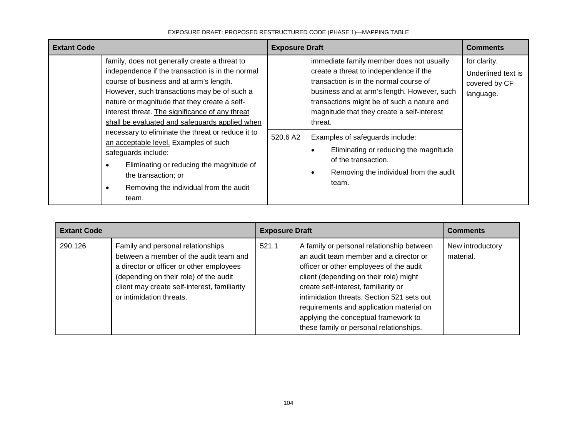|  | EXPOSURE DRAFT: PROPOSED RESTRUCTURED CODE (PHASE 1)—MAPPING TABLE |  |
|--|--------------------------------------------------------------------|--|
|--|--------------------------------------------------------------------|--|

| <b>Extant Code</b>                                                                                                                                                                                                                                                                                                                                                                                                                                                                                                                                                                                       | <b>Exposure Draft</b>                                                                                                                                                                                                                                                                                                                                                                                                                                | <b>Comments</b>                                                  |
|----------------------------------------------------------------------------------------------------------------------------------------------------------------------------------------------------------------------------------------------------------------------------------------------------------------------------------------------------------------------------------------------------------------------------------------------------------------------------------------------------------------------------------------------------------------------------------------------------------|------------------------------------------------------------------------------------------------------------------------------------------------------------------------------------------------------------------------------------------------------------------------------------------------------------------------------------------------------------------------------------------------------------------------------------------------------|------------------------------------------------------------------|
| family, does not generally create a threat to<br>independence if the transaction is in the normal<br>course of business and at arm's length.<br>However, such transactions may be of such a<br>nature or magnitude that they create a self-<br>interest threat. The significance of any threat<br>shall be evaluated and safeguards applied when<br>necessary to eliminate the threat or reduce it to<br>an acceptable level. Examples of such<br>safeguards include:<br>Eliminating or reducing the magnitude of<br>the transaction; or<br>Removing the individual from the audit<br>$\bullet$<br>team. | immediate family member does not usually<br>create a threat to independence if the<br>transaction is in the normal course of<br>business and at arm's length. However, such<br>transactions might be of such a nature and<br>magnitude that they create a self-interest<br>threat.<br>520.6 A2<br>Examples of safeguards include:<br>Eliminating or reducing the magnitude<br>of the transaction.<br>Removing the individual from the audit<br>team. | for clarity.<br>Underlined text is<br>covered by CF<br>language. |

| <b>Extant Code</b> |                                                                                                                                                                                                                                               | <b>Exposure Draft</b> |                                                                                                                                                                                                                                                                                                                                                                                               | <b>Comments</b>               |
|--------------------|-----------------------------------------------------------------------------------------------------------------------------------------------------------------------------------------------------------------------------------------------|-----------------------|-----------------------------------------------------------------------------------------------------------------------------------------------------------------------------------------------------------------------------------------------------------------------------------------------------------------------------------------------------------------------------------------------|-------------------------------|
| 290.126            | Family and personal relationships<br>between a member of the audit team and<br>a director or officer or other employees<br>(depending on their role) of the audit<br>client may create self-interest, familiarity<br>or intimidation threats. | 521.1                 | A family or personal relationship between<br>an audit team member and a director or<br>officer or other employees of the audit<br>client (depending on their role) might<br>create self-interest, familiarity or<br>intimidation threats. Section 521 sets out<br>requirements and application material on<br>applying the conceptual framework to<br>these family or personal relationships. | New introductory<br>material. |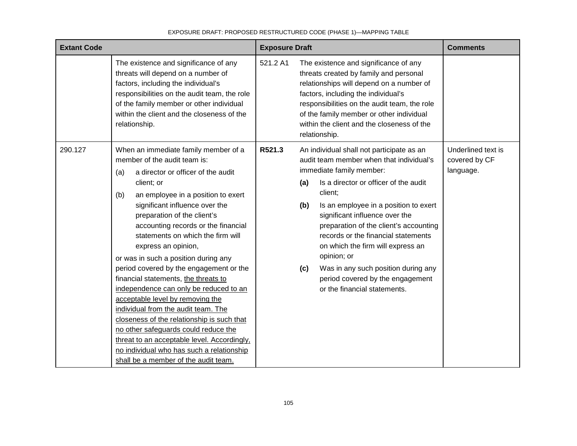| <b>Extant Code</b> |                                                                                                                                                                                                                                                                                                                                                                                                                                                                                                                                                                                                                                                                                                                                                                                                                            | <b>Exposure Draft</b> |                   | <b>Comments</b>                                                                                                                                                                                                                                                                                                                                                                                                                                                                                  |                                                  |
|--------------------|----------------------------------------------------------------------------------------------------------------------------------------------------------------------------------------------------------------------------------------------------------------------------------------------------------------------------------------------------------------------------------------------------------------------------------------------------------------------------------------------------------------------------------------------------------------------------------------------------------------------------------------------------------------------------------------------------------------------------------------------------------------------------------------------------------------------------|-----------------------|-------------------|--------------------------------------------------------------------------------------------------------------------------------------------------------------------------------------------------------------------------------------------------------------------------------------------------------------------------------------------------------------------------------------------------------------------------------------------------------------------------------------------------|--------------------------------------------------|
|                    | The existence and significance of any<br>threats will depend on a number of<br>factors, including the individual's<br>responsibilities on the audit team, the role<br>of the family member or other individual<br>within the client and the closeness of the<br>relationship.                                                                                                                                                                                                                                                                                                                                                                                                                                                                                                                                              | 521.2 A1              |                   | The existence and significance of any<br>threats created by family and personal<br>relationships will depend on a number of<br>factors, including the individual's<br>responsibilities on the audit team, the role<br>of the family member or other individual<br>within the client and the closeness of the<br>relationship.                                                                                                                                                                    |                                                  |
| 290.127            | When an immediate family member of a<br>member of the audit team is:<br>a director or officer of the audit<br>(a)<br>client; or<br>(b)<br>an employee in a position to exert<br>significant influence over the<br>preparation of the client's<br>accounting records or the financial<br>statements on which the firm will<br>express an opinion,<br>or was in such a position during any<br>period covered by the engagement or the<br>financial statements, the threats to<br>independence can only be reduced to an<br>acceptable level by removing the<br>individual from the audit team. The<br>closeness of the relationship is such that<br>no other safeguards could reduce the<br>threat to an acceptable level. Accordingly,<br>no individual who has such a relationship<br>shall be a member of the audit team. | R521.3                | (a)<br>(b)<br>(c) | An individual shall not participate as an<br>audit team member when that individual's<br>immediate family member:<br>Is a director or officer of the audit<br>client;<br>Is an employee in a position to exert<br>significant influence over the<br>preparation of the client's accounting<br>records or the financial statements<br>on which the firm will express an<br>opinion; or<br>Was in any such position during any<br>period covered by the engagement<br>or the financial statements. | Underlined text is<br>covered by CF<br>language. |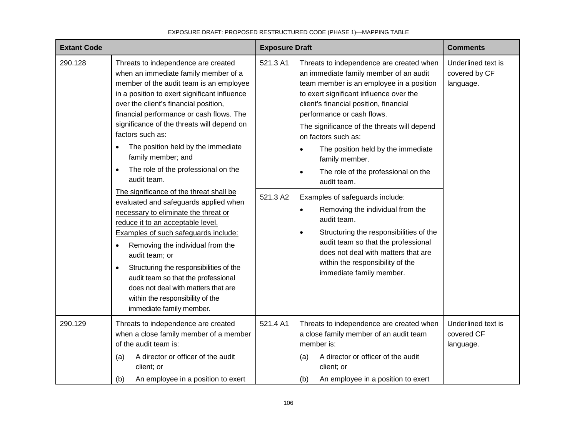| <b>Extant Code</b> |                                                                                                                                                                                                                                                                                                                                                                                                                                                                                                                                                                                                                                                                                                                                                                                                                                                                                                                                          | <b>Exposure Draft</b> |                                                                                                                                                                                                                                                                                                                                                                                                                                                                                                                                                                                                                                                                                                                                                | <b>Comments</b>                                  |
|--------------------|------------------------------------------------------------------------------------------------------------------------------------------------------------------------------------------------------------------------------------------------------------------------------------------------------------------------------------------------------------------------------------------------------------------------------------------------------------------------------------------------------------------------------------------------------------------------------------------------------------------------------------------------------------------------------------------------------------------------------------------------------------------------------------------------------------------------------------------------------------------------------------------------------------------------------------------|-----------------------|------------------------------------------------------------------------------------------------------------------------------------------------------------------------------------------------------------------------------------------------------------------------------------------------------------------------------------------------------------------------------------------------------------------------------------------------------------------------------------------------------------------------------------------------------------------------------------------------------------------------------------------------------------------------------------------------------------------------------------------------|--------------------------------------------------|
| 290.128            | Threats to independence are created<br>when an immediate family member of a<br>member of the audit team is an employee<br>in a position to exert significant influence<br>over the client's financial position,<br>financial performance or cash flows. The<br>significance of the threats will depend on<br>factors such as:<br>The position held by the immediate<br>family member; and<br>The role of the professional on the<br>$\bullet$<br>audit team.<br>The significance of the threat shall be<br>evaluated and safeguards applied when<br>necessary to eliminate the threat or<br>reduce it to an acceptable level.<br><b>Examples of such safeguards include:</b><br>Removing the individual from the<br>audit team; or<br>Structuring the responsibilities of the<br>$\bullet$<br>audit team so that the professional<br>does not deal with matters that are<br>within the responsibility of the<br>immediate family member. | 521.3 A1<br>521.3 A2  | Threats to independence are created when<br>an immediate family member of an audit<br>team member is an employee in a position<br>to exert significant influence over the<br>client's financial position, financial<br>performance or cash flows.<br>The significance of the threats will depend<br>on factors such as:<br>The position held by the immediate<br>family member.<br>The role of the professional on the<br>$\bullet$<br>audit team.<br>Examples of safeguards include:<br>Removing the individual from the<br>audit team.<br>Structuring the responsibilities of the<br>$\bullet$<br>audit team so that the professional<br>does not deal with matters that are<br>within the responsibility of the<br>immediate family member. | Underlined text is<br>covered by CF<br>language. |
| 290.129            | Threats to independence are created<br>when a close family member of a member<br>of the audit team is:<br>A director or officer of the audit<br>(a)                                                                                                                                                                                                                                                                                                                                                                                                                                                                                                                                                                                                                                                                                                                                                                                      | 521.4 A1              | Threats to independence are created when<br>a close family member of an audit team<br>member is:<br>A director or officer of the audit<br>(a)                                                                                                                                                                                                                                                                                                                                                                                                                                                                                                                                                                                                  | Underlined text is<br>covered CF<br>language.    |
|                    | client; or                                                                                                                                                                                                                                                                                                                                                                                                                                                                                                                                                                                                                                                                                                                                                                                                                                                                                                                               |                       | client; or                                                                                                                                                                                                                                                                                                                                                                                                                                                                                                                                                                                                                                                                                                                                     |                                                  |
|                    | An employee in a position to exert<br>(b)                                                                                                                                                                                                                                                                                                                                                                                                                                                                                                                                                                                                                                                                                                                                                                                                                                                                                                |                       | An employee in a position to exert<br>(b)                                                                                                                                                                                                                                                                                                                                                                                                                                                                                                                                                                                                                                                                                                      |                                                  |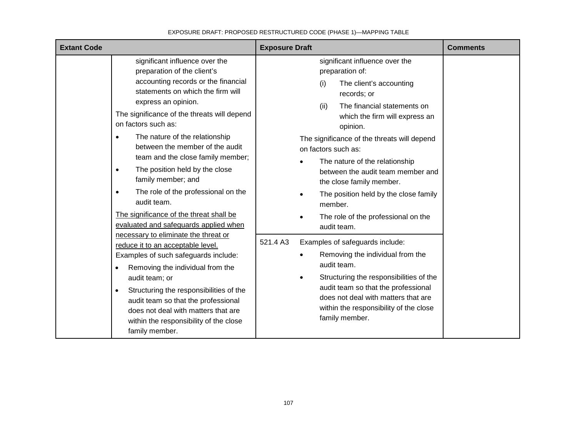| EXPOSURE DRAFT: PROPOSED RESTRUCTURED CODE (PHASE 1)—MAPPING TABLE |  |  |
|--------------------------------------------------------------------|--|--|
|--------------------------------------------------------------------|--|--|

| significant influence over the<br>significant influence over the<br>preparation of the client's<br>preparation of:<br>accounting records or the financial<br>(i)<br>The client's accounting<br>statements on which the firm will<br>records; or<br>express an opinion.<br>The financial statements on<br>(ii)                                                                                                                                                                                                                                                                                                                                                                                                                                                                                                                                                                                                                                                                                                                                                                                                                                                                                                                                                                                                                                                                                                           | <b>Extant Code</b> |                                             | <b>Exposure Draft</b>          | <b>Comments</b> |
|-------------------------------------------------------------------------------------------------------------------------------------------------------------------------------------------------------------------------------------------------------------------------------------------------------------------------------------------------------------------------------------------------------------------------------------------------------------------------------------------------------------------------------------------------------------------------------------------------------------------------------------------------------------------------------------------------------------------------------------------------------------------------------------------------------------------------------------------------------------------------------------------------------------------------------------------------------------------------------------------------------------------------------------------------------------------------------------------------------------------------------------------------------------------------------------------------------------------------------------------------------------------------------------------------------------------------------------------------------------------------------------------------------------------------|--------------------|---------------------------------------------|--------------------------------|-----------------|
| on factors such as:<br>opinion.<br>The nature of the relationship<br>$\bullet$<br>The significance of the threats will depend<br>between the member of the audit<br>on factors such as:<br>team and the close family member;<br>The nature of the relationship<br>$\bullet$<br>The position held by the close<br>$\bullet$<br>between the audit team member and<br>family member; and<br>the close family member.<br>The role of the professional on the<br>$\bullet$<br>The position held by the close family<br>$\bullet$<br>audit team.<br>member.<br>The significance of the threat shall be<br>The role of the professional on the<br>$\bullet$<br>evaluated and safeguards applied when<br>audit team.<br>necessary to eliminate the threat or<br>521.4 A3<br>Examples of safeguards include:<br>reduce it to an acceptable level.<br>Removing the individual from the<br>Examples of such safeguards include:<br>$\bullet$<br>audit team.<br>Removing the individual from the<br>$\bullet$<br>Structuring the responsibilities of the<br>audit team; or<br>$\bullet$<br>audit team so that the professional<br>Structuring the responsibilities of the<br>$\bullet$<br>does not deal with matters that are<br>audit team so that the professional<br>within the responsibility of the close<br>does not deal with matters that are<br>family member.<br>within the responsibility of the close<br>family member. |                    | The significance of the threats will depend | which the firm will express an |                 |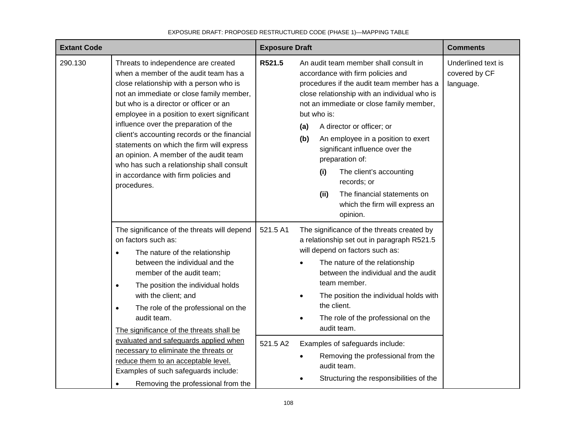| <b>Extant Code</b> |                                                                                                                                                                                                                                                                                                                                                                                                                                                                                                                                                                                  | <b>Exposure Draft</b>                                                                                                                                                                                                                                                                                                                                                                                                                                                                                                     | <b>Comments</b>                                  |
|--------------------|----------------------------------------------------------------------------------------------------------------------------------------------------------------------------------------------------------------------------------------------------------------------------------------------------------------------------------------------------------------------------------------------------------------------------------------------------------------------------------------------------------------------------------------------------------------------------------|---------------------------------------------------------------------------------------------------------------------------------------------------------------------------------------------------------------------------------------------------------------------------------------------------------------------------------------------------------------------------------------------------------------------------------------------------------------------------------------------------------------------------|--------------------------------------------------|
| 290.130            | Threats to independence are created<br>when a member of the audit team has a<br>close relationship with a person who is<br>not an immediate or close family member,<br>but who is a director or officer or an<br>employee in a position to exert significant<br>influence over the preparation of the<br>client's accounting records or the financial<br>statements on which the firm will express<br>an opinion. A member of the audit team<br>who has such a relationship shall consult<br>in accordance with firm policies and<br>procedures.                                 | R521.5<br>An audit team member shall consult in<br>accordance with firm policies and<br>procedures if the audit team member has a<br>close relationship with an individual who is<br>not an immediate or close family member,<br>but who is:<br>A director or officer; or<br>(a)<br>An employee in a position to exert<br>(b)<br>significant influence over the<br>preparation of:<br>(i)<br>The client's accounting<br>records; or<br>The financial statements on<br>(ii)<br>which the firm will express an<br>opinion.  | Underlined text is<br>covered by CF<br>language. |
|                    | The significance of the threats will depend<br>on factors such as:<br>The nature of the relationship<br>$\bullet$<br>between the individual and the<br>member of the audit team;<br>The position the individual holds<br>$\bullet$<br>with the client; and<br>The role of the professional on the<br>$\bullet$<br>audit team.<br>The significance of the threats shall be<br>evaluated and safeguards applied when<br>necessary to eliminate the threats or<br>reduce them to an acceptable level.<br>Examples of such safeguards include:<br>Removing the professional from the | 521.5 A1<br>The significance of the threats created by<br>a relationship set out in paragraph R521.5<br>will depend on factors such as:<br>The nature of the relationship<br>between the individual and the audit<br>team member.<br>The position the individual holds with<br>$\bullet$<br>the client.<br>The role of the professional on the<br>$\bullet$<br>audit team.<br>521.5 A2<br>Examples of safeguards include:<br>Removing the professional from the<br>audit team.<br>Structuring the responsibilities of the |                                                  |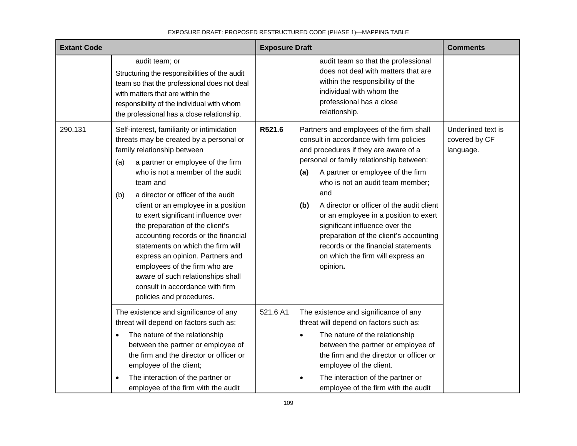| <b>Extant Code</b> |                                                                                                                                                                                                                                                                                                                                                                                                                                                                                                                                                                                                                                     | <b>Exposure Draft</b>                                                                                                                                                                                                                                                                                                                                                                                                                                                                                                                       | <b>Comments</b>                                  |
|--------------------|-------------------------------------------------------------------------------------------------------------------------------------------------------------------------------------------------------------------------------------------------------------------------------------------------------------------------------------------------------------------------------------------------------------------------------------------------------------------------------------------------------------------------------------------------------------------------------------------------------------------------------------|---------------------------------------------------------------------------------------------------------------------------------------------------------------------------------------------------------------------------------------------------------------------------------------------------------------------------------------------------------------------------------------------------------------------------------------------------------------------------------------------------------------------------------------------|--------------------------------------------------|
|                    | audit team; or<br>Structuring the responsibilities of the audit<br>team so that the professional does not deal<br>with matters that are within the<br>responsibility of the individual with whom<br>the professional has a close relationship.                                                                                                                                                                                                                                                                                                                                                                                      | audit team so that the professional<br>does not deal with matters that are<br>within the responsibility of the<br>individual with whom the<br>professional has a close<br>relationship.                                                                                                                                                                                                                                                                                                                                                     |                                                  |
| 290.131            | Self-interest, familiarity or intimidation<br>threats may be created by a personal or<br>family relationship between<br>a partner or employee of the firm<br>(a)<br>who is not a member of the audit<br>team and<br>a director or officer of the audit<br>(b)<br>client or an employee in a position<br>to exert significant influence over<br>the preparation of the client's<br>accounting records or the financial<br>statements on which the firm will<br>express an opinion. Partners and<br>employees of the firm who are<br>aware of such relationships shall<br>consult in accordance with firm<br>policies and procedures. | R521.6<br>Partners and employees of the firm shall<br>consult in accordance with firm policies<br>and procedures if they are aware of a<br>personal or family relationship between:<br>A partner or employee of the firm<br>(a)<br>who is not an audit team member;<br>and<br>A director or officer of the audit client<br>(b)<br>or an employee in a position to exert<br>significant influence over the<br>preparation of the client's accounting<br>records or the financial statements<br>on which the firm will express an<br>opinion. | Underlined text is<br>covered by CF<br>language. |
|                    | The existence and significance of any<br>threat will depend on factors such as:<br>The nature of the relationship<br>$\bullet$<br>between the partner or employee of<br>the firm and the director or officer or<br>employee of the client;<br>The interaction of the partner or                                                                                                                                                                                                                                                                                                                                                     | 521.6 A1<br>The existence and significance of any<br>threat will depend on factors such as:<br>The nature of the relationship<br>$\bullet$<br>between the partner or employee of<br>the firm and the director or officer or<br>employee of the client.<br>The interaction of the partner or                                                                                                                                                                                                                                                 |                                                  |
|                    | employee of the firm with the audit                                                                                                                                                                                                                                                                                                                                                                                                                                                                                                                                                                                                 | employee of the firm with the audit                                                                                                                                                                                                                                                                                                                                                                                                                                                                                                         |                                                  |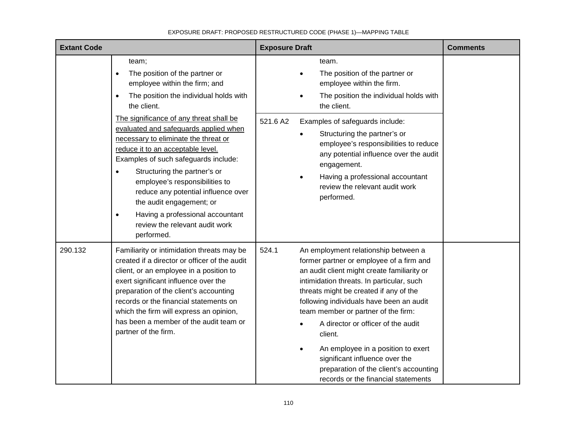| <b>Extant Code</b> |                                                                                                                                                                                                                                                                                                                                                                                                                                                                                                                                                                                                            | <b>Exposure Draft</b>                                                                                                                                                                                                                                                                                                                                                                                                                                                                                                                     | <b>Comments</b> |
|--------------------|------------------------------------------------------------------------------------------------------------------------------------------------------------------------------------------------------------------------------------------------------------------------------------------------------------------------------------------------------------------------------------------------------------------------------------------------------------------------------------------------------------------------------------------------------------------------------------------------------------|-------------------------------------------------------------------------------------------------------------------------------------------------------------------------------------------------------------------------------------------------------------------------------------------------------------------------------------------------------------------------------------------------------------------------------------------------------------------------------------------------------------------------------------------|-----------------|
|                    | team;<br>The position of the partner or<br>$\bullet$<br>employee within the firm; and<br>The position the individual holds with<br>the client.<br>The significance of any threat shall be<br>evaluated and safeguards applied when<br>necessary to eliminate the threat or<br>reduce it to an acceptable level.<br>Examples of such safeguards include:<br>Structuring the partner's or<br>$\bullet$<br>employee's responsibilities to<br>reduce any potential influence over<br>the audit engagement; or<br>Having a professional accountant<br>$\bullet$<br>review the relevant audit work<br>performed. | team.<br>The position of the partner or<br>$\bullet$<br>employee within the firm.<br>The position the individual holds with<br>the client.<br>521.6 A2<br>Examples of safeguards include:<br>Structuring the partner's or<br>$\bullet$<br>employee's responsibilities to reduce<br>any potential influence over the audit<br>engagement.<br>Having a professional accountant<br>$\bullet$<br>review the relevant audit work<br>performed.                                                                                                 |                 |
| 290.132            | Familiarity or intimidation threats may be<br>created if a director or officer of the audit<br>client, or an employee in a position to<br>exert significant influence over the<br>preparation of the client's accounting<br>records or the financial statements on<br>which the firm will express an opinion,<br>has been a member of the audit team or<br>partner of the firm.                                                                                                                                                                                                                            | 524.1<br>An employment relationship between a<br>former partner or employee of a firm and<br>an audit client might create familiarity or<br>intimidation threats. In particular, such<br>threats might be created if any of the<br>following individuals have been an audit<br>team member or partner of the firm:<br>A director or officer of the audit<br>client.<br>An employee in a position to exert<br>$\bullet$<br>significant influence over the<br>preparation of the client's accounting<br>records or the financial statements |                 |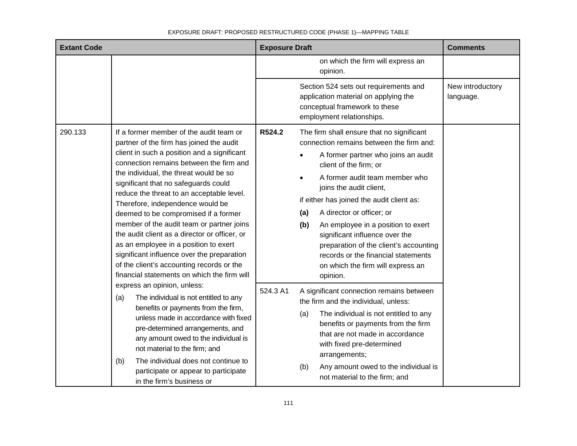| <b>Extant Code</b>                                                                                                                                                                                                                                                                                                                                                                         |                                                                                                                                                                                                                                                                                                                                                                                                                                                                                                                                                                                                                            | <b>Exposure Draft</b>                                                                                                                                                                                                                                                                                                                                                                                                                                                                                                                        | <b>Comments</b>               |
|--------------------------------------------------------------------------------------------------------------------------------------------------------------------------------------------------------------------------------------------------------------------------------------------------------------------------------------------------------------------------------------------|----------------------------------------------------------------------------------------------------------------------------------------------------------------------------------------------------------------------------------------------------------------------------------------------------------------------------------------------------------------------------------------------------------------------------------------------------------------------------------------------------------------------------------------------------------------------------------------------------------------------------|----------------------------------------------------------------------------------------------------------------------------------------------------------------------------------------------------------------------------------------------------------------------------------------------------------------------------------------------------------------------------------------------------------------------------------------------------------------------------------------------------------------------------------------------|-------------------------------|
|                                                                                                                                                                                                                                                                                                                                                                                            |                                                                                                                                                                                                                                                                                                                                                                                                                                                                                                                                                                                                                            | on which the firm will express an<br>opinion.                                                                                                                                                                                                                                                                                                                                                                                                                                                                                                |                               |
|                                                                                                                                                                                                                                                                                                                                                                                            |                                                                                                                                                                                                                                                                                                                                                                                                                                                                                                                                                                                                                            | Section 524 sets out requirements and<br>application material on applying the<br>conceptual framework to these<br>employment relationships.                                                                                                                                                                                                                                                                                                                                                                                                  | New introductory<br>language. |
| 290.133                                                                                                                                                                                                                                                                                                                                                                                    | If a former member of the audit team or<br>partner of the firm has joined the audit<br>client in such a position and a significant<br>connection remains between the firm and<br>the individual, the threat would be so<br>significant that no safeguards could<br>reduce the threat to an acceptable level.<br>Therefore, independence would be<br>deemed to be compromised if a former<br>member of the audit team or partner joins<br>the audit client as a director or officer, or<br>as an employee in a position to exert<br>significant influence over the preparation<br>of the client's accounting records or the | R524.2<br>The firm shall ensure that no significant<br>connection remains between the firm and:<br>A former partner who joins an audit<br>$\bullet$<br>client of the firm; or<br>A former audit team member who<br>joins the audit client,<br>if either has joined the audit client as:<br>A director or officer; or<br>(a)<br>(b)<br>An employee in a position to exert<br>significant influence over the<br>preparation of the client's accounting<br>records or the financial statements<br>on which the firm will express an<br>opinion. |                               |
| express an opinion, unless:<br>The individual is not entitled to any<br>(a)<br>benefits or payments from the firm,<br>unless made in accordance with fixed<br>pre-determined arrangements, and<br>any amount owed to the individual is<br>not material to the firm; and<br>The individual does not continue to<br>(b)<br>participate or appear to participate<br>in the firm's business or | 524.3 A1<br>A significant connection remains between<br>the firm and the individual, unless:<br>The individual is not entitled to any<br>(a)<br>benefits or payments from the firm<br>that are not made in accordance<br>with fixed pre-determined<br>arrangements;<br>Any amount owed to the individual is<br>(b)<br>not material to the firm; and                                                                                                                                                                                                                                                                        |                                                                                                                                                                                                                                                                                                                                                                                                                                                                                                                                              |                               |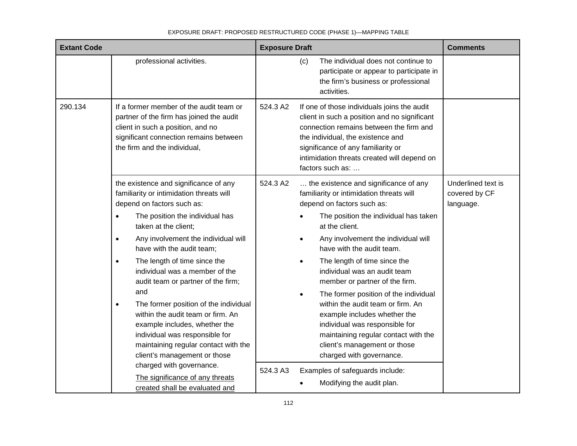| <b>Extant Code</b> |                                                                                                                                                                                                                                                                                                                                                                                                                                                                                                                                                                                                                                                                | <b>Exposure Draft</b>                                                                                                                                                                                                                                                                                                                                                                                                                                                                                                                                                                                                                                               | <b>Comments</b>                                  |
|--------------------|----------------------------------------------------------------------------------------------------------------------------------------------------------------------------------------------------------------------------------------------------------------------------------------------------------------------------------------------------------------------------------------------------------------------------------------------------------------------------------------------------------------------------------------------------------------------------------------------------------------------------------------------------------------|---------------------------------------------------------------------------------------------------------------------------------------------------------------------------------------------------------------------------------------------------------------------------------------------------------------------------------------------------------------------------------------------------------------------------------------------------------------------------------------------------------------------------------------------------------------------------------------------------------------------------------------------------------------------|--------------------------------------------------|
|                    | professional activities.                                                                                                                                                                                                                                                                                                                                                                                                                                                                                                                                                                                                                                       | The individual does not continue to<br>(c)<br>participate or appear to participate in<br>the firm's business or professional<br>activities.                                                                                                                                                                                                                                                                                                                                                                                                                                                                                                                         |                                                  |
| 290.134            | If a former member of the audit team or<br>partner of the firm has joined the audit<br>client in such a position, and no<br>significant connection remains between<br>the firm and the individual,                                                                                                                                                                                                                                                                                                                                                                                                                                                             | 524.3 A2<br>If one of those individuals joins the audit<br>client in such a position and no significant<br>connection remains between the firm and<br>the individual, the existence and<br>significance of any familiarity or<br>intimidation threats created will depend on<br>factors such as:                                                                                                                                                                                                                                                                                                                                                                    |                                                  |
|                    | the existence and significance of any<br>familiarity or intimidation threats will<br>depend on factors such as:<br>The position the individual has<br>٠<br>taken at the client;<br>Any involvement the individual will<br>$\bullet$<br>have with the audit team;<br>The length of time since the<br>$\bullet$<br>individual was a member of the<br>audit team or partner of the firm;<br>and<br>The former position of the individual<br>$\bullet$<br>within the audit team or firm. An<br>example includes, whether the<br>individual was responsible for<br>maintaining regular contact with the<br>client's management or those<br>charged with governance. | 524.3 A2<br>the existence and significance of any<br>familiarity or intimidation threats will<br>depend on factors such as:<br>The position the individual has taken<br>at the client.<br>Any involvement the individual will<br>$\bullet$<br>have with the audit team.<br>The length of time since the<br>$\bullet$<br>individual was an audit team<br>member or partner of the firm.<br>The former position of the individual<br>$\bullet$<br>within the audit team or firm. An<br>example includes whether the<br>individual was responsible for<br>maintaining regular contact with the<br>client's management or those<br>charged with governance.<br>524.3 A3 | Underlined text is<br>covered by CF<br>language. |
|                    | The significance of any threats<br>created shall be evaluated and                                                                                                                                                                                                                                                                                                                                                                                                                                                                                                                                                                                              | Examples of safeguards include:<br>Modifying the audit plan.                                                                                                                                                                                                                                                                                                                                                                                                                                                                                                                                                                                                        |                                                  |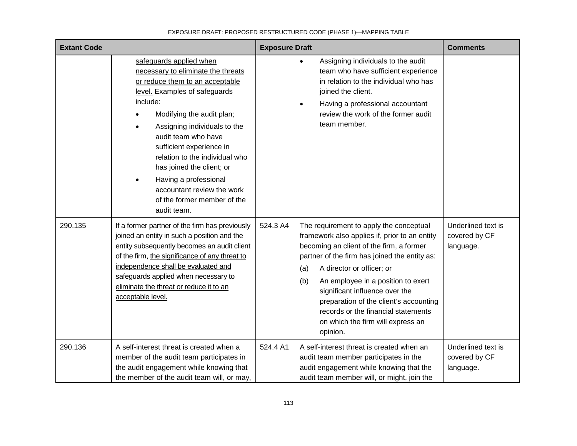| <b>Extant Code</b> |                                                                                                                                                                                                                                                                                                                                                                                                                                                             | <b>Exposure Draft</b>                                                                                                                                                                                                                                                                                                                                                                                                                                  | <b>Comments</b>                                  |
|--------------------|-------------------------------------------------------------------------------------------------------------------------------------------------------------------------------------------------------------------------------------------------------------------------------------------------------------------------------------------------------------------------------------------------------------------------------------------------------------|--------------------------------------------------------------------------------------------------------------------------------------------------------------------------------------------------------------------------------------------------------------------------------------------------------------------------------------------------------------------------------------------------------------------------------------------------------|--------------------------------------------------|
|                    | safeguards applied when<br>necessary to eliminate the threats<br>or reduce them to an acceptable<br>level. Examples of safeguards<br>include:<br>Modifying the audit plan;<br>Assigning individuals to the<br>$\bullet$<br>audit team who have<br>sufficient experience in<br>relation to the individual who<br>has joined the client; or<br>Having a professional<br>$\bullet$<br>accountant review the work<br>of the former member of the<br>audit team. | Assigning individuals to the audit<br>$\bullet$<br>team who have sufficient experience<br>in relation to the individual who has<br>joined the client.<br>Having a professional accountant<br>review the work of the former audit<br>team member.                                                                                                                                                                                                       |                                                  |
| 290.135            | If a former partner of the firm has previously<br>joined an entity in such a position and the<br>entity subsequently becomes an audit client<br>of the firm, the significance of any threat to<br>independence shall be evaluated and<br>safeguards applied when necessary to<br>eliminate the threat or reduce it to an<br>acceptable level.                                                                                                               | 524.3 A4<br>The requirement to apply the conceptual<br>framework also applies if, prior to an entity<br>becoming an client of the firm, a former<br>partner of the firm has joined the entity as:<br>A director or officer; or<br>(a)<br>An employee in a position to exert<br>(b)<br>significant influence over the<br>preparation of the client's accounting<br>records or the financial statements<br>on which the firm will express an<br>opinion. | Underlined text is<br>covered by CF<br>language. |
| 290.136            | A self-interest threat is created when a<br>member of the audit team participates in<br>the audit engagement while knowing that<br>the member of the audit team will, or may,                                                                                                                                                                                                                                                                               | 524.4 A1<br>A self-interest threat is created when an<br>audit team member participates in the<br>audit engagement while knowing that the<br>audit team member will, or might, join the                                                                                                                                                                                                                                                                | Underlined text is<br>covered by CF<br>language. |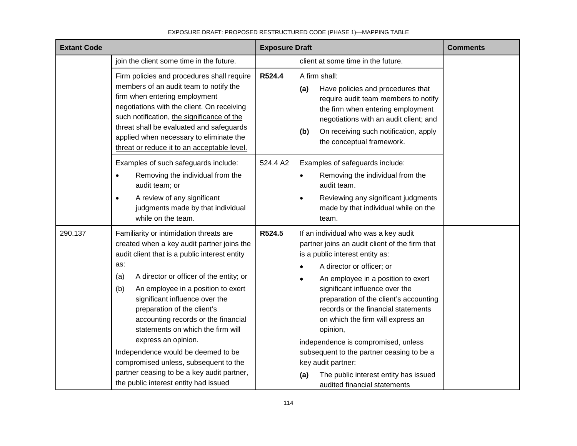| <b>Extant Code</b> |                                                                                                                                                                                                                                                                                                                                                                                                                                                                                                                                                                                        | <b>Exposure Draft</b> |                                                                                                                                                                                                                                                                                                                                                                                                                                                                                                                                                            | <b>Comments</b> |
|--------------------|----------------------------------------------------------------------------------------------------------------------------------------------------------------------------------------------------------------------------------------------------------------------------------------------------------------------------------------------------------------------------------------------------------------------------------------------------------------------------------------------------------------------------------------------------------------------------------------|-----------------------|------------------------------------------------------------------------------------------------------------------------------------------------------------------------------------------------------------------------------------------------------------------------------------------------------------------------------------------------------------------------------------------------------------------------------------------------------------------------------------------------------------------------------------------------------------|-----------------|
|                    | join the client some time in the future.                                                                                                                                                                                                                                                                                                                                                                                                                                                                                                                                               |                       | client at some time in the future.                                                                                                                                                                                                                                                                                                                                                                                                                                                                                                                         |                 |
|                    | Firm policies and procedures shall require<br>members of an audit team to notify the<br>firm when entering employment<br>negotiations with the client. On receiving<br>such notification, the significance of the<br>threat shall be evaluated and safeguards<br>applied when necessary to eliminate the<br>threat or reduce it to an acceptable level.                                                                                                                                                                                                                                | R524.4                | A firm shall:<br>(a)<br>Have policies and procedures that<br>require audit team members to notify<br>the firm when entering employment<br>negotiations with an audit client; and<br>On receiving such notification, apply<br>(b)<br>the conceptual framework.                                                                                                                                                                                                                                                                                              |                 |
|                    | Examples of such safeguards include:<br>Removing the individual from the<br>$\bullet$<br>audit team; or<br>A review of any significant<br>$\bullet$<br>judgments made by that individual<br>while on the team.                                                                                                                                                                                                                                                                                                                                                                         | 524.4 A2              | Examples of safeguards include:<br>Removing the individual from the<br>audit team.<br>Reviewing any significant judgments<br>$\bullet$<br>made by that individual while on the<br>team.                                                                                                                                                                                                                                                                                                                                                                    |                 |
| 290.137            | Familiarity or intimidation threats are<br>created when a key audit partner joins the<br>audit client that is a public interest entity<br>as:<br>A director or officer of the entity; or<br>(a)<br>An employee in a position to exert<br>(b)<br>significant influence over the<br>preparation of the client's<br>accounting records or the financial<br>statements on which the firm will<br>express an opinion.<br>Independence would be deemed to be<br>compromised unless, subsequent to the<br>partner ceasing to be a key audit partner,<br>the public interest entity had issued | R524.5                | If an individual who was a key audit<br>partner joins an audit client of the firm that<br>is a public interest entity as:<br>A director or officer; or<br>An employee in a position to exert<br>significant influence over the<br>preparation of the client's accounting<br>records or the financial statements<br>on which the firm will express an<br>opinion,<br>independence is compromised, unless<br>subsequent to the partner ceasing to be a<br>key audit partner:<br>The public interest entity has issued<br>(a)<br>audited financial statements |                 |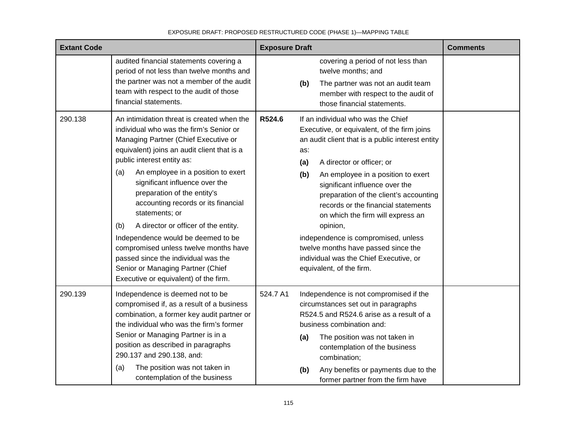| <b>Extant Code</b> |                                                                                                                                                                                                                                                                                                                                                                                                                                                                                                                                                                                                                                      | <b>Exposure Draft</b> |                                                                                                                                                                                                                                                                                                                                                                                                                                                                                                                                                       | <b>Comments</b> |
|--------------------|--------------------------------------------------------------------------------------------------------------------------------------------------------------------------------------------------------------------------------------------------------------------------------------------------------------------------------------------------------------------------------------------------------------------------------------------------------------------------------------------------------------------------------------------------------------------------------------------------------------------------------------|-----------------------|-------------------------------------------------------------------------------------------------------------------------------------------------------------------------------------------------------------------------------------------------------------------------------------------------------------------------------------------------------------------------------------------------------------------------------------------------------------------------------------------------------------------------------------------------------|-----------------|
|                    | audited financial statements covering a<br>period of not less than twelve months and<br>the partner was not a member of the audit<br>team with respect to the audit of those<br>financial statements.                                                                                                                                                                                                                                                                                                                                                                                                                                |                       | covering a period of not less than<br>twelve months; and<br>(b)<br>The partner was not an audit team<br>member with respect to the audit of<br>those financial statements.                                                                                                                                                                                                                                                                                                                                                                            |                 |
| 290.138            | An intimidation threat is created when the<br>individual who was the firm's Senior or<br>Managing Partner (Chief Executive or<br>equivalent) joins an audit client that is a<br>public interest entity as:<br>An employee in a position to exert<br>(a)<br>significant influence over the<br>preparation of the entity's<br>accounting records or its financial<br>statements; or<br>A director or officer of the entity.<br>(b)<br>Independence would be deemed to be<br>compromised unless twelve months have<br>passed since the individual was the<br>Senior or Managing Partner (Chief<br>Executive or equivalent) of the firm. | R524.6                | If an individual who was the Chief<br>Executive, or equivalent, of the firm joins<br>an audit client that is a public interest entity<br>as:<br>A director or officer; or<br>(a)<br>(b)<br>An employee in a position to exert<br>significant influence over the<br>preparation of the client's accounting<br>records or the financial statements<br>on which the firm will express an<br>opinion,<br>independence is compromised, unless<br>twelve months have passed since the<br>individual was the Chief Executive, or<br>equivalent, of the firm. |                 |
| 290.139            | Independence is deemed not to be<br>compromised if, as a result of a business<br>combination, a former key audit partner or<br>the individual who was the firm's former<br>Senior or Managing Partner is in a<br>position as described in paragraphs<br>290.137 and 290.138, and:<br>The position was not taken in<br>(a)<br>contemplation of the business                                                                                                                                                                                                                                                                           | 524.7 A1              | Independence is not compromised if the<br>circumstances set out in paragraphs<br>R524.5 and R524.6 arise as a result of a<br>business combination and:<br>The position was not taken in<br>(a)<br>contemplation of the business<br>combination;<br>Any benefits or payments due to the<br>(b)<br>former partner from the firm have                                                                                                                                                                                                                    |                 |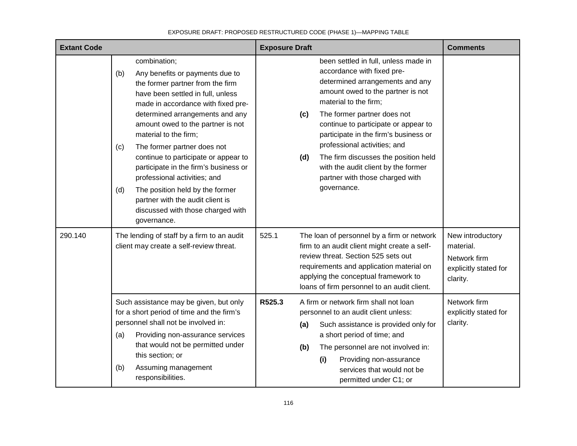| <b>Extant Code</b> |                                                                                                                                                                                                                                                                                                                                                                                                                                                                                                                                                                 | <b>Exposure Draft</b>                                                                                                                                                                                                                                                                                                                                                                                                                                              | <b>Comments</b>                                                                    |
|--------------------|-----------------------------------------------------------------------------------------------------------------------------------------------------------------------------------------------------------------------------------------------------------------------------------------------------------------------------------------------------------------------------------------------------------------------------------------------------------------------------------------------------------------------------------------------------------------|--------------------------------------------------------------------------------------------------------------------------------------------------------------------------------------------------------------------------------------------------------------------------------------------------------------------------------------------------------------------------------------------------------------------------------------------------------------------|------------------------------------------------------------------------------------|
|                    | combination;<br>Any benefits or payments due to<br>(b)<br>the former partner from the firm<br>have been settled in full, unless<br>made in accordance with fixed pre-<br>determined arrangements and any<br>amount owed to the partner is not<br>material to the firm;<br>The former partner does not<br>(c)<br>continue to participate or appear to<br>participate in the firm's business or<br>professional activities; and<br>The position held by the former<br>(d)<br>partner with the audit client is<br>discussed with those charged with<br>governance. | been settled in full, unless made in<br>accordance with fixed pre-<br>determined arrangements and any<br>amount owed to the partner is not<br>material to the firm;<br>The former partner does not<br>(c)<br>continue to participate or appear to<br>participate in the firm's business or<br>professional activities; and<br>The firm discusses the position held<br>(d)<br>with the audit client by the former<br>partner with those charged with<br>governance. |                                                                                    |
| 290.140            | The lending of staff by a firm to an audit<br>client may create a self-review threat.                                                                                                                                                                                                                                                                                                                                                                                                                                                                           | 525.1<br>The loan of personnel by a firm or network<br>firm to an audit client might create a self-<br>review threat. Section 525 sets out<br>requirements and application material on<br>applying the conceptual framework to<br>loans of firm personnel to an audit client.                                                                                                                                                                                      | New introductory<br>material.<br>Network firm<br>explicitly stated for<br>clarity. |
|                    | Such assistance may be given, but only<br>for a short period of time and the firm's<br>personnel shall not be involved in:<br>Providing non-assurance services<br>(a)<br>that would not be permitted under<br>this section; or<br>(b)<br>Assuming management<br>responsibilities.                                                                                                                                                                                                                                                                               | R525.3<br>A firm or network firm shall not loan<br>personnel to an audit client unless:<br>Such assistance is provided only for<br>(a)<br>a short period of time; and<br>The personnel are not involved in:<br>(b)<br>(i)<br>Providing non-assurance<br>services that would not be<br>permitted under C1; or                                                                                                                                                       | Network firm<br>explicitly stated for<br>clarity.                                  |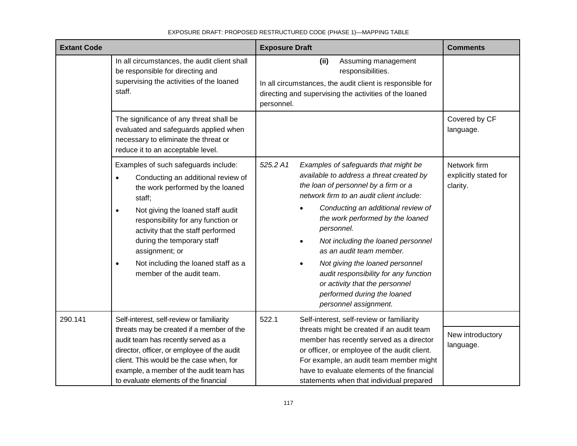| <b>Extant Code</b> |                                                                                                                                                                                                                                                                                                                                                                                        | <b>Exposure Draft</b>                                                                                                                                                                                                                                                                                                                                                                                                                                                                                                         | <b>Comments</b>                                   |
|--------------------|----------------------------------------------------------------------------------------------------------------------------------------------------------------------------------------------------------------------------------------------------------------------------------------------------------------------------------------------------------------------------------------|-------------------------------------------------------------------------------------------------------------------------------------------------------------------------------------------------------------------------------------------------------------------------------------------------------------------------------------------------------------------------------------------------------------------------------------------------------------------------------------------------------------------------------|---------------------------------------------------|
|                    | In all circumstances, the audit client shall<br>be responsible for directing and<br>supervising the activities of the loaned<br>staff.                                                                                                                                                                                                                                                 | (iii)<br>Assuming management<br>responsibilities.<br>In all circumstances, the audit client is responsible for<br>directing and supervising the activities of the loaned<br>personnel.                                                                                                                                                                                                                                                                                                                                        |                                                   |
|                    | The significance of any threat shall be<br>evaluated and safeguards applied when<br>necessary to eliminate the threat or<br>reduce it to an acceptable level.                                                                                                                                                                                                                          |                                                                                                                                                                                                                                                                                                                                                                                                                                                                                                                               | Covered by CF<br>language.                        |
|                    | Examples of such safeguards include:<br>Conducting an additional review of<br>the work performed by the loaned<br>staff;<br>Not giving the loaned staff audit<br>$\bullet$<br>responsibility for any function or<br>activity that the staff performed<br>during the temporary staff<br>assignment; or<br>Not including the loaned staff as a<br>$\bullet$<br>member of the audit team. | 525.2 A1<br>Examples of safeguards that might be<br>available to address a threat created by<br>the loan of personnel by a firm or a<br>network firm to an audit client include:<br>Conducting an additional review of<br>the work performed by the loaned<br>personnel.<br>Not including the loaned personnel<br>$\bullet$<br>as an audit team member.<br>Not giving the loaned personnel<br>audit responsibility for any function<br>or activity that the personnel<br>performed during the loaned<br>personnel assignment. | Network firm<br>explicitly stated for<br>clarity. |
| 290.141            | Self-interest, self-review or familiarity<br>threats may be created if a member of the<br>audit team has recently served as a<br>director, officer, or employee of the audit<br>client. This would be the case when, for<br>example, a member of the audit team has<br>to evaluate elements of the financial                                                                           | 522.1<br>Self-interest, self-review or familiarity<br>threats might be created if an audit team<br>member has recently served as a director<br>or officer, or employee of the audit client.<br>For example, an audit team member might<br>have to evaluate elements of the financial<br>statements when that individual prepared                                                                                                                                                                                              | New introductory<br>language.                     |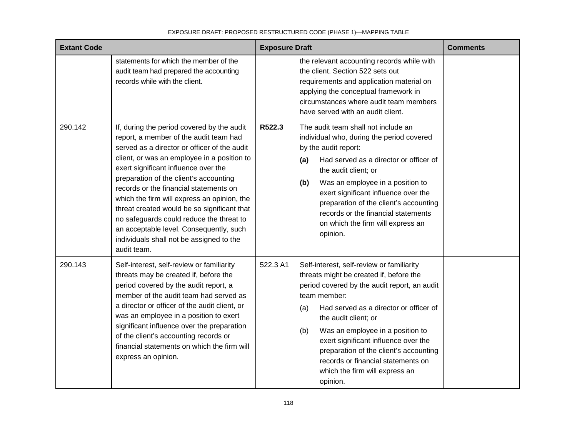| <b>Extant Code</b> |                                                                                                                                                                                                                                                                                                                                                                                                                                                                                                                                                                 | <b>Exposure Draft</b>                                                                                                                                                                                                                                                                                                                                                                                                                                      | <b>Comments</b> |
|--------------------|-----------------------------------------------------------------------------------------------------------------------------------------------------------------------------------------------------------------------------------------------------------------------------------------------------------------------------------------------------------------------------------------------------------------------------------------------------------------------------------------------------------------------------------------------------------------|------------------------------------------------------------------------------------------------------------------------------------------------------------------------------------------------------------------------------------------------------------------------------------------------------------------------------------------------------------------------------------------------------------------------------------------------------------|-----------------|
|                    | statements for which the member of the<br>audit team had prepared the accounting<br>records while with the client.                                                                                                                                                                                                                                                                                                                                                                                                                                              | the relevant accounting records while with<br>the client. Section 522 sets out<br>requirements and application material on<br>applying the conceptual framework in<br>circumstances where audit team members<br>have served with an audit client.                                                                                                                                                                                                          |                 |
| 290.142            | If, during the period covered by the audit<br>report, a member of the audit team had<br>served as a director or officer of the audit<br>client, or was an employee in a position to<br>exert significant influence over the<br>preparation of the client's accounting<br>records or the financial statements on<br>which the firm will express an opinion, the<br>threat created would be so significant that<br>no safeguards could reduce the threat to<br>an acceptable level. Consequently, such<br>individuals shall not be assigned to the<br>audit team. | R522.3<br>The audit team shall not include an<br>individual who, during the period covered<br>by the audit report:<br>Had served as a director or officer of<br>(a)<br>the audit client; or<br>Was an employee in a position to<br>(b)<br>exert significant influence over the<br>preparation of the client's accounting<br>records or the financial statements<br>on which the firm will express an<br>opinion.                                           |                 |
| 290.143            | Self-interest, self-review or familiarity<br>threats may be created if, before the<br>period covered by the audit report, a<br>member of the audit team had served as<br>a director or officer of the audit client, or<br>was an employee in a position to exert<br>significant influence over the preparation<br>of the client's accounting records or<br>financial statements on which the firm will<br>express an opinion.                                                                                                                                   | 522.3 A1<br>Self-interest, self-review or familiarity<br>threats might be created if, before the<br>period covered by the audit report, an audit<br>team member:<br>Had served as a director or officer of<br>(a)<br>the audit client; or<br>(b)<br>Was an employee in a position to<br>exert significant influence over the<br>preparation of the client's accounting<br>records or financial statements on<br>which the firm will express an<br>opinion. |                 |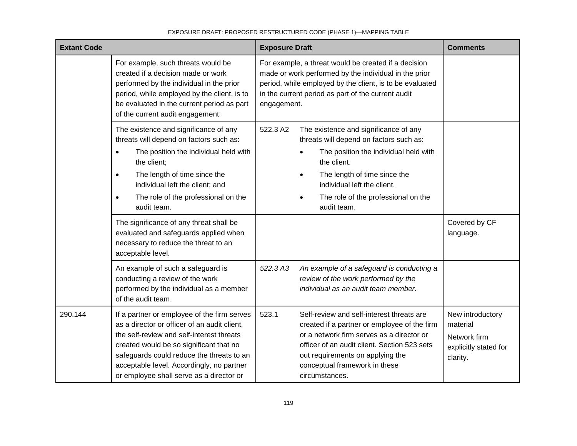| <b>Extant Code</b> |                                                                                                                                                                                                                                                                                                                           | <b>Exposure Draft</b> |                                                                                                                                                                                                                                                                               | <b>Comments</b>                                                                   |
|--------------------|---------------------------------------------------------------------------------------------------------------------------------------------------------------------------------------------------------------------------------------------------------------------------------------------------------------------------|-----------------------|-------------------------------------------------------------------------------------------------------------------------------------------------------------------------------------------------------------------------------------------------------------------------------|-----------------------------------------------------------------------------------|
|                    | For example, such threats would be<br>created if a decision made or work<br>performed by the individual in the prior<br>period, while employed by the client, is to<br>be evaluated in the current period as part<br>of the current audit engagement                                                                      | engagement.           | For example, a threat would be created if a decision<br>made or work performed by the individual in the prior<br>period, while employed by the client, is to be evaluated<br>in the current period as part of the current audit                                               |                                                                                   |
|                    | The existence and significance of any<br>threats will depend on factors such as:<br>The position the individual held with<br>$\bullet$<br>the client;<br>The length of time since the<br>$\bullet$<br>individual left the client; and<br>The role of the professional on the<br>$\bullet$<br>audit team.                  | 522.3 A2              | The existence and significance of any<br>threats will depend on factors such as:<br>The position the individual held with<br>the client.<br>The length of time since the<br>$\bullet$<br>individual left the client.<br>The role of the professional on the<br>audit team.    | Covered by CF                                                                     |
|                    | The significance of any threat shall be<br>evaluated and safeguards applied when<br>necessary to reduce the threat to an<br>acceptable level.                                                                                                                                                                             |                       |                                                                                                                                                                                                                                                                               | language.                                                                         |
|                    | An example of such a safeguard is<br>conducting a review of the work<br>performed by the individual as a member<br>of the audit team.                                                                                                                                                                                     | 522.3 A3              | An example of a safeguard is conducting a<br>review of the work performed by the<br>individual as an audit team member.                                                                                                                                                       |                                                                                   |
| 290.144            | If a partner or employee of the firm serves<br>as a director or officer of an audit client,<br>the self-review and self-interest threats<br>created would be so significant that no<br>safeguards could reduce the threats to an<br>acceptable level. Accordingly, no partner<br>or employee shall serve as a director or | 523.1                 | Self-review and self-interest threats are<br>created if a partner or employee of the firm<br>or a network firm serves as a director or<br>officer of an audit client. Section 523 sets<br>out requirements on applying the<br>conceptual framework in these<br>circumstances. | New introductory<br>material<br>Network firm<br>explicitly stated for<br>clarity. |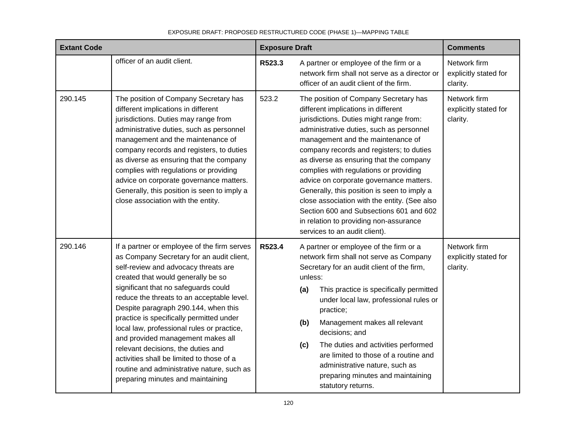| <b>Extant Code</b> |                                                                                                                                                                                                                                                                                                                                                                                                                                                                                                                                                                                                           | <b>Exposure Draft</b> |                                                                                                                                                                                                                                                                                                                                                                                                                                                                                                                                                                                                           | <b>Comments</b>                                   |
|--------------------|-----------------------------------------------------------------------------------------------------------------------------------------------------------------------------------------------------------------------------------------------------------------------------------------------------------------------------------------------------------------------------------------------------------------------------------------------------------------------------------------------------------------------------------------------------------------------------------------------------------|-----------------------|-----------------------------------------------------------------------------------------------------------------------------------------------------------------------------------------------------------------------------------------------------------------------------------------------------------------------------------------------------------------------------------------------------------------------------------------------------------------------------------------------------------------------------------------------------------------------------------------------------------|---------------------------------------------------|
|                    | officer of an audit client.                                                                                                                                                                                                                                                                                                                                                                                                                                                                                                                                                                               | R523.3                | A partner or employee of the firm or a<br>network firm shall not serve as a director or<br>officer of an audit client of the firm.                                                                                                                                                                                                                                                                                                                                                                                                                                                                        | Network firm<br>explicitly stated for<br>clarity. |
| 290.145            | The position of Company Secretary has<br>different implications in different<br>jurisdictions. Duties may range from<br>administrative duties, such as personnel<br>management and the maintenance of<br>company records and registers, to duties<br>as diverse as ensuring that the company<br>complies with regulations or providing<br>advice on corporate governance matters.<br>Generally, this position is seen to imply a<br>close association with the entity.                                                                                                                                    | 523.2                 | The position of Company Secretary has<br>different implications in different<br>jurisdictions. Duties might range from:<br>administrative duties, such as personnel<br>management and the maintenance of<br>company records and registers; to duties<br>as diverse as ensuring that the company<br>complies with regulations or providing<br>advice on corporate governance matters.<br>Generally, this position is seen to imply a<br>close association with the entity. (See also<br>Section 600 and Subsections 601 and 602<br>in relation to providing non-assurance<br>services to an audit client). | Network firm<br>explicitly stated for<br>clarity. |
| 290.146            | If a partner or employee of the firm serves<br>as Company Secretary for an audit client,<br>self-review and advocacy threats are<br>created that would generally be so<br>significant that no safeguards could<br>reduce the threats to an acceptable level.<br>Despite paragraph 290.144, when this<br>practice is specifically permitted under<br>local law, professional rules or practice,<br>and provided management makes all<br>relevant decisions, the duties and<br>activities shall be limited to those of a<br>routine and administrative nature, such as<br>preparing minutes and maintaining | R523.4                | A partner or employee of the firm or a<br>network firm shall not serve as Company<br>Secretary for an audit client of the firm,<br>unless:<br>This practice is specifically permitted<br>(a)<br>under local law, professional rules or<br>practice;<br>(b)<br>Management makes all relevant<br>decisions; and<br>The duties and activities performed<br>(c)<br>are limited to those of a routine and<br>administrative nature, such as<br>preparing minutes and maintaining<br>statutory returns.                                                                                                         | Network firm<br>explicitly stated for<br>clarity. |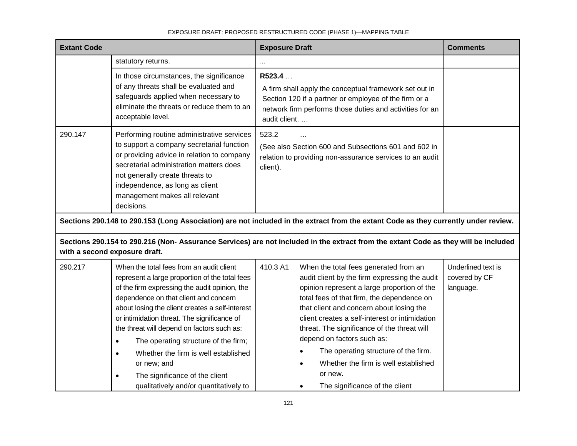| <b>Extant Code</b>            |                                                                                                                                                                                                                                                                                                                                                                                                                                                                                                                                                        | <b>Exposure Draft</b>                                                                                                                                                                                                                                                                                                                                                                                                                                                                                                | <b>Comments</b>                                  |
|-------------------------------|--------------------------------------------------------------------------------------------------------------------------------------------------------------------------------------------------------------------------------------------------------------------------------------------------------------------------------------------------------------------------------------------------------------------------------------------------------------------------------------------------------------------------------------------------------|----------------------------------------------------------------------------------------------------------------------------------------------------------------------------------------------------------------------------------------------------------------------------------------------------------------------------------------------------------------------------------------------------------------------------------------------------------------------------------------------------------------------|--------------------------------------------------|
|                               | statutory returns.                                                                                                                                                                                                                                                                                                                                                                                                                                                                                                                                     | .                                                                                                                                                                                                                                                                                                                                                                                                                                                                                                                    |                                                  |
|                               | In those circumstances, the significance<br>of any threats shall be evaluated and<br>safeguards applied when necessary to<br>eliminate the threats or reduce them to an<br>acceptable level.                                                                                                                                                                                                                                                                                                                                                           | R523.4<br>A firm shall apply the conceptual framework set out in<br>Section 120 if a partner or employee of the firm or a<br>network firm performs those duties and activities for an<br>audit client.                                                                                                                                                                                                                                                                                                               |                                                  |
| 290.147                       | Performing routine administrative services<br>to support a company secretarial function<br>or providing advice in relation to company<br>secretarial administration matters does<br>not generally create threats to<br>independence, as long as client<br>management makes all relevant<br>decisions.                                                                                                                                                                                                                                                  | 523.2<br>(See also Section 600 and Subsections 601 and 602 in<br>relation to providing non-assurance services to an audit<br>client).                                                                                                                                                                                                                                                                                                                                                                                |                                                  |
|                               |                                                                                                                                                                                                                                                                                                                                                                                                                                                                                                                                                        | Sections 290.148 to 290.153 (Long Association) are not included in the extract from the extant Code as they currently under review.                                                                                                                                                                                                                                                                                                                                                                                  |                                                  |
| with a second exposure draft. |                                                                                                                                                                                                                                                                                                                                                                                                                                                                                                                                                        | Sections 290.154 to 290.216 (Non-Assurance Services) are not included in the extract from the extant Code as they will be included                                                                                                                                                                                                                                                                                                                                                                                   |                                                  |
| 290.217                       | When the total fees from an audit client<br>represent a large proportion of the total fees<br>of the firm expressing the audit opinion, the<br>dependence on that client and concern<br>about losing the client creates a self-interest<br>or intimidation threat. The significance of<br>the threat will depend on factors such as:<br>The operating structure of the firm;<br>$\bullet$<br>Whether the firm is well established<br>$\bullet$<br>or new; and<br>The significance of the client<br>$\bullet$<br>qualitatively and/or quantitatively to | 410.3 A1<br>When the total fees generated from an<br>audit client by the firm expressing the audit<br>opinion represent a large proportion of the<br>total fees of that firm, the dependence on<br>that client and concern about losing the<br>client creates a self-interest or intimidation<br>threat. The significance of the threat will<br>depend on factors such as:<br>The operating structure of the firm.<br>Whether the firm is well established<br>or new.<br>The significance of the client<br>$\bullet$ | Underlined text is<br>covered by CF<br>language. |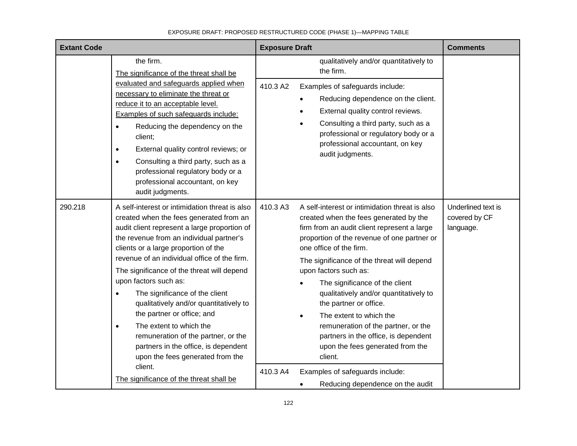| <b>Extant Code</b> |                                                                                                                                                                                                                                                                                                                                                                                                                                                                                                                                                                                                                                      | <b>Exposure Draft</b>                                                                                                                                                                                                                                                                                                                                                                                                                                                                                                                                                                                                           | <b>Comments</b>                                  |
|--------------------|--------------------------------------------------------------------------------------------------------------------------------------------------------------------------------------------------------------------------------------------------------------------------------------------------------------------------------------------------------------------------------------------------------------------------------------------------------------------------------------------------------------------------------------------------------------------------------------------------------------------------------------|---------------------------------------------------------------------------------------------------------------------------------------------------------------------------------------------------------------------------------------------------------------------------------------------------------------------------------------------------------------------------------------------------------------------------------------------------------------------------------------------------------------------------------------------------------------------------------------------------------------------------------|--------------------------------------------------|
|                    | the firm.<br>The significance of the threat shall be<br>evaluated and safeguards applied when<br>necessary to eliminate the threat or<br>reduce it to an acceptable level.<br><b>Examples of such safeguards include:</b><br>Reducing the dependency on the<br>$\bullet$<br>client;<br>External quality control reviews; or<br>$\bullet$<br>Consulting a third party, such as a<br>$\bullet$<br>professional regulatory body or a<br>professional accountant, on key<br>audit judgments.                                                                                                                                             | qualitatively and/or quantitatively to<br>the firm.<br>410.3 A2<br>Examples of safeguards include:<br>Reducing dependence on the client.<br>External quality control reviews.<br>Consulting a third party, such as a<br>professional or regulatory body or a<br>professional accountant, on key<br>audit judgments.                                                                                                                                                                                                                                                                                                             |                                                  |
| 290.218            | A self-interest or intimidation threat is also<br>created when the fees generated from an<br>audit client represent a large proportion of<br>the revenue from an individual partner's<br>clients or a large proportion of the<br>revenue of an individual office of the firm.<br>The significance of the threat will depend<br>upon factors such as:<br>The significance of the client<br>qualitatively and/or quantitatively to<br>the partner or office; and<br>The extent to which the<br>$\bullet$<br>remuneration of the partner, or the<br>partners in the office, is dependent<br>upon the fees generated from the<br>client. | 410.3 A3<br>A self-interest or intimidation threat is also<br>created when the fees generated by the<br>firm from an audit client represent a large<br>proportion of the revenue of one partner or<br>one office of the firm.<br>The significance of the threat will depend<br>upon factors such as:<br>The significance of the client<br>qualitatively and/or quantitatively to<br>the partner or office.<br>The extent to which the<br>$\bullet$<br>remuneration of the partner, or the<br>partners in the office, is dependent<br>upon the fees generated from the<br>client.<br>410.3 A4<br>Examples of safeguards include: | Underlined text is<br>covered by CF<br>language. |
|                    | The significance of the threat shall be                                                                                                                                                                                                                                                                                                                                                                                                                                                                                                                                                                                              | Reducing dependence on the audit<br>$\bullet$                                                                                                                                                                                                                                                                                                                                                                                                                                                                                                                                                                                   |                                                  |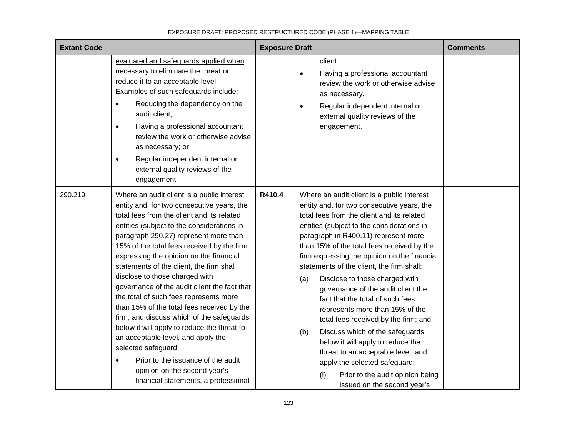| <b>Extant Code</b> |                                                                                                                                                                                                                                                                                                                                                                                                                                                                                                                                                                                                                                                                                                                                                                                                                                  | <b>Exposure Draft</b>                                                                                                                                                                                                                                                                                                                                                                                                                                                                                         | <b>Comments</b>                                                                                                                                                                                                                                                                                |
|--------------------|----------------------------------------------------------------------------------------------------------------------------------------------------------------------------------------------------------------------------------------------------------------------------------------------------------------------------------------------------------------------------------------------------------------------------------------------------------------------------------------------------------------------------------------------------------------------------------------------------------------------------------------------------------------------------------------------------------------------------------------------------------------------------------------------------------------------------------|---------------------------------------------------------------------------------------------------------------------------------------------------------------------------------------------------------------------------------------------------------------------------------------------------------------------------------------------------------------------------------------------------------------------------------------------------------------------------------------------------------------|------------------------------------------------------------------------------------------------------------------------------------------------------------------------------------------------------------------------------------------------------------------------------------------------|
|                    | evaluated and safeguards applied when<br>necessary to eliminate the threat or<br>reduce it to an acceptable level.<br>Examples of such safeguards include:<br>Reducing the dependency on the<br>$\bullet$<br>audit client;<br>Having a professional accountant<br>$\bullet$<br>review the work or otherwise advise<br>as necessary; or<br>Regular independent internal or<br>$\bullet$<br>external quality reviews of the<br>engagement.                                                                                                                                                                                                                                                                                                                                                                                         | client.<br>$\bullet$<br>as necessary.<br>$\bullet$<br>external quality reviews of the<br>engagement.                                                                                                                                                                                                                                                                                                                                                                                                          | Having a professional accountant<br>review the work or otherwise advise<br>Regular independent internal or                                                                                                                                                                                     |
| 290.219            | Where an audit client is a public interest<br>entity and, for two consecutive years, the<br>total fees from the client and its related<br>entities (subject to the considerations in<br>paragraph 290.27) represent more than<br>15% of the total fees received by the firm<br>expressing the opinion on the financial<br>statements of the client, the firm shall<br>disclose to those charged with<br>governance of the audit client the fact that<br>the total of such fees represents more<br>than 15% of the total fees received by the<br>firm, and discuss which of the safeguards<br>below it will apply to reduce the threat to<br>an acceptable level, and apply the<br>selected safeguard:<br>Prior to the issuance of the audit<br>$\bullet$<br>opinion on the second year's<br>financial statements, a professional | R410.4<br>Where an audit client is a public interest<br>entity and, for two consecutive years, the<br>total fees from the client and its related<br>entities (subject to the considerations in<br>paragraph in R400.11) represent more<br>than 15% of the total fees received by the<br>firm expressing the opinion on the financial<br>statements of the client, the firm shall:<br>Disclose to those charged with<br>(a)<br>fact that the total of such fees<br>(b)<br>apply the selected safeguard:<br>(i) | governance of the audit client the<br>represents more than 15% of the<br>total fees received by the firm; and<br>Discuss which of the safeguards<br>below it will apply to reduce the<br>threat to an acceptable level, and<br>Prior to the audit opinion being<br>issued on the second year's |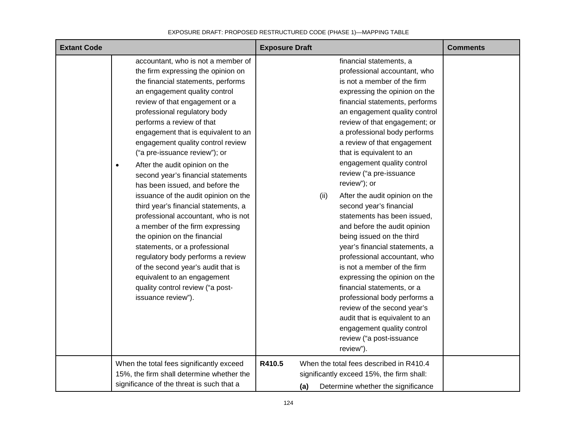| <b>Extant Code</b> |                                                                                                                                                                                                                                                                                                                                                                                                                                                                                                                                                                                                                                                                                                                                                                                                                                                                                    | <b>Exposure Draft</b> |                                                                                                                                                                                                                                                                                                                                                                                                                                                                                                                                                                                                                                                                                                                                                                                                                                                                                     | <b>Comments</b> |
|--------------------|------------------------------------------------------------------------------------------------------------------------------------------------------------------------------------------------------------------------------------------------------------------------------------------------------------------------------------------------------------------------------------------------------------------------------------------------------------------------------------------------------------------------------------------------------------------------------------------------------------------------------------------------------------------------------------------------------------------------------------------------------------------------------------------------------------------------------------------------------------------------------------|-----------------------|-------------------------------------------------------------------------------------------------------------------------------------------------------------------------------------------------------------------------------------------------------------------------------------------------------------------------------------------------------------------------------------------------------------------------------------------------------------------------------------------------------------------------------------------------------------------------------------------------------------------------------------------------------------------------------------------------------------------------------------------------------------------------------------------------------------------------------------------------------------------------------------|-----------------|
|                    | accountant, who is not a member of<br>the firm expressing the opinion on<br>the financial statements, performs<br>an engagement quality control<br>review of that engagement or a<br>professional regulatory body<br>performs a review of that<br>engagement that is equivalent to an<br>engagement quality control review<br>("a pre-issuance review"); or<br>After the audit opinion on the<br>$\bullet$<br>second year's financial statements<br>has been issued, and before the<br>issuance of the audit opinion on the<br>third year's financial statements, a<br>professional accountant, who is not<br>a member of the firm expressing<br>the opinion on the financial<br>statements, or a professional<br>regulatory body performs a review<br>of the second year's audit that is<br>equivalent to an engagement<br>quality control review ("a post-<br>issuance review"). | (ii)                  | financial statements, a<br>professional accountant, who<br>is not a member of the firm<br>expressing the opinion on the<br>financial statements, performs<br>an engagement quality control<br>review of that engagement; or<br>a professional body performs<br>a review of that engagement<br>that is equivalent to an<br>engagement quality control<br>review ("a pre-issuance<br>review"); or<br>After the audit opinion on the<br>second year's financial<br>statements has been issued,<br>and before the audit opinion<br>being issued on the third<br>year's financial statements, a<br>professional accountant, who<br>is not a member of the firm<br>expressing the opinion on the<br>financial statements, or a<br>professional body performs a<br>review of the second year's<br>audit that is equivalent to an<br>engagement quality control<br>review ("a post-issuance |                 |
|                    |                                                                                                                                                                                                                                                                                                                                                                                                                                                                                                                                                                                                                                                                                                                                                                                                                                                                                    |                       | review").                                                                                                                                                                                                                                                                                                                                                                                                                                                                                                                                                                                                                                                                                                                                                                                                                                                                           |                 |
|                    | When the total fees significantly exceed<br>15%, the firm shall determine whether the<br>significance of the threat is such that a                                                                                                                                                                                                                                                                                                                                                                                                                                                                                                                                                                                                                                                                                                                                                 | R410.5<br>(a)         | When the total fees described in R410.4<br>significantly exceed 15%, the firm shall:<br>Determine whether the significance                                                                                                                                                                                                                                                                                                                                                                                                                                                                                                                                                                                                                                                                                                                                                          |                 |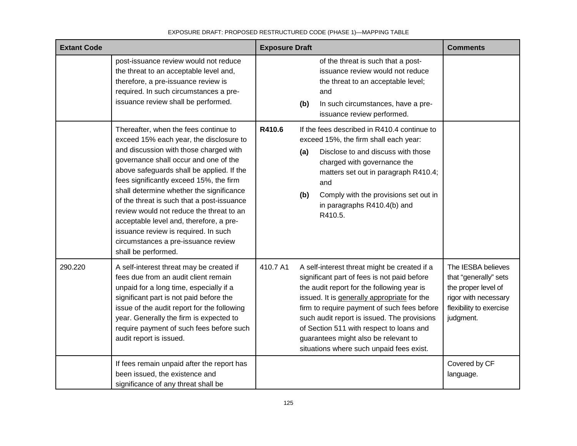| <b>Extant Code</b> |                                                                                                                                                                                                                                                                                                                                                                                                                                                                                                                                                    | <b>Exposure Draft</b> |            | <b>Comments</b>                                                                                                                                                                                                                                                                                                                                                                                                        |                                                                                                                                    |
|--------------------|----------------------------------------------------------------------------------------------------------------------------------------------------------------------------------------------------------------------------------------------------------------------------------------------------------------------------------------------------------------------------------------------------------------------------------------------------------------------------------------------------------------------------------------------------|-----------------------|------------|------------------------------------------------------------------------------------------------------------------------------------------------------------------------------------------------------------------------------------------------------------------------------------------------------------------------------------------------------------------------------------------------------------------------|------------------------------------------------------------------------------------------------------------------------------------|
|                    | post-issuance review would not reduce<br>the threat to an acceptable level and,<br>therefore, a pre-issuance review is<br>required. In such circumstances a pre-<br>issuance review shall be performed.                                                                                                                                                                                                                                                                                                                                            |                       | (b)        | of the threat is such that a post-<br>issuance review would not reduce<br>the threat to an acceptable level;<br>and<br>In such circumstances, have a pre-<br>issuance review performed.                                                                                                                                                                                                                                |                                                                                                                                    |
|                    | Thereafter, when the fees continue to<br>exceed 15% each year, the disclosure to<br>and discussion with those charged with<br>governance shall occur and one of the<br>above safeguards shall be applied. If the<br>fees significantly exceed 15%, the firm<br>shall determine whether the significance<br>of the threat is such that a post-issuance<br>review would not reduce the threat to an<br>acceptable level and, therefore, a pre-<br>issuance review is required. In such<br>circumstances a pre-issuance review<br>shall be performed. | R410.6                | (a)<br>(b) | If the fees described in R410.4 continue to<br>exceed 15%, the firm shall each year:<br>Disclose to and discuss with those<br>charged with governance the<br>matters set out in paragraph R410.4;<br>and<br>Comply with the provisions set out in<br>in paragraphs R410.4(b) and<br>R410.5.                                                                                                                            |                                                                                                                                    |
| 290.220            | A self-interest threat may be created if<br>fees due from an audit client remain<br>unpaid for a long time, especially if a<br>significant part is not paid before the<br>issue of the audit report for the following<br>year. Generally the firm is expected to<br>require payment of such fees before such<br>audit report is issued.                                                                                                                                                                                                            | 410.7 A1              |            | A self-interest threat might be created if a<br>significant part of fees is not paid before<br>the audit report for the following year is<br>issued. It is generally appropriate for the<br>firm to require payment of such fees before<br>such audit report is issued. The provisions<br>of Section 511 with respect to loans and<br>guarantees might also be relevant to<br>situations where such unpaid fees exist. | The IESBA believes<br>that "generally" sets<br>the proper level of<br>rigor with necessary<br>flexibility to exercise<br>judgment. |
|                    | If fees remain unpaid after the report has<br>been issued, the existence and<br>significance of any threat shall be                                                                                                                                                                                                                                                                                                                                                                                                                                |                       |            |                                                                                                                                                                                                                                                                                                                                                                                                                        | Covered by CF<br>language.                                                                                                         |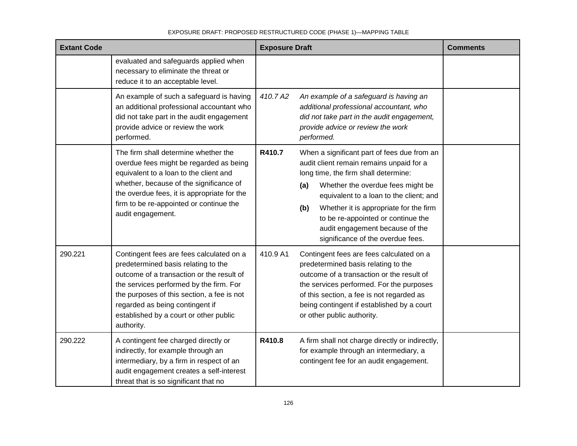| <b>Extant Code</b> |                                                                                                                                                                                                                                                                                                                  | <b>Exposure Draft</b> |                                                                                                                                                                                                                                                                                                                                                                                       | <b>Comments</b> |
|--------------------|------------------------------------------------------------------------------------------------------------------------------------------------------------------------------------------------------------------------------------------------------------------------------------------------------------------|-----------------------|---------------------------------------------------------------------------------------------------------------------------------------------------------------------------------------------------------------------------------------------------------------------------------------------------------------------------------------------------------------------------------------|-----------------|
|                    | evaluated and safeguards applied when<br>necessary to eliminate the threat or<br>reduce it to an acceptable level.                                                                                                                                                                                               |                       |                                                                                                                                                                                                                                                                                                                                                                                       |                 |
|                    | An example of such a safeguard is having<br>an additional professional accountant who<br>did not take part in the audit engagement<br>provide advice or review the work<br>performed.                                                                                                                            | 410.7 A2              | An example of a safeguard is having an<br>additional professional accountant, who<br>did not take part in the audit engagement,<br>provide advice or review the work<br>performed.                                                                                                                                                                                                    |                 |
|                    | The firm shall determine whether the<br>overdue fees might be regarded as being<br>equivalent to a loan to the client and<br>whether, because of the significance of<br>the overdue fees, it is appropriate for the<br>firm to be re-appointed or continue the<br>audit engagement.                              | R410.7                | When a significant part of fees due from an<br>audit client remain remains unpaid for a<br>long time, the firm shall determine:<br>Whether the overdue fees might be<br>(a)<br>equivalent to a loan to the client; and<br>Whether it is appropriate for the firm<br>(b)<br>to be re-appointed or continue the<br>audit engagement because of the<br>significance of the overdue fees. |                 |
| 290.221            | Contingent fees are fees calculated on a<br>predetermined basis relating to the<br>outcome of a transaction or the result of<br>the services performed by the firm. For<br>the purposes of this section, a fee is not<br>regarded as being contingent if<br>established by a court or other public<br>authority. | 410.9 A1              | Contingent fees are fees calculated on a<br>predetermined basis relating to the<br>outcome of a transaction or the result of<br>the services performed. For the purposes<br>of this section, a fee is not regarded as<br>being contingent if established by a court<br>or other public authority.                                                                                     |                 |
| 290.222            | A contingent fee charged directly or<br>indirectly, for example through an<br>intermediary, by a firm in respect of an<br>audit engagement creates a self-interest<br>threat that is so significant that no                                                                                                      | R410.8                | A firm shall not charge directly or indirectly,<br>for example through an intermediary, a<br>contingent fee for an audit engagement.                                                                                                                                                                                                                                                  |                 |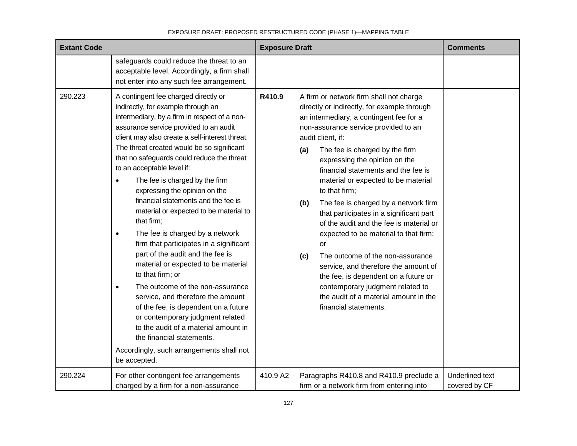| <b>Extant Code</b> |                                                                                                                                                                                                                                                                                                                                                                                                                                                                                                                                                                                                                                                                                                                                                                                                                                                                                                                                                                                                                              | <b>Exposure Draft</b> |                                                                                                                                                                                                                                                                                                                                                                                                                                                                                                                                                                                                                                                                                                                                                                                              | <b>Comments</b>                         |
|--------------------|------------------------------------------------------------------------------------------------------------------------------------------------------------------------------------------------------------------------------------------------------------------------------------------------------------------------------------------------------------------------------------------------------------------------------------------------------------------------------------------------------------------------------------------------------------------------------------------------------------------------------------------------------------------------------------------------------------------------------------------------------------------------------------------------------------------------------------------------------------------------------------------------------------------------------------------------------------------------------------------------------------------------------|-----------------------|----------------------------------------------------------------------------------------------------------------------------------------------------------------------------------------------------------------------------------------------------------------------------------------------------------------------------------------------------------------------------------------------------------------------------------------------------------------------------------------------------------------------------------------------------------------------------------------------------------------------------------------------------------------------------------------------------------------------------------------------------------------------------------------------|-----------------------------------------|
|                    | safeguards could reduce the threat to an<br>acceptable level. Accordingly, a firm shall<br>not enter into any such fee arrangement.                                                                                                                                                                                                                                                                                                                                                                                                                                                                                                                                                                                                                                                                                                                                                                                                                                                                                          |                       |                                                                                                                                                                                                                                                                                                                                                                                                                                                                                                                                                                                                                                                                                                                                                                                              |                                         |
| 290.223            | A contingent fee charged directly or<br>indirectly, for example through an<br>intermediary, by a firm in respect of a non-<br>assurance service provided to an audit<br>client may also create a self-interest threat.<br>The threat created would be so significant<br>that no safeguards could reduce the threat<br>to an acceptable level if:<br>The fee is charged by the firm<br>$\bullet$<br>expressing the opinion on the<br>financial statements and the fee is<br>material or expected to be material to<br>that firm;<br>The fee is charged by a network<br>$\bullet$<br>firm that participates in a significant<br>part of the audit and the fee is<br>material or expected to be material<br>to that firm; or<br>The outcome of the non-assurance<br>$\bullet$<br>service, and therefore the amount<br>of the fee, is dependent on a future<br>or contemporary judgment related<br>to the audit of a material amount in<br>the financial statements.<br>Accordingly, such arrangements shall not<br>be accepted. | R410.9                | A firm or network firm shall not charge<br>directly or indirectly, for example through<br>an intermediary, a contingent fee for a<br>non-assurance service provided to an<br>audit client, if:<br>The fee is charged by the firm<br>(a)<br>expressing the opinion on the<br>financial statements and the fee is<br>material or expected to be material<br>to that firm;<br>The fee is charged by a network firm<br>(b)<br>that participates in a significant part<br>of the audit and the fee is material or<br>expected to be material to that firm;<br>or<br>The outcome of the non-assurance<br>(c)<br>service, and therefore the amount of<br>the fee, is dependent on a future or<br>contemporary judgment related to<br>the audit of a material amount in the<br>financial statements. |                                         |
| 290.224            | For other contingent fee arrangements<br>charged by a firm for a non-assurance                                                                                                                                                                                                                                                                                                                                                                                                                                                                                                                                                                                                                                                                                                                                                                                                                                                                                                                                               | 410.9 A2              | Paragraphs R410.8 and R410.9 preclude a<br>firm or a network firm from entering into                                                                                                                                                                                                                                                                                                                                                                                                                                                                                                                                                                                                                                                                                                         | <b>Underlined text</b><br>covered by CF |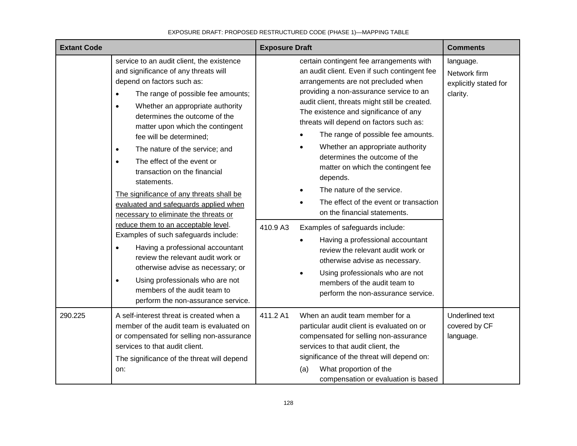| <b>Extant Code</b> |                                                                                                                                                                                                                                                                                                                                                                                                                                                                                                                                                                                                                                                                                                                                                                                                                                                                                                               | <b>Exposure Draft</b>                                                                                                                                                                                                                                                                                                                                                                                                                                                                                                                                                                                                                                                                                                                                                                                                                                                                                       | <b>Comments</b>                                                |
|--------------------|---------------------------------------------------------------------------------------------------------------------------------------------------------------------------------------------------------------------------------------------------------------------------------------------------------------------------------------------------------------------------------------------------------------------------------------------------------------------------------------------------------------------------------------------------------------------------------------------------------------------------------------------------------------------------------------------------------------------------------------------------------------------------------------------------------------------------------------------------------------------------------------------------------------|-------------------------------------------------------------------------------------------------------------------------------------------------------------------------------------------------------------------------------------------------------------------------------------------------------------------------------------------------------------------------------------------------------------------------------------------------------------------------------------------------------------------------------------------------------------------------------------------------------------------------------------------------------------------------------------------------------------------------------------------------------------------------------------------------------------------------------------------------------------------------------------------------------------|----------------------------------------------------------------|
|                    | service to an audit client, the existence<br>and significance of any threats will<br>depend on factors such as:<br>The range of possible fee amounts;<br>$\bullet$<br>Whether an appropriate authority<br>$\bullet$<br>determines the outcome of the<br>matter upon which the contingent<br>fee will be determined;<br>The nature of the service; and<br>$\bullet$<br>The effect of the event or<br>$\bullet$<br>transaction on the financial<br>statements.<br>The significance of any threats shall be<br>evaluated and safeguards applied when<br>necessary to eliminate the threats or<br>reduce them to an acceptable level.<br>Examples of such safeguards include:<br>Having a professional accountant<br>review the relevant audit work or<br>otherwise advise as necessary; or<br>Using professionals who are not<br>$\bullet$<br>members of the audit team to<br>perform the non-assurance service. | certain contingent fee arrangements with<br>an audit client. Even if such contingent fee<br>arrangements are not precluded when<br>providing a non-assurance service to an<br>audit client, threats might still be created.<br>The existence and significance of any<br>threats will depend on factors such as:<br>The range of possible fee amounts.<br>Whether an appropriate authority<br>$\bullet$<br>determines the outcome of the<br>matter on which the contingent fee<br>depends.<br>The nature of the service.<br>The effect of the event or transaction<br>$\bullet$<br>on the financial statements.<br>410.9 A3<br>Examples of safeguards include:<br>Having a professional accountant<br>$\bullet$<br>review the relevant audit work or<br>otherwise advise as necessary.<br>Using professionals who are not<br>$\bullet$<br>members of the audit team to<br>perform the non-assurance service. | language.<br>Network firm<br>explicitly stated for<br>clarity. |
| 290.225            | A self-interest threat is created when a<br>member of the audit team is evaluated on<br>or compensated for selling non-assurance<br>services to that audit client.<br>The significance of the threat will depend<br>on:                                                                                                                                                                                                                                                                                                                                                                                                                                                                                                                                                                                                                                                                                       | 411.2 A1<br>When an audit team member for a<br>particular audit client is evaluated on or<br>compensated for selling non-assurance<br>services to that audit client, the<br>significance of the threat will depend on:<br>What proportion of the<br>(a)<br>compensation or evaluation is based                                                                                                                                                                                                                                                                                                                                                                                                                                                                                                                                                                                                              | <b>Underlined text</b><br>covered by CF<br>language.           |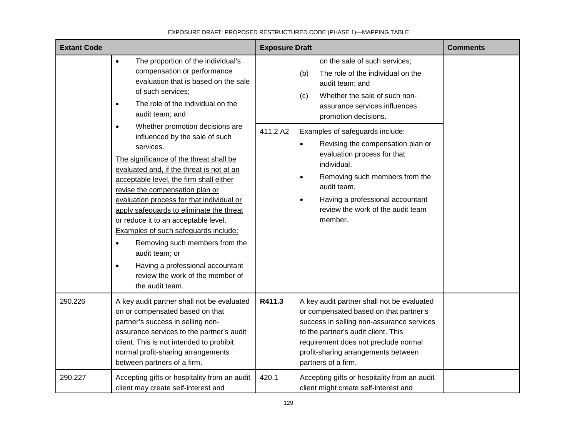| <b>Extant Code</b> |                                                                                                                                                                                                                                                                                                                                                                                                                                                                                                                                                                                                                                                                       | <b>Exposure Draft</b> |                                                                                                                                                                                                                                                                                                                                                                                                                                                                                    | <b>Comments</b> |
|--------------------|-----------------------------------------------------------------------------------------------------------------------------------------------------------------------------------------------------------------------------------------------------------------------------------------------------------------------------------------------------------------------------------------------------------------------------------------------------------------------------------------------------------------------------------------------------------------------------------------------------------------------------------------------------------------------|-----------------------|------------------------------------------------------------------------------------------------------------------------------------------------------------------------------------------------------------------------------------------------------------------------------------------------------------------------------------------------------------------------------------------------------------------------------------------------------------------------------------|-----------------|
|                    | The proportion of the individual's<br>$\bullet$<br>compensation or performance<br>evaluation that is based on the sale<br>of such services;<br>The role of the individual on the<br>$\bullet$<br>audit team; and<br>Whether promotion decisions are<br>$\bullet$<br>influenced by the sale of such<br>services.<br>The significance of the threat shall be<br>evaluated and, if the threat is not at an<br>acceptable level, the firm shall either<br>revise the compensation plan or<br>evaluation process for that individual or<br>apply safeguards to eliminate the threat<br>or reduce it to an acceptable level.<br><b>Examples of such safeguards include:</b> | 411.2 A2              | on the sale of such services;<br>The role of the individual on the<br>(b)<br>audit team; and<br>Whether the sale of such non-<br>(c)<br>assurance services influences<br>promotion decisions.<br>Examples of safeguards include:<br>Revising the compensation plan or<br>evaluation process for that<br>individual.<br>Removing such members from the<br>$\bullet$<br>audit team.<br>Having a professional accountant<br>$\bullet$<br>review the work of the audit team<br>member. |                 |
|                    | Removing such members from the<br>$\bullet$<br>audit team; or<br>Having a professional accountant<br>$\bullet$<br>review the work of the member of<br>the audit team.                                                                                                                                                                                                                                                                                                                                                                                                                                                                                                 |                       |                                                                                                                                                                                                                                                                                                                                                                                                                                                                                    |                 |
| 290.226            | A key audit partner shall not be evaluated<br>on or compensated based on that<br>partner's success in selling non-<br>assurance services to the partner's audit<br>client. This is not intended to prohibit<br>normal profit-sharing arrangements<br>between partners of a firm.                                                                                                                                                                                                                                                                                                                                                                                      | R411.3                | A key audit partner shall not be evaluated<br>or compensated based on that partner's<br>success in selling non-assurance services<br>to the partner's audit client. This<br>requirement does not preclude normal<br>profit-sharing arrangements between<br>partners of a firm.                                                                                                                                                                                                     |                 |
| 290.227            | Accepting gifts or hospitality from an audit<br>client may create self-interest and                                                                                                                                                                                                                                                                                                                                                                                                                                                                                                                                                                                   | 420.1                 | Accepting gifts or hospitality from an audit<br>client might create self-interest and                                                                                                                                                                                                                                                                                                                                                                                              |                 |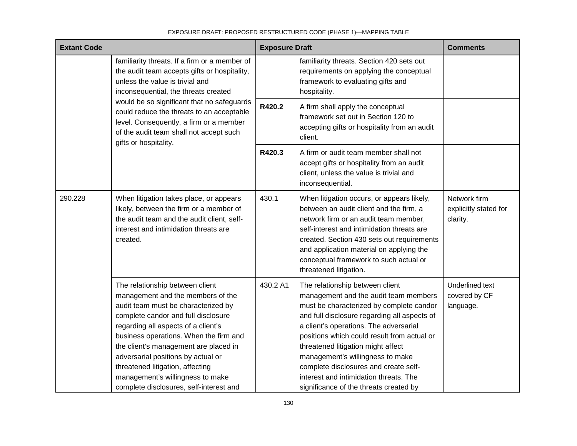| <b>Extant Code</b> |                                                                                                                                                                                                                                                                                                                                                                                                                                       | <b>Exposure Draft</b> |                                                                                                                                                                                                                                                                                                                                                                                                                                                                      | <b>Comments</b>                                   |
|--------------------|---------------------------------------------------------------------------------------------------------------------------------------------------------------------------------------------------------------------------------------------------------------------------------------------------------------------------------------------------------------------------------------------------------------------------------------|-----------------------|----------------------------------------------------------------------------------------------------------------------------------------------------------------------------------------------------------------------------------------------------------------------------------------------------------------------------------------------------------------------------------------------------------------------------------------------------------------------|---------------------------------------------------|
|                    | familiarity threats. If a firm or a member of<br>the audit team accepts gifts or hospitality,<br>unless the value is trivial and<br>inconsequential, the threats created<br>would be so significant that no safeguards<br>could reduce the threats to an acceptable<br>level. Consequently, a firm or a member<br>of the audit team shall not accept such<br>gifts or hospitality.                                                    |                       | familiarity threats. Section 420 sets out<br>requirements on applying the conceptual<br>framework to evaluating gifts and<br>hospitality.                                                                                                                                                                                                                                                                                                                            |                                                   |
|                    |                                                                                                                                                                                                                                                                                                                                                                                                                                       | R420.2                | A firm shall apply the conceptual<br>framework set out in Section 120 to<br>accepting gifts or hospitality from an audit<br>client.                                                                                                                                                                                                                                                                                                                                  |                                                   |
|                    |                                                                                                                                                                                                                                                                                                                                                                                                                                       | R420.3                | A firm or audit team member shall not<br>accept gifts or hospitality from an audit<br>client, unless the value is trivial and<br>inconsequential.                                                                                                                                                                                                                                                                                                                    |                                                   |
| 290.228            | When litigation takes place, or appears<br>likely, between the firm or a member of<br>the audit team and the audit client, self-<br>interest and intimidation threats are<br>created.                                                                                                                                                                                                                                                 | 430.1                 | When litigation occurs, or appears likely,<br>between an audit client and the firm, a<br>network firm or an audit team member,<br>self-interest and intimidation threats are<br>created. Section 430 sets out requirements<br>and application material on applying the<br>conceptual framework to such actual or<br>threatened litigation.                                                                                                                           | Network firm<br>explicitly stated for<br>clarity. |
|                    | The relationship between client<br>management and the members of the<br>audit team must be characterized by<br>complete candor and full disclosure<br>regarding all aspects of a client's<br>business operations. When the firm and<br>the client's management are placed in<br>adversarial positions by actual or<br>threatened litigation, affecting<br>management's willingness to make<br>complete disclosures, self-interest and | 430.2 A1              | The relationship between client<br>management and the audit team members<br>must be characterized by complete candor<br>and full disclosure regarding all aspects of<br>a client's operations. The adversarial<br>positions which could result from actual or<br>threatened litigation might affect<br>management's willingness to make<br>complete disclosures and create self-<br>interest and intimidation threats. The<br>significance of the threats created by | Underlined text<br>covered by CF<br>language.     |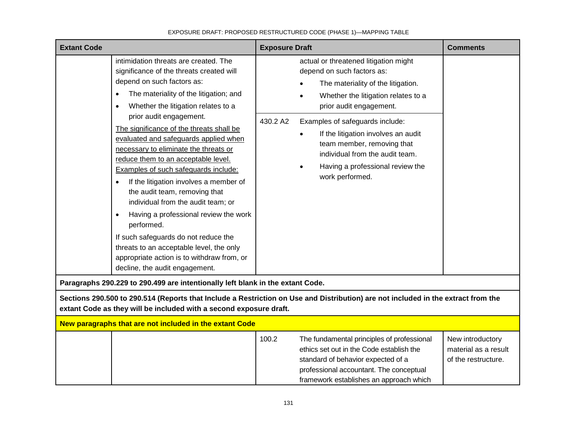| <b>Extant Code</b> |                                                                                                                                                                                                                                                                                                                                                                                                                                                                                                                                                                                                                                                                                                                                                                                                                             | <b>Exposure Draft</b>                                                                                                                                                                                                                                                                                                                                                                                  | <b>Comments</b>                                                 |
|--------------------|-----------------------------------------------------------------------------------------------------------------------------------------------------------------------------------------------------------------------------------------------------------------------------------------------------------------------------------------------------------------------------------------------------------------------------------------------------------------------------------------------------------------------------------------------------------------------------------------------------------------------------------------------------------------------------------------------------------------------------------------------------------------------------------------------------------------------------|--------------------------------------------------------------------------------------------------------------------------------------------------------------------------------------------------------------------------------------------------------------------------------------------------------------------------------------------------------------------------------------------------------|-----------------------------------------------------------------|
|                    | intimidation threats are created. The<br>significance of the threats created will<br>depend on such factors as:<br>The materiality of the litigation; and<br>$\bullet$<br>Whether the litigation relates to a<br>$\bullet$<br>prior audit engagement.<br>The significance of the threats shall be<br>evaluated and safeguards applied when<br>necessary to eliminate the threats or<br>reduce them to an acceptable level.<br>Examples of such safeguards include:<br>If the litigation involves a member of<br>the audit team, removing that<br>individual from the audit team; or<br>Having a professional review the work<br>$\bullet$<br>performed.<br>If such safeguards do not reduce the<br>threats to an acceptable level, the only<br>appropriate action is to withdraw from, or<br>decline, the audit engagement. | actual or threatened litigation might<br>depend on such factors as:<br>The materiality of the litigation.<br>Whether the litigation relates to a<br>prior audit engagement.<br>430.2 A2<br>Examples of safeguards include:<br>If the litigation involves an audit<br>team member, removing that<br>individual from the audit team.<br>Having a professional review the<br>$\bullet$<br>work performed. |                                                                 |
|                    | Paragraphs 290.229 to 290.499 are intentionally left blank in the extant Code.                                                                                                                                                                                                                                                                                                                                                                                                                                                                                                                                                                                                                                                                                                                                              |                                                                                                                                                                                                                                                                                                                                                                                                        |                                                                 |
|                    | extant Code as they will be included with a second exposure draft.                                                                                                                                                                                                                                                                                                                                                                                                                                                                                                                                                                                                                                                                                                                                                          | Sections 290.500 to 290.514 (Reports that Include a Restriction on Use and Distribution) are not included in the extract from the                                                                                                                                                                                                                                                                      |                                                                 |
|                    | New paragraphs that are not included in the extant Code                                                                                                                                                                                                                                                                                                                                                                                                                                                                                                                                                                                                                                                                                                                                                                     |                                                                                                                                                                                                                                                                                                                                                                                                        |                                                                 |
|                    |                                                                                                                                                                                                                                                                                                                                                                                                                                                                                                                                                                                                                                                                                                                                                                                                                             | 100.2<br>The fundamental principles of professional<br>ethics set out in the Code establish the<br>standard of behavior expected of a<br>professional accountant. The conceptual<br>framework establishes an approach which                                                                                                                                                                            | New introductory<br>material as a result<br>of the restructure. |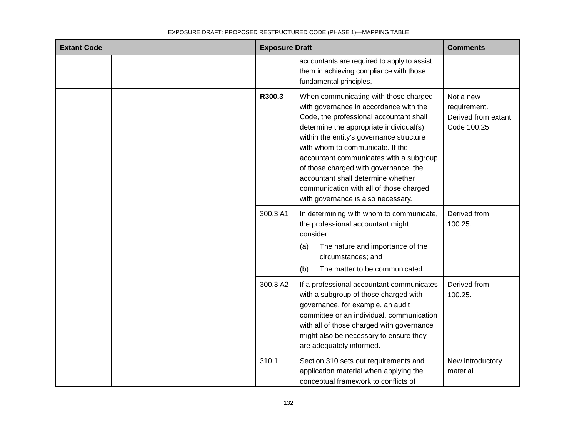| <b>Extant Code</b> | <b>Exposure Draft</b> |                                                                                                                                                                                                                                                                                                                                                                                                                                                                  | <b>Comments</b>                                                 |
|--------------------|-----------------------|------------------------------------------------------------------------------------------------------------------------------------------------------------------------------------------------------------------------------------------------------------------------------------------------------------------------------------------------------------------------------------------------------------------------------------------------------------------|-----------------------------------------------------------------|
|                    |                       | accountants are required to apply to assist<br>them in achieving compliance with those<br>fundamental principles.                                                                                                                                                                                                                                                                                                                                                |                                                                 |
|                    | R300.3                | When communicating with those charged<br>with governance in accordance with the<br>Code, the professional accountant shall<br>determine the appropriate individual(s)<br>within the entity's governance structure<br>with whom to communicate. If the<br>accountant communicates with a subgroup<br>of those charged with governance, the<br>accountant shall determine whether<br>communication with all of those charged<br>with governance is also necessary. | Not a new<br>requirement.<br>Derived from extant<br>Code 100.25 |
|                    | 300.3 A1              | In determining with whom to communicate,<br>the professional accountant might<br>consider:<br>The nature and importance of the<br>(a)<br>circumstances; and<br>(b)<br>The matter to be communicated.                                                                                                                                                                                                                                                             | Derived from<br>100.25.                                         |
|                    | 300.3 A2              | If a professional accountant communicates<br>with a subgroup of those charged with<br>governance, for example, an audit<br>committee or an individual, communication<br>with all of those charged with governance<br>might also be necessary to ensure they<br>are adequately informed.                                                                                                                                                                          | Derived from<br>100.25.                                         |
|                    | 310.1                 | Section 310 sets out requirements and<br>application material when applying the<br>conceptual framework to conflicts of                                                                                                                                                                                                                                                                                                                                          | New introductory<br>material.                                   |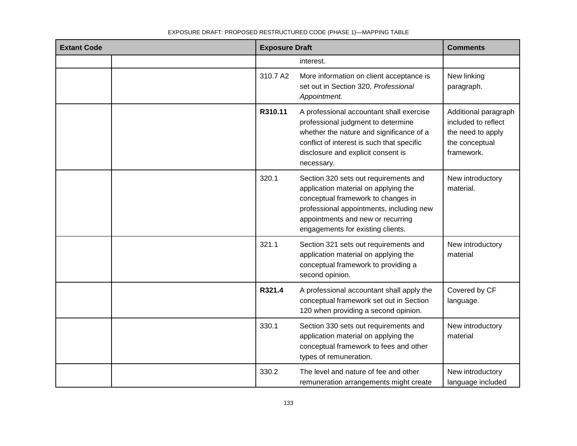| <b>Extant Code</b> | <b>Exposure Draft</b> |                                                                                                                                                                                                                                           | <b>Comments</b>                                                                                  |
|--------------------|-----------------------|-------------------------------------------------------------------------------------------------------------------------------------------------------------------------------------------------------------------------------------------|--------------------------------------------------------------------------------------------------|
|                    |                       | interest.                                                                                                                                                                                                                                 |                                                                                                  |
|                    | 310.7 A2              | More information on client acceptance is<br>set out in Section 320, Professional<br>Appointment.                                                                                                                                          | New linking<br>paragraph.                                                                        |
|                    | R310.11               | A professional accountant shall exercise<br>professional judgment to determine<br>whether the nature and significance of a<br>conflict of interest is such that specific<br>disclosure and explicit consent is<br>necessary.              | Additional paragraph<br>included to reflect<br>the need to apply<br>the conceptual<br>framework. |
|                    | 320.1                 | Section 320 sets out requirements and<br>application material on applying the<br>conceptual framework to changes in<br>professional appointments, including new<br>appointments and new or recurring<br>engagements for existing clients. | New introductory<br>material.                                                                    |
|                    | 321.1                 | Section 321 sets out requirements and<br>application material on applying the<br>conceptual framework to providing a<br>second opinion.                                                                                                   | New introductory<br>material                                                                     |
|                    | R321.4                | A professional accountant shall apply the<br>conceptual framework set out in Section<br>120 when providing a second opinion.                                                                                                              | Covered by CF<br>language.                                                                       |
|                    | 330.1                 | Section 330 sets out requirements and<br>application material on applying the<br>conceptual framework to fees and other<br>types of remuneration.                                                                                         | New introductory<br>material                                                                     |
|                    | 330.2                 | The level and nature of fee and other<br>remuneration arrangements might create                                                                                                                                                           | New introductory<br>language included                                                            |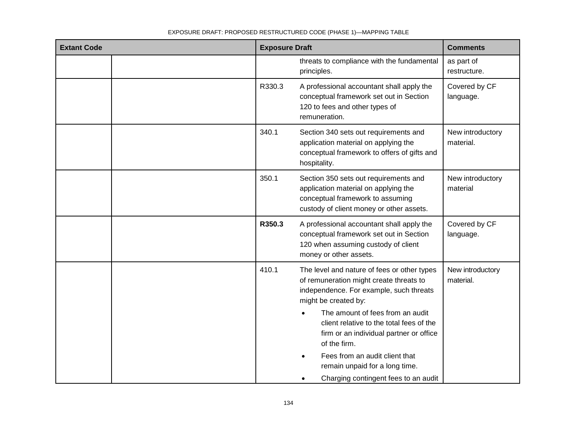| <b>Extant Code</b> | <b>Exposure Draft</b> |                                                                                                                                                                                               | <b>Comments</b>               |
|--------------------|-----------------------|-----------------------------------------------------------------------------------------------------------------------------------------------------------------------------------------------|-------------------------------|
|                    |                       | threats to compliance with the fundamental<br>principles.                                                                                                                                     | as part of<br>restructure.    |
|                    | R330.3                | A professional accountant shall apply the<br>conceptual framework set out in Section<br>120 to fees and other types of<br>remuneration.                                                       | Covered by CF<br>language.    |
|                    | 340.1                 | Section 340 sets out requirements and<br>application material on applying the<br>conceptual framework to offers of gifts and<br>hospitality.                                                  | New introductory<br>material. |
|                    | 350.1                 | Section 350 sets out requirements and<br>application material on applying the<br>conceptual framework to assuming<br>custody of client money or other assets.                                 | New introductory<br>material  |
|                    | R350.3                | A professional accountant shall apply the<br>conceptual framework set out in Section<br>120 when assuming custody of client<br>money or other assets.                                         | Covered by CF<br>language.    |
|                    | 410.1                 | The level and nature of fees or other types<br>of remuneration might create threats to<br>independence. For example, such threats<br>might be created by:<br>The amount of fees from an audit | New introductory<br>material. |
|                    |                       | client relative to the total fees of the<br>firm or an individual partner or office<br>of the firm.                                                                                           |                               |
|                    |                       | Fees from an audit client that<br>remain unpaid for a long time.                                                                                                                              |                               |
|                    |                       | Charging contingent fees to an audit                                                                                                                                                          |                               |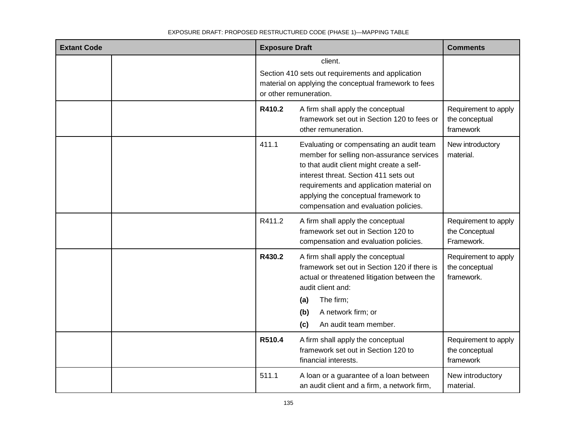| <b>Extant Code</b> | <b>Exposure Draft</b> |                                                                                                                                                                                                                                                                                                          | <b>Comments</b>                                      |
|--------------------|-----------------------|----------------------------------------------------------------------------------------------------------------------------------------------------------------------------------------------------------------------------------------------------------------------------------------------------------|------------------------------------------------------|
|                    |                       | client.<br>Section 410 sets out requirements and application<br>material on applying the conceptual framework to fees<br>or other remuneration.                                                                                                                                                          |                                                      |
|                    | R410.2                | A firm shall apply the conceptual<br>framework set out in Section 120 to fees or<br>other remuneration.                                                                                                                                                                                                  | Requirement to apply<br>the conceptual<br>framework  |
|                    | 411.1                 | Evaluating or compensating an audit team<br>member for selling non-assurance services<br>to that audit client might create a self-<br>interest threat. Section 411 sets out<br>requirements and application material on<br>applying the conceptual framework to<br>compensation and evaluation policies. | New introductory<br>material.                        |
|                    | R411.2                | A firm shall apply the conceptual<br>framework set out in Section 120 to<br>compensation and evaluation policies.                                                                                                                                                                                        | Requirement to apply<br>the Conceptual<br>Framework. |
|                    | R430.2                | A firm shall apply the conceptual<br>framework set out in Section 120 if there is<br>actual or threatened litigation between the<br>audit client and:<br>The firm;<br>(a)<br>A network firm; or<br>(b)<br>An audit team member.<br>(c)                                                                   | Requirement to apply<br>the conceptual<br>framework. |
|                    | R510.4                | A firm shall apply the conceptual<br>framework set out in Section 120 to<br>financial interests.                                                                                                                                                                                                         | Requirement to apply<br>the conceptual<br>framework  |
|                    | 511.1                 | A loan or a guarantee of a loan between<br>an audit client and a firm, a network firm,                                                                                                                                                                                                                   | New introductory<br>material.                        |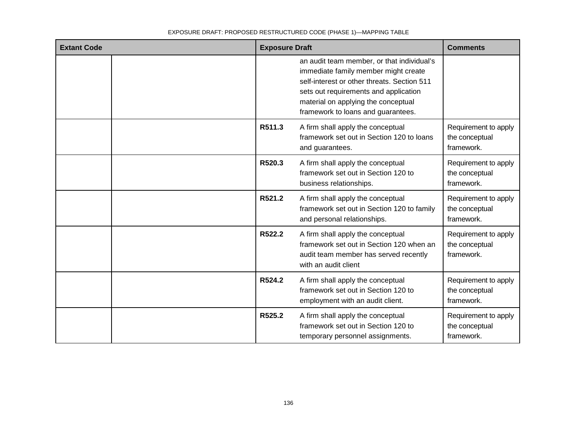| <b>Extant Code</b> | <b>Exposure Draft</b> |                                                                                                                                                                                                                                                         | <b>Comments</b>                                      |
|--------------------|-----------------------|---------------------------------------------------------------------------------------------------------------------------------------------------------------------------------------------------------------------------------------------------------|------------------------------------------------------|
|                    |                       | an audit team member, or that individual's<br>immediate family member might create<br>self-interest or other threats. Section 511<br>sets out requirements and application<br>material on applying the conceptual<br>framework to loans and guarantees. |                                                      |
|                    | R511.3                | A firm shall apply the conceptual<br>framework set out in Section 120 to loans<br>and guarantees.                                                                                                                                                       | Requirement to apply<br>the conceptual<br>framework. |
|                    | R520.3                | A firm shall apply the conceptual<br>framework set out in Section 120 to<br>business relationships.                                                                                                                                                     | Requirement to apply<br>the conceptual<br>framework. |
|                    | R521.2                | A firm shall apply the conceptual<br>framework set out in Section 120 to family<br>and personal relationships.                                                                                                                                          | Requirement to apply<br>the conceptual<br>framework. |
|                    | R522.2                | A firm shall apply the conceptual<br>framework set out in Section 120 when an<br>audit team member has served recently<br>with an audit client                                                                                                          | Requirement to apply<br>the conceptual<br>framework. |
|                    | R524.2                | A firm shall apply the conceptual<br>framework set out in Section 120 to<br>employment with an audit client.                                                                                                                                            | Requirement to apply<br>the conceptual<br>framework. |
|                    | R525.2                | A firm shall apply the conceptual<br>framework set out in Section 120 to<br>temporary personnel assignments.                                                                                                                                            | Requirement to apply<br>the conceptual<br>framework. |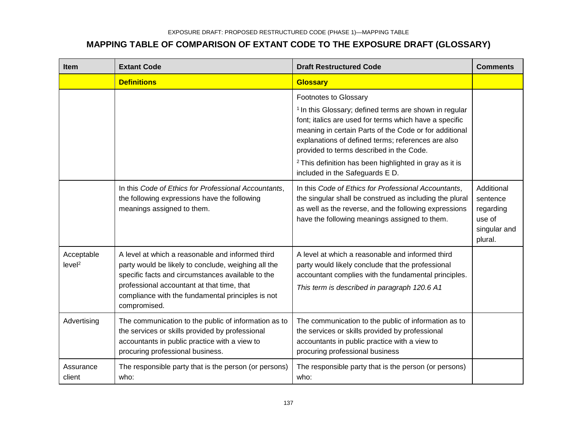# **MAPPING TABLE OF COMPARISON OF EXTANT CODE TO THE EXPOSURE DRAFT (GLOSSARY)**

| <b>Item</b>                      | <b>Extant Code</b>                                                                                                                                                                                                                                                              | <b>Draft Restructured Code</b>                                                                                                                                                                                                                                                                                                                                                                                                   | <b>Comments</b>                                                          |
|----------------------------------|---------------------------------------------------------------------------------------------------------------------------------------------------------------------------------------------------------------------------------------------------------------------------------|----------------------------------------------------------------------------------------------------------------------------------------------------------------------------------------------------------------------------------------------------------------------------------------------------------------------------------------------------------------------------------------------------------------------------------|--------------------------------------------------------------------------|
|                                  | <b>Definitions</b>                                                                                                                                                                                                                                                              | <b>Glossary</b>                                                                                                                                                                                                                                                                                                                                                                                                                  |                                                                          |
|                                  |                                                                                                                                                                                                                                                                                 | <b>Footnotes to Glossary</b><br><sup>1</sup> In this Glossary; defined terms are shown in regular<br>font; italics are used for terms which have a specific<br>meaning in certain Parts of the Code or for additional<br>explanations of defined terms; references are also<br>provided to terms described in the Code.<br><sup>2</sup> This definition has been highlighted in gray as it is<br>included in the Safeguards E D. |                                                                          |
|                                  | In this Code of Ethics for Professional Accountants,<br>the following expressions have the following<br>meanings assigned to them.                                                                                                                                              | In this Code of Ethics for Professional Accountants,<br>the singular shall be construed as including the plural<br>as well as the reverse, and the following expressions<br>have the following meanings assigned to them.                                                                                                                                                                                                        | Additional<br>sentence<br>regarding<br>use of<br>singular and<br>plural. |
| Acceptable<br>level <sup>2</sup> | A level at which a reasonable and informed third<br>party would be likely to conclude, weighing all the<br>specific facts and circumstances available to the<br>professional accountant at that time, that<br>compliance with the fundamental principles is not<br>compromised. | A level at which a reasonable and informed third<br>party would likely conclude that the professional<br>accountant complies with the fundamental principles.<br>This term is described in paragraph 120.6 A1                                                                                                                                                                                                                    |                                                                          |
| Advertising                      | The communication to the public of information as to<br>the services or skills provided by professional<br>accountants in public practice with a view to<br>procuring professional business.                                                                                    | The communication to the public of information as to<br>the services or skills provided by professional<br>accountants in public practice with a view to<br>procuring professional business                                                                                                                                                                                                                                      |                                                                          |
| Assurance<br>client              | The responsible party that is the person (or persons)<br>who:                                                                                                                                                                                                                   | The responsible party that is the person (or persons)<br>who:                                                                                                                                                                                                                                                                                                                                                                    |                                                                          |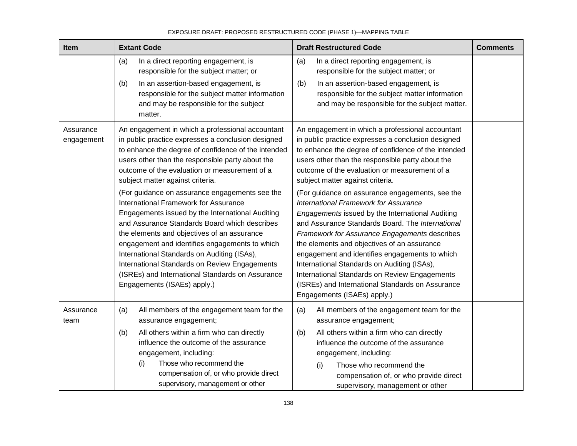| <b>Item</b>             | <b>Extant Code</b>                                                                                                                                                                                                                                                                                                                                                                                                                                                                                                                                                                                                                                                                                                                                                                                | <b>Draft Restructured Code</b>                                                                                                                                                                                                                                                                                                                                                                                                                                                                                                                                                                                                                                                                                                                                                                                                                         | <b>Comments</b> |
|-------------------------|---------------------------------------------------------------------------------------------------------------------------------------------------------------------------------------------------------------------------------------------------------------------------------------------------------------------------------------------------------------------------------------------------------------------------------------------------------------------------------------------------------------------------------------------------------------------------------------------------------------------------------------------------------------------------------------------------------------------------------------------------------------------------------------------------|--------------------------------------------------------------------------------------------------------------------------------------------------------------------------------------------------------------------------------------------------------------------------------------------------------------------------------------------------------------------------------------------------------------------------------------------------------------------------------------------------------------------------------------------------------------------------------------------------------------------------------------------------------------------------------------------------------------------------------------------------------------------------------------------------------------------------------------------------------|-----------------|
|                         | (a)<br>In a direct reporting engagement, is<br>responsible for the subject matter; or<br>(b)<br>In an assertion-based engagement, is<br>responsible for the subject matter information<br>and may be responsible for the subject<br>matter.                                                                                                                                                                                                                                                                                                                                                                                                                                                                                                                                                       | In a direct reporting engagement, is<br>(a)<br>responsible for the subject matter; or<br>In an assertion-based engagement, is<br>(b)<br>responsible for the subject matter information<br>and may be responsible for the subject matter.                                                                                                                                                                                                                                                                                                                                                                                                                                                                                                                                                                                                               |                 |
| Assurance<br>engagement | An engagement in which a professional accountant<br>in public practice expresses a conclusion designed<br>to enhance the degree of confidence of the intended<br>users other than the responsible party about the<br>outcome of the evaluation or measurement of a<br>subject matter against criteria.<br>(For guidance on assurance engagements see the<br><b>International Framework for Assurance</b><br>Engagements issued by the International Auditing<br>and Assurance Standards Board which describes<br>the elements and objectives of an assurance<br>engagement and identifies engagements to which<br>International Standards on Auditing (ISAs),<br>International Standards on Review Engagements<br>(ISREs) and International Standards on Assurance<br>Engagements (ISAEs) apply.) | An engagement in which a professional accountant<br>in public practice expresses a conclusion designed<br>to enhance the degree of confidence of the intended<br>users other than the responsible party about the<br>outcome of the evaluation or measurement of a<br>subject matter against criteria.<br>(For guidance on assurance engagements, see the<br><b>International Framework for Assurance</b><br>Engagements issued by the International Auditing<br>and Assurance Standards Board. The International<br>Framework for Assurance Engagements describes<br>the elements and objectives of an assurance<br>engagement and identifies engagements to which<br>International Standards on Auditing (ISAs),<br>International Standards on Review Engagements<br>(ISREs) and International Standards on Assurance<br>Engagements (ISAEs) apply.) |                 |
| Assurance<br>team       | All members of the engagement team for the<br>(a)<br>assurance engagement;<br>All others within a firm who can directly<br>(b)<br>influence the outcome of the assurance<br>engagement, including:<br>Those who recommend the<br>(i)<br>compensation of, or who provide direct<br>supervisory, management or other                                                                                                                                                                                                                                                                                                                                                                                                                                                                                | All members of the engagement team for the<br>(a)<br>assurance engagement;<br>(b)<br>All others within a firm who can directly<br>influence the outcome of the assurance<br>engagement, including:<br>Those who recommend the<br>(i)<br>compensation of, or who provide direct<br>supervisory, management or other                                                                                                                                                                                                                                                                                                                                                                                                                                                                                                                                     |                 |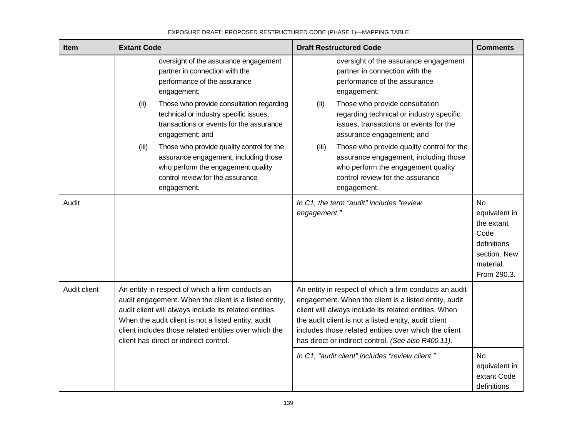| Item         | <b>Extant Code</b>                                                                                                                                                                                                                                                                                                            | <b>Draft Restructured Code</b>                                                                                                                                                                                                                                                                                                                    | <b>Comments</b>                                                                                             |
|--------------|-------------------------------------------------------------------------------------------------------------------------------------------------------------------------------------------------------------------------------------------------------------------------------------------------------------------------------|---------------------------------------------------------------------------------------------------------------------------------------------------------------------------------------------------------------------------------------------------------------------------------------------------------------------------------------------------|-------------------------------------------------------------------------------------------------------------|
|              | oversight of the assurance engagement<br>partner in connection with the<br>performance of the assurance<br>engagement;<br>Those who provide consultation regarding<br>(ii)<br>technical or industry specific issues,<br>transactions or events for the assurance<br>engagement; and                                           | oversight of the assurance engagement<br>partner in connection with the<br>performance of the assurance<br>engagement;<br>Those who provide consultation<br>(ii)<br>regarding technical or industry specific<br>issues, transactions or events for the<br>assurance engagement; and                                                               |                                                                                                             |
|              | Those who provide quality control for the<br>(iii)<br>assurance engagement, including those<br>who perform the engagement quality<br>control review for the assurance<br>engagement.                                                                                                                                          | (iii)<br>Those who provide quality control for the<br>assurance engagement, including those<br>who perform the engagement quality<br>control review for the assurance<br>engagement.                                                                                                                                                              |                                                                                                             |
| Audit        |                                                                                                                                                                                                                                                                                                                               | In C1, the term "audit" includes "review<br>engagement."                                                                                                                                                                                                                                                                                          | <b>No</b><br>equivalent in<br>the extant<br>Code<br>definitions<br>section. New<br>material.<br>From 290.3. |
| Audit client | An entity in respect of which a firm conducts an<br>audit engagement. When the client is a listed entity,<br>audit client will always include its related entities.<br>When the audit client is not a listed entity, audit<br>client includes those related entities over which the<br>client has direct or indirect control. | An entity in respect of which a firm conducts an audit<br>engagement. When the client is a listed entity, audit<br>client will always include its related entities. When<br>the audit client is not a listed entity, audit client<br>includes those related entities over which the client<br>has direct or indirect control. (See also R400.11). |                                                                                                             |
|              |                                                                                                                                                                                                                                                                                                                               | In C1, "audit client" includes "review client."                                                                                                                                                                                                                                                                                                   | <b>No</b><br>equivalent in<br>extant Code<br>definitions                                                    |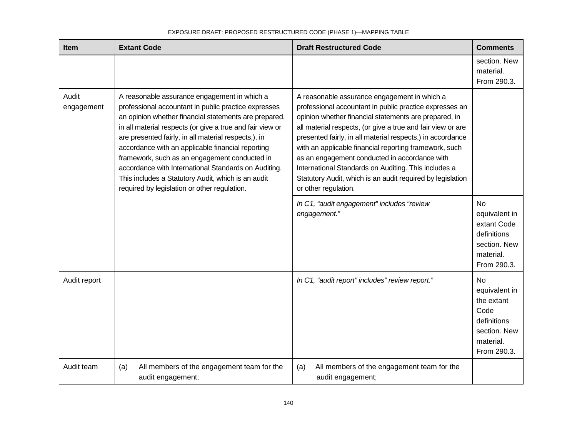| Item                | <b>Extant Code</b>                                                                                                                                                                                                                                                                                                                                                                                                                                                                                                                                     | <b>Draft Restructured Code</b>                                                                                                                                                                                                                                                                                                                                                                                                                                                                                                                         | <b>Comments</b>                                                                                             |
|---------------------|--------------------------------------------------------------------------------------------------------------------------------------------------------------------------------------------------------------------------------------------------------------------------------------------------------------------------------------------------------------------------------------------------------------------------------------------------------------------------------------------------------------------------------------------------------|--------------------------------------------------------------------------------------------------------------------------------------------------------------------------------------------------------------------------------------------------------------------------------------------------------------------------------------------------------------------------------------------------------------------------------------------------------------------------------------------------------------------------------------------------------|-------------------------------------------------------------------------------------------------------------|
|                     |                                                                                                                                                                                                                                                                                                                                                                                                                                                                                                                                                        |                                                                                                                                                                                                                                                                                                                                                                                                                                                                                                                                                        | section. New<br>material.<br>From 290.3.                                                                    |
| Audit<br>engagement | A reasonable assurance engagement in which a<br>professional accountant in public practice expresses<br>an opinion whether financial statements are prepared,<br>in all material respects (or give a true and fair view or<br>are presented fairly, in all material respects,), in<br>accordance with an applicable financial reporting<br>framework, such as an engagement conducted in<br>accordance with International Standards on Auditing.<br>This includes a Statutory Audit, which is an audit<br>required by legislation or other regulation. | A reasonable assurance engagement in which a<br>professional accountant in public practice expresses an<br>opinion whether financial statements are prepared, in<br>all material respects, (or give a true and fair view or are<br>presented fairly, in all material respects,) in accordance<br>with an applicable financial reporting framework, such<br>as an engagement conducted in accordance with<br>International Standards on Auditing. This includes a<br>Statutory Audit, which is an audit required by legislation<br>or other regulation. |                                                                                                             |
|                     |                                                                                                                                                                                                                                                                                                                                                                                                                                                                                                                                                        | In C1, "audit engagement" includes "review<br>engagement."                                                                                                                                                                                                                                                                                                                                                                                                                                                                                             | <b>No</b><br>equivalent in<br>extant Code<br>definitions<br>section. New<br>material.<br>From 290.3.        |
| Audit report        |                                                                                                                                                                                                                                                                                                                                                                                                                                                                                                                                                        | In C1, "audit report" includes" review report."                                                                                                                                                                                                                                                                                                                                                                                                                                                                                                        | <b>No</b><br>equivalent in<br>the extant<br>Code<br>definitions<br>section. New<br>material.<br>From 290.3. |
| Audit team          | All members of the engagement team for the<br>(a)<br>audit engagement;                                                                                                                                                                                                                                                                                                                                                                                                                                                                                 | (a)<br>All members of the engagement team for the<br>audit engagement;                                                                                                                                                                                                                                                                                                                                                                                                                                                                                 |                                                                                                             |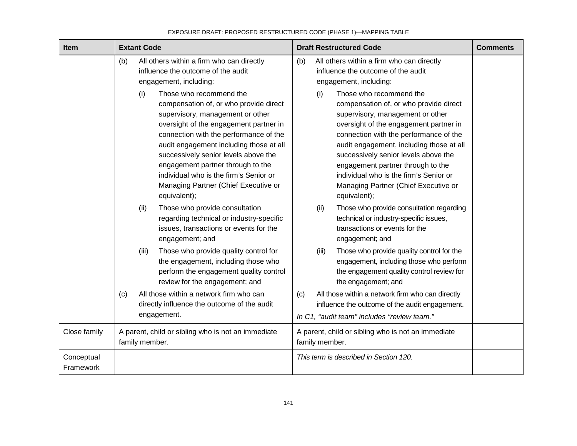| Item                    | <b>Extant Code</b>                                                                                                                                                                                                                                                                                                                                                                                                                                                                                                                                                                                                                                                                                                                                                                                                                                                                                                                                                                     | <b>Draft Restructured Code</b>                                                                                                                                                                                                                                                                                                                                                                                                                                                                                                                                                                                                                                                                                                                                                                                                                                                                                                                                                                                                      | <b>Comments</b> |
|-------------------------|----------------------------------------------------------------------------------------------------------------------------------------------------------------------------------------------------------------------------------------------------------------------------------------------------------------------------------------------------------------------------------------------------------------------------------------------------------------------------------------------------------------------------------------------------------------------------------------------------------------------------------------------------------------------------------------------------------------------------------------------------------------------------------------------------------------------------------------------------------------------------------------------------------------------------------------------------------------------------------------|-------------------------------------------------------------------------------------------------------------------------------------------------------------------------------------------------------------------------------------------------------------------------------------------------------------------------------------------------------------------------------------------------------------------------------------------------------------------------------------------------------------------------------------------------------------------------------------------------------------------------------------------------------------------------------------------------------------------------------------------------------------------------------------------------------------------------------------------------------------------------------------------------------------------------------------------------------------------------------------------------------------------------------------|-----------------|
|                         | All others within a firm who can directly<br>(b)<br>influence the outcome of the audit<br>engagement, including:<br>Those who recommend the<br>(i)<br>compensation of, or who provide direct<br>supervisory, management or other<br>oversight of the engagement partner in<br>connection with the performance of the<br>audit engagement including those at all<br>successively senior levels above the<br>engagement partner through to the<br>individual who is the firm's Senior or<br>Managing Partner (Chief Executive or<br>equivalent);<br>Those who provide consultation<br>(ii)<br>regarding technical or industry-specific<br>issues, transactions or events for the<br>engagement; and<br>Those who provide quality control for<br>(iii)<br>the engagement, including those who<br>perform the engagement quality control<br>review for the engagement; and<br>All those within a network firm who can<br>(c)<br>directly influence the outcome of the audit<br>engagement. | All others within a firm who can directly<br>(b)<br>influence the outcome of the audit<br>engagement, including:<br>Those who recommend the<br>(i)<br>compensation of, or who provide direct<br>supervisory, management or other<br>oversight of the engagement partner in<br>connection with the performance of the<br>audit engagement, including those at all<br>successively senior levels above the<br>engagement partner through to the<br>individual who is the firm's Senior or<br>Managing Partner (Chief Executive or<br>equivalent);<br>Those who provide consultation regarding<br>(ii)<br>technical or industry-specific issues,<br>transactions or events for the<br>engagement; and<br>Those who provide quality control for the<br>(iii)<br>engagement, including those who perform<br>the engagement quality control review for<br>the engagement; and<br>All those within a network firm who can directly<br>(c)<br>influence the outcome of the audit engagement.<br>In C1, "audit team" includes "review team." |                 |
| Close family            | A parent, child or sibling who is not an immediate<br>family member.                                                                                                                                                                                                                                                                                                                                                                                                                                                                                                                                                                                                                                                                                                                                                                                                                                                                                                                   | A parent, child or sibling who is not an immediate<br>family member.                                                                                                                                                                                                                                                                                                                                                                                                                                                                                                                                                                                                                                                                                                                                                                                                                                                                                                                                                                |                 |
| Conceptual<br>Framework |                                                                                                                                                                                                                                                                                                                                                                                                                                                                                                                                                                                                                                                                                                                                                                                                                                                                                                                                                                                        | This term is described in Section 120.                                                                                                                                                                                                                                                                                                                                                                                                                                                                                                                                                                                                                                                                                                                                                                                                                                                                                                                                                                                              |                 |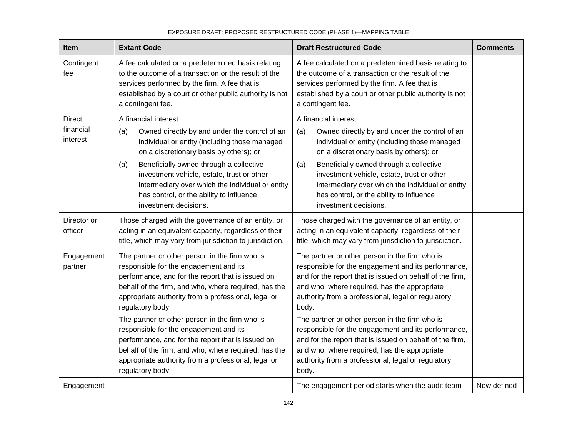| <b>Item</b>                            | <b>Extant Code</b>                                                                                                                                                                                                                                                                                                                                                                                                                                                                                                                                                   | <b>Draft Restructured Code</b>                                                                                                                                                                                                                                                                                                                                                                                                                                                                                                                                       | <b>Comments</b> |
|----------------------------------------|----------------------------------------------------------------------------------------------------------------------------------------------------------------------------------------------------------------------------------------------------------------------------------------------------------------------------------------------------------------------------------------------------------------------------------------------------------------------------------------------------------------------------------------------------------------------|----------------------------------------------------------------------------------------------------------------------------------------------------------------------------------------------------------------------------------------------------------------------------------------------------------------------------------------------------------------------------------------------------------------------------------------------------------------------------------------------------------------------------------------------------------------------|-----------------|
| Contingent<br>fee                      | A fee calculated on a predetermined basis relating<br>to the outcome of a transaction or the result of the<br>services performed by the firm. A fee that is<br>established by a court or other public authority is not<br>a contingent fee.                                                                                                                                                                                                                                                                                                                          | A fee calculated on a predetermined basis relating to<br>the outcome of a transaction or the result of the<br>services performed by the firm. A fee that is<br>established by a court or other public authority is not<br>a contingent fee.                                                                                                                                                                                                                                                                                                                          |                 |
| <b>Direct</b><br>financial<br>interest | A financial interest:<br>Owned directly by and under the control of an<br>(a)<br>individual or entity (including those managed<br>on a discretionary basis by others); or<br>Beneficially owned through a collective<br>(a)<br>investment vehicle, estate, trust or other<br>intermediary over which the individual or entity<br>has control, or the ability to influence<br>investment decisions.                                                                                                                                                                   | A financial interest:<br>Owned directly by and under the control of an<br>(a)<br>individual or entity (including those managed<br>on a discretionary basis by others); or<br>Beneficially owned through a collective<br>(a)<br>investment vehicle, estate, trust or other<br>intermediary over which the individual or entity<br>has control, or the ability to influence<br>investment decisions.                                                                                                                                                                   |                 |
| Director or<br>officer                 | Those charged with the governance of an entity, or<br>acting in an equivalent capacity, regardless of their<br>title, which may vary from jurisdiction to jurisdiction.                                                                                                                                                                                                                                                                                                                                                                                              | Those charged with the governance of an entity, or<br>acting in an equivalent capacity, regardless of their<br>title, which may vary from jurisdiction to jurisdiction.                                                                                                                                                                                                                                                                                                                                                                                              |                 |
| Engagement<br>partner                  | The partner or other person in the firm who is<br>responsible for the engagement and its<br>performance, and for the report that is issued on<br>behalf of the firm, and who, where required, has the<br>appropriate authority from a professional, legal or<br>regulatory body.<br>The partner or other person in the firm who is<br>responsible for the engagement and its<br>performance, and for the report that is issued on<br>behalf of the firm, and who, where required, has the<br>appropriate authority from a professional, legal or<br>regulatory body. | The partner or other person in the firm who is<br>responsible for the engagement and its performance,<br>and for the report that is issued on behalf of the firm,<br>and who, where required, has the appropriate<br>authority from a professional, legal or regulatory<br>body.<br>The partner or other person in the firm who is<br>responsible for the engagement and its performance,<br>and for the report that is issued on behalf of the firm,<br>and who, where required, has the appropriate<br>authority from a professional, legal or regulatory<br>body. |                 |
| Engagement                             |                                                                                                                                                                                                                                                                                                                                                                                                                                                                                                                                                                      | The engagement period starts when the audit team                                                                                                                                                                                                                                                                                                                                                                                                                                                                                                                     | New defined     |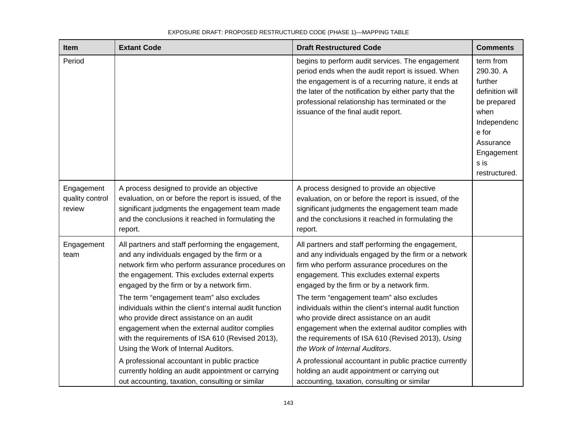| Item                                    | <b>Extant Code</b>                                                                                                                                                                                                                                                                                                                                                                                                                                                                                                                                                                                                                                                                                             | <b>Draft Restructured Code</b>                                                                                                                                                                                                                                                                                                                                                                                                                                                                                                                                                                                                                                                                                 | <b>Comments</b>                                                                                                                                         |
|-----------------------------------------|----------------------------------------------------------------------------------------------------------------------------------------------------------------------------------------------------------------------------------------------------------------------------------------------------------------------------------------------------------------------------------------------------------------------------------------------------------------------------------------------------------------------------------------------------------------------------------------------------------------------------------------------------------------------------------------------------------------|----------------------------------------------------------------------------------------------------------------------------------------------------------------------------------------------------------------------------------------------------------------------------------------------------------------------------------------------------------------------------------------------------------------------------------------------------------------------------------------------------------------------------------------------------------------------------------------------------------------------------------------------------------------------------------------------------------------|---------------------------------------------------------------------------------------------------------------------------------------------------------|
| Period                                  |                                                                                                                                                                                                                                                                                                                                                                                                                                                                                                                                                                                                                                                                                                                | begins to perform audit services. The engagement<br>period ends when the audit report is issued. When<br>the engagement is of a recurring nature, it ends at<br>the later of the notification by either party that the<br>professional relationship has terminated or the<br>issuance of the final audit report.                                                                                                                                                                                                                                                                                                                                                                                               | term from<br>290.30. A<br>further<br>definition will<br>be prepared<br>when<br>Independenc<br>e for<br>Assurance<br>Engagement<br>s is<br>restructured. |
| Engagement<br>quality control<br>review | A process designed to provide an objective<br>evaluation, on or before the report is issued, of the<br>significant judgments the engagement team made<br>and the conclusions it reached in formulating the<br>report.                                                                                                                                                                                                                                                                                                                                                                                                                                                                                          | A process designed to provide an objective<br>evaluation, on or before the report is issued, of the<br>significant judgments the engagement team made<br>and the conclusions it reached in formulating the<br>report.                                                                                                                                                                                                                                                                                                                                                                                                                                                                                          |                                                                                                                                                         |
| Engagement<br>team                      | All partners and staff performing the engagement,<br>and any individuals engaged by the firm or a<br>network firm who perform assurance procedures on<br>the engagement. This excludes external experts<br>engaged by the firm or by a network firm.<br>The term "engagement team" also excludes<br>individuals within the client's internal audit function<br>who provide direct assistance on an audit<br>engagement when the external auditor complies<br>with the requirements of ISA 610 (Revised 2013),<br>Using the Work of Internal Auditors.<br>A professional accountant in public practice<br>currently holding an audit appointment or carrying<br>out accounting, taxation, consulting or similar | All partners and staff performing the engagement,<br>and any individuals engaged by the firm or a network<br>firm who perform assurance procedures on the<br>engagement. This excludes external experts<br>engaged by the firm or by a network firm.<br>The term "engagement team" also excludes<br>individuals within the client's internal audit function<br>who provide direct assistance on an audit<br>engagement when the external auditor complies with<br>the requirements of ISA 610 (Revised 2013), Using<br>the Work of Internal Auditors.<br>A professional accountant in public practice currently<br>holding an audit appointment or carrying out<br>accounting, taxation, consulting or similar |                                                                                                                                                         |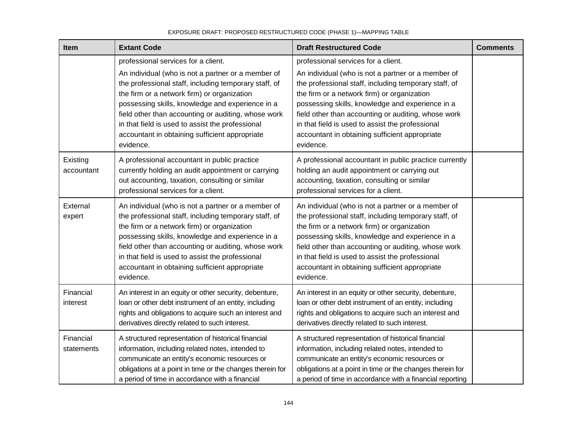| <b>Item</b>             | <b>Extant Code</b>                                                                                                                                                                                                                                                                                                                                                                                                              | <b>Draft Restructured Code</b>                                                                                                                                                                                                                                                                                                                                                                                                  | <b>Comments</b> |
|-------------------------|---------------------------------------------------------------------------------------------------------------------------------------------------------------------------------------------------------------------------------------------------------------------------------------------------------------------------------------------------------------------------------------------------------------------------------|---------------------------------------------------------------------------------------------------------------------------------------------------------------------------------------------------------------------------------------------------------------------------------------------------------------------------------------------------------------------------------------------------------------------------------|-----------------|
|                         | professional services for a client.<br>An individual (who is not a partner or a member of<br>the professional staff, including temporary staff, of<br>the firm or a network firm) or organization<br>possessing skills, knowledge and experience in a<br>field other than accounting or auditing, whose work<br>in that field is used to assist the professional<br>accountant in obtaining sufficient appropriate<br>evidence. | professional services for a client.<br>An individual (who is not a partner or a member of<br>the professional staff, including temporary staff, of<br>the firm or a network firm) or organization<br>possessing skills, knowledge and experience in a<br>field other than accounting or auditing, whose work<br>in that field is used to assist the professional<br>accountant in obtaining sufficient appropriate<br>evidence. |                 |
| Existing<br>accountant  | A professional accountant in public practice<br>currently holding an audit appointment or carrying<br>out accounting, taxation, consulting or similar<br>professional services for a client.                                                                                                                                                                                                                                    | A professional accountant in public practice currently<br>holding an audit appointment or carrying out<br>accounting, taxation, consulting or similar<br>professional services for a client.                                                                                                                                                                                                                                    |                 |
| External<br>expert      | An individual (who is not a partner or a member of<br>the professional staff, including temporary staff, of<br>the firm or a network firm) or organization<br>possessing skills, knowledge and experience in a<br>field other than accounting or auditing, whose work<br>in that field is used to assist the professional<br>accountant in obtaining sufficient appropriate<br>evidence.                                        | An individual (who is not a partner or a member of<br>the professional staff, including temporary staff, of<br>the firm or a network firm) or organization<br>possessing skills, knowledge and experience in a<br>field other than accounting or auditing, whose work<br>in that field is used to assist the professional<br>accountant in obtaining sufficient appropriate<br>evidence.                                        |                 |
| Financial<br>interest   | An interest in an equity or other security, debenture,<br>loan or other debt instrument of an entity, including<br>rights and obligations to acquire such an interest and<br>derivatives directly related to such interest.                                                                                                                                                                                                     | An interest in an equity or other security, debenture,<br>loan or other debt instrument of an entity, including<br>rights and obligations to acquire such an interest and<br>derivatives directly related to such interest.                                                                                                                                                                                                     |                 |
| Financial<br>statements | A structured representation of historical financial<br>information, including related notes, intended to<br>communicate an entity's economic resources or<br>obligations at a point in time or the changes therein for<br>a period of time in accordance with a financial                                                                                                                                                       | A structured representation of historical financial<br>information, including related notes, intended to<br>communicate an entity's economic resources or<br>obligations at a point in time or the changes therein for<br>a period of time in accordance with a financial reporting                                                                                                                                             |                 |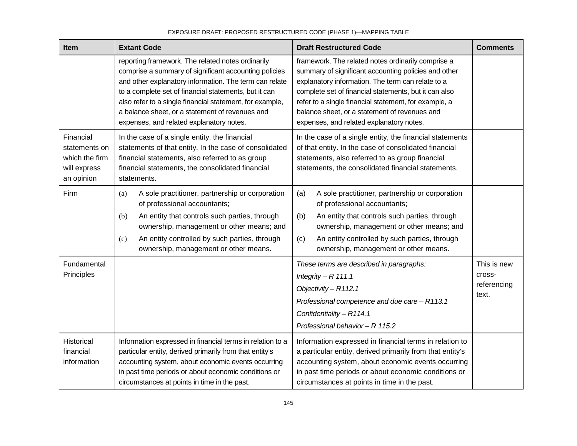| <b>Item</b>                                                                | <b>Extant Code</b>                                                                                                                                                                                                                                                                                                                                                                       | <b>Draft Restructured Code</b>                                                                                                                                                                                                                                                                                                                                                 | <b>Comments</b>                               |
|----------------------------------------------------------------------------|------------------------------------------------------------------------------------------------------------------------------------------------------------------------------------------------------------------------------------------------------------------------------------------------------------------------------------------------------------------------------------------|--------------------------------------------------------------------------------------------------------------------------------------------------------------------------------------------------------------------------------------------------------------------------------------------------------------------------------------------------------------------------------|-----------------------------------------------|
|                                                                            | reporting framework. The related notes ordinarily<br>comprise a summary of significant accounting policies<br>and other explanatory information. The term can relate<br>to a complete set of financial statements, but it can<br>also refer to a single financial statement, for example,<br>a balance sheet, or a statement of revenues and<br>expenses, and related explanatory notes. | framework. The related notes ordinarily comprise a<br>summary of significant accounting policies and other<br>explanatory information. The term can relate to a<br>complete set of financial statements, but it can also<br>refer to a single financial statement, for example, a<br>balance sheet, or a statement of revenues and<br>expenses, and related explanatory notes. |                                               |
| Financial<br>statements on<br>which the firm<br>will express<br>an opinion | In the case of a single entity, the financial<br>statements of that entity. In the case of consolidated<br>financial statements, also referred to as group<br>financial statements, the consolidated financial<br>statements.                                                                                                                                                            | In the case of a single entity, the financial statements<br>of that entity. In the case of consolidated financial<br>statements, also referred to as group financial<br>statements, the consolidated financial statements.                                                                                                                                                     |                                               |
| Firm                                                                       | A sole practitioner, partnership or corporation<br>(a)<br>of professional accountants;<br>An entity that controls such parties, through<br>(b)<br>ownership, management or other means; and<br>An entity controlled by such parties, through<br>(c)<br>ownership, management or other means.                                                                                             | A sole practitioner, partnership or corporation<br>(a)<br>of professional accountants;<br>An entity that controls such parties, through<br>(b)<br>ownership, management or other means; and<br>An entity controlled by such parties, through<br>(c)<br>ownership, management or other means.                                                                                   |                                               |
| Fundamental<br>Principles                                                  |                                                                                                                                                                                                                                                                                                                                                                                          | These terms are described in paragraphs:<br>Integrity $-R$ 111.1<br>Objectivity - R112.1<br>Professional competence and due care - R113.1<br>Confidentiality - R114.1<br>Professional behavior - $R$ 115.2                                                                                                                                                                     | This is new<br>cross-<br>referencing<br>text. |
| Historical<br>financial<br>information                                     | Information expressed in financial terms in relation to a<br>particular entity, derived primarily from that entity's<br>accounting system, about economic events occurring<br>in past time periods or about economic conditions or<br>circumstances at points in time in the past.                                                                                                       | Information expressed in financial terms in relation to<br>a particular entity, derived primarily from that entity's<br>accounting system, about economic events occurring<br>in past time periods or about economic conditions or<br>circumstances at points in time in the past.                                                                                             |                                               |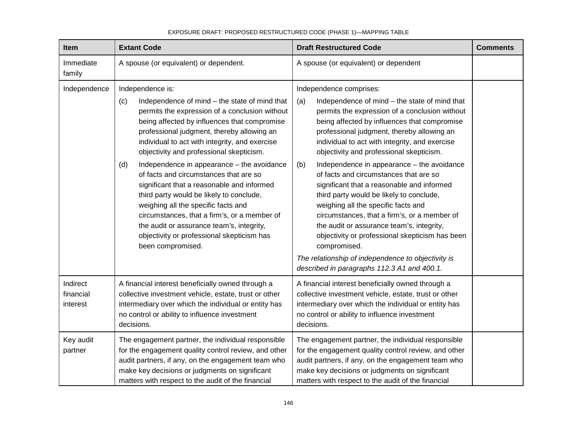| EXPOSURE DRAFT: PROPOSED RESTRUCTURED CODE (PHASE 1)—MAPPING TABLE |  |
|--------------------------------------------------------------------|--|
|--------------------------------------------------------------------|--|

| <b>Item</b>                       | <b>Extant Code</b>                                                                                                                                                                                                                                                                                                                                                                                                                                                                                                                                                                                                                                                                                                     | <b>Draft Restructured Code</b>                                                                                                                                                                                                                                                                                                                                                                                                                                                                                                                                                                                                                                                                                                                                                                                                     | <b>Comments</b> |
|-----------------------------------|------------------------------------------------------------------------------------------------------------------------------------------------------------------------------------------------------------------------------------------------------------------------------------------------------------------------------------------------------------------------------------------------------------------------------------------------------------------------------------------------------------------------------------------------------------------------------------------------------------------------------------------------------------------------------------------------------------------------|------------------------------------------------------------------------------------------------------------------------------------------------------------------------------------------------------------------------------------------------------------------------------------------------------------------------------------------------------------------------------------------------------------------------------------------------------------------------------------------------------------------------------------------------------------------------------------------------------------------------------------------------------------------------------------------------------------------------------------------------------------------------------------------------------------------------------------|-----------------|
| Immediate<br>family               | A spouse (or equivalent) or dependent.                                                                                                                                                                                                                                                                                                                                                                                                                                                                                                                                                                                                                                                                                 | A spouse (or equivalent) or dependent                                                                                                                                                                                                                                                                                                                                                                                                                                                                                                                                                                                                                                                                                                                                                                                              |                 |
| Independence                      | Independence is:<br>(c)<br>Independence of mind – the state of mind that<br>permits the expression of a conclusion without<br>being affected by influences that compromise<br>professional judgment, thereby allowing an<br>individual to act with integrity, and exercise<br>objectivity and professional skepticism.<br>Independence in appearance - the avoidance<br>(d)<br>of facts and circumstances that are so<br>significant that a reasonable and informed<br>third party would be likely to conclude,<br>weighing all the specific facts and<br>circumstances, that a firm's, or a member of<br>the audit or assurance team's, integrity,<br>objectivity or professional skepticism has<br>been compromised. | Independence comprises:<br>(a)<br>Independence of mind – the state of mind that<br>permits the expression of a conclusion without<br>being affected by influences that compromise<br>professional judgment, thereby allowing an<br>individual to act with integrity, and exercise<br>objectivity and professional skepticism.<br>Independence in appearance - the avoidance<br>(b)<br>of facts and circumstances that are so<br>significant that a reasonable and informed<br>third party would be likely to conclude,<br>weighing all the specific facts and<br>circumstances, that a firm's, or a member of<br>the audit or assurance team's, integrity,<br>objectivity or professional skepticism has been<br>compromised.<br>The relationship of independence to objectivity is<br>described in paragraphs 112.3 A1 and 400.1. |                 |
| Indirect<br>financial<br>interest | A financial interest beneficially owned through a<br>collective investment vehicle, estate, trust or other<br>intermediary over which the individual or entity has<br>no control or ability to influence investment<br>decisions.                                                                                                                                                                                                                                                                                                                                                                                                                                                                                      | A financial interest beneficially owned through a<br>collective investment vehicle, estate, trust or other<br>intermediary over which the individual or entity has<br>no control or ability to influence investment<br>decisions.                                                                                                                                                                                                                                                                                                                                                                                                                                                                                                                                                                                                  |                 |
| Key audit<br>partner              | The engagement partner, the individual responsible<br>for the engagement quality control review, and other<br>audit partners, if any, on the engagement team who<br>make key decisions or judgments on significant<br>matters with respect to the audit of the financial                                                                                                                                                                                                                                                                                                                                                                                                                                               | The engagement partner, the individual responsible<br>for the engagement quality control review, and other<br>audit partners, if any, on the engagement team who<br>make key decisions or judgments on significant<br>matters with respect to the audit of the financial                                                                                                                                                                                                                                                                                                                                                                                                                                                                                                                                                           |                 |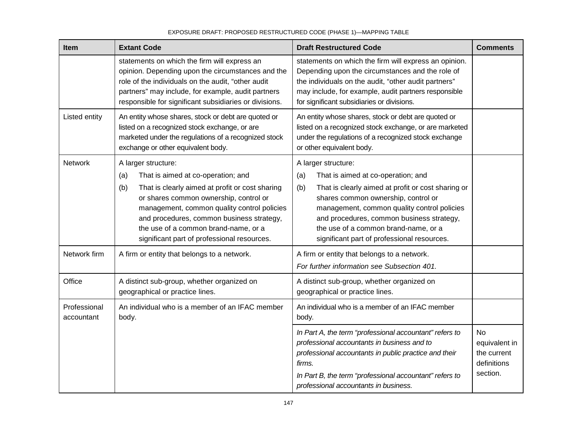| <b>Item</b>                | <b>Extant Code</b>                                                                                                                                                                                                                                                                                                                                      | <b>Draft Restructured Code</b>                                                                                                                                                                                                                                                                                                                          | <b>Comments</b>                                               |
|----------------------------|---------------------------------------------------------------------------------------------------------------------------------------------------------------------------------------------------------------------------------------------------------------------------------------------------------------------------------------------------------|---------------------------------------------------------------------------------------------------------------------------------------------------------------------------------------------------------------------------------------------------------------------------------------------------------------------------------------------------------|---------------------------------------------------------------|
|                            | statements on which the firm will express an<br>opinion. Depending upon the circumstances and the<br>role of the individuals on the audit, "other audit<br>partners" may include, for example, audit partners<br>responsible for significant subsidiaries or divisions.                                                                                 | statements on which the firm will express an opinion.<br>Depending upon the circumstances and the role of<br>the individuals on the audit, "other audit partners"<br>may include, for example, audit partners responsible<br>for significant subsidiaries or divisions.                                                                                 |                                                               |
| Listed entity              | An entity whose shares, stock or debt are quoted or<br>listed on a recognized stock exchange, or are<br>marketed under the regulations of a recognized stock<br>exchange or other equivalent body.                                                                                                                                                      | An entity whose shares, stock or debt are quoted or<br>listed on a recognized stock exchange, or are marketed<br>under the regulations of a recognized stock exchange<br>or other equivalent body.                                                                                                                                                      |                                                               |
| <b>Network</b>             | A larger structure:<br>That is aimed at co-operation; and<br>(a)<br>That is clearly aimed at profit or cost sharing<br>(b)<br>or shares common ownership, control or<br>management, common quality control policies<br>and procedures, common business strategy,<br>the use of a common brand-name, or a<br>significant part of professional resources. | A larger structure:<br>That is aimed at co-operation; and<br>(a)<br>(b)<br>That is clearly aimed at profit or cost sharing or<br>shares common ownership, control or<br>management, common quality control policies<br>and procedures, common business strategy,<br>the use of a common brand-name, or a<br>significant part of professional resources. |                                                               |
| Network firm               | A firm or entity that belongs to a network.                                                                                                                                                                                                                                                                                                             | A firm or entity that belongs to a network.<br>For further information see Subsection 401.                                                                                                                                                                                                                                                              |                                                               |
| Office                     | A distinct sub-group, whether organized on<br>geographical or practice lines.                                                                                                                                                                                                                                                                           | A distinct sub-group, whether organized on<br>geographical or practice lines.                                                                                                                                                                                                                                                                           |                                                               |
| Professional<br>accountant | An individual who is a member of an IFAC member<br>body.                                                                                                                                                                                                                                                                                                | An individual who is a member of an IFAC member<br>body.                                                                                                                                                                                                                                                                                                |                                                               |
|                            |                                                                                                                                                                                                                                                                                                                                                         | In Part A, the term "professional accountant" refers to<br>professional accountants in business and to<br>professional accountants in public practice and their<br>firms.<br>In Part B, the term "professional accountant" refers to<br>professional accountants in business.                                                                           | No<br>equivalent in<br>the current<br>definitions<br>section. |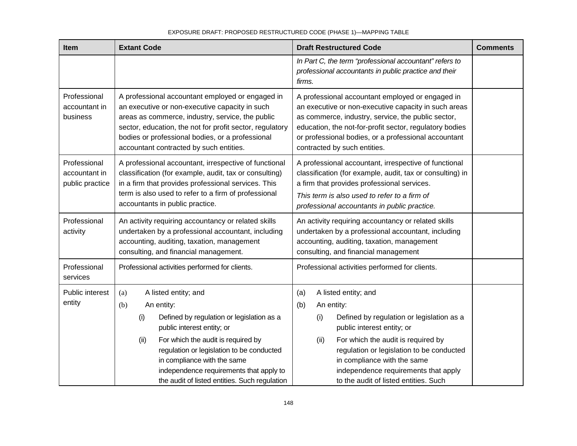| <b>Extant Code</b>                                                                                                                                                                                                                                                                                                | <b>Draft Restructured Code</b>                                                                                                                                                                                                                                                                                    | <b>Comments</b>                       |
|-------------------------------------------------------------------------------------------------------------------------------------------------------------------------------------------------------------------------------------------------------------------------------------------------------------------|-------------------------------------------------------------------------------------------------------------------------------------------------------------------------------------------------------------------------------------------------------------------------------------------------------------------|---------------------------------------|
|                                                                                                                                                                                                                                                                                                                   | In Part C, the term "professional accountant" refers to<br>professional accountants in public practice and their<br>firms.                                                                                                                                                                                        |                                       |
| A professional accountant employed or engaged in<br>an executive or non-executive capacity in such<br>areas as commerce, industry, service, the public<br>sector, education, the not for profit sector, regulatory<br>bodies or professional bodies, or a professional<br>accountant contracted by such entities. | A professional accountant employed or engaged in<br>an executive or non-executive capacity in such areas<br>as commerce, industry, service, the public sector,<br>education, the not-for-profit sector, regulatory bodies<br>or professional bodies, or a professional accountant<br>contracted by such entities. |                                       |
| A professional accountant, irrespective of functional<br>classification (for example, audit, tax or consulting)<br>in a firm that provides professional services. This<br>term is also used to refer to a firm of professional<br>accountants in public practice.                                                 | A professional accountant, irrespective of functional<br>classification (for example, audit, tax or consulting) in<br>a firm that provides professional services.<br>This term is also used to refer to a firm of<br>professional accountants in public practice.                                                 |                                       |
| An activity requiring accountancy or related skills<br>undertaken by a professional accountant, including<br>accounting, auditing, taxation, management<br>consulting, and financial management.                                                                                                                  | An activity requiring accountancy or related skills<br>undertaken by a professional accountant, including<br>accounting, auditing, taxation, management<br>consulting, and financial management                                                                                                                   |                                       |
| Professional activities performed for clients.                                                                                                                                                                                                                                                                    | Professional activities performed for clients.                                                                                                                                                                                                                                                                    |                                       |
| A listed entity; and<br>(a)<br>An entity:<br>(b)<br>(i)<br>Defined by regulation or legislation as a<br>public interest entity; or<br>For which the audit is required by<br>(ii)<br>regulation or legislation to be conducted<br>in compliance with the same<br>independence requirements that apply to           | (a)<br>A listed entity; and<br>(b)<br>An entity:<br>Defined by regulation or legislation as a<br>(i)<br>public interest entity; or<br>For which the audit is required by<br>(ii)<br>regulation or legislation to be conducted<br>in compliance with the same<br>independence requirements that apply              |                                       |
|                                                                                                                                                                                                                                                                                                                   | the audit of listed entities. Such regulation                                                                                                                                                                                                                                                                     | to the audit of listed entities. Such |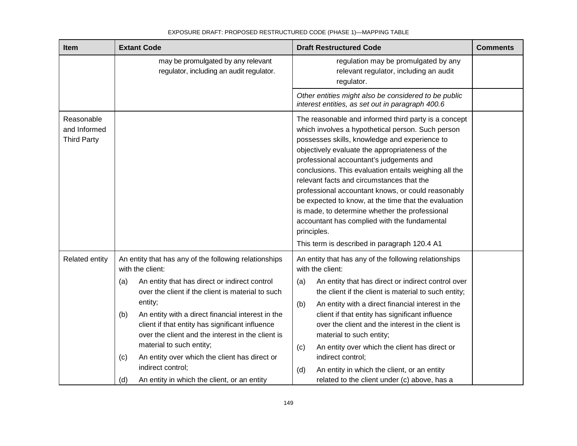| Item                                             | <b>Extant Code</b>                                                                                                                                                                                                                                            | <b>Draft Restructured Code</b>                                                                                                                                                                                                                                                                                                                                                                                                                                                                                                                                                                                                                 | <b>Comments</b> |
|--------------------------------------------------|---------------------------------------------------------------------------------------------------------------------------------------------------------------------------------------------------------------------------------------------------------------|------------------------------------------------------------------------------------------------------------------------------------------------------------------------------------------------------------------------------------------------------------------------------------------------------------------------------------------------------------------------------------------------------------------------------------------------------------------------------------------------------------------------------------------------------------------------------------------------------------------------------------------------|-----------------|
|                                                  | may be promulgated by any relevant<br>regulator, including an audit regulator.                                                                                                                                                                                | regulation may be promulgated by any<br>relevant regulator, including an audit<br>regulator.                                                                                                                                                                                                                                                                                                                                                                                                                                                                                                                                                   |                 |
|                                                  |                                                                                                                                                                                                                                                               | Other entities might also be considered to be public<br>interest entities, as set out in paragraph 400.6                                                                                                                                                                                                                                                                                                                                                                                                                                                                                                                                       |                 |
| Reasonable<br>and Informed<br><b>Third Party</b> |                                                                                                                                                                                                                                                               | The reasonable and informed third party is a concept<br>which involves a hypothetical person. Such person<br>possesses skills, knowledge and experience to<br>objectively evaluate the appropriateness of the<br>professional accountant's judgements and<br>conclusions. This evaluation entails weighing all the<br>relevant facts and circumstances that the<br>professional accountant knows, or could reasonably<br>be expected to know, at the time that the evaluation<br>is made, to determine whether the professional<br>accountant has complied with the fundamental<br>principles.<br>This term is described in paragraph 120.4 A1 |                 |
| <b>Related entity</b>                            | An entity that has any of the following relationships<br>with the client:<br>An entity that has direct or indirect control<br>(a)<br>over the client if the client is material to such<br>entity;<br>An entity with a direct financial interest in the<br>(b) | An entity that has any of the following relationships<br>with the client:<br>An entity that has direct or indirect control over<br>(a)<br>the client if the client is material to such entity;<br>An entity with a direct financial interest in the<br>(b)<br>client if that entity has significant influence                                                                                                                                                                                                                                                                                                                                  |                 |
|                                                  | client if that entity has significant influence<br>over the client and the interest in the client is<br>material to such entity;<br>An entity over which the client has direct or<br>(c)<br>indirect control;                                                 | over the client and the interest in the client is<br>material to such entity;<br>An entity over which the client has direct or<br>(c)<br>indirect control;<br>(d)<br>An entity in which the client, or an entity                                                                                                                                                                                                                                                                                                                                                                                                                               |                 |
|                                                  | (d)<br>An entity in which the client, or an entity                                                                                                                                                                                                            | related to the client under (c) above, has a                                                                                                                                                                                                                                                                                                                                                                                                                                                                                                                                                                                                   |                 |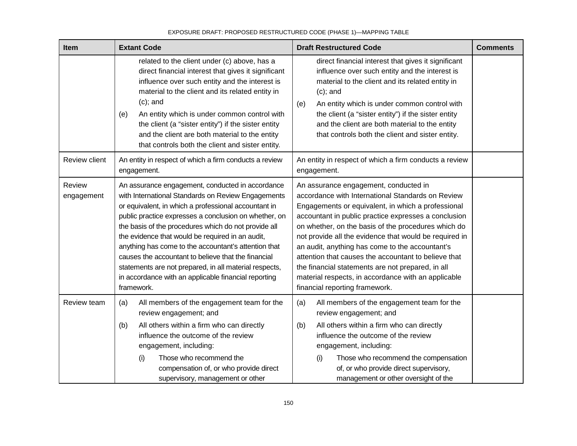| <b>Item</b>          | <b>Extant Code</b>                                                                                                                                                                                                                                                                                                                                                                                                                                                                                                                                                                 | <b>Draft Restructured Code</b>                                                                                                                                                                                                                                                                                                                                                                                                                                                                                                                                                     | <b>Comments</b> |
|----------------------|------------------------------------------------------------------------------------------------------------------------------------------------------------------------------------------------------------------------------------------------------------------------------------------------------------------------------------------------------------------------------------------------------------------------------------------------------------------------------------------------------------------------------------------------------------------------------------|------------------------------------------------------------------------------------------------------------------------------------------------------------------------------------------------------------------------------------------------------------------------------------------------------------------------------------------------------------------------------------------------------------------------------------------------------------------------------------------------------------------------------------------------------------------------------------|-----------------|
|                      | related to the client under (c) above, has a<br>direct financial interest that gives it significant<br>influence over such entity and the interest is<br>material to the client and its related entity in<br>$(c)$ ; and<br>An entity which is under common control with<br>(e)<br>the client (a "sister entity") if the sister entity<br>and the client are both material to the entity<br>that controls both the client and sister entity.                                                                                                                                       | direct financial interest that gives it significant<br>influence over such entity and the interest is<br>material to the client and its related entity in<br>$(c)$ ; and<br>An entity which is under common control with<br>(e)<br>the client (a "sister entity") if the sister entity<br>and the client are both material to the entity<br>that controls both the client and sister entity.                                                                                                                                                                                       |                 |
| Review client        | An entity in respect of which a firm conducts a review<br>engagement.                                                                                                                                                                                                                                                                                                                                                                                                                                                                                                              | An entity in respect of which a firm conducts a review<br>engagement.                                                                                                                                                                                                                                                                                                                                                                                                                                                                                                              |                 |
| Review<br>engagement | An assurance engagement, conducted in accordance<br>with International Standards on Review Engagements<br>or equivalent, in which a professional accountant in<br>public practice expresses a conclusion on whether, on<br>the basis of the procedures which do not provide all<br>the evidence that would be required in an audit,<br>anything has come to the accountant's attention that<br>causes the accountant to believe that the financial<br>statements are not prepared, in all material respects,<br>in accordance with an applicable financial reporting<br>framework. | An assurance engagement, conducted in<br>accordance with International Standards on Review<br>Engagements or equivalent, in which a professional<br>accountant in public practice expresses a conclusion<br>on whether, on the basis of the procedures which do<br>not provide all the evidence that would be required in<br>an audit, anything has come to the accountant's<br>attention that causes the accountant to believe that<br>the financial statements are not prepared, in all<br>material respects, in accordance with an applicable<br>financial reporting framework. |                 |
| Review team          | All members of the engagement team for the<br>(a)<br>review engagement; and<br>All others within a firm who can directly<br>(b)<br>influence the outcome of the review<br>engagement, including:<br>(i)<br>Those who recommend the<br>compensation of, or who provide direct<br>supervisory, management or other                                                                                                                                                                                                                                                                   | (a)<br>All members of the engagement team for the<br>review engagement; and<br>All others within a firm who can directly<br>(b)<br>influence the outcome of the review<br>engagement, including:<br>Those who recommend the compensation<br>(i)<br>of, or who provide direct supervisory,<br>management or other oversight of the                                                                                                                                                                                                                                                  |                 |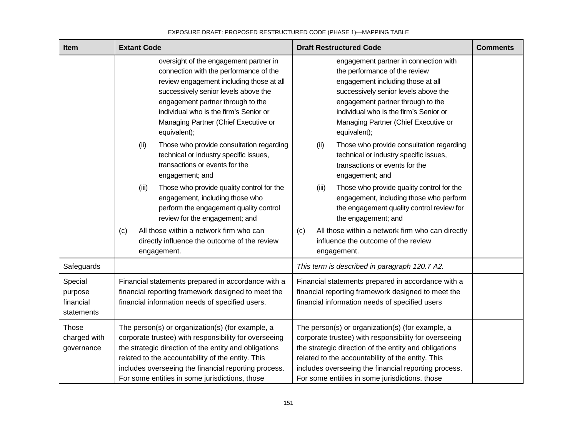| Item                                          | <b>Extant Code</b>                                                                                                                                                                                                                                                                                                                                              | <b>Draft Restructured Code</b>                                                                                                                                                                                                                                                                                                                 | <b>Comments</b> |
|-----------------------------------------------|-----------------------------------------------------------------------------------------------------------------------------------------------------------------------------------------------------------------------------------------------------------------------------------------------------------------------------------------------------------------|------------------------------------------------------------------------------------------------------------------------------------------------------------------------------------------------------------------------------------------------------------------------------------------------------------------------------------------------|-----------------|
|                                               | oversight of the engagement partner in<br>connection with the performance of the<br>review engagement including those at all<br>successively senior levels above the<br>engagement partner through to the<br>individual who is the firm's Senior or<br>Managing Partner (Chief Executive or<br>equivalent);<br>Those who provide consultation regarding<br>(ii) | engagement partner in connection with<br>the performance of the review<br>engagement including those at all<br>successively senior levels above the<br>engagement partner through to the<br>individual who is the firm's Senior or<br>Managing Partner (Chief Executive or<br>equivalent);<br>Those who provide consultation regarding<br>(ii) |                 |
|                                               | technical or industry specific issues,<br>transactions or events for the<br>engagement; and                                                                                                                                                                                                                                                                     | technical or industry specific issues,<br>transactions or events for the<br>engagement; and                                                                                                                                                                                                                                                    |                 |
|                                               | Those who provide quality control for the<br>(iii)<br>engagement, including those who<br>perform the engagement quality control<br>review for the engagement; and                                                                                                                                                                                               | Those who provide quality control for the<br>(iii)<br>engagement, including those who perform<br>the engagement quality control review for<br>the engagement; and                                                                                                                                                                              |                 |
|                                               | All those within a network firm who can<br>(c)<br>directly influence the outcome of the review<br>engagement.                                                                                                                                                                                                                                                   | All those within a network firm who can directly<br>(c)<br>influence the outcome of the review<br>engagement.                                                                                                                                                                                                                                  |                 |
| Safeguards                                    |                                                                                                                                                                                                                                                                                                                                                                 | This term is described in paragraph 120.7 A2.                                                                                                                                                                                                                                                                                                  |                 |
| Special<br>purpose<br>financial<br>statements | Financial statements prepared in accordance with a<br>financial reporting framework designed to meet the<br>financial information needs of specified users.                                                                                                                                                                                                     | Financial statements prepared in accordance with a<br>financial reporting framework designed to meet the<br>financial information needs of specified users                                                                                                                                                                                     |                 |
| Those<br>charged with<br>governance           | The person(s) or organization(s) (for example, a<br>corporate trustee) with responsibility for overseeing<br>the strategic direction of the entity and obligations<br>related to the accountability of the entity. This<br>includes overseeing the financial reporting process.<br>For some entities in some jurisdictions, those                               | The person(s) or organization(s) (for example, a<br>corporate trustee) with responsibility for overseeing<br>the strategic direction of the entity and obligations<br>related to the accountability of the entity. This<br>includes overseeing the financial reporting process.<br>For some entities in some jurisdictions, those              |                 |